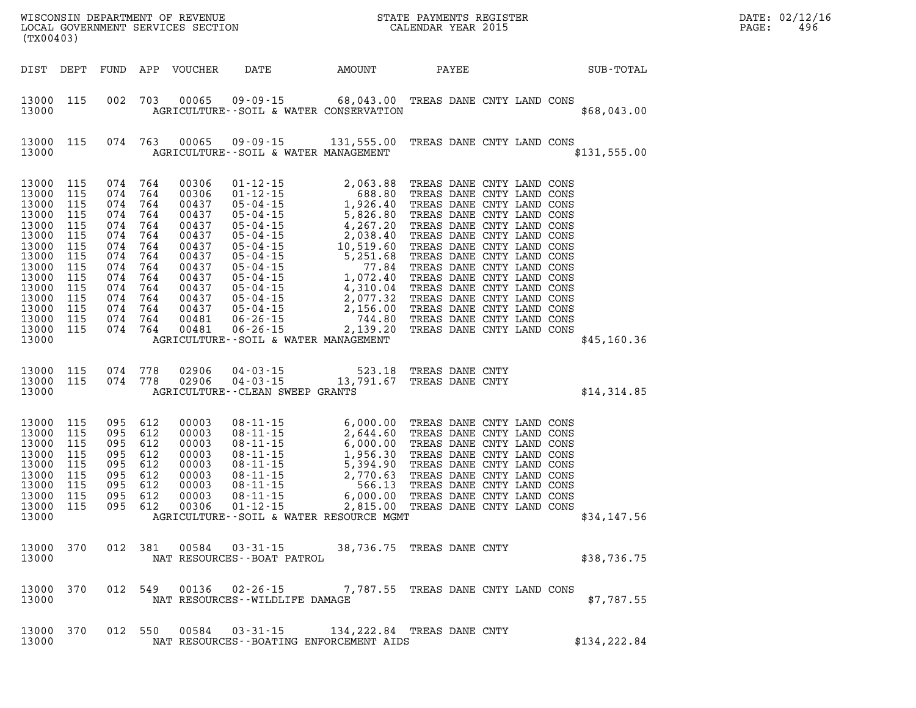| WISCONSIN DEPARTMENT OF REVENUE<br>LOCAL GOVERNMENT SERVICES SECTION CALENDAR YEAR 2015<br>(TX00403)                                             |                                                                                                |         |                                                                                                                                                               |                                                                               |                                                                       |                                                                                                                                                                                                                                                                                          |       |  |  |                  | PAGE: | DATE: 02/12/1<br>496 |
|--------------------------------------------------------------------------------------------------------------------------------------------------|------------------------------------------------------------------------------------------------|---------|---------------------------------------------------------------------------------------------------------------------------------------------------------------|-------------------------------------------------------------------------------|-----------------------------------------------------------------------|------------------------------------------------------------------------------------------------------------------------------------------------------------------------------------------------------------------------------------------------------------------------------------------|-------|--|--|------------------|-------|----------------------|
| DIST DEPT                                                                                                                                        |                                                                                                |         |                                                                                                                                                               |                                                                               | FUND APP VOUCHER DATE AMOUNT                                          |                                                                                                                                                                                                                                                                                          | PAYEE |  |  | <b>SUB-TOTAL</b> |       |                      |
| 13000 115<br>13000                                                                                                                               |                                                                                                |         | 002 703                                                                                                                                                       | 00065                                                                         |                                                                       | 09-09-15 68,043.00 TREAS DANE CNTY LAND CONS<br>AGRICULTURE -- SOIL & WATER CONSERVATION                                                                                                                                                                                                 |       |  |  | \$68,043.00      |       |                      |
| 13000 115<br>13000                                                                                                                               |                                                                                                |         | 074 763                                                                                                                                                       | 00065                                                                         | AGRICULTURE--SOIL & WATER MANAGEMENT                                  | 09-09-15 131,555.00 TREAS DANE CNTY LAND CONS                                                                                                                                                                                                                                            |       |  |  | \$131,555.00     |       |                      |
| 13000<br>13000<br>13000<br>13000<br>13000<br>13000<br>13000<br>13000<br>13000<br>13000<br>13000<br>13000<br>13000<br>13000<br>13000 115<br>13000 | 115<br>115<br>115<br>115<br>115<br>115<br>115<br>115<br>115<br>115<br>115<br>115<br>115<br>115 | 074     | 074 764<br>074 764<br>074 764<br>074 764<br>074 764<br>074 764<br>074 764<br>764<br>074 764<br>074 764<br>074 764<br>074 764<br>074 764<br>074 764<br>074 764 |                                                                               | AGRICULTURE--SOIL & WATER MANAGEMENT                                  |                                                                                                                                                                                                                                                                                          |       |  |  | \$45,160.36      |       |                      |
| 13000<br>13000 115<br>13000                                                                                                                      | 115                                                                                            | 074 778 | 074 778                                                                                                                                                       | 02906<br>02906                                                                | $04 - 03 - 15$<br>$04 - 03 - 15$<br>AGRICULTURE -- CLEAN SWEEP GRANTS | 523.18 TREAS DANE CNTY<br>13,791.67 TREAS DANE CNTY                                                                                                                                                                                                                                      |       |  |  | \$14,314.85      |       |                      |
| 13000<br>13000<br>13000<br>13000<br>13000<br>13000<br>13000<br>13000<br>13000<br>13000                                                           | 115<br>115<br>115<br>115<br>115<br>115<br>115<br>115<br>115                                    |         | 095 612<br>095 612<br>095 612<br>095 612<br>095 612<br>095 612<br>095 612<br>095 612<br>095 612                                                               | 00003<br>00003<br>00003<br>00003<br>00003<br>00003<br>00003<br>00003<br>00306 |                                                                       | 08-11-15 6,000.00 TREAS DANE CNTY LAND CONS<br>08-11-15 2,644.60 TREAS DANE CNTY LAND CONS<br>08-11-15 6,000.00 TREAS DANE CNTY LAND CONS<br>08-11-15 1,956.30 TREAS DANE CNTY LAND CONS<br>08-11-15 5,394.90 TREAS DANE CNTY LAND CONS<br>08<br>AGRICULTURE--SOIL & WATER RESOURCE MGMT |       |  |  | \$34,147.56      |       |                      |
| 13000 370<br>13000                                                                                                                               |                                                                                                |         |                                                                                                                                                               |                                                                               | NAT RESOURCES - - BOAT PATROL                                         | 012 381 00584 03-31-15 38,736.75 TREAS DANE CNTY                                                                                                                                                                                                                                         |       |  |  | \$38,736.75      |       |                      |
| 13000<br>13000                                                                                                                                   | 370                                                                                            |         |                                                                                                                                                               |                                                                               | NAT RESOURCES--WILDLIFE DAMAGE                                        | 012 549 00136 02-26-15 7,787.55 TREAS DANE CNTY LAND CONS                                                                                                                                                                                                                                |       |  |  | \$7,787.55       |       |                      |
| 13000 370<br>13000                                                                                                                               |                                                                                                |         |                                                                                                                                                               |                                                                               |                                                                       | 012 550 00584 03-31-15 134, 222.84 TREAS DANE CNTY<br>NAT RESOURCES - - BOATING ENFORCEMENT AIDS                                                                                                                                                                                         |       |  |  | \$134,222.84     |       |                      |

**DATE: 02/12/16<br>PAGE: 496**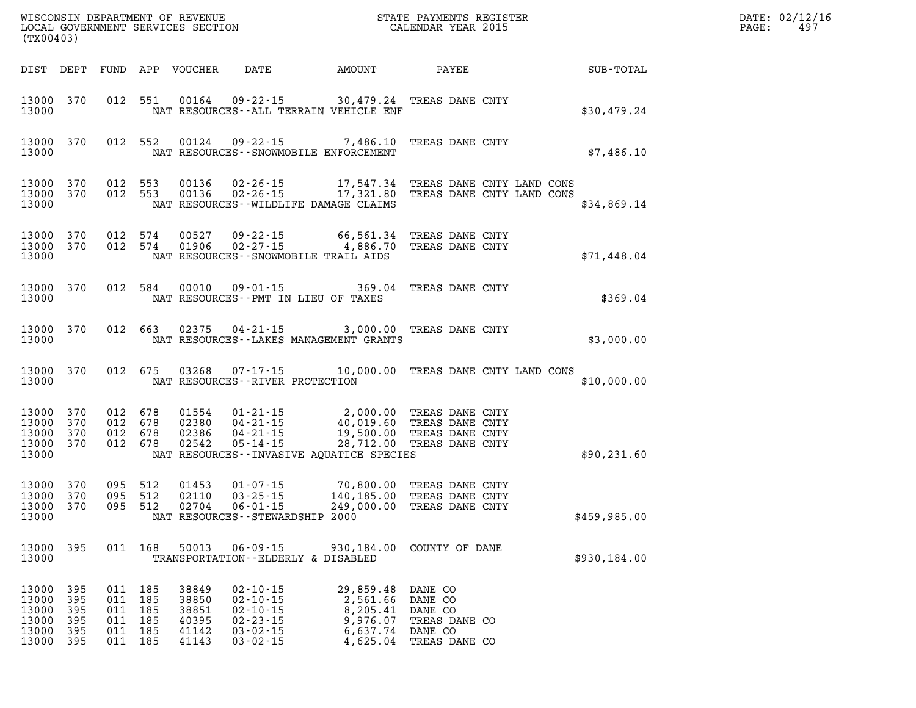| (TX00403)                                          |                                           |                                             |                               |                                                    |                                                                                                          | WISCONSIN DEPARTMENT OF REVENUE<br>LOCAL GOVERNMENT SERVICES SECTION<br>CALENDAR YEAR 2015                                                                                                                                                                                                                                                               |                                                                 | DATE: 02/12/1<br>PAGE: 497 |              |  |  |
|----------------------------------------------------|-------------------------------------------|---------------------------------------------|-------------------------------|----------------------------------------------------|----------------------------------------------------------------------------------------------------------|----------------------------------------------------------------------------------------------------------------------------------------------------------------------------------------------------------------------------------------------------------------------------------------------------------------------------------------------------------|-----------------------------------------------------------------|----------------------------|--------------|--|--|
|                                                    |                                           |                                             |                               |                                                    |                                                                                                          |                                                                                                                                                                                                                                                                                                                                                          |                                                                 |                            |              |  |  |
| 13000                                              |                                           |                                             |                               |                                                    |                                                                                                          | 13000 370 012 551 00164 09-22-15 30,479.24 TREAS DANE CNTY<br>NAT RESOURCES--ALL TERRAIN VEHICLE ENF                                                                                                                                                                                                                                                     |                                                                 |                            | \$30,479.24  |  |  |
| 13000                                              |                                           |                                             |                               |                                                    |                                                                                                          | 13000 370 012 552 00124 09-22-15 7,486.10 TREAS DANE CNTY<br>NAT RESOURCES--SNOWMOBILE ENFORCEMENT                                                                                                                                                                                                                                                       |                                                                 |                            | \$7,486.10   |  |  |
| 13000                                              |                                           |                                             |                               |                                                    |                                                                                                          | $\begin{array}{cccccc} 13\,0\,0\,0 & 3\,7\,0 & 0\,12 & 5\,5\,3 & 0\,0\,1\,3\,6 & 0\,2\cdot2\,6\cdot1\,5 & 17\,,5\,4\,7\,,3\,4 & \text{TREAS} & \text{DANE CNY} & \text{LAND} & \text{CONS} \\ 13\,0\,0\,0 & 3\,7\,0 & 0\,1\,2 & 5\,5\,3 & 0\,0\,1\,3\,6 & 0\,2\cdot2\,6\cdot1\,5 & 17\,,3\,2\,1\,.80 & \text{T$<br>NAT RESOURCES--WILDLIFE DAMAGE CLAIMS |                                                                 |                            | \$34,869.14  |  |  |
| 13000                                              |                                           |                                             |                               |                                                    |                                                                                                          | $\begin{array}{cccccccc} 13000& 370& 012& 574& 00527& 09\cdot 22\cdot 15& 66,561.34 & \text{TREAS} \text{ DANE CNTY}\\ 13000& 370& 012& 574& 01906& 02\cdot 27\cdot 15& 4,886.70 & \text{TREAS} \text{ DANE CNTY} \end{array}$<br>NAT RESOURCES--SNOWMOBILE TRAIL AIDS                                                                                   |                                                                 |                            | \$71,448.04  |  |  |
| 13000                                              |                                           |                                             |                               |                                                    | NAT RESOURCES -- PMT IN LIEU OF TAXES                                                                    | 13000 370 012 584 00010 09-01-15 369.04 TREAS DANE CNTY                                                                                                                                                                                                                                                                                                  |                                                                 |                            | \$369.04     |  |  |
| 13000                                              |                                           |                                             |                               |                                                    |                                                                                                          | 13000 370 012 663 02375 04-21-15 3,000.00 TREAS DANE CNTY<br>NAT RESOURCES - LAKES MANAGEMENT GRANTS                                                                                                                                                                                                                                                     |                                                                 |                            | \$3,000.00   |  |  |
| 13000                                              |                                           |                                             |                               |                                                    | NAT RESOURCES--RIVER PROTECTION                                                                          | 13000 370 012 675 03268 07-17-15 10,000.00 TREAS DANE CNTY LAND CONS                                                                                                                                                                                                                                                                                     |                                                                 |                            | \$10,000.00  |  |  |
| 13000<br>13000<br>13000<br>13000                   | 370<br>370                                | 13000 370 012 678<br>012 678<br>370 012 678 | 012 678                       |                                                    |                                                                                                          | 01554     01-21-15         2,000.00 TREAS DANE CNTY<br>02380     04-21-15         40,019.60 TREAS DANE CNTY<br>02386     04-21-15     19,500.00 TREAS DANE CNTY<br>02542      05-14-15         28,712.00 TREAS DANE CNTY<br>NAT RESOURCES--INVASIVE AQUATICE SPECIES                                                                                     |                                                                 |                            | \$90, 231.60 |  |  |
| 13000                                              |                                           |                                             |                               |                                                    | NAT RESOURCES - - STEWARDSHIP 2000                                                                       | $\begin{array}{cccccccc} 13000& 370& 095& 512& 01453& 01-07-15& 70,800.00& \text{TREAS} & \text{DANE CNTY} \\ 13000& 370& 095& 512& 02110& 03-25-15& 140,185.00& \text{TREAS} & \text{DANE CNTY} \\ 13000& 370& 095& 512& 02704& 06-01-15& 249,000.00& \text{TREAS} & \text{DANE CNTY} \end{array}$                                                      |                                                                 |                            | \$459,985.00 |  |  |
| 13000 395<br>13000                                 |                                           |                                             | 011 168                       |                                                    | TRANSPORTATION--ELDERLY & DISABLED                                                                       | 50013  06-09-15  930,184.00  COUNTY OF DANE                                                                                                                                                                                                                                                                                                              |                                                                 |                            | \$930,184.00 |  |  |
| 13000<br>13000<br>13000<br>13000<br>13000<br>13000 | 395<br>395<br>395<br>395<br>-395<br>- 395 | 011 185<br>011 185<br>011 185               | 011 185<br>011 185<br>011 185 | 38849<br>38850<br>38851<br>40395<br>41142<br>41143 | $02 - 10 - 15$<br>$02 - 10 - 15$<br>$02 - 10 - 15$<br>$02 - 23 - 15$<br>$03 - 02 - 15$<br>$03 - 02 - 15$ | 29,859.48<br>2,561.66<br>8,205.41<br>9,976.07<br>6,637.74 DANE CO<br>4,625.04                                                                                                                                                                                                                                                                            | DANE CO<br>DANE CO<br>DANE CO<br>TREAS DANE CO<br>TREAS DANE CO |                            |              |  |  |

**DATE: 02/12/16<br>PAGE: 497**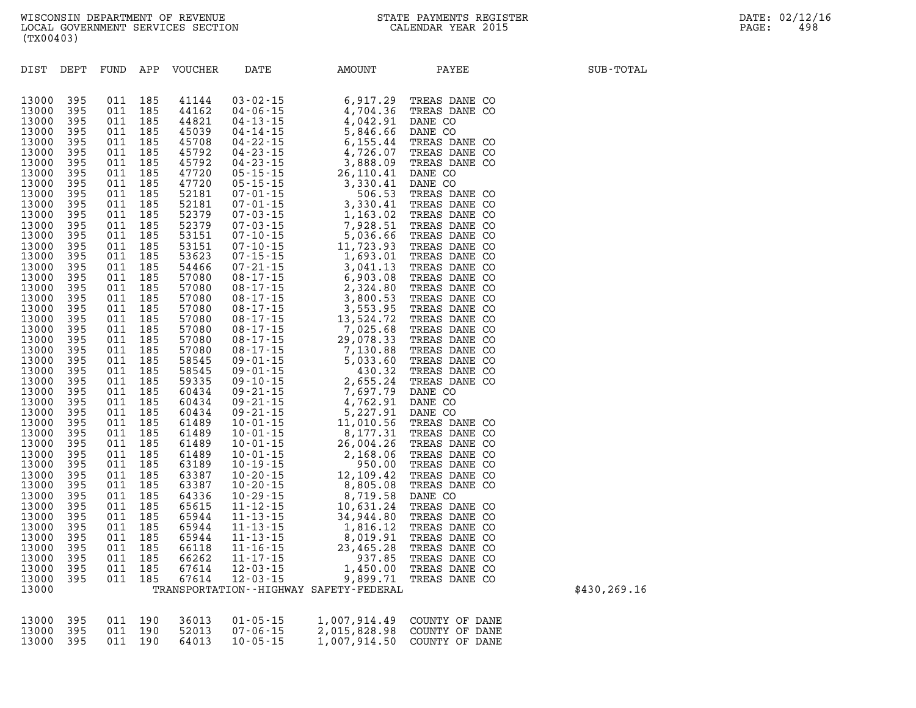| DIST           | DEPT       | FUND APP   |            | VOUCHER        | DATE | AMOUNT<br>R DATE AMOUNT PAYEE AND THESE DANE CONTRAINS (1971).<br>1970.2-15 6, 917.29 TREAS DANE CO 04-13-15 4, 704.36 TREAS DANE CO 04-13-15 5, 846.66 DANE CO 04-23-15 6, 515.44 TREAS DANE CO 04-23-15 6, 515.44 TREAS DANE CO 07-01-1 | PAYEE | SUB-TOTAL    |
|----------------|------------|------------|------------|----------------|------|-------------------------------------------------------------------------------------------------------------------------------------------------------------------------------------------------------------------------------------------|-------|--------------|
|                |            |            |            |                |      |                                                                                                                                                                                                                                           |       |              |
| 13000          | 395        | 011        | 185        | 41144          |      |                                                                                                                                                                                                                                           |       |              |
| 13000          | 395        | 011        | 185        | 44162          |      |                                                                                                                                                                                                                                           |       |              |
| 13000          | 395        | 011        | 185        | 44821          |      |                                                                                                                                                                                                                                           |       |              |
| 13000          | 395        | 011        | 185        | 45039          |      |                                                                                                                                                                                                                                           |       |              |
| 13000          | 395        | 011        | 185        | 45708          |      |                                                                                                                                                                                                                                           |       |              |
| 13000          | 395        | 011        | 185        | 45792          |      |                                                                                                                                                                                                                                           |       |              |
| 13000          | 395        | 011        | 185        | 45792          |      |                                                                                                                                                                                                                                           |       |              |
| 13000          | 395        | 011        | 185        | 47720          |      |                                                                                                                                                                                                                                           |       |              |
| 13000          | 395        | 011        | 185        | 47720          |      |                                                                                                                                                                                                                                           |       |              |
| 13000          | 395        | 011        | 185        | 52181          |      |                                                                                                                                                                                                                                           |       |              |
| 13000          | 395        | 011        | 185        | 52181          |      |                                                                                                                                                                                                                                           |       |              |
| 13000          | 395        | 011        | 185        | 52379          |      |                                                                                                                                                                                                                                           |       |              |
| 13000          | 395        | 011        | 185        | 52379          |      |                                                                                                                                                                                                                                           |       |              |
| 13000          | 395        | 011        | 185        | 53151          |      |                                                                                                                                                                                                                                           |       |              |
| 13000          | 395        | 011        | 185        | 53151          |      |                                                                                                                                                                                                                                           |       |              |
| 13000          | 395        | 011        | 185        | 53623          |      |                                                                                                                                                                                                                                           |       |              |
| 13000          | 395        | 011        | 185        | 54466          |      |                                                                                                                                                                                                                                           |       |              |
| 13000          | 395        | 011        | 185        | 57080          |      |                                                                                                                                                                                                                                           |       |              |
| 13000          | 395        | 011        | 185        | 57080          |      |                                                                                                                                                                                                                                           |       |              |
| 13000          | 395        | 011        | 185        | 57080          |      |                                                                                                                                                                                                                                           |       |              |
| 13000          | 395        | 011        | 185        | 57080          |      |                                                                                                                                                                                                                                           |       |              |
| 13000          | 395        | 011        | 185        | 57080          |      |                                                                                                                                                                                                                                           |       |              |
| 13000          | 395        | 011        | 185        | 57080          |      |                                                                                                                                                                                                                                           |       |              |
| 13000          | 395        | 011        | 185        | 57080          |      |                                                                                                                                                                                                                                           |       |              |
| 13000          | 395        | 011        | 185        | 57080          |      |                                                                                                                                                                                                                                           |       |              |
| 13000          | 395        | 011        | 185        | 58545          |      |                                                                                                                                                                                                                                           |       |              |
| 13000          | 395        | 011        | 185        | 58545          |      |                                                                                                                                                                                                                                           |       |              |
| 13000          | 395        | 011        | 185        | 59335          |      |                                                                                                                                                                                                                                           |       |              |
| 13000          | 395        | 011        | 185        | 60434          |      |                                                                                                                                                                                                                                           |       |              |
| 13000          | 395        | 011        | 185        | 60434          |      |                                                                                                                                                                                                                                           |       |              |
| 13000          | 395        | 011        | 185        | 60434          |      |                                                                                                                                                                                                                                           |       |              |
| 13000          | 395        | 011        | 185        | 61489          |      |                                                                                                                                                                                                                                           |       |              |
| 13000          | 395        | 011        | 185        | 61489          |      |                                                                                                                                                                                                                                           |       |              |
| 13000<br>13000 | 395<br>395 | 011<br>011 | 185<br>185 | 61489<br>61489 |      |                                                                                                                                                                                                                                           |       |              |
| 13000          | 395        | 011        | 185        | 63189          |      |                                                                                                                                                                                                                                           |       |              |
| 13000          | 395        | 011        | 185        | 63387          |      |                                                                                                                                                                                                                                           |       |              |
| 13000          | 395        | 011        | 185        | 63387          |      |                                                                                                                                                                                                                                           |       |              |
| 13000          | 395        | 011        | 185        | 64336          |      |                                                                                                                                                                                                                                           |       |              |
| 13000          | 395        | 011        | 185        | 65615          |      |                                                                                                                                                                                                                                           |       |              |
| 13000          | 395        | 011        | 185        | 65944          |      |                                                                                                                                                                                                                                           |       |              |
| 13000          | 395        | 011        | 185        | 65944          |      |                                                                                                                                                                                                                                           |       |              |
| 13000          | 395        | 011        | 185        | 65944          |      |                                                                                                                                                                                                                                           |       |              |
| 13000          | 395        | 011        | 185        | 66118          |      |                                                                                                                                                                                                                                           |       |              |
| 13000          | 395        | 011        | 185        | 66262          |      |                                                                                                                                                                                                                                           |       |              |
| 13000          | 395        | 011        | 185        | 67614          |      |                                                                                                                                                                                                                                           |       |              |
| 13000          | 395        | 011        | 185        | 67614          |      |                                                                                                                                                                                                                                           |       |              |
| 13000          |            |            |            |                |      | TRANSPORTATION - - HIGHWAY SAFETY - FEDERAL                                                                                                                                                                                               |       | \$430,269.16 |
|                |            |            |            |                |      |                                                                                                                                                                                                                                           |       |              |
|                |            |            |            |                |      |                                                                                                                                                                                                                                           |       |              |
|                |            |            |            |                |      | 1.007.011.10                                                                                                                                                                                                                              | A     |              |

|  |  | 13000 395 011 190 36013 01-05-15 | 1,007,914.49 COUNTY OF DANE |
|--|--|----------------------------------|-----------------------------|
|  |  | 13000 395 011 190 52013 07-06-15 | 2,015,828.98 COUNTY OF DANE |
|  |  | 13000 395 011 190 64013 10-05-15 | 1,007,914.50 COUNTY OF DANE |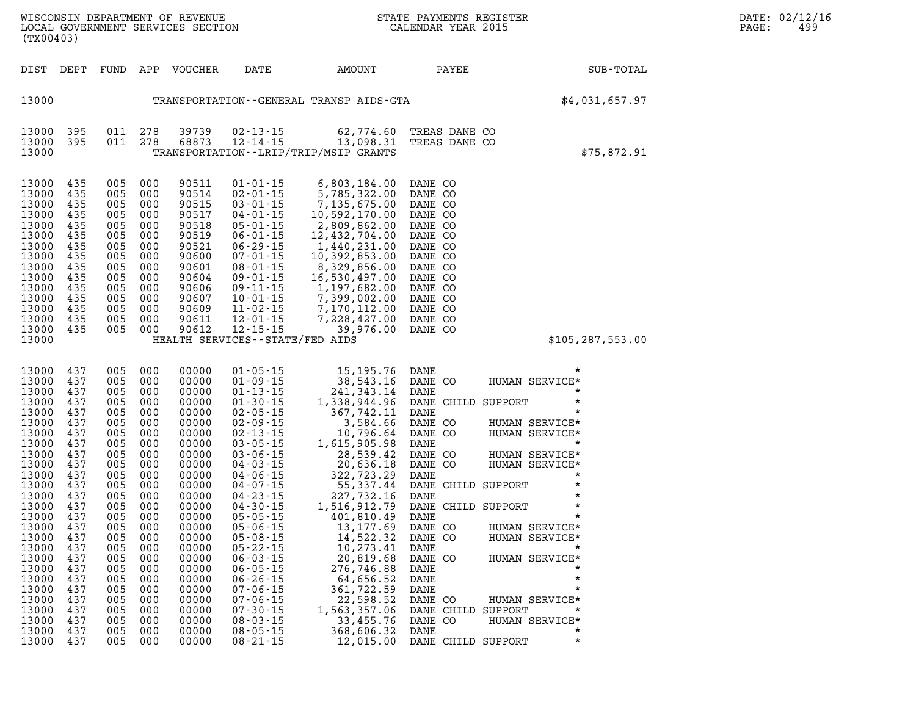| (TX00403)                                                                                                                                                                          |                                                                                                                                                        | WISCONSIN DEPARTMENT OF REVENUE                                                                                                                                                                                                                                                                                                                       |                                                                                                                                                                                                                                                                                                                                                                                                                                                                |                                                                                                                                                                                                                                                                                                         | STATE PAYMENTS REGISTER                                                                                                                                                                            | DATE: 02/12/16<br>499<br>PAGE:                                                                                                                                                                                                                                                                                                                           |                                                                                                                                              |
|------------------------------------------------------------------------------------------------------------------------------------------------------------------------------------|--------------------------------------------------------------------------------------------------------------------------------------------------------|-------------------------------------------------------------------------------------------------------------------------------------------------------------------------------------------------------------------------------------------------------------------------------------------------------------------------------------------------------|----------------------------------------------------------------------------------------------------------------------------------------------------------------------------------------------------------------------------------------------------------------------------------------------------------------------------------------------------------------------------------------------------------------------------------------------------------------|---------------------------------------------------------------------------------------------------------------------------------------------------------------------------------------------------------------------------------------------------------------------------------------------------------|----------------------------------------------------------------------------------------------------------------------------------------------------------------------------------------------------|----------------------------------------------------------------------------------------------------------------------------------------------------------------------------------------------------------------------------------------------------------------------------------------------------------------------------------------------------------|----------------------------------------------------------------------------------------------------------------------------------------------|
| DIST DEPT                                                                                                                                                                          |                                                                                                                                                        |                                                                                                                                                                                                                                                                                                                                                       | DATE                                                                                                                                                                                                                                                                                                                                                                                                                                                           |                                                                                                                                                                                                                                                                                                         | PAYEE                                                                                                                                                                                              | SUB-TOTAL                                                                                                                                                                                                                                                                                                                                                |                                                                                                                                              |
|                                                                                                                                                                                    |                                                                                                                                                        |                                                                                                                                                                                                                                                                                                                                                       |                                                                                                                                                                                                                                                                                                                                                                                                                                                                |                                                                                                                                                                                                                                                                                                         |                                                                                                                                                                                                    | \$4,031,657.97                                                                                                                                                                                                                                                                                                                                           |                                                                                                                                              |
| 395<br>395                                                                                                                                                                         |                                                                                                                                                        | 39739<br>68873                                                                                                                                                                                                                                                                                                                                        |                                                                                                                                                                                                                                                                                                                                                                                                                                                                |                                                                                                                                                                                                                                                                                                         |                                                                                                                                                                                                    | \$75,872.91                                                                                                                                                                                                                                                                                                                                              |                                                                                                                                              |
| 435<br>435<br>435<br>435<br>435<br>435<br>435<br>435<br>435<br>435<br>435<br>435<br>435<br>435<br>435                                                                              | 000<br>000<br>000<br>000<br>000<br>000<br>000<br>000<br>000<br>000                                                                                     | 90511<br>90514<br>90515<br>90517<br>90518<br>90519<br>90521<br>90600<br>90601<br>90604<br>90606<br>90607<br>90609<br>90611<br>90612                                                                                                                                                                                                                   | $01 - 01 - 15$<br>$02 - 01 - 15$<br>$03 - 01 - 15$<br>$04 - 01 - 15$<br>$05 - 01 - 15$<br>$06 - 01 - 15$<br>$06 - 29 - 15$<br>$07 - 01 - 15$<br>$08 - 01 - 15$<br>$09 - 01 - 15$<br>$09 - 11 - 15$<br>$10 - 01 - 15$<br>$11 - 02 - 15$<br>$12 - 01 - 15$<br>$12 - 15 - 15$                                                                                                                                                                                     | 6,803,184.00<br>5,785,322.00<br>10,592,170.00<br>2,809,862.00<br>12,432,704.00<br>1,440,231.00<br>10,392,853.00<br>8,329,856.00<br>16,530,497.00<br>1,197,682.00<br>7,228,427.00                                                                                                                        | DANE CO<br>DANE CO<br>DANE CO<br>DANE CO<br>DANE CO<br>DANE CO<br>DANE CO<br>DANE CO<br>DANE CO<br>DANE CO<br>DANE CO<br>DANE CO<br>DANE CO<br>DANE CO<br>DANE CO                                  | \$105, 287, 553.00                                                                                                                                                                                                                                                                                                                                       |                                                                                                                                              |
| 437<br>437<br>437<br>437<br>437<br>437<br>437<br>437<br>437<br>437<br>437<br>437<br>437<br>437<br>437<br>437<br>437<br>437<br>437<br>437<br>437<br>437<br>437<br>437<br>437<br>437 | 000<br>000<br>000<br>000<br>000<br>000<br>000<br>000<br>000<br>000<br>000<br>000<br>000<br>000<br>000<br>000<br>000<br>000<br>000<br>000<br>000<br>000 | 00000<br>00000<br>00000<br>00000<br>00000<br>00000<br>00000<br>00000<br>00000<br>00000<br>00000<br>00000<br>00000<br>00000<br>00000<br>00000<br>00000<br>00000<br>00000<br>00000<br>00000<br>00000<br>00000<br>00000<br>00000<br>00000                                                                                                                | $01 - 05 - 15$<br>$01 - 09 - 15$<br>$01 - 13 - 15$<br>$01 - 30 - 15$<br>$02 - 05 - 15$<br>$02 - 09 - 15$<br>$02 - 13 - 15$<br>$03 - 05 - 15$<br>$03 - 06 - 15$<br>$04 - 03 - 15$<br>$04 - 06 - 15$<br>$04 - 07 - 15$<br>$04 - 23 - 15$<br>$04 - 30 - 15$<br>$05 - 05 - 15$<br>$05 - 06 - 15$<br>$05 - 08 - 15$<br>$05 - 22 - 15$<br>$06 - 03 - 15$<br>$06 - 05 - 15$<br>$06 - 26 - 15$<br>$07 - 06 - 15$<br>$07 - 06 - 15$<br>$07 - 30 - 15$<br>$08 - 03 - 15$ | 38,543.16<br>241,343.14<br>1,338,944.96<br>367,742.11<br>3,584.66<br>10,796.64<br>1,615,905.98<br>28,539.42<br>$-0.539.42$<br>20,636.18<br>322.700<br>401,810.49<br>13,177.69<br>14,522.32<br>10,273.41<br>20,819.68<br>276,746.88<br>64,656.52<br>361,722.59<br>22,598.52<br>1,563,357.06<br>33,455.76 | DANE CO<br>DANE<br>DANE<br>DANE CO<br>DANE CO<br>DANE<br>DANE CO<br>DANE CO<br>DANE<br>DANE<br>DANE<br>DANE CO<br>DANE CO<br>DANE<br>DANE CO<br>DANE<br>DANE<br>DANE<br>DANE CO<br>DANE CO<br>DANE | $^\star$<br>HUMAN SERVICE*<br>$\star$<br>$\star$<br>$\star$<br>HUMAN SERVICE*<br>HUMAN SERVICE*<br>$\star$<br>HUMAN SERVICE*<br>HUMAN SERVICE*<br>$^\star$<br>$^\star$<br>$\star$<br>$\star$<br>$\star$<br>HUMAN SERVICE*<br>HUMAN SERVICE*<br>$\star$<br>HUMAN SERVICE*<br>$\star$<br>$\star$<br>HUMAN SERVICE*<br>$\star$<br>HUMAN SERVICE*<br>$\star$ |                                                                                                                                              |
|                                                                                                                                                                                    |                                                                                                                                                        | 011 278<br>011 278<br>005<br>005<br>005 000<br>005<br>005<br>005<br>005 000<br>005<br>005<br>005<br>005 000<br>005<br>005 000<br>005<br>005 000<br>005 000<br>005<br>005<br>005<br>005<br>005<br>005<br>005<br>005<br>005<br>005<br>005<br>005 000<br>005<br>005 000<br>005 000<br>005<br>005<br>005<br>005<br>005<br>005<br>005<br>005<br>005<br>005 | FUND APP VOUCHER                                                                                                                                                                                                                                                                                                                                                                                                                                               | LOCAL GOVERNMENT SERVICES SECTION<br>$08 - 05 - 15$                                                                                                                                                                                                                                                     | AMOUNT<br>02-13-15 62,774.60<br>12-14-15 13,098.31<br>TRANSPORTATION--LRIP/TRIP/MSIP GRANTS<br>7,399,002.00<br>7,170,112.00<br>HEALTH SERVICES - - STATE/FED AIDS<br>368,606.32                    | TRANSPORTATION--GENERAL TRANSP AIDS-GTA<br>39,976.00<br>15,195.76 DANE<br>$, 322, 723.29$<br>$, 55, 337.44$<br>$227, 732.17$<br>$1, 516$                                                                                                                                                                                                                 | CALENDAR YEAR 2015<br>TREAS DANE CO<br>TREAS DANE CO<br>DANE CHILD SUPPORT<br>DANE CHILD SUPPORT<br>DANE CHILD SUPPORT<br>DANE CHILD SUPPORT |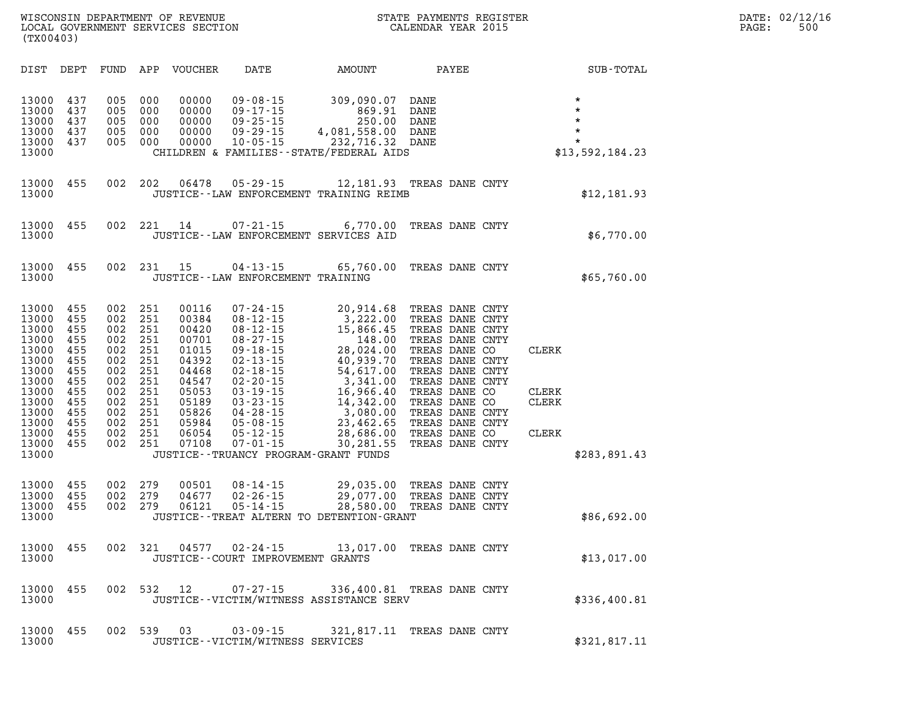| DIST                                                                                                                                | DEPT                                                                                           | FUND                                                                                           | APP                                                                                            | <b>VOUCHER</b>                                                                                                             | DATE                                                                                                                                                                                                                                                                                                  | AMOUNT                                                                                                                                                                       | PAYEE                                                                                                                                                                                                                                                          |                                                | SUB-TOTAL                                                              |
|-------------------------------------------------------------------------------------------------------------------------------------|------------------------------------------------------------------------------------------------|------------------------------------------------------------------------------------------------|------------------------------------------------------------------------------------------------|----------------------------------------------------------------------------------------------------------------------------|-------------------------------------------------------------------------------------------------------------------------------------------------------------------------------------------------------------------------------------------------------------------------------------------------------|------------------------------------------------------------------------------------------------------------------------------------------------------------------------------|----------------------------------------------------------------------------------------------------------------------------------------------------------------------------------------------------------------------------------------------------------------|------------------------------------------------|------------------------------------------------------------------------|
| 13000<br>13000<br>13000<br>13000<br>13000<br>13000                                                                                  | 437<br>437<br>437<br>437<br>437                                                                | 005<br>005<br>005<br>005<br>005                                                                | 000<br>000<br>000<br>000<br>000                                                                | 00000<br>00000<br>00000<br>00000<br>00000                                                                                  | $09 - 08 - 15$<br>$09 - 17 - 15$<br>$09 - 25 - 15$<br>$09 - 29 - 15$<br>$10 - 05 - 15$                                                                                                                                                                                                                | 309,090.07<br>869.91<br>250.00<br>4,081,558.00<br>232,716.32<br>CHILDREN & FAMILIES--STATE/FEDERAL AIDS                                                                      | DANE<br>DANE<br>DANE<br>DANE<br>DANE                                                                                                                                                                                                                           |                                                | $\star$<br>$\star$<br>$\star$<br>$\star$<br>$\star$<br>\$13,592,184.23 |
| 13000<br>13000                                                                                                                      | 455                                                                                            | 002                                                                                            | 202                                                                                            | 06478                                                                                                                      | $05 - 29 - 15$                                                                                                                                                                                                                                                                                        | 12,181.93<br>JUSTICE--LAW ENFORCEMENT TRAINING REIMB                                                                                                                         | TREAS DANE CNTY                                                                                                                                                                                                                                                |                                                | \$12,181.93                                                            |
| 13000<br>13000                                                                                                                      | 455                                                                                            | 002                                                                                            | 221                                                                                            | 14                                                                                                                         | $07 - 21 - 15$                                                                                                                                                                                                                                                                                        | 6,770.00<br>JUSTICE--LAW ENFORCEMENT SERVICES AID                                                                                                                            | TREAS DANE CNTY                                                                                                                                                                                                                                                |                                                | \$6,770.00                                                             |
| 13000<br>13000                                                                                                                      | 455                                                                                            | 002                                                                                            | 231                                                                                            | 15                                                                                                                         | 04-13-15<br>JUSTICE--LAW ENFORCEMENT TRAINING                                                                                                                                                                                                                                                         | 65,760.00                                                                                                                                                                    | TREAS DANE CNTY                                                                                                                                                                                                                                                |                                                | \$65,760.00                                                            |
| 13000<br>13000<br>13000<br>13000<br>13000<br>13000<br>13000<br>13000<br>13000<br>13000<br>13000<br>13000<br>13000<br>13000<br>13000 | 455<br>455<br>455<br>455<br>455<br>455<br>455<br>455<br>455<br>455<br>455<br>455<br>455<br>455 | 002<br>002<br>002<br>002<br>002<br>002<br>002<br>002<br>002<br>002<br>002<br>002<br>002<br>002 | 251<br>251<br>251<br>251<br>251<br>251<br>251<br>251<br>251<br>251<br>251<br>251<br>251<br>251 | 00116<br>00384<br>00420<br>00701<br>01015<br>04392<br>04468<br>04547<br>05053<br>05189<br>05826<br>05984<br>06054<br>07108 | $07 - 24 - 15$<br>$08 - 12 - 15$<br>$08 - 12 - 15$<br>$08 - 27 - 15$<br>$09 - 18 - 15$<br>$02 - 13 - 15$<br>$02 - 18 - 15$<br>$02 - 20 - 15$<br>$03 - 19 - 15$<br>$03 - 23 - 15$<br>$04 - 28 - 15$<br>$05 - 08 - 15$<br>$05 - 12 - 15$<br>$07 - 01 - 15$<br>JUSTICE - - TRUANCY PROGRAM - GRANT FUNDS | 20,914.68<br>3,222.00<br>15,866.45<br>148.00<br>28,024.00<br>40,939.70<br>54,617.00<br>3,341.00<br>16,966.40<br>14,342.00<br>3,080.00<br>23,462.65<br>28,686.00<br>30,281.55 | TREAS DANE CNTY<br>TREAS DANE CNTY<br>TREAS DANE CNTY<br>TREAS DANE CNTY<br>TREAS DANE CO<br>TREAS DANE CNTY<br>TREAS DANE CNTY<br>TREAS DANE CNTY<br>TREAS DANE CO<br>TREAS DANE CO<br>TREAS DANE CNTY<br>TREAS DANE CNTY<br>TREAS DANE CO<br>TREAS DANE CNTY | CLERK<br>CLERK<br><b>CLERK</b><br><b>CLERK</b> | \$283,891.43                                                           |
| 13000<br>13000<br>13000<br>13000                                                                                                    | 455<br>455<br>455                                                                              | 002<br>002<br>002                                                                              | 279<br>279<br>279                                                                              | 00501<br>04677<br>06121                                                                                                    | $08 - 14 - 15$<br>$02 - 26 - 15$<br>$05 - 14 - 15$                                                                                                                                                                                                                                                    | 29,035.00<br>29,077.00<br>28,580.00<br>JUSTICE--TREAT ALTERN TO DETENTION-GRANT                                                                                              | TREAS DANE CNTY<br>TREAS DANE CNTY<br>TREAS DANE CNTY                                                                                                                                                                                                          |                                                | \$86,692.00                                                            |
| 13000<br>13000                                                                                                                      | 455                                                                                            | 002                                                                                            | 321                                                                                            | 04577                                                                                                                      | $02 - 24 - 15$<br>JUSTICE--COURT IMPROVEMENT GRANTS                                                                                                                                                                                                                                                   | 13,017.00                                                                                                                                                                    | TREAS DANE CNTY                                                                                                                                                                                                                                                |                                                | \$13,017.00                                                            |
| 13000<br>13000                                                                                                                      | 455                                                                                            | 002                                                                                            | 532                                                                                            | 12                                                                                                                         | $07 - 27 - 15$                                                                                                                                                                                                                                                                                        | 336,400.81<br>JUSTICE - - VICTIM/WITNESS ASSISTANCE SERV                                                                                                                     | TREAS DANE CNTY                                                                                                                                                                                                                                                |                                                | \$336,400.81                                                           |
| 13000<br>13000                                                                                                                      | 455                                                                                            | 002                                                                                            | 539                                                                                            | 03                                                                                                                         | $03 - 09 - 15$<br>JUSTICE--VICTIM/WITNESS SERVICES                                                                                                                                                                                                                                                    | 321,817.11                                                                                                                                                                   | TREAS DANE CNTY                                                                                                                                                                                                                                                |                                                | \$321,817.11                                                           |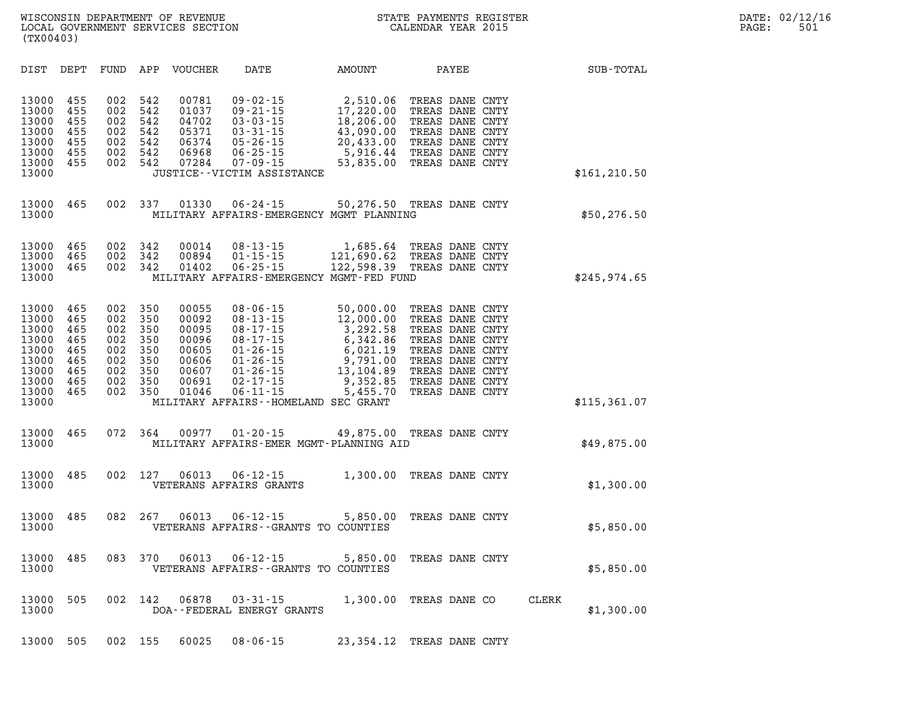| DIST<br>DEPT                                                                                                                                          | FUND                                                        | APP<br><b>VOUCHER</b>                                                                                                                        | DATE                                                                                                                                                                                             | AMOUNT                                                                                                      | PAYEE                                                                                                                                                                   | SUB-TOTAL           |
|-------------------------------------------------------------------------------------------------------------------------------------------------------|-------------------------------------------------------------|----------------------------------------------------------------------------------------------------------------------------------------------|--------------------------------------------------------------------------------------------------------------------------------------------------------------------------------------------------|-------------------------------------------------------------------------------------------------------------|-------------------------------------------------------------------------------------------------------------------------------------------------------------------------|---------------------|
| 13000<br>455<br>13000<br>455<br>13000<br>455<br>13000<br>455<br>13000<br>455<br>13000<br>455<br>13000<br>455<br>13000                                 | 002<br>002<br>002<br>002<br>002<br>002<br>002               | 542<br>00781<br>542<br>01037<br>542<br>04702<br>542<br>05371<br>542<br>06374<br>542<br>06968<br>542<br>07284                                 | $09 - 02 - 15$<br>$09 - 21 - 15$<br>$03 - 03 - 15$<br>$03 - 31 - 15$<br>$05 - 26 - 15$<br>$06 - 25 - 15$<br>$07 - 09 - 15$<br>JUSTICE - - VICTIM ASSISTANCE                                      | 2,510.06<br>17,220.00<br>18,206.00<br>43,090.00<br>20,433.00<br>5,916.44<br>53,835.00                       | TREAS DANE CNTY<br>TREAS DANE CNTY<br>TREAS DANE CNTY<br>TREAS DANE CNTY<br>TREAS DANE CNTY<br>TREAS DANE CNTY<br>TREAS DANE CNTY                                       | \$161, 210.50       |
| 13000<br>465<br>13000                                                                                                                                 | 002                                                         | 337<br>01330                                                                                                                                 | $06 - 24 - 15$<br>MILITARY AFFAIRS-EMERGENCY MGMT PLANNING                                                                                                                                       | 50,276.50                                                                                                   | TREAS DANE CNTY                                                                                                                                                         | \$50, 276.50        |
| 13000<br>465<br>13000<br>465<br>13000<br>465<br>13000                                                                                                 | 002<br>002<br>002                                           | 342<br>00014<br>342<br>00894<br>342<br>01402                                                                                                 | $08 - 13 - 15$<br>$01 - 15 - 15$<br>$06 - 25 - 15$<br>MILITARY AFFAIRS-EMERGENCY MGMT-FED FUND                                                                                                   | 1,685.64<br>121,690.62<br>122,598.39                                                                        | TREAS DANE CNTY<br>TREAS DANE CNTY<br>TREAS DANE CNTY                                                                                                                   | \$245,974.65        |
| 13000<br>465<br>13000<br>465<br>465<br>13000<br>13000<br>465<br>13000<br>465<br>465<br>13000<br>13000<br>465<br>465<br>13000<br>13000<br>465<br>13000 | 002<br>002<br>002<br>002<br>002<br>002<br>002<br>002<br>002 | 350<br>00055<br>350<br>00092<br>350<br>00095<br>350<br>00096<br>350<br>00605<br>350<br>00606<br>350<br>00607<br>350<br>00691<br>350<br>01046 | 08-06-15<br>$08 - 13 - 15$<br>$08 - 17 - 15$<br>$08 - 17 - 15$<br>$01 - 26 - 15$<br>$01 - 26 - 15$<br>$01 - 26 - 15$<br>$02 - 17 - 15$<br>$06 - 11 - 15$<br>MILITARY AFFAIRS--HOMELAND SEC GRANT | 50,000.00<br>12,000.00<br>3,292.58<br>6,342.86<br>6,021.19<br>9,791.00<br>13,104.89<br>9,352.85<br>5,455.70 | TREAS DANE CNTY<br>TREAS DANE CNTY<br>TREAS DANE CNTY<br>TREAS DANE CNTY<br>TREAS DANE CNTY<br>TREAS DANE CNTY<br>TREAS DANE CNTY<br>TREAS DANE CNTY<br>TREAS DANE CNTY | \$115, 361.07       |
| 13000<br>465<br>13000                                                                                                                                 | 072                                                         | 364<br>00977                                                                                                                                 | $01 - 20 - 15$<br>MILITARY AFFAIRS-EMER MGMT-PLANNING AID                                                                                                                                        | 49,875.00                                                                                                   | TREAS DANE CNTY                                                                                                                                                         | \$49,875.00         |
| 485<br>13000<br>13000                                                                                                                                 | 002                                                         | 127<br>06013                                                                                                                                 | $06 - 12 - 15$<br>VETERANS AFFAIRS GRANTS                                                                                                                                                        | 1,300.00                                                                                                    | TREAS DANE CNTY                                                                                                                                                         | \$1,300.00          |
| 13000<br>485<br>13000                                                                                                                                 | 082                                                         | 267<br>06013                                                                                                                                 | $06 - 12 - 15$<br>VETERANS AFFAIRS - - GRANTS TO COUNTIES                                                                                                                                        | 5,850.00                                                                                                    | TREAS DANE CNTY                                                                                                                                                         | \$5,850.00          |
| 485<br>13000<br>13000                                                                                                                                 | 083                                                         | 370<br>06013                                                                                                                                 | $06 - 12 - 15$<br>VETERANS AFFAIRS - - GRANTS TO COUNTIES                                                                                                                                        | 5,850.00                                                                                                    | TREAS DANE CNTY                                                                                                                                                         | \$5,850.00          |
| 13000<br>505<br>13000                                                                                                                                 | 002                                                         | 142<br>06878                                                                                                                                 | $03 - 31 - 15$<br>DOA--FEDERAL ENERGY GRANTS                                                                                                                                                     | 1,300.00                                                                                                    | TREAS DANE CO                                                                                                                                                           | CLERK<br>\$1,300.00 |
| 13000<br>505                                                                                                                                          | 002                                                         | 155<br>60025                                                                                                                                 | $08 - 06 - 15$                                                                                                                                                                                   | 23, 354. 12                                                                                                 | TREAS DANE CNTY                                                                                                                                                         |                     |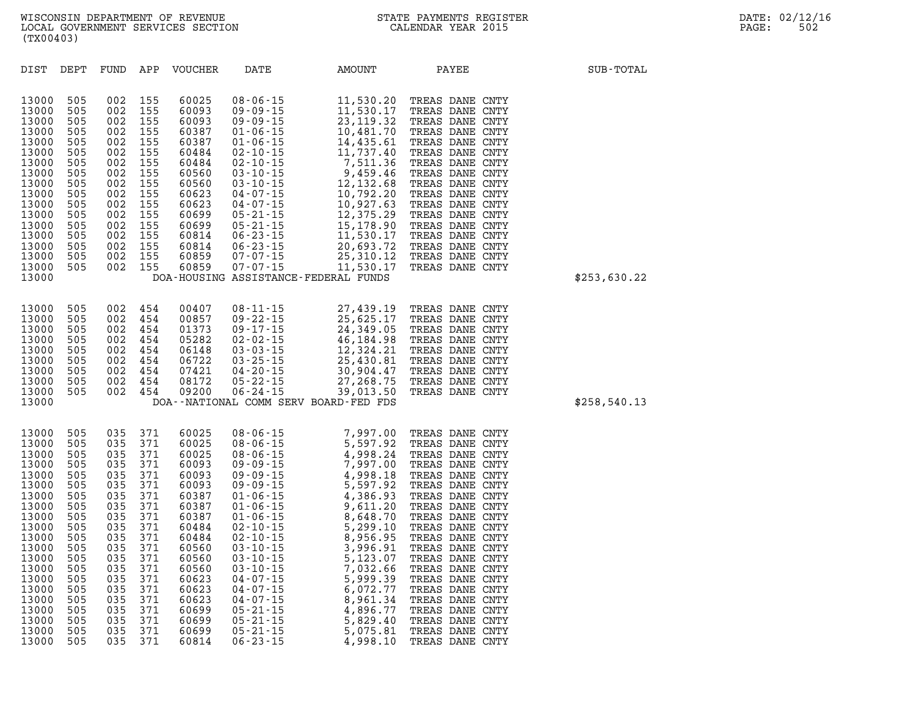| DIST           | DEPT       | FUND       | APP            | <b>VOUCHER</b> | DATE | AMOUNT                                                                                                                                                                                                                                                                                                          | PAYEE                              | SUB-TOTAL    |
|----------------|------------|------------|----------------|----------------|------|-----------------------------------------------------------------------------------------------------------------------------------------------------------------------------------------------------------------------------------------------------------------------------------------------------------------|------------------------------------|--------------|
| 13000          | 505        | 002        | 155            | 60025          |      | 08-06-15<br>09-09-15<br>11,530.20<br>09-09-15<br>11,530.17<br>09-09-15<br>23,119.32<br>01-06-15<br>10,481.70<br>01-06-15<br>10,481.70<br>01-06-15<br>11,737.40<br>02-10-15<br>7,511.36<br>03-10-15<br>7,511.36<br>03-10-15<br>12,132.68<br>04-07-15<br>10,792.20<br>04-0                                        | TREAS DANE CNTY                    |              |
| 13000          | 505        | 002        | 155            | 60093          |      |                                                                                                                                                                                                                                                                                                                 | TREAS DANE CNTY                    |              |
| 13000          | 505        | 002        | 155            | 60093          |      |                                                                                                                                                                                                                                                                                                                 | TREAS DANE CNTY                    |              |
| 13000<br>13000 | 505<br>505 | 002<br>002 | 155<br>155     | 60387<br>60387 |      |                                                                                                                                                                                                                                                                                                                 | TREAS DANE CNTY                    |              |
| 13000          | 505        | 002        | 155            | 60484          |      |                                                                                                                                                                                                                                                                                                                 | TREAS DANE CNTY<br>TREAS DANE CNTY |              |
| 13000          | 505        | 002        | 155            | 60484          |      |                                                                                                                                                                                                                                                                                                                 | TREAS DANE CNTY                    |              |
| 13000          | 505        | 002        | 155            | 60560          |      |                                                                                                                                                                                                                                                                                                                 | TREAS DANE CNTY                    |              |
| 13000          | 505        | 002        | 155            | 60560          |      |                                                                                                                                                                                                                                                                                                                 | TREAS DANE CNTY                    |              |
| 13000          | 505        | 002        | 155            | 60623          |      |                                                                                                                                                                                                                                                                                                                 | TREAS DANE CNTY                    |              |
| 13000          | 505        | 002        | 155            | 60623          |      |                                                                                                                                                                                                                                                                                                                 | TREAS DANE CNTY                    |              |
| 13000<br>13000 | 505<br>505 | 002<br>002 | 155<br>155     | 60699<br>60699 |      |                                                                                                                                                                                                                                                                                                                 | TREAS DANE CNTY<br>TREAS DANE CNTY |              |
| 13000          | 505        | 002        | 155            | 60814          |      |                                                                                                                                                                                                                                                                                                                 | TREAS DANE CNTY                    |              |
| 13000          | 505        | 002        | 155            | 60814          |      |                                                                                                                                                                                                                                                                                                                 | TREAS DANE CNTY                    |              |
| 13000          | 505        | 002        | 155            | 60859          |      |                                                                                                                                                                                                                                                                                                                 | TREAS DANE CNTY                    |              |
| 13000          | 505        | 002        | 155            | 60859          |      |                                                                                                                                                                                                                                                                                                                 | TREAS DANE CNTY                    |              |
| 13000          |            |            |                |                |      | DOA-HOUSING ASSISTANCE-FEDERAL FUNDS                                                                                                                                                                                                                                                                            |                                    | \$253,630.22 |
|                |            |            |                |                |      |                                                                                                                                                                                                                                                                                                                 |                                    |              |
| 13000<br>13000 | 505<br>505 | 002        | 002 454<br>454 | 00407<br>00857 |      |                                                                                                                                                                                                                                                                                                                 | TREAS DANE CNTY<br>TREAS DANE CNTY |              |
| 13000          | 505        | 002        | 454            | 01373          |      |                                                                                                                                                                                                                                                                                                                 | TREAS DANE CNTY                    |              |
| 13000          | 505        | 002        | 454            | 05282          |      |                                                                                                                                                                                                                                                                                                                 | TREAS DANE CNTY                    |              |
| 13000          | 505        | 002        | 454            | 06148          |      |                                                                                                                                                                                                                                                                                                                 | TREAS DANE CNTY                    |              |
| 13000          | 505        | 002        | 454            | 06722          |      |                                                                                                                                                                                                                                                                                                                 | TREAS DANE CNTY                    |              |
| 13000          | 505        | 002        | 454            | 07421          |      |                                                                                                                                                                                                                                                                                                                 | TREAS DANE CNTY                    |              |
| 13000<br>13000 | 505<br>505 | 002<br>002 | 454<br>454     | 08172<br>09200 |      |                                                                                                                                                                                                                                                                                                                 | TREAS DANE CNTY<br>TREAS DANE CNTY |              |
| 13000          |            |            |                |                |      | 08-11-15<br>09-22-15<br>09-22-15<br>09-17-15<br>02-03-15<br>03-03-15<br>03-25-15<br>04-20-15<br>06-24-15<br>06-24-15<br>06-24-15<br>07-27.268.75<br>06-24-15<br>07-03-15<br>07-23.94.91<br>07-03-15<br>07-23.94.91<br>07-03.93.904.47<br>07-22-15<br>07-03.904.47<br>0<br>DOA--NATIONAL COMM SERV BOARD-FED FDS |                                    | \$258,540.13 |
|                |            |            |                |                |      |                                                                                                                                                                                                                                                                                                                 |                                    |              |
| 13000          | 505        | 035        | 371            | 60025          |      | $\begin{array}{cccc} 08-06-15 & 7,997.00 \\ 08-06-15 & 5,597.92 \\ 08-06-15 & 4,998.24 \\ 09-09-15 & 7,997.00 \\ 09-09-15 & 4,998.18 \\ 09-09-15 & 4,998.18 \\ 01-06-15 & 4,366.93 \\ 01-06-15 & 4,366.93 \\ 01-06-15 & 8,648.70 \\ 02-10-15 & 8,956.95 \\ 03-10-15 & 8,$                                       | TREAS DANE CNTY                    |              |
| 13000          | 505        | 035        | 371            | 60025          |      |                                                                                                                                                                                                                                                                                                                 | TREAS DANE CNTY                    |              |
| 13000<br>13000 | 505<br>505 | 035<br>035 | 371<br>371     | 60025<br>60093 |      |                                                                                                                                                                                                                                                                                                                 | TREAS DANE CNTY<br>TREAS DANE CNTY |              |
| 13000          | 505        | 035        | 371            | 60093          |      |                                                                                                                                                                                                                                                                                                                 | TREAS DANE CNTY                    |              |
| 13000          | 505        | 035        | 371            | 60093          |      |                                                                                                                                                                                                                                                                                                                 | TREAS DANE CNTY                    |              |
| 13000          | 505        | 035        | 371            | 60387          |      |                                                                                                                                                                                                                                                                                                                 | TREAS DANE CNTY                    |              |
| 13000          | 505        | 035        | 371            | 60387          |      |                                                                                                                                                                                                                                                                                                                 | TREAS DANE CNTY                    |              |
| 13000          | 505        | 035        | 371            | 60387          |      |                                                                                                                                                                                                                                                                                                                 | TREAS DANE CNTY                    |              |
| 13000<br>13000 | 505<br>505 | 035<br>035 | 371<br>371     | 60484<br>60484 |      |                                                                                                                                                                                                                                                                                                                 | TREAS DANE CNTY<br>TREAS DANE CNTY |              |
| 13000          | 505        | 035        | 371            | 60560          |      |                                                                                                                                                                                                                                                                                                                 | TREAS DANE CNTY                    |              |
| 13000          | 505        | 035        | 371            | 60560          |      |                                                                                                                                                                                                                                                                                                                 | TREAS DANE CNTY                    |              |
| 13000          | 505        | 035        | 371            | 60560          |      |                                                                                                                                                                                                                                                                                                                 | TREAS DANE CNTY                    |              |
| 13000          | 505        | 035        | 371            | 60623          |      |                                                                                                                                                                                                                                                                                                                 | TREAS DANE CNTY                    |              |
| 13000          | 505        | 035        | 371            | 60623          |      |                                                                                                                                                                                                                                                                                                                 | TREAS DANE CNTY                    |              |
| 13000<br>13000 | 505<br>505 | 035<br>035 | 371<br>371     | 60623<br>60699 |      |                                                                                                                                                                                                                                                                                                                 | TREAS DANE CNTY<br>TREAS DANE CNTY |              |
| 13000          | 505        | 035        | 371            | 60699          |      |                                                                                                                                                                                                                                                                                                                 | TREAS DANE CNTY                    |              |
| 13000          | 505        | 035        | 371            | 60699          |      |                                                                                                                                                                                                                                                                                                                 | TREAS DANE CNTY                    |              |
|                |            |            |                |                |      |                                                                                                                                                                                                                                                                                                                 |                                    |              |

**13000 505 035 371 60814 06-23-15 4,998.10 TREAS DANE CNTY**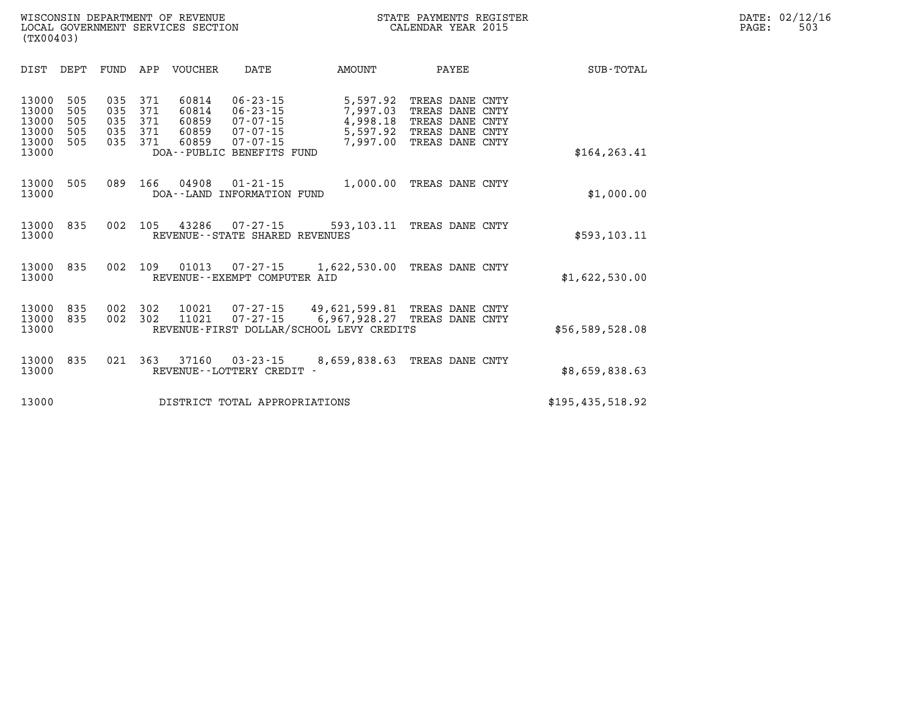| SUB-TOTAL        |      | PAYEE                                                                                  | AMOUNT                                                                    | DATE                                                                                                                | VOUCHER                                   | APP                             | FUND                            | DEPT                            | <b>DIST</b>                                        |
|------------------|------|----------------------------------------------------------------------------------------|---------------------------------------------------------------------------|---------------------------------------------------------------------------------------------------------------------|-------------------------------------------|---------------------------------|---------------------------------|---------------------------------|----------------------------------------------------|
| \$164, 263.41    | CNTY | TREAS DANE CNTY<br>TREAS DANE CNTY<br>TREAS DANE CNTY<br>TREAS DANE<br>TREAS DANE CNTY | 5,597.92<br>7,997.03<br>4,998.18<br>5,597.92<br>7,997.00                  | $06 - 23 - 15$<br>$06 - 23 - 15$<br>$07 - 07 - 15$<br>$07 - 07 - 15$<br>$07 - 07 - 15$<br>DOA--PUBLIC BENEFITS FUND | 60814<br>60814<br>60859<br>60859<br>60859 | 371<br>371<br>371<br>371<br>371 | 035<br>035<br>035<br>035<br>035 | 505<br>505<br>505<br>505<br>505 | 13000<br>13000<br>13000<br>13000<br>13000<br>13000 |
| \$1,000.00       |      | TREAS DANE CNTY                                                                        | 1,000.00                                                                  | $01 - 21 - 15$<br>INFORMATION FUND                                                                                  | 04908<br>DOA - - LAND                     | 166                             | 089                             | 505                             | 13000<br>13000                                     |
| \$593, 103.11    |      | TREAS DANE CNTY                                                                        | 593,103.11                                                                | $07 - 27 - 15$<br>REVENUE - - STATE SHARED REVENUES                                                                 | 43286                                     | 105                             | 002                             | 835                             | 13000<br>13000                                     |
| \$1,622,530.00   |      | TREAS DANE CNTY                                                                        | 1,622,530.00                                                              | $07 - 27 - 15$<br>REVENUE--EXEMPT COMPUTER AID                                                                      | 01013                                     | 109                             | 002                             | 835                             | 13000<br>13000                                     |
| \$56,589,528.08  |      | TREAS DANE CNTY<br>TREAS DANE CNTY                                                     | 49,621,599.81<br>6,967,928.27<br>REVENUE-FIRST DOLLAR/SCHOOL LEVY CREDITS | $07 - 27 - 15$<br>$07 - 27 - 15$                                                                                    | 10021<br>11021                            | 302<br>302                      | 002<br>002                      | 835<br>835                      | 13000<br>13000<br>13000                            |
| \$8,659,838.63   |      | TREAS DANE CNTY                                                                        | 8,659,838.63                                                              | $03 - 23 - 15$<br>REVENUE - - LOTTERY CREDIT                                                                        | 37160                                     | 363                             | 021                             | 835                             | 13000<br>13000                                     |
| \$195,435,518.92 |      |                                                                                        |                                                                           | DISTRICT TOTAL APPROPRIATIONS                                                                                       |                                           |                                 |                                 |                                 | 13000                                              |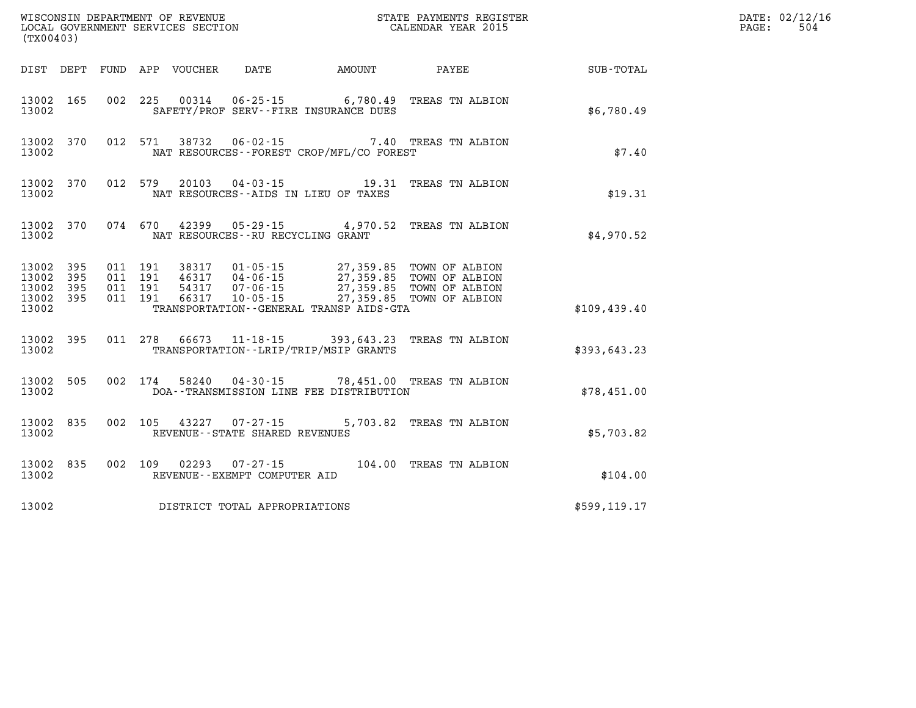| (TX00403)                                     |                   |         |                               |               | WISCONSIN DEPARTMENT OF REVENUE<br>LOCAL GOVERNMENT SERVICES SECTION<br>(TYO0403) |                                             | STATE PAYMENTS REGISTER<br>CALENDAR YEAR 2015                                                                                                                            |               | DATE: 02/12/16<br>$\mathtt{PAGE}$ :<br>504 |
|-----------------------------------------------|-------------------|---------|-------------------------------|---------------|-----------------------------------------------------------------------------------|---------------------------------------------|--------------------------------------------------------------------------------------------------------------------------------------------------------------------------|---------------|--------------------------------------------|
|                                               |                   |         |                               |               |                                                                                   |                                             | DIST DEPT FUND APP VOUCHER DATE AMOUNT PAYEE                                                                                                                             | SUB-TOTAL     |                                            |
| 13002 165<br>13002                            |                   |         |                               |               |                                                                                   | SAFETY/PROF SERV--FIRE INSURANCE DUES       | 002 225 00314 06-25-15 6,780.49 TREAS TN ALBION                                                                                                                          | \$6,780.49    |                                            |
| 13002                                         | 13002 370         |         |                               | 012 571 38732 | $06 - 02 - 15$                                                                    | NAT RESOURCES - - FOREST CROP/MFL/CO FOREST | 7.40 TREAS TN ALBION                                                                                                                                                     | \$7.40        |                                            |
| 13002                                         | 13002 370         |         |                               |               |                                                                                   | NAT RESOURCES--AIDS IN LIEU OF TAXES        | 012 579 20103 04-03-15 19.31 TREAS TN ALBION                                                                                                                             | \$19.31       |                                            |
| 13002                                         |                   |         |                               |               | NAT RESOURCES--RU RECYCLING GRANT                                                 |                                             | 13002 370 074 670 42399 05-29-15 4,970.52 TREAS TN ALBION                                                                                                                | \$4,970.52    |                                            |
| 13002<br>13002<br>13002<br>13002 395<br>13002 | 395<br>395<br>395 | 011 191 | 011 191<br>011 191<br>011 191 |               |                                                                                   | TRANSPORTATION--GENERAL TRANSP AIDS-GTA     | 38317 01-05-15 27,359.85 TOWN OF ALBION<br>46317 04-06-15 27,359.85 TOWN OF ALBION<br>54317 07-06-15 27,359.85 TOWN OF ALBION<br>66317 10-05-15 27,359.85 TOWN OF ALBION | \$109.439.40  |                                            |
| 13002                                         | 13002 395         |         |                               |               |                                                                                   | TRANSPORTATION - - LRIP/TRIP/MSIP GRANTS    | 011 278 66673 11-18-15 393,643.23 TREAS TN ALBION                                                                                                                        | \$393,643.23  |                                            |
| 13002 505<br>13002                            |                   |         | 002 174                       |               |                                                                                   | DOA--TRANSMISSION LINE FEE DISTRIBUTION     | 58240  04-30-15  78,451.00  TREAS TN ALBION                                                                                                                              | \$78,451.00   |                                            |
| 13002 835<br>13002                            |                   |         | 002 105                       |               | 43227 07-27-15<br>REVENUE - - STATE SHARED REVENUES                               |                                             | 5,703.82 TREAS TN ALBION                                                                                                                                                 | \$5,703.82    |                                            |
| 13002                                         | 13002 835         |         |                               | 002 109 02293 | REVENUE--EXEMPT COMPUTER AID                                                      |                                             | 07-27-15 104.00 TREAS TN ALBION                                                                                                                                          | \$104.00      |                                            |
| 13002                                         |                   |         |                               |               | DISTRICT TOTAL APPROPRIATIONS                                                     |                                             |                                                                                                                                                                          | \$599, 119.17 |                                            |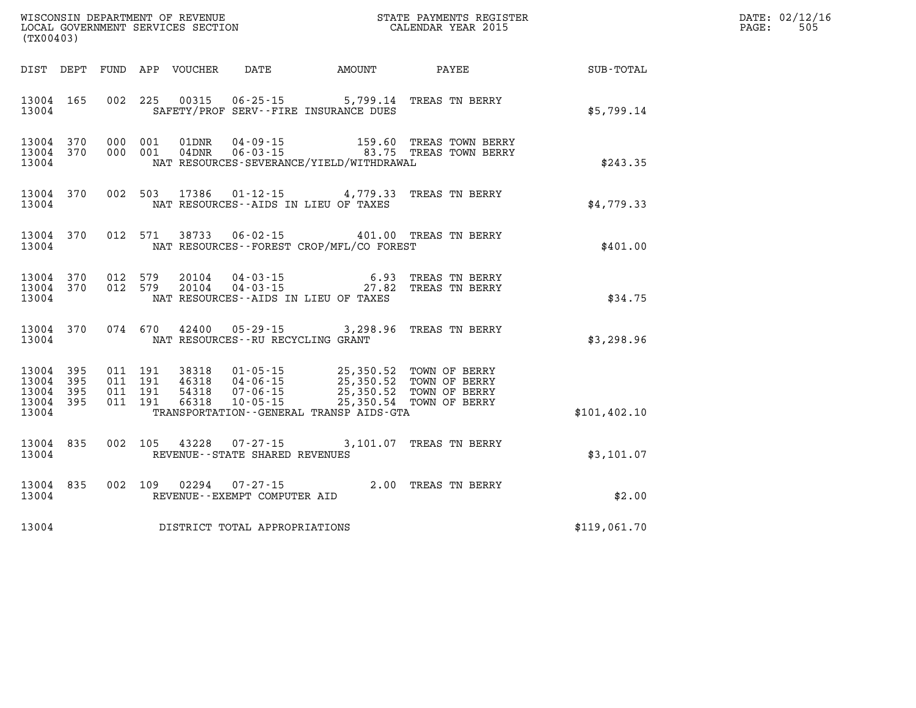|                                                   | (TX00403)  |                                          |  |                                  |                                                     |                                                                                                                      |                                                             |               | DATE: 02/12/16<br>PAGE:<br>505 |
|---------------------------------------------------|------------|------------------------------------------|--|----------------------------------|-----------------------------------------------------|----------------------------------------------------------------------------------------------------------------------|-------------------------------------------------------------|---------------|--------------------------------|
|                                                   |            |                                          |  | DIST DEPT FUND APP VOUCHER       | DATE                                                | AMOUNT                                                                                                               | PAYEE                                                       | SUB-TOTAL     |                                |
| 13004 165<br>13004                                |            |                                          |  |                                  |                                                     | 002 225 00315 06-25-15 5,799.14<br>SAFETY/PROF SERV--FIRE INSURANCE DUES                                             | TREAS TN BERRY                                              | \$5,799.14    |                                |
| 13004 370<br>13004 370<br>13004                   |            | 000 001<br>000 001                       |  | 01DNR<br>04DNR                   | $04 - 09 - 15$                                      | NAT RESOURCES-SEVERANCE/YIELD/WITHDRAWAL                                                                             | 159.60 TREAS TOWN BERRY<br>06-03-15  83.75 TREAS TOWN BERRY | \$243.35      |                                |
| 13004                                             | 13004 370  |                                          |  |                                  |                                                     | 002 503 17386 01-12-15 4,779.33 TREAS TN BERRY<br>NAT RESOURCES - AIDS IN LIEU OF TAXES                              |                                                             | \$4,779.33    |                                |
| 13004                                             | 13004 370  |                                          |  |                                  |                                                     | 012 571 38733 06-02-15 401.00 TREAS TN BERRY<br>NAT RESOURCES - - FOREST CROP/MFL/CO FOREST                          |                                                             | \$401.00      |                                |
| 13004 370<br>13004 370<br>13004                   |            | 012 579<br>012 579                       |  | 20104<br>20104                   |                                                     | 04 - 03 - 15 6.93<br>04 - 03 - 15 27.82<br>NAT RESOURCES - AIDS IN LIEU OF TAXES                                     | 6.93 TREAS TN BERRY<br>TREAS TN BERRY                       | \$34.75       |                                |
| 13004 370<br>13004                                |            | 074 670                                  |  |                                  | NAT RESOURCES -- RU RECYCLING GRANT                 | 42400 05-29-15 3,298.96                                                                                              | TREAS TN BERRY                                              | \$3,298.96    |                                |
| 13004 395<br>13004<br>13004<br>13004 395<br>13004 | 395<br>395 | 011 191<br>011 191<br>011 191<br>011 191 |  | 38318<br>46318<br>54318<br>66318 | 07-06-15<br>$10 - 05 - 15$                          | 01-05-15 25,350.52 TOWN OF BERRY<br>04-06-15 25,350.52 TOWN OF BERRY<br>TRANSPORTATION - - GENERAL TRANSP AIDS - GTA | 25,350.52 TOWN OF BERRY<br>25,350.54 TOWN OF BERRY          | \$101, 402.10 |                                |
| 13004 835<br>13004                                |            | 002 105                                  |  | 43228                            | $07 - 27 - 15$<br>REVENUE - - STATE SHARED REVENUES |                                                                                                                      | 3,101.07 TREAS TN BERRY                                     | \$3,101.07    |                                |
| 13004 835<br>13004                                |            | 002 109                                  |  | 02294                            | 07-27-15<br>REVENUE--EXEMPT COMPUTER AID            |                                                                                                                      | 2.00 TREAS TN BERRY                                         | \$2.00        |                                |
| 13004                                             |            |                                          |  |                                  | DISTRICT TOTAL APPROPRIATIONS                       |                                                                                                                      |                                                             | \$119,061.70  |                                |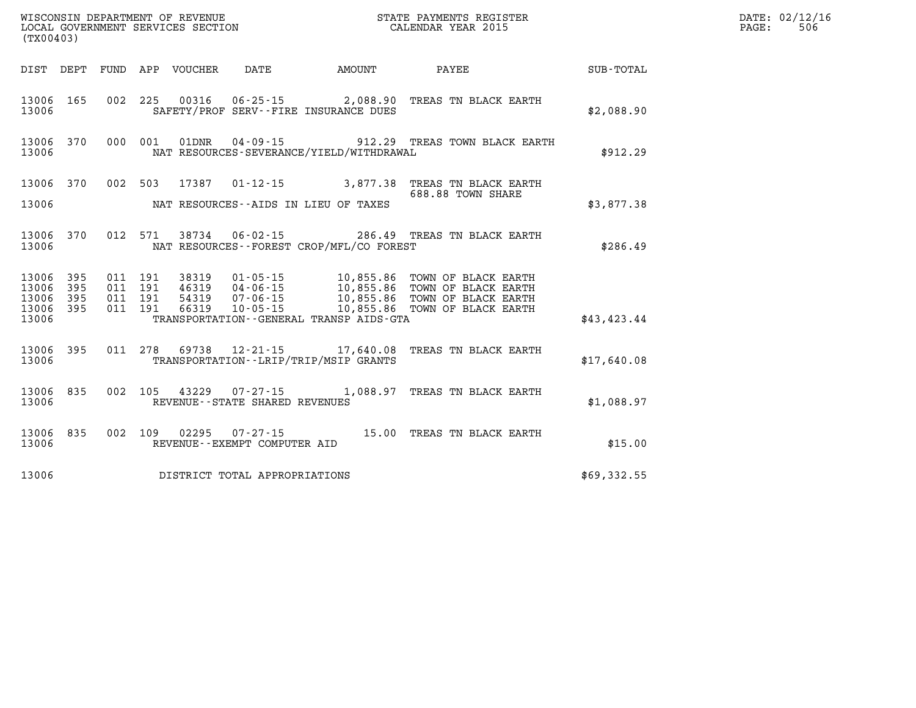|                | (TX00403)  |         |         |  |                                |                                             |                                                                                                                                                                                                          |             | DATE: 02/12/16<br>506<br>$\mathtt{PAGE}$ : |
|----------------|------------|---------|---------|--|--------------------------------|---------------------------------------------|----------------------------------------------------------------------------------------------------------------------------------------------------------------------------------------------------------|-------------|--------------------------------------------|
|                |            |         |         |  |                                |                                             | DIST DEPT FUND APP VOUCHER DATE AMOUNT PAYEE                                                                                                                                                             | SUB-TOTAL   |                                            |
| 13006          | 13006 165  |         |         |  |                                | SAFETY/PROF SERV--FIRE INSURANCE DUES       | 002 225 00316 06-25-15 2,088.90 TREAS TN BLACK EARTH                                                                                                                                                     | \$2,088.90  |                                            |
| 13006          |            |         |         |  |                                | NAT RESOURCES-SEVERANCE/YIELD/WITHDRAWAL    | 13006 370 000 001 01DNR 04-09-15 912.29 TREAS TOWN BLACK EARTH                                                                                                                                           | \$912.29    |                                            |
|                |            |         |         |  |                                |                                             | 13006 370 002 503 17387 01-12-15 3,877.38 TREAS TN BLACK EARTH<br>688.88 TOWN SHARE                                                                                                                      |             |                                            |
| 13006          |            |         |         |  |                                | NAT RESOURCES--AIDS IN LIEU OF TAXES        |                                                                                                                                                                                                          | \$3,877.38  |                                            |
| 13006          |            |         |         |  |                                | NAT RESOURCES - - FOREST CROP/MFL/CO FOREST | 13006 370 012 571 38734 06-02-15 286.49 TREAS TN BLACK EARTH                                                                                                                                             | \$286.49    |                                            |
| 13006<br>13006 | 395<br>395 | 011 191 | 011 191 |  |                                |                                             |                                                                                                                                                                                                          |             |                                            |
| 13006<br>13006 | 395<br>395 | 011 191 | 011 191 |  |                                |                                             | 38319  01-05-15  10,855.86  TOWN OF BLACK EARTH<br>46319  04-06-15  10,855.86  TOWN OF BLACK EARTH<br>54319  07-06-15  10,855.86  TOWN OF BLACK EARTH<br>66319  10-05-15  10,855.86  TOWN OF BLACK EARTH |             |                                            |
| 13006          |            |         |         |  |                                | TRANSPORTATION--GENERAL TRANSP AIDS-GTA     |                                                                                                                                                                                                          | \$43,423.44 |                                            |
| 13006          |            |         |         |  |                                | TRANSPORTATION - - LRIP/TRIP/MSIP GRANTS    | 13006 395 011 278 69738 12-21-15 17,640.08 TREAS TN BLACK EARTH                                                                                                                                          | \$17,640.08 |                                            |
| 13006          |            |         |         |  | REVENUE--STATE SHARED REVENUES |                                             | 13006 835 002 105 43229 07-27-15 1,088.97 TREAS TN BLACK EARTH                                                                                                                                           | \$1,088.97  |                                            |
| 13006          |            |         |         |  | REVENUE--EXEMPT COMPUTER AID   |                                             | 13006 835 002 109 02295 07-27-15 15.00 TREAS TN BLACK EARTH                                                                                                                                              | \$15.00     |                                            |
| 13006          |            |         |         |  | DISTRICT TOTAL APPROPRIATIONS  |                                             |                                                                                                                                                                                                          | \$69,332.55 |                                            |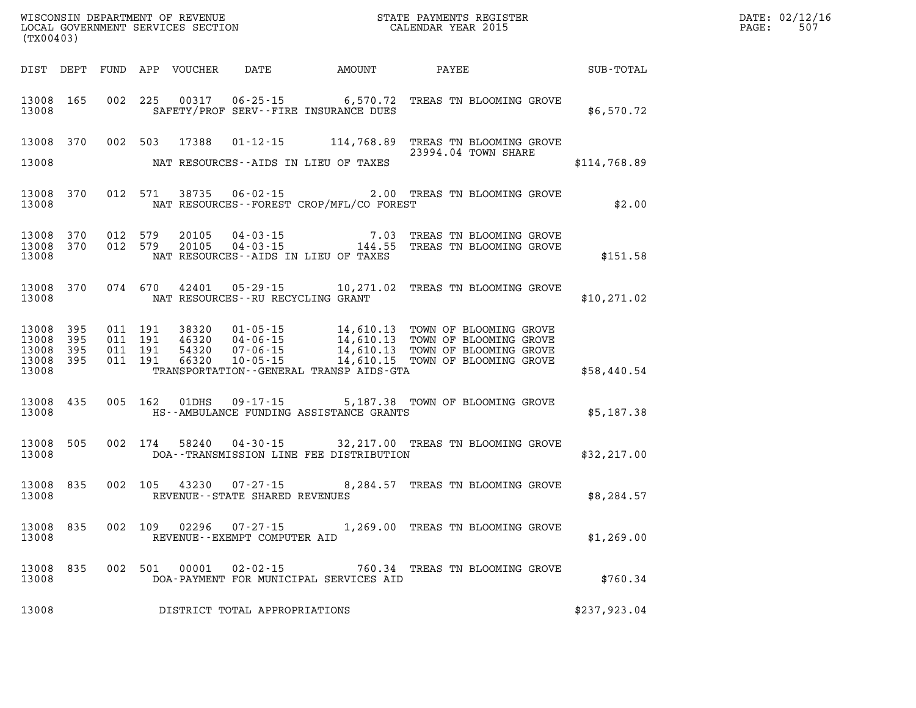| WISCONSIN DEPARTMENT OF REVENUE<br>LOCAL GOVERNMENT SERVICES SECTION<br>(TX00403) |            |                    |                    |                                  |                                                | STATE PAYMENTS REGISTER<br>CALENDAR YEAR 2015 |                                                                                                                                                                                                                                                                      |              | DATE: 02/12/16<br>507<br>$\mathtt{PAGE:}$ |
|-----------------------------------------------------------------------------------|------------|--------------------|--------------------|----------------------------------|------------------------------------------------|-----------------------------------------------|----------------------------------------------------------------------------------------------------------------------------------------------------------------------------------------------------------------------------------------------------------------------|--------------|-------------------------------------------|
| DIST DEPT                                                                         |            |                    |                    | FUND APP VOUCHER                 |                                                | DATE AMOUNT PAYEE                             |                                                                                                                                                                                                                                                                      | SUB-TOTAL    |                                           |
| 13008 165<br>13008                                                                |            | 002 225            |                    |                                  |                                                | SAFETY/PROF SERV--FIRE INSURANCE DUES         | 00317  06-25-15  6,570.72  TREAS TN BLOOMING GROVE                                                                                                                                                                                                                   | \$6,570.72   |                                           |
|                                                                                   | 13008 370  | 002 503            |                    | 17388                            |                                                |                                               | 01-12-15 114,768.89 TREAS TN BLOOMING GROVE<br>23994.04 TOWN SHARE                                                                                                                                                                                                   |              |                                           |
| 13008                                                                             |            |                    |                    |                                  |                                                | NAT RESOURCES--AIDS IN LIEU OF TAXES          |                                                                                                                                                                                                                                                                      | \$114,768.89 |                                           |
| 13008                                                                             | 13008 370  |                    | 012 571            | 38735                            |                                                | NAT RESOURCES--FOREST CROP/MFL/CO FOREST      | 06-02-15 2.00 TREAS TN BLOOMING GROVE                                                                                                                                                                                                                                | \$2.00       |                                           |
| 13008 370<br>13008                                                                | 13008 370  | 012 579<br>012 579 |                    | 20105<br>20105                   |                                                | NAT RESOURCES--AIDS IN LIEU OF TAXES          | $04-03-15 \hspace{2.5cm} 7.03 \hspace{2.5cm} \text{TREAS} \hspace{2.5cm} \text{TN } \text{BLOOMING} \hspace{2.5cm} \text{GROVE} \\ 04-03-15 \hspace{2.5cm} 144.55 \hspace{2.5cm} \text{TREAS} \hspace{2.5cm} \text{TN } \text{BLOOMING} \hspace{2.5cm} \text{GROVE}$ | \$151.58     |                                           |
| 13008                                                                             | 13008 370  |                    | 074 670            | 42401                            |                                                | NAT RESOURCES -- RU RECYCLING GRANT           | 05-29-15 10,271.02 TREAS TN BLOOMING GROVE                                                                                                                                                                                                                           | \$10,271.02  |                                           |
| 13008 395<br>13008<br>13008<br>13008 395<br>13008                                 | 395<br>395 | 011 191<br>011 191 | 011 191<br>011 191 | 38320<br>46320<br>54320<br>66320 | 10-05-15                                       | TRANSPORTATION - - GENERAL TRANSP AIDS - GTA  |                                                                                                                                                                                                                                                                      | \$58,440.54  |                                           |
| 13008 435<br>13008                                                                |            |                    | 005 162            | 01DHS                            |                                                | HS--AMBULANCE FUNDING ASSISTANCE GRANTS       | 09-17-15 5,187.38 TOWN OF BLOOMING GROVE                                                                                                                                                                                                                             | \$5,187.38   |                                           |
| 13008 505<br>13008                                                                |            |                    |                    | 002 174 58240                    |                                                | DOA--TRANSMISSION LINE FEE DISTRIBUTION       | 04-30-15 32, 217.00 TREAS TN BLOOMING GROVE                                                                                                                                                                                                                          | \$32, 217.00 |                                           |
| 13008                                                                             | 13008 835  |                    | 002 105            | 43230                            | REVENUE--STATE SHARED REVENUES                 |                                               | 07-27-15 8,284.57 TREAS TN BLOOMING GROVE                                                                                                                                                                                                                            | \$8,284.57   |                                           |
| 13008 835<br>13008                                                                |            |                    |                    | 002 109 02296                    | $07 - 27 - 15$<br>REVENUE--EXEMPT COMPUTER AID |                                               | 1,269.00 TREAS TN BLOOMING GROVE                                                                                                                                                                                                                                     | \$1,269.00   |                                           |
| 13008 835<br>13008                                                                |            |                    |                    | 002 501 00001                    | 02-02-15                                       | DOA-PAYMENT FOR MUNICIPAL SERVICES AID        | 760.34 TREAS TN BLOOMING GROVE                                                                                                                                                                                                                                       | \$760.34     |                                           |
| 13008                                                                             |            |                    |                    |                                  | DISTRICT TOTAL APPROPRIATIONS                  |                                               |                                                                                                                                                                                                                                                                      | \$237,923.04 |                                           |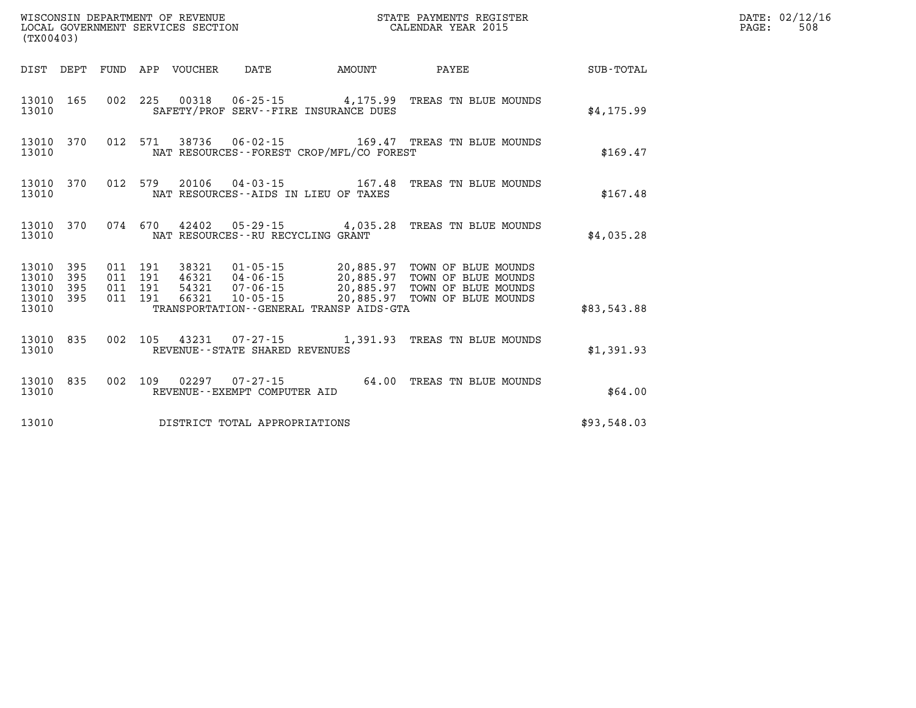| ${\tt WISCOONSIM} \begin{tabular}{lcccc} {\tt WISCOONSIM} \end{tabular} \begin{tabular}{lcccc} {\tt NUCONSIN} \end{tabular} \begin{tabular}{lcccc} {\tt NECONSIM} \end{tabular} \begin{tabular}{lcccc} {\tt NUCAL} \end{tabular} \begin{tabular}{lcccc} {\tt NUCAL} \end{tabular} \begin{tabular}{lcccc} {\tt NUCAL} \end{tabular} \end{tabular} \begin{tabular}{lcccc} {\tt NUCAL} \end{tabular} \begin{tabular}{lcccc} {\tt NUCAL} \end{tabular} \end{tabular} \begin{tabular}{lcccc} {\tt NUCAL} \end{tabular} \begin{tabular}{lcccc$<br>(TX00403) |            |                                          |  |                            |                                      |                                          | STATE PAYMENTS REGISTER                                                                                                                                                                                  |             | DATE: 02/12/16<br>PAGE:<br>508 |
|-------------------------------------------------------------------------------------------------------------------------------------------------------------------------------------------------------------------------------------------------------------------------------------------------------------------------------------------------------------------------------------------------------------------------------------------------------------------------------------------------------------------------------------------------------|------------|------------------------------------------|--|----------------------------|--------------------------------------|------------------------------------------|----------------------------------------------------------------------------------------------------------------------------------------------------------------------------------------------------------|-------------|--------------------------------|
|                                                                                                                                                                                                                                                                                                                                                                                                                                                                                                                                                       |            |                                          |  | DIST DEPT FUND APP VOUCHER | DATE                                 | <b>AMOUNT</b>                            | <b>PAYEE</b>                                                                                                                                                                                             | SUB-TOTAL   |                                |
| 13010 165<br>13010                                                                                                                                                                                                                                                                                                                                                                                                                                                                                                                                    |            |                                          |  |                            |                                      | SAFETY/PROF SERV--FIRE INSURANCE DUES    | 002 225 00318 06-25-15 4,175.99 TREAS TN BLUE MOUNDS                                                                                                                                                     | \$4,175.99  |                                |
| 13010 370<br>13010                                                                                                                                                                                                                                                                                                                                                                                                                                                                                                                                    |            |                                          |  |                            |                                      | NAT RESOURCES--FOREST CROP/MFL/CO FOREST | 012 571 38736 06-02-15 169.47 TREAS TN BLUE MOUNDS                                                                                                                                                       | \$169.47    |                                |
| 13010                                                                                                                                                                                                                                                                                                                                                                                                                                                                                                                                                 |            | 13010 370 012 579                        |  |                            |                                      | NAT RESOURCES -- AIDS IN LIEU OF TAXES   | 20106  04-03-15  167.48  TREAS TN BLUE MOUNDS                                                                                                                                                            | \$167.48    |                                |
| 13010                                                                                                                                                                                                                                                                                                                                                                                                                                                                                                                                                 | 13010 370  |                                          |  |                            | NAT RESOURCES - - RU RECYCLING GRANT |                                          | 074 670 42402 05-29-15 4,035.28 TREAS TN BLUE MOUNDS                                                                                                                                                     | \$4,035.28  |                                |
| 13010 395<br>13010<br>13010<br>13010 395<br>13010                                                                                                                                                                                                                                                                                                                                                                                                                                                                                                     | 395<br>395 | 011 191<br>011 191<br>011 191<br>011 191 |  |                            |                                      | TRANSPORTATION--GENERAL TRANSP AIDS-GTA  | 38321  01-05-15  20,885.97  TOWN OF BLUE MOUNDS<br>46321  04-06-15  20,885.97  TOWN OF BLUE MOUNDS<br>54321  07-06-15  20,885.97  TOWN OF BLUE MOUNDS<br>66321  10-05-15  20,885.97  TOWN OF BLUE MOUNDS | \$83,543.88 |                                |
| 13010 835<br>13010                                                                                                                                                                                                                                                                                                                                                                                                                                                                                                                                    |            |                                          |  |                            | REVENUE--STATE SHARED REVENUES       |                                          | 002 105 43231 07-27-15 1,391.93 TREAS TN BLUE MOUNDS                                                                                                                                                     | \$1,391.93  |                                |
| 13010<br>13010                                                                                                                                                                                                                                                                                                                                                                                                                                                                                                                                        | 835        | 002 109                                  |  |                            | REVENUE--EXEMPT COMPUTER AID         |                                          | 02297  07-27-15  64.00  TREAS TN BLUE MOUNDS                                                                                                                                                             | \$64.00     |                                |
| 13010                                                                                                                                                                                                                                                                                                                                                                                                                                                                                                                                                 |            |                                          |  |                            | DISTRICT TOTAL APPROPRIATIONS        |                                          |                                                                                                                                                                                                          | \$93,548.03 |                                |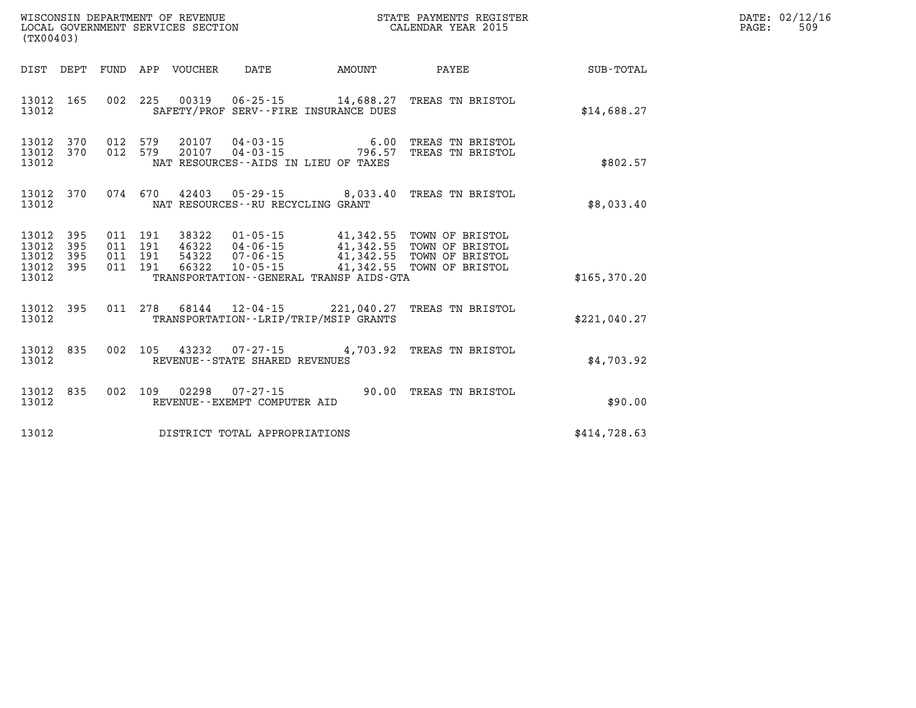| WISCONSIN DEPARTMENT OF REVENUE<br>LOCAL GOVERNMENT SERVICES SECTION<br>(TX00403) |                        |         |                               |                            |                                      |                                          | STATE PAYMENTS REGISTER<br>CALENDAR YEAR 2015                                                                                                                                                        |              | DATE: 02/12/16<br>PAGE:<br>509 |
|-----------------------------------------------------------------------------------|------------------------|---------|-------------------------------|----------------------------|--------------------------------------|------------------------------------------|------------------------------------------------------------------------------------------------------------------------------------------------------------------------------------------------------|--------------|--------------------------------|
|                                                                                   |                        |         |                               | DIST DEPT FUND APP VOUCHER | DATE                                 | AMOUNT                                   | PAYEE                                                                                                                                                                                                | SUB-TOTAL    |                                |
| 13012                                                                             | 13012 165              |         |                               |                            |                                      | SAFETY/PROF SERV--FIRE INSURANCE DUES    | 002 225 00319 06-25-15 14,688.27 TREAS TN BRISTOL                                                                                                                                                    | \$14,688.27  |                                |
| 13012                                                                             | 13012 370<br>13012 370 |         | 012 579<br>012 579            |                            |                                      | NAT RESOURCES - AIDS IN LIEU OF TAXES    | 20107  04-03-15  6.00 TREAS TN BRISTOL<br>20107  04-03-15  796.57 TREAS TN BRISTOL                                                                                                                   | \$802.57     |                                |
| 13012                                                                             | 13012 370              |         |                               |                            | NAT RESOURCES - - RU RECYCLING GRANT |                                          | 074 670 42403 05-29-15 8,033.40 TREAS TN BRISTOL                                                                                                                                                     | \$8,033.40   |                                |
| 13012<br>13012<br>13012<br>13012 395<br>13012                                     | 395<br>395<br>395      | 011 191 | 011 191<br>011 191<br>011 191 |                            |                                      | TRANSPORTATION--GENERAL TRANSP AIDS-GTA  | 38322   01-05-15   41,342.55   TOWN OF BRISTOL<br>46322   04-06-15   41,342.55   TOWN OF BRISTOL<br>54322   07-06-15   41,342.55   TOWN OF BRISTOL<br>66322   10-05-15   41,342.55   TOWN OF BRISTOL | \$165,370.20 |                                |
|                                                                                   |                        |         |                               |                            |                                      |                                          |                                                                                                                                                                                                      |              |                                |
| 13012                                                                             | 13012 395              |         |                               |                            |                                      | TRANSPORTATION - - LRIP/TRIP/MSIP GRANTS | 011 278 68144 12-04-15 221,040.27 TREAS TN BRISTOL                                                                                                                                                   | \$221,040.27 |                                |
| 13012                                                                             | 13012 835              | 002 105 |                               |                            | REVENUE--STATE SHARED REVENUES       |                                          | 43232  07-27-15  4,703.92  TREAS TN BRISTOL                                                                                                                                                          | \$4,703.92   |                                |
| 13012                                                                             | 13012 835              |         |                               | 002 109 02298              | REVENUE--EXEMPT COMPUTER AID         |                                          | 07-27-15 90.00 TREAS TN BRISTOL                                                                                                                                                                      | \$90.00      |                                |
| 13012                                                                             |                        |         |                               |                            | DISTRICT TOTAL APPROPRIATIONS        |                                          |                                                                                                                                                                                                      | \$414.728.63 |                                |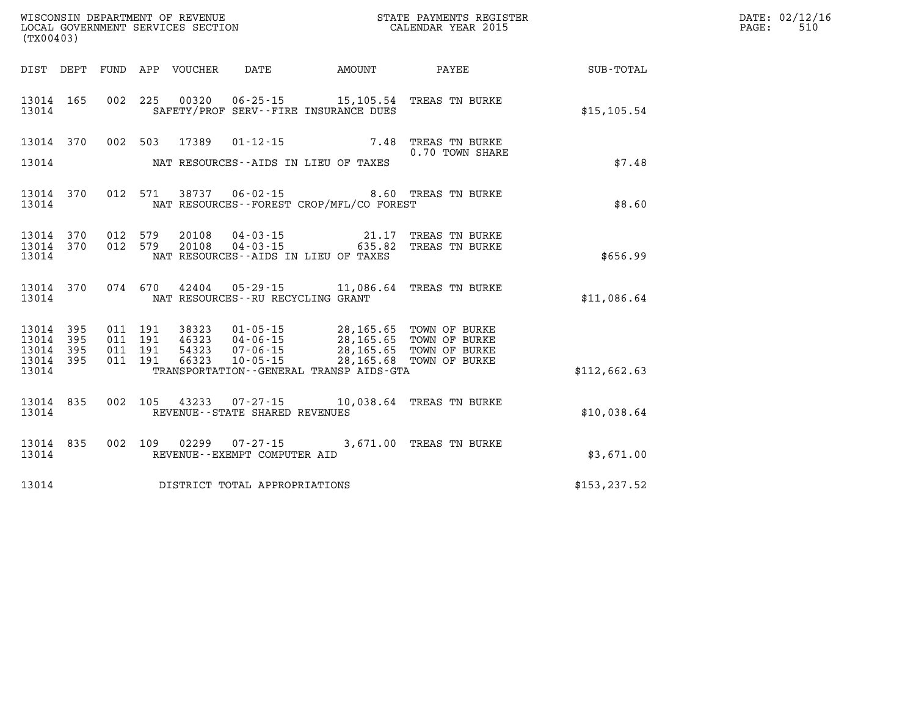| WISCONSIN DEPARTMENT OF REVENUE   | STATE PAYMENTS REGISTER | DATE:  | : 02/12/16 |
|-----------------------------------|-------------------------|--------|------------|
| LOCAL GOVERNMENT SERVICES SECTION |                         |        | $-1$       |
|                                   | CALENDAR YEAR 2015      | PAGE · | 5 I C      |

| LOCAL GOVERNMENT SERVICES SECTION<br>(TX00403)            |           |  |  |  |                                     | CALENDAR YEAR 2015                                                                                                                                                                                                                              |                                                                         |                                                        | PAGE: | 510 |
|-----------------------------------------------------------|-----------|--|--|--|-------------------------------------|-------------------------------------------------------------------------------------------------------------------------------------------------------------------------------------------------------------------------------------------------|-------------------------------------------------------------------------|--------------------------------------------------------|-------|-----|
|                                                           |           |  |  |  |                                     |                                                                                                                                                                                                                                                 |                                                                         | DIST DEPT FUND APP VOUCHER DATE AMOUNT PAYEE SUB-TOTAL |       |     |
| 13014 165<br>13014                                        |           |  |  |  |                                     | 002 225 00320 06-25-15 15,105.54 TREAS TN BURKE<br>SAFETY/PROF SERV--FIRE INSURANCE DUES                                                                                                                                                        |                                                                         | \$15, 105.54                                           |       |     |
| 13014                                                     |           |  |  |  |                                     | NAT RESOURCES--AIDS IN LIEU OF TAXES                                                                                                                                                                                                            | 13014 370 002 503 17389 01-12-15 7.48 TREAS TN BURKE<br>0.70 TOWN SHARE | \$7.48                                                 |       |     |
| 13014                                                     | 13014 370 |  |  |  |                                     | NAT RESOURCES--FOREST CROP/MFL/CO FOREST                                                                                                                                                                                                        | 012 571 38737 06-02-15 8.60 TREAS TN BURKE                              | \$8.60                                                 |       |     |
| 13014 370<br>13014 370<br>13014                           |           |  |  |  |                                     | 012 579 20108 04-03-15 21.17 TREAS TN BURKE<br>012 579 20108 04-03-15 635.82 TREAS TN BURKE<br>NAT RESOURCES--AIDS IN LIEU OF TAXES                                                                                                             |                                                                         | \$656.99                                               |       |     |
| 13014                                                     |           |  |  |  |                                     | 13014 370 074 670 42404 05-29-15 11,086.64 TREAS TN BURKE<br>NAT RESOURCES--RU RECYCLING GRANT                                                                                                                                                  |                                                                         | \$11,086.64                                            |       |     |
| 13014 395<br>13014 395<br>13014 395<br>13014 395<br>13014 |           |  |  |  |                                     | 011 191 38323 01-05-15 28,165.65 TOWN OF BURKE<br>011 191 46323 04-06-15 28,165.65 TOWN OF BURKE<br>011 191 54323 07-06-15 28,165.65 TOWN OF BURKE<br>011 191 66323 10-05-15 28,165.68 TOWN OF BURKE<br>TRANSPORTATION--GENERAL TRANSP AIDS-GTA |                                                                         | \$112,662.63                                           |       |     |
| 13014                                                     | 13014 835 |  |  |  | REVENUE--STATE SHARED REVENUES      | 002 105 43233 07-27-15 10,038.64 TREAS TN BURKE                                                                                                                                                                                                 |                                                                         | \$10,038.64                                            |       |     |
| 13014                                                     | 13014 835 |  |  |  | REVENUE--EXEMPT COMPUTER AID        | 002 109 02299 07-27-15 3,671.00 TREAS TN BURKE                                                                                                                                                                                                  |                                                                         | \$3,671.00                                             |       |     |
|                                                           |           |  |  |  | 13014 DISTRICT TOTAL APPROPRIATIONS |                                                                                                                                                                                                                                                 |                                                                         | \$153, 237.52                                          |       |     |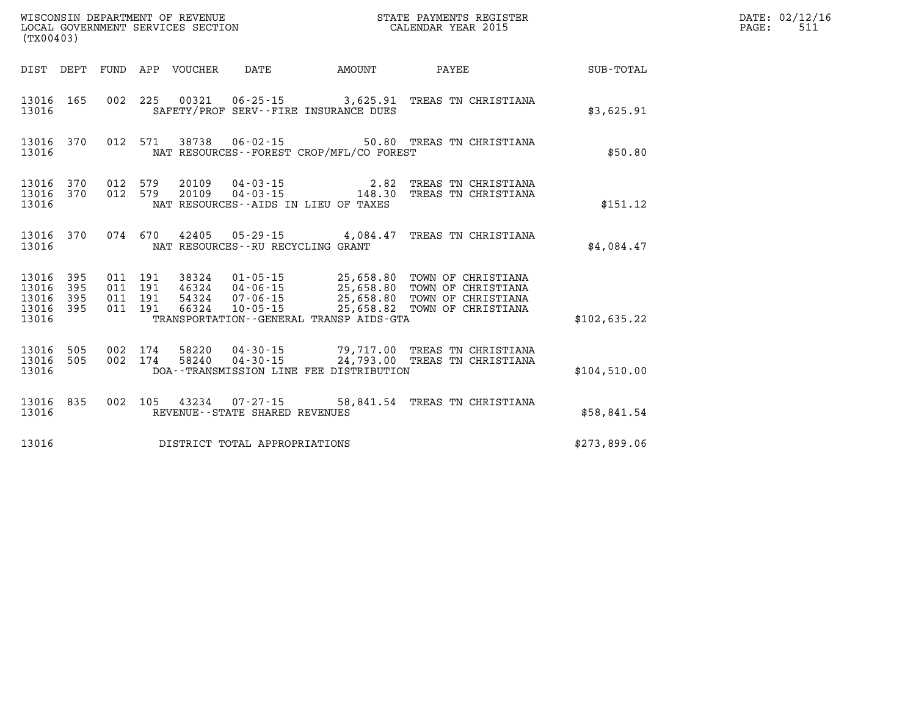| (TX00403)                                 |                          |                          |                          | WISCONSIN DEPARTMENT OF REVENUE<br>LOCAL GOVERNMENT SERVICES SECTION |                                                                |                                                                                             | STATE PAYMENTS REGISTER<br>CALENDAR YEAR 2015                                        |              |
|-------------------------------------------|--------------------------|--------------------------|--------------------------|----------------------------------------------------------------------|----------------------------------------------------------------|---------------------------------------------------------------------------------------------|--------------------------------------------------------------------------------------|--------------|
| DIST                                      | DEPT                     | FUND                     | APP                      | VOUCHER                                                              | <b>DATE</b>                                                    | AMOUNT                                                                                      | PAYEE                                                                                | SUB-TOTAL    |
| 13016<br>13016                            | 165                      | 002                      | 225                      | 00321                                                                |                                                                | $06 - 25 - 15$ 3,625.91<br>SAFETY/PROF SERV--FIRE INSURANCE DUES                            | TREAS TN CHRISTIANA                                                                  | \$3,625.91   |
| 13016<br>13016                            | 370                      | 012                      | 571                      | 38738                                                                | $06 - 02 - 15$                                                 | NAT RESOURCES - - FOREST CROP/MFL/CO FOREST                                                 | 50.80 TREAS TN CHRISTIANA                                                            | \$50.80      |
| 13016<br>13016<br>13016                   | 370<br>370               | 012<br>012               | 579<br>579               | 20109<br>20109                                                       | 04-03-15<br>$04 - 03 - 15$                                     | 2.82<br>148.30<br>NAT RESOURCES--AIDS IN LIEU OF TAXES                                      | TREAS TN CHRISTIANA<br>TREAS TN CHRISTIANA                                           | \$151.12     |
| 13016<br>13016                            | 370                      | 074                      | 670                      | 42405                                                                | 05-29-15<br>NAT RESOURCES - - RU RECYCLING GRANT               | 4,084.47                                                                                    | TREAS TN CHRISTIANA                                                                  | \$4,084.47   |
| 13016<br>13016<br>13016<br>13016<br>13016 | 395<br>395<br>395<br>395 | 011<br>011<br>011<br>011 | 191<br>191<br>191<br>191 | 38324<br>46324<br>54324<br>66324                                     | $01 - 05 - 15$<br>$04 - 06 - 15$<br>07-06-15<br>$10 - 05 - 15$ | 25,658.80<br>25,658.80<br>25,658.80<br>25,658.82<br>TRANSPORTATION--GENERAL TRANSP AIDS-GTA | TOWN OF CHRISTIANA<br>TOWN OF CHRISTIANA<br>TOWN OF CHRISTIANA<br>TOWN OF CHRISTIANA | \$102,635.22 |
| 13016<br>13016<br>13016                   | 505<br>505               | 002<br>002               | 174<br>174               | 58220<br>58240                                                       | $04 - 30 - 15$<br>$04 - 30 - 15$                               | 79,717.00<br>24,793.00<br>DOA--TRANSMISSION LINE FEE DISTRIBUTION                           | TREAS TN CHRISTIANA<br>TREAS TN CHRISTIANA                                           | \$104,510.00 |
| 13016<br>13016                            | 835                      | 002                      | 105                      | 43234                                                                | $07 - 27 - 15$<br>REVENUE - - STATE SHARED REVENUES            | 58,841.54                                                                                   | TREAS TN CHRISTIANA                                                                  | \$58,841.54  |
| 13016                                     |                          |                          |                          |                                                                      | DISTRICT TOTAL APPROPRIATIONS                                  |                                                                                             |                                                                                      | \$273,899.06 |

**DATE: 02/12/16<br>PAGE: 511**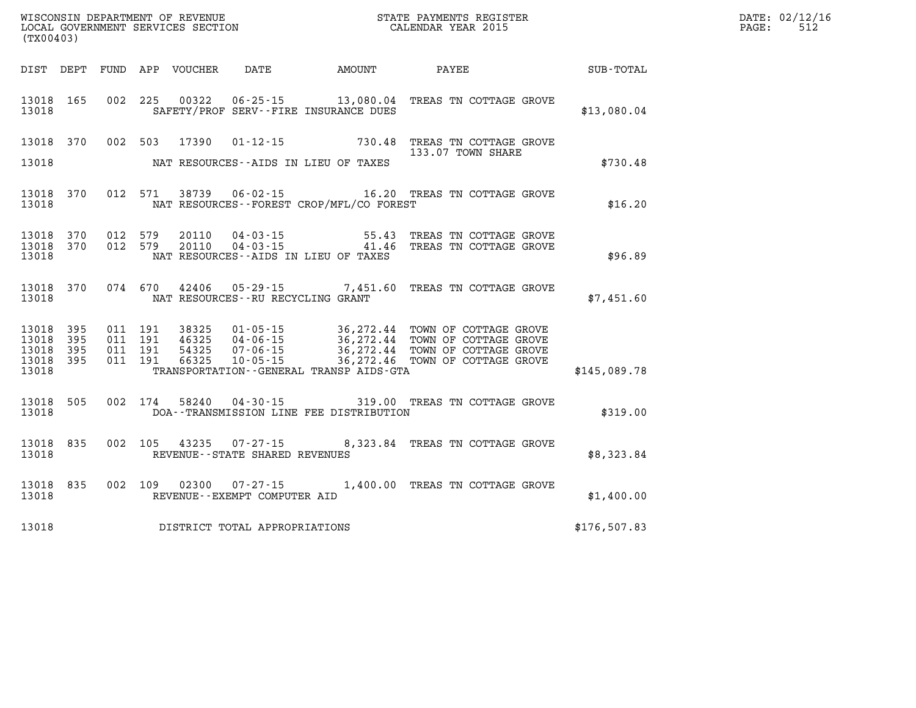| (TX00403)                                     |                   |                                          |                                  |                                      |                                             |                                                                                                                                                                              |              | DATE: 02/12/16<br>512<br>PAGE: |
|-----------------------------------------------|-------------------|------------------------------------------|----------------------------------|--------------------------------------|---------------------------------------------|------------------------------------------------------------------------------------------------------------------------------------------------------------------------------|--------------|--------------------------------|
|                                               |                   |                                          | DIST DEPT FUND APP VOUCHER       | DATE                                 | <b>AMOUNT</b>                               | <b>PAYEE</b>                                                                                                                                                                 | SUB-TOTAL    |                                |
| 13018                                         | 13018 165         |                                          |                                  |                                      | SAFETY/PROF SERV--FIRE INSURANCE DUES       | 002 225 00322 06-25-15 13,080.04 TREAS TN COTTAGE GROVE                                                                                                                      | \$13,080.04  |                                |
| 13018                                         | 13018 370         | 002 503                                  | 17390                            |                                      | NAT RESOURCES--AIDS IN LIEU OF TAXES        | 01-12-15 730.48 TREAS TN COTTAGE GROVE<br>133.07 TOWN SHARE                                                                                                                  | \$730.48     |                                |
| 13018                                         | 13018 370         |                                          |                                  |                                      | NAT RESOURCES - - FOREST CROP/MFL/CO FOREST | 012 571 38739 06-02-15 16.20 TREAS TN COTTAGE GROVE                                                                                                                          | \$16.20      |                                |
| 13018 370<br>13018                            | 13018 370         | 012 579<br>012 579                       | 20110<br>20110                   |                                      | NAT RESOURCES--AIDS IN LIEU OF TAXES        | 04-03-15 55.43 TREAS TN COTTAGE GROVE 14-03-15 41.46 TREAS TN COTTAGE GROVE                                                                                                  | \$96.89      |                                |
| 13018                                         | 13018 370         |                                          | 074 670 42406                    | NAT RESOURCES - - RU RECYCLING GRANT |                                             | 05-29-15 7,451.60 TREAS TN COTTAGE GROVE                                                                                                                                     | \$7,451.60   |                                |
| 13018 395<br>13018<br>13018<br>13018<br>13018 | 395<br>395<br>395 | 011 191<br>011 191<br>011 191<br>011 191 | 38325<br>46325<br>54325<br>66325 |                                      | TRANSPORTATION--GENERAL TRANSP AIDS-GTA     | 01-05-15 36,272.44 TOWN OF COTTAGE GROVE<br>04-06-15 36,272.44 TOWN OF COTTAGE GROVE<br>07-06-15 36,272.44 TOWN OF COTTAGE GROVE<br>10-05-15 36,272.46 TOWN OF COTTAGE GROVE | \$145,089.78 |                                |
| 13018                                         | 13018 505         |                                          | 002 174 58240                    |                                      | DOA--TRANSMISSION LINE FEE DISTRIBUTION     | 04-30-15 319.00 TREAS TN COTTAGE GROVE                                                                                                                                       | \$319.00     |                                |
| 13018                                         | 13018 835         |                                          |                                  | REVENUE--STATE SHARED REVENUES       |                                             | 002 105 43235 07-27-15 8,323.84 TREAS TN COTTAGE GROVE                                                                                                                       | \$8,323.84   |                                |
| 13018                                         | 13018 835         |                                          |                                  | REVENUE--EXEMPT COMPUTER AID         |                                             | 002 109 02300 07-27-15 1,400.00 TREAS TN COTTAGE GROVE                                                                                                                       | \$1,400.00   |                                |
| 13018                                         |                   |                                          |                                  | DISTRICT TOTAL APPROPRIATIONS        |                                             |                                                                                                                                                                              | \$176,507.83 |                                |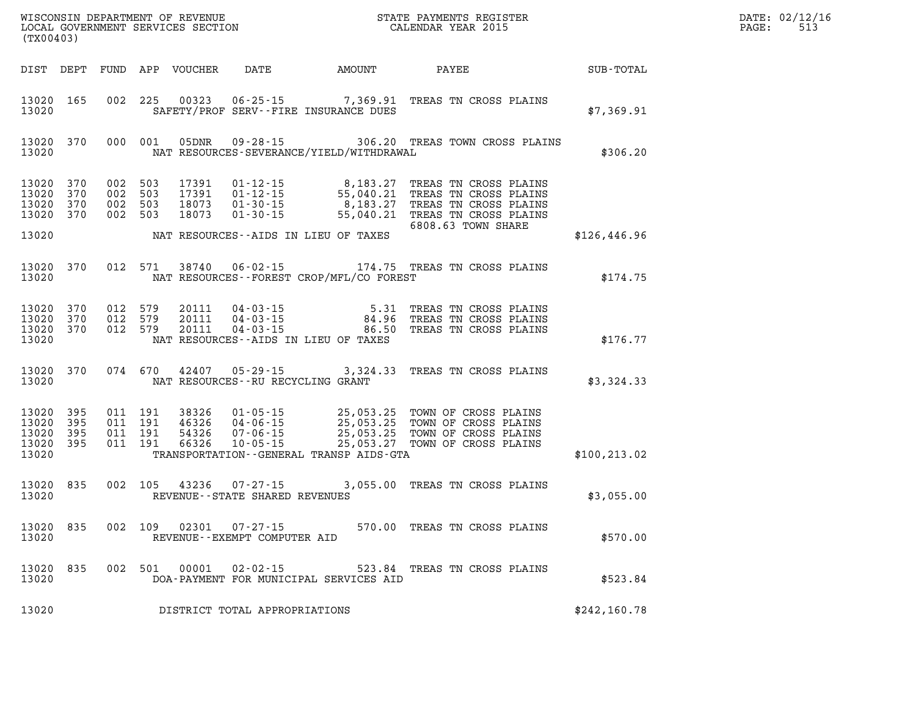| DATE: | 02/12/16 |
|-------|----------|
| PAGE: | 513      |

| (TX00403)                            |                                     |         |                         |                                   |                                              | %WISCONSIN DEPARTMENT OF REVENUE $$\tt STATE~PAYMEMTS~REGISTER~LOCAL~GOVERNMENT~SERVICES~SECTION~CALENDAR~YEAR~2015$                                                                                                                                         |               | DATE: 02/12/1<br>513<br>$\mathtt{PAGE}$ : |
|--------------------------------------|-------------------------------------|---------|-------------------------|-----------------------------------|----------------------------------------------|--------------------------------------------------------------------------------------------------------------------------------------------------------------------------------------------------------------------------------------------------------------|---------------|-------------------------------------------|
|                                      |                                     |         |                         |                                   |                                              |                                                                                                                                                                                                                                                              |               |                                           |
| 13020                                | 13020 165                           |         |                         |                                   | SAFETY/PROF SERV--FIRE INSURANCE DUES        | 002 225 00323 06-25-15 7,369.91 TREAS TN CROSS PLAINS                                                                                                                                                                                                        | \$7,369.91    |                                           |
| 13020                                | 13020 370                           | 000 001 |                         |                                   | NAT RESOURCES-SEVERANCE/YIELD/WITHDRAWAL     | 05DNR  09-28-15  306.20 TREAS TOWN CROSS PLAINS                                                                                                                                                                                                              | \$306.20      |                                           |
| 13020 370<br>13020 370               | 13020 370<br>13020 370              |         |                         |                                   |                                              | 002 503 17391 01-12-15 8,183.27 TREAS TN CROSS PLAINS<br>002 503 17391 01-12-15 55,040.21 TREAS TN CROSS PLAINS<br>002 503 18073 01-30-15 8,183.27 TREAS TN CROSS PLAINS<br>002 503 18073 01-30-15 55,040.21 TREAS TN CROSS PLAINS<br><br>6808.63 TOWN SHARE |               |                                           |
| 13020                                |                                     |         |                         |                                   | NAT RESOURCES--AIDS IN LIEU OF TAXES         |                                                                                                                                                                                                                                                              | \$126,446.96  |                                           |
| 13020                                | 13020 370                           |         |                         |                                   | NAT RESOURCES - - FOREST CROP/MFL/CO FOREST  | 012 571 38740 06-02-15 174.75 TREAS TN CROSS PLAINS                                                                                                                                                                                                          | \$174.75      |                                           |
| 13020                                | 13020 370<br>13020 370<br>13020 370 |         |                         |                                   | NAT RESOURCES--AIDS IN LIEU OF TAXES         | 012 579 20111 04-03-15 5.31 TREAS TN CROSS PLAINS<br>012 579 20111 04-03-15 84.96 TREAS TN CROSS PLAINS<br>012 579 20111 04-03-15 86.50 TREAS TN CROSS PLAINS                                                                                                | \$176.77      |                                           |
| 13020                                |                                     |         |                         | NAT RESOURCES--RU RECYCLING GRANT |                                              | 13020 370 074 670 42407 05-29-15 3,324.33 TREAS TN CROSS PLAINS                                                                                                                                                                                              | \$3,324.33    |                                           |
| 13020<br>13020<br>13020 395<br>13020 | 13020 395<br>395<br>395             |         |                         |                                   | TRANSPORTATION - - GENERAL TRANSP AIDS - GTA | 011 191 38326 01-05-15 25,053.25 TOWN OF CROSS PLAINS<br>011 191 46326 04-06-15 25,053.25 TOWN OF CROSS PLAINS<br>011 191 54326 07-06-15 25,053.25 TOWN OF CROSS PLAINS<br>011 191 66326 10-05-15 25,053.27 TOWN OF CROSS PLAINS                             | \$100, 213.02 |                                           |
| 13020                                | 13020 835                           |         |                         | REVENUE - - STATE SHARED REVENUES |                                              | 002 105 43236 07-27-15 3,055.00 TREAS TN CROSS PLAINS                                                                                                                                                                                                        | \$3,055.00    |                                           |
| 13020                                |                                     |         | 13020 835 002 109 02301 | REVENUE--EXEMPT COMPUTER AID      |                                              | 07-27-15 570.00 TREAS TN CROSS PLAINS                                                                                                                                                                                                                        | \$570.00      |                                           |
| 13020 835<br>13020                   |                                     | 002 501 | 00001                   | $02 - 02 - 15$                    | DOA-PAYMENT FOR MUNICIPAL SERVICES AID       | 523.84 TREAS TN CROSS PLAINS                                                                                                                                                                                                                                 | \$523.84      |                                           |
| 13020                                |                                     |         |                         | DISTRICT TOTAL APPROPRIATIONS     |                                              |                                                                                                                                                                                                                                                              | \$242,160.78  |                                           |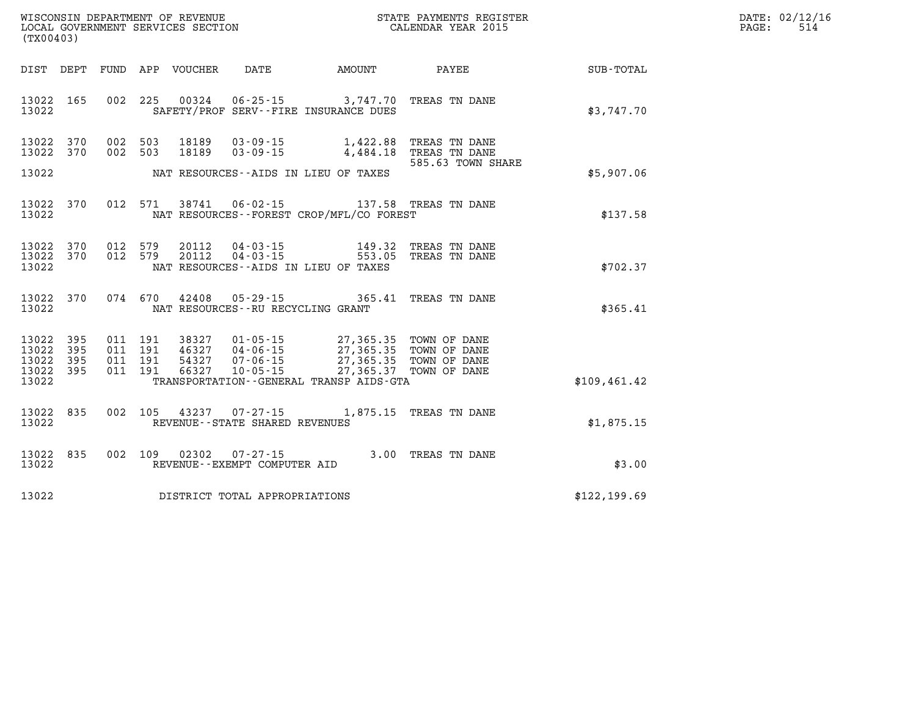| DATE: | 02/12/16 |
|-------|----------|
| PAGE: | 514      |

| (TX00403)                                                             |                          | WISCONSIN DEPARTMENT OF REVENUE<br>LOCAL GOVERNMENT SERVICES SECTION |                                                                      |                                                                                     | STATE PAYMENTS REGISTER<br>CALENDAR YEAR 2015                          |               |
|-----------------------------------------------------------------------|--------------------------|----------------------------------------------------------------------|----------------------------------------------------------------------|-------------------------------------------------------------------------------------|------------------------------------------------------------------------|---------------|
| DIST<br>DEPT                                                          | FUND                     | APP<br>VOUCHER                                                       | DATE                                                                 | <b>AMOUNT</b>                                                                       | PAYEE                                                                  | SUB-TOTAL     |
| 13022<br>165<br>13022                                                 | 002                      | 225<br>00324                                                         | $06 - 25 - 15$                                                       | 3,747.70<br>SAFETY/PROF SERV--FIRE INSURANCE DUES                                   | TREAS TN DANE                                                          | \$3,747.70    |
| 13022<br>370<br>13022<br>370                                          | 002                      | 002 503<br>18189<br>503<br>18189                                     | $03 - 09 - 15$<br>$03 - 09 - 15$                                     | 1,422.88<br>4,484.18                                                                | TREAS TN DANE<br>TREAS TN DANE<br>585.63 TOWN SHARE                    |               |
| 13022                                                                 |                          |                                                                      |                                                                      | NAT RESOURCES--AIDS IN LIEU OF TAXES                                                |                                                                        | \$5,907.06    |
| 13022<br>370<br>13022                                                 | 012                      | 571<br>38741                                                         | 06-02-15                                                             | NAT RESOURCES - - FOREST CROP/MFL/CO FOREST                                         | 137.58 TREAS TN DANE                                                   | \$137.58      |
| 370<br>13022<br>370<br>13022<br>13022                                 | 012<br>012               | 579<br>20112<br>579<br>20112                                         | $04 - 03 - 15$<br>$04 - 03 - 15$                                     | 149.32<br>553.05<br>NAT RESOURCES -- AIDS IN LIEU OF TAXES                          | TREAS TN DANE<br>TREAS TN DANE                                         | \$702.37      |
| 370<br>13022<br>13022                                                 | 074                      | 670<br>42408                                                         | $05 - 29 - 15$<br>NAT RESOURCES - - RU RECYCLING GRANT               | 365.41                                                                              | TREAS TN DANE                                                          | \$365.41      |
| 395<br>13022<br>395<br>13022<br>13022<br>395<br>13022<br>395<br>13022 | 011<br>011<br>011<br>011 | 191<br>38327<br>191<br>46327<br>191<br>54327<br>191<br>66327         | $01 - 05 - 15$<br>$04 - 06 - 15$<br>$07 - 06 - 15$<br>$10 - 05 - 15$ | 27,365.35<br>27,365.35<br>27,365.37<br>TRANSPORTATION - - GENERAL TRANSP AIDS - GTA | 27,365.35 TOWN OF DANE<br>TOWN OF DANE<br>TOWN OF DANE<br>TOWN OF DANE | \$109, 461.42 |
|                                                                       |                          |                                                                      |                                                                      |                                                                                     |                                                                        |               |
| 13022<br>835<br>13022                                                 | 002                      | 105                                                                  | 43237 07-27-15<br>REVENUE - - STATE SHARED REVENUES                  | 1,875.15                                                                            | TREAS TN DANE                                                          | \$1,875.15    |
| 835<br>13022<br>13022                                                 | 002                      | 109<br>02302                                                         | $07 - 27 - 15$<br>REVENUE--EXEMPT COMPUTER AID                       | 3.00                                                                                | TREAS TN DANE                                                          | \$3.00        |
| 13022                                                                 |                          |                                                                      | DISTRICT TOTAL APPROPRIATIONS                                        |                                                                                     |                                                                        | \$122, 199.69 |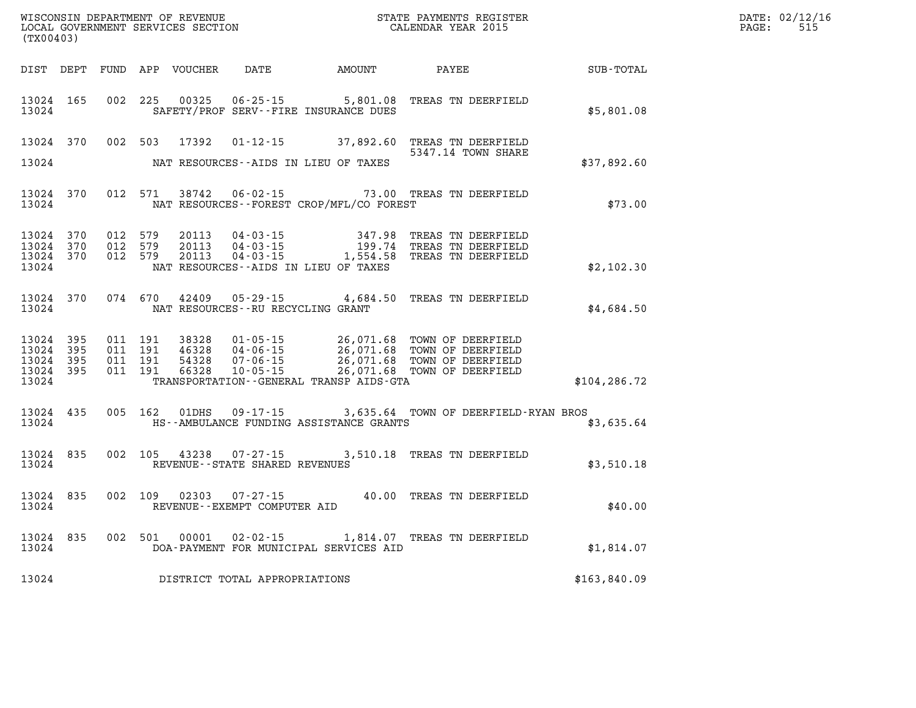| (TX00403)                                                 |           |                                          |               |                                   |                                              |                                                                                                                                                                                                                                                                                                                                         |               | DATE: 02/12/16<br>$\mathtt{PAGE:}$<br>515 |
|-----------------------------------------------------------|-----------|------------------------------------------|---------------|-----------------------------------|----------------------------------------------|-----------------------------------------------------------------------------------------------------------------------------------------------------------------------------------------------------------------------------------------------------------------------------------------------------------------------------------------|---------------|-------------------------------------------|
|                                                           |           |                                          |               |                                   | DIST DEPT FUND APP VOUCHER DATE AMOUNT PAYEE |                                                                                                                                                                                                                                                                                                                                         | SUB-TOTAL     |                                           |
| 13024 165<br>13024                                        |           | 002 225                                  |               |                                   | SAFETY/PROF SERV--FIRE INSURANCE DUES        | 00325  06-25-15  5,801.08  TREAS TN DEERFIELD                                                                                                                                                                                                                                                                                           | \$5,801.08    |                                           |
|                                                           |           |                                          |               |                                   |                                              | 13024 370 002 503 17392 01-12-15 37,892.60 TREAS TN DEERFIELD<br>5347.14 TOWN SHARE                                                                                                                                                                                                                                                     |               |                                           |
| 13024                                                     |           |                                          |               |                                   | NAT RESOURCES--AIDS IN LIEU OF TAXES         |                                                                                                                                                                                                                                                                                                                                         | \$37,892.60   |                                           |
| 13024                                                     | 13024 370 |                                          | 012 571 38742 | $06 - 02 - 15$                    | NAT RESOURCES - - FOREST CROP/MFL/CO FOREST  | 73.00 TREAS TN DEERFIELD                                                                                                                                                                                                                                                                                                                | \$73.00       |                                           |
| 13024                                                     |           |                                          |               |                                   | NAT RESOURCES--AIDS IN LIEU OF TAXES         | $\begin{array}{cccccccc} 13024 & 370 & 012 & 579 & 20113 & 04\cdot 03\cdot 15 & & & 347.98 & \text{TREAS TN DEERFIELD} \\ 13024 & 370 & 012 & 579 & 20113 & 04\cdot 03\cdot 15 & & & 199.74 & \text{TREAS TN DEERFIELD} \\ 13024 & 370 & 012 & 579 & 20113 & 04\cdot 03\cdot 15 & & & 1,554.58 & \text{TREAS TN DEERFIELD} \end{array}$ | \$2,102.30    |                                           |
| 13024                                                     |           |                                          |               | NAT RESOURCES--RU RECYCLING GRANT |                                              | 13024 370 074 670 42409 05-29-15 4,684.50 TREAS TN DEERFIELD                                                                                                                                                                                                                                                                            | \$4,684.50    |                                           |
| 13024 395<br>13024 395<br>13024 395<br>13024 395<br>13024 |           | 011 191<br>011 191<br>011 191<br>011 191 |               |                                   | TRANSPORTATION--GENERAL TRANSP AIDS-GTA      | 38328  01-05-15  26,071.68  TOWN OF DEERFIELD<br>46328  04-06-15  26,071.68  TOWN OF DEERFIELD<br>54328  07-06-15  26,071.68  TOWN OF DEERFIELD<br>66328  10-05-15  26,071.68  TOWN OF DEERFIELD                                                                                                                                        | \$104, 286.72 |                                           |
| 13024                                                     | 13024 435 |                                          |               |                                   | HS--AMBULANCE FUNDING ASSISTANCE GRANTS      | 005 162 01DHS 09-17-15 3,635.64 TOWN OF DEERFIELD-RYAN BROS                                                                                                                                                                                                                                                                             | \$3,635.64    |                                           |
| 13024 835<br>13024                                        |           |                                          |               | REVENUE - - STATE SHARED REVENUES |                                              | 002 105 43238 07-27-15 3,510.18 TREAS TN DEERFIELD                                                                                                                                                                                                                                                                                      | \$3,510.18    |                                           |
| 13024                                                     | 13024 835 |                                          |               | REVENUE--EXEMPT COMPUTER AID      |                                              | 002 109 02303 07-27-15 40.00 TREAS TN DEERFIELD                                                                                                                                                                                                                                                                                         | \$40.00       |                                           |
| 13024                                                     |           |                                          |               |                                   | DOA-PAYMENT FOR MUNICIPAL SERVICES AID       | 13024 835 002 501 00001 02-02-15 1,814.07 TREAS TN DEERFIELD                                                                                                                                                                                                                                                                            | \$1,814.07    |                                           |
| 13024                                                     |           |                                          |               | DISTRICT TOTAL APPROPRIATIONS     |                                              |                                                                                                                                                                                                                                                                                                                                         | \$163,840.09  |                                           |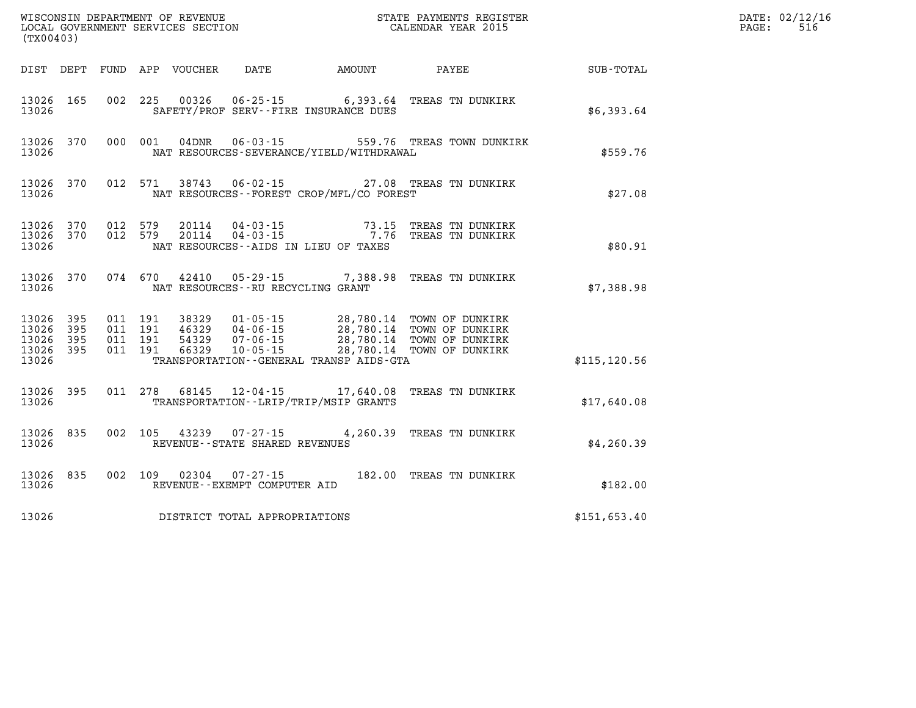| (TX00403)                                 |                          |                                          |         |                                  |                                      |                                             |                                                                                                                                                                                         |               | DATE: 02/12/16<br>516<br>PAGE: |
|-------------------------------------------|--------------------------|------------------------------------------|---------|----------------------------------|--------------------------------------|---------------------------------------------|-----------------------------------------------------------------------------------------------------------------------------------------------------------------------------------------|---------------|--------------------------------|
|                                           |                          |                                          |         | DIST DEPT FUND APP VOUCHER       | DATE                                 | <b>AMOUNT</b>                               | PAYEE                                                                                                                                                                                   | SUB-TOTAL     |                                |
| 13026 165<br>13026                        |                          |                                          |         |                                  |                                      | SAFETY/PROF SERV--FIRE INSURANCE DUES       | 002 225 00326 06-25-15 6,393.64 TREAS TN DUNKIRK                                                                                                                                        | \$6,393.64    |                                |
| 13026                                     | 13026 370                |                                          | 000 001 | 04DNR                            |                                      | NAT RESOURCES-SEVERANCE/YIELD/WITHDRAWAL    | 06-03-15 559.76 TREAS TOWN DUNKIRK                                                                                                                                                      | \$559.76      |                                |
| 13026                                     | 13026 370                |                                          | 012 571 |                                  |                                      | NAT RESOURCES - - FOREST CROP/MFL/CO FOREST | 38743  06-02-15  27.08  TREAS TN DUNKIRK                                                                                                                                                | \$27.08       |                                |
| 13026 370<br>13026                        |                          | 13026 370 012 579<br>012 579             |         |                                  |                                      | NAT RESOURCES--AIDS IN LIEU OF TAXES        | 20114  04-03-15  73.15  TREAS TN DUNKIRK<br>20114  04-03-15  7.76  TREAS TN DUNKIRK                                                                                                     | \$80.91       |                                |
| 13026 370<br>13026                        |                          |                                          |         |                                  | NAT RESOURCES - - RU RECYCLING GRANT |                                             | 074 670 42410 05-29-15 7,388.98 TREAS TN DUNKIRK                                                                                                                                        | \$7,388.98    |                                |
| 13026<br>13026<br>13026<br>13026<br>13026 | 395<br>395<br>395<br>395 | 011 191<br>011 191<br>011 191<br>011 191 |         | 38329<br>46329<br>54329<br>66329 | $10 - 05 - 15$                       | TRANSPORTATION--GENERAL TRANSP AIDS-GTA     | 01–05–15               28,780.14   TOWN OF DUNKIRK<br>04–06–15             28,780.14   TOWN OF DUNKIRK<br>07–06–15             28,780.14   TOWN OF DUNKIRK<br>28,780.14 TOWN OF DUNKIRK | \$115, 120.56 |                                |
| 13026 395<br>13026                        |                          | 011 278                                  |         |                                  |                                      | TRANSPORTATION - - LRIP/TRIP/MSIP GRANTS    | 68145  12-04-15  17,640.08  TREAS TN DUNKIRK                                                                                                                                            | \$17,640.08   |                                |
| 13026 835<br>13026                        |                          | 002 105                                  |         |                                  | REVENUE - - STATE SHARED REVENUES    |                                             |                                                                                                                                                                                         | \$4,260.39    |                                |
| 13026 835<br>13026                        |                          | 002 109                                  |         |                                  | REVENUE - - EXEMPT COMPUTER AID      |                                             | 02304  07-27-15  182.00 TREAS TN DUNKIRK                                                                                                                                                | \$182.00      |                                |
| 13026                                     |                          |                                          |         |                                  | DISTRICT TOTAL APPROPRIATIONS        |                                             |                                                                                                                                                                                         | \$151,653.40  |                                |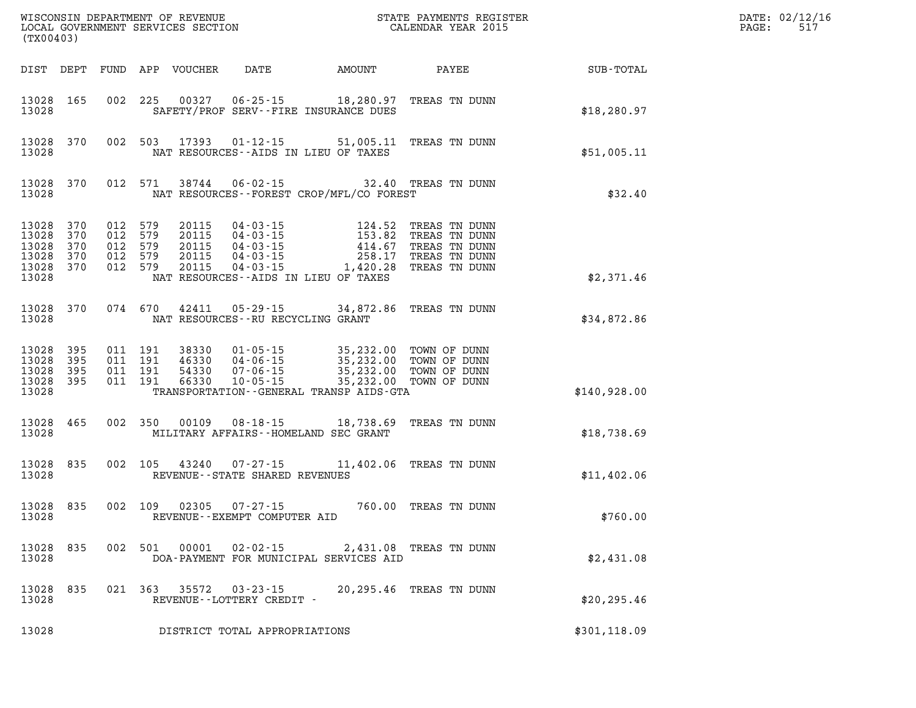| (TX00403)                                              |                          |                                 |                                  |                                           | WISCONSIN DEPARTMENT OF REVENUE<br>LOCAL GOVERNMENT SERVICES SECTION             | STATE PAYMENTS REGISTER<br>CALENDAR YEAR 2015                                                    |  |                                                                                   |              | DATE: 02/12/16<br>PAGE:<br>517 |
|--------------------------------------------------------|--------------------------|---------------------------------|----------------------------------|-------------------------------------------|----------------------------------------------------------------------------------|--------------------------------------------------------------------------------------------------|--|-----------------------------------------------------------------------------------|--------------|--------------------------------|
| DIST DEPT                                              |                          |                                 |                                  | FUND APP VOUCHER                          | DATE                                                                             | <b>AMOUNT</b>                                                                                    |  | PAYEE                                                                             | SUB-TOTAL    |                                |
| 13028<br>13028                                         | 165                      |                                 | 002 225                          | 00327                                     | 06-25-15                                                                         | 18,280.97<br>SAFETY/PROF SERV--FIRE INSURANCE DUES                                               |  | TREAS TN DUNN                                                                     | \$18,280.97  |                                |
| 13028<br>13028                                         | 370                      | 002                             | 503                              | 17393                                     | 01-12-15                                                                         | 51,005.11<br>NAT RESOURCES -- AIDS IN LIEU OF TAXES                                              |  | TREAS TN DUNN                                                                     | \$51,005.11  |                                |
| 13028<br>13028                                         | 370                      |                                 | 012 571                          | 38744                                     | $06 - 02 - 15$                                                                   | NAT RESOURCES - - FOREST CROP/MFL/CO FOREST                                                      |  | 32.40 TREAS TN DUNN                                                               | \$32.40      |                                |
| 13028<br>13028<br>13028<br>13028<br>13028 370<br>13028 | 370<br>370<br>370<br>370 | 012<br>012<br>012<br>012<br>012 | 579<br>579<br>579<br>579<br>579  | 20115<br>20115<br>20115<br>20115<br>20115 | 04-03-15<br>04-03-15<br>04-03-15<br>04-03-15<br>$04 - 03 - 15$<br>$04 - 03 - 15$ | 124.52<br>153.82<br>414.67<br>258.17<br>1,420.28<br>NAT RESOURCES -- AIDS IN LIEU OF TAXES       |  | TREAS TN DUNN<br>TREAS TN DUNN<br>TREAS TN DUNN<br>TREAS TN DUNN<br>TREAS TN DUNN | \$2,371.46   |                                |
| 13028 370<br>13028                                     |                          |                                 | 074 670                          | 42411                                     | $05 - 29 - 15$                                                                   | 34,872.86<br>NAT RESOURCES -- RU RECYCLING GRANT                                                 |  | TREAS TN DUNN                                                                     | \$34,872.86  |                                |
| 13028<br>13028<br>13028<br>13028 395<br>13028          | 395<br>395<br>395        | 011<br>011                      | 011 191<br>011 191<br>191<br>191 | 38330<br>46330<br>54330<br>66330          | 01-05-15<br>04-06-15<br>07-06-15<br>$10 - 05 - 15$                               | 35,232.00<br>35,232.00<br>35,232.00<br>35,232.00<br>TRANSPORTATION - - GENERAL TRANSP AIDS - GTA |  | TOWN OF DUNN<br>TOWN OF DUNN<br>TOWN OF DUNN<br>TOWN OF DUNN                      | \$140,928.00 |                                |
| 13028<br>13028                                         | 465                      |                                 | 002 350                          | 00109                                     | $08 - 18 - 15$                                                                   | 18,738.69<br>MILITARY AFFAIRS--HOMELAND SEC GRANT                                                |  | TREAS TN DUNN                                                                     | \$18,738.69  |                                |
| 13028<br>13028                                         | 835                      |                                 | 002 105                          | 43240                                     | $07 - 27 - 15$<br>REVENUE - - STATE SHARED REVENUES                              | 11,402.06                                                                                        |  | TREAS TN DUNN                                                                     | \$11,402.06  |                                |
| 13028<br>13028                                         | 835                      | 002                             | 109                              | 02305                                     | $07 - 27 - 15$<br>REVENUE--EXEMPT COMPUTER AID                                   |                                                                                                  |  | 760.00 TREAS TN DUNN                                                              | \$760.00     |                                |
| 13028<br>13028                                         | 835                      | 002                             | 501                              | 00001                                     | $02 - 02 - 15$                                                                   | 2,431.08<br>DOA-PAYMENT FOR MUNICIPAL SERVICES AID                                               |  | TREAS TN DUNN                                                                     | \$2,431.08   |                                |
| 13028<br>13028                                         | 835                      | 021                             | 363                              | 35572                                     | $03 - 23 - 15$<br>REVENUE--LOTTERY CREDIT -                                      | 20,295.46                                                                                        |  | TREAS TN DUNN                                                                     | \$20, 295.46 |                                |
| 13028                                                  |                          |                                 |                                  |                                           | DISTRICT TOTAL APPROPRIATIONS                                                    |                                                                                                  |  |                                                                                   | \$301,118.09 |                                |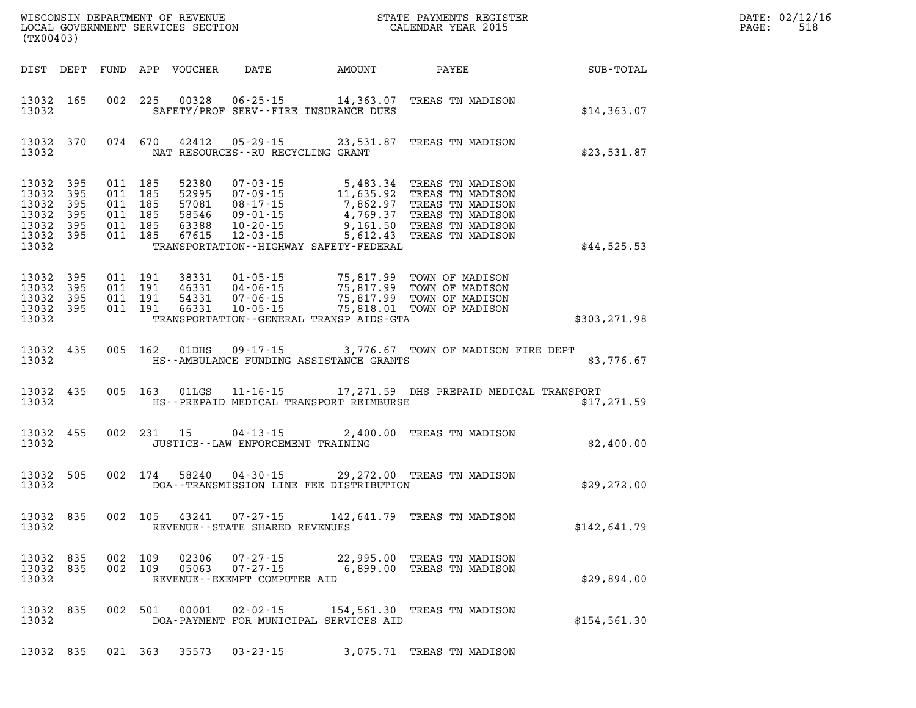| DATE: | 02/12/16 |
|-------|----------|
| PAGE: | 518      |

| (TX00403)                                                                   |            |                                                                |                                          |                            |                                                                | $\tt WISCONSIM DEPARTMENT OF REVENUE$ $\tt WISCONSIMENT$ SERVICES SECTION $\tt CALENDAR$ YEAR 2015                                                                                                                                            |                  | DATE: 02/12/1<br>518<br>PAGE: |
|-----------------------------------------------------------------------------|------------|----------------------------------------------------------------|------------------------------------------|----------------------------|----------------------------------------------------------------|-----------------------------------------------------------------------------------------------------------------------------------------------------------------------------------------------------------------------------------------------|------------------|-------------------------------|
|                                                                             |            |                                                                |                                          | DIST DEPT FUND APP VOUCHER | DATE AMOUNT                                                    | PAYEE                                                                                                                                                                                                                                         | <b>SUB-TOTAL</b> |                               |
| 13032 165<br>13032                                                          |            |                                                                |                                          |                            | SAFETY/PROF SERV--FIRE INSURANCE DUES                          | 002 225 00328 06-25-15 14,363.07 TREAS TN MADISON                                                                                                                                                                                             | \$14,363.07      |                               |
| 13032 370<br>13032                                                          |            |                                                                |                                          |                            | 074 670 42412 05-29-15<br>NAT RESOURCES - - RU RECYCLING GRANT | 23,531.87 TREAS TN MADISON                                                                                                                                                                                                                    | \$23,531.87      |                               |
| 13032 395<br>13032<br>13032 395<br>13032<br>13032 395<br>13032 395<br>13032 | 395<br>395 | 011 185<br>011 185<br>011 185<br>011 185<br>011 185<br>011 185 |                                          |                            | TRANSPORTATION - - HIGHWAY SAFETY - FEDERAL                    | 52380 07-03-15 5,483.34 TREAS TN MADISON<br>52995 07-09-15 11,635.92 TREAS TN MADISON<br>57081 08-17-15 7,862.97 TREAS TN MADISON<br>58546 09-01-15 4,769.37 TREAS TN MADISON<br>63388 10-20-15 5,612.43 TREAS TN MADISON<br>67615 12-03-15 5 | \$44,525.53      |                               |
| 13032<br>13032 395<br>13032 395<br>13032 395<br>13032                       | 395        |                                                                | 011 191<br>011 191<br>011 191<br>011 191 |                            | TRANSPORTATION - - GENERAL TRANSP AIDS - GTA                   | 38331  01-05-15  75,817.99  TOWN OF MADISON<br>46331  04-06-15  75,817.99  TOWN OF MADISON<br>54331  07-06-15  75,817.99  TOWN OF MADISON<br>66331  10-05-15  75,818.01  TOWN OF MADISON                                                      | \$303,271.98     |                               |
| 13032 435<br>13032                                                          |            |                                                                |                                          |                            | HS--AMBULANCE FUNDING ASSISTANCE GRANTS                        | 005 162 01DHS 09-17-15 3,776.67 TOWN OF MADISON FIRE DEPT                                                                                                                                                                                     | \$3,776.67       |                               |
| 13032 435<br>13032                                                          |            |                                                                |                                          |                            | HS--PREPAID MEDICAL TRANSPORT REIMBURSE                        | 005 163 01LGS 11-16-15 17, 271.59 DHS PREPAID MEDICAL TRANSPORT                                                                                                                                                                               | \$17,271.59      |                               |
| 13032 455<br>13032                                                          |            |                                                                |                                          | 002 231 15                 | JUSTICE -- LAW ENFORCEMENT TRAINING                            | 04-13-15 2,400.00 TREAS TN MADISON                                                                                                                                                                                                            | \$2,400.00       |                               |
| 13032 505<br>13032                                                          |            |                                                                | 002 174                                  |                            | 58240 04-30-15<br>DOA--TRANSMISSION LINE FEE DISTRIBUTION      | 29,272.00 TREAS TN MADISON                                                                                                                                                                                                                    | \$29, 272.00     |                               |
| 13032 835<br>13032                                                          |            |                                                                |                                          |                            | 002 105 43241 07-27-15<br>REVENUE - - STATE SHARED REVENUES    | 142,641.79 TREAS TN MADISON                                                                                                                                                                                                                   | \$142,641.79     |                               |
| 13032 835<br>13032 835<br>13032                                             |            |                                                                |                                          | 002 109 05063              | REVENUE - - EXEMPT COMPUTER AID                                | 002 109 02306 07-27-15 22,995.00 TREAS TN MADISON<br>07-27-15 6,899.00 TREAS TN MADISON                                                                                                                                                       | \$29,894.00      |                               |
| 13032 835<br>13032                                                          |            |                                                                |                                          |                            | DOA-PAYMENT FOR MUNICIPAL SERVICES AID                         | 002 501 00001 02-02-15 154,561.30 TREAS TN MADISON                                                                                                                                                                                            | \$154, 561.30    |                               |

**13032 835 021 363 35573 03-23-15 3,075.71 TREAS TN MADISON**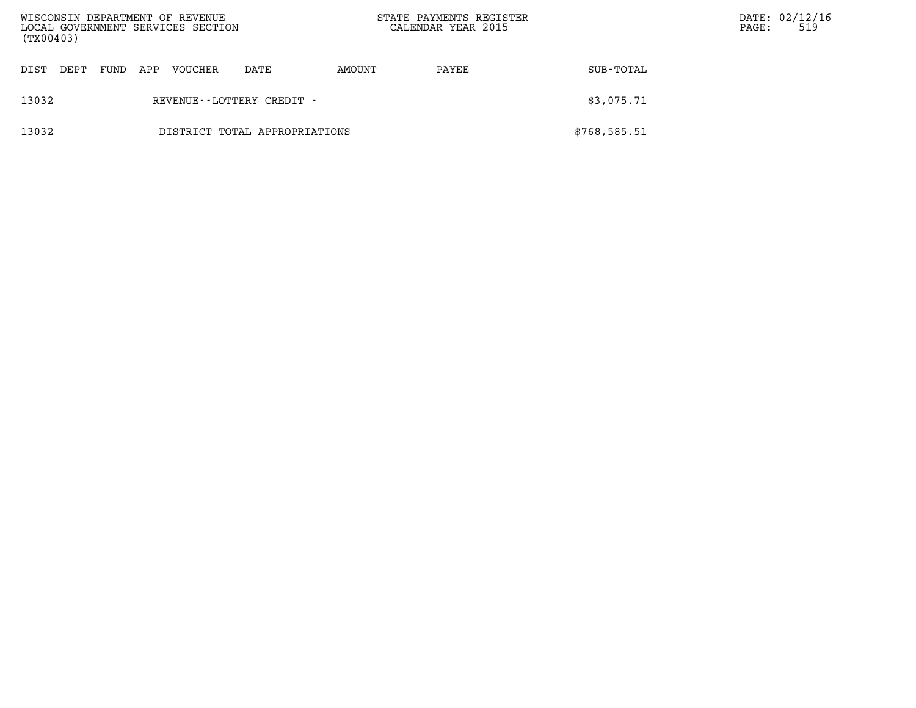| (TX00403) |      |      |     | WISCONSIN DEPARTMENT OF REVENUE<br>LOCAL GOVERNMENT SERVICES SECTION |                               | STATE PAYMENTS REGISTER<br>CALENDAR YEAR 2015 |       | PAGE:        | DATE: 02/12/16<br>519 |  |
|-----------|------|------|-----|----------------------------------------------------------------------|-------------------------------|-----------------------------------------------|-------|--------------|-----------------------|--|
| DIST      | DEPT | FUND | APP | VOUCHER                                                              | DATE                          | AMOUNT                                        | PAYEE | SUB-TOTAL    |                       |  |
| 13032     |      |      |     |                                                                      | REVENUE - - LOTTERY CREDIT -  |                                               |       | \$3,075.71   |                       |  |
| 13032     |      |      |     |                                                                      | DISTRICT TOTAL APPROPRIATIONS |                                               |       | \$768,585.51 |                       |  |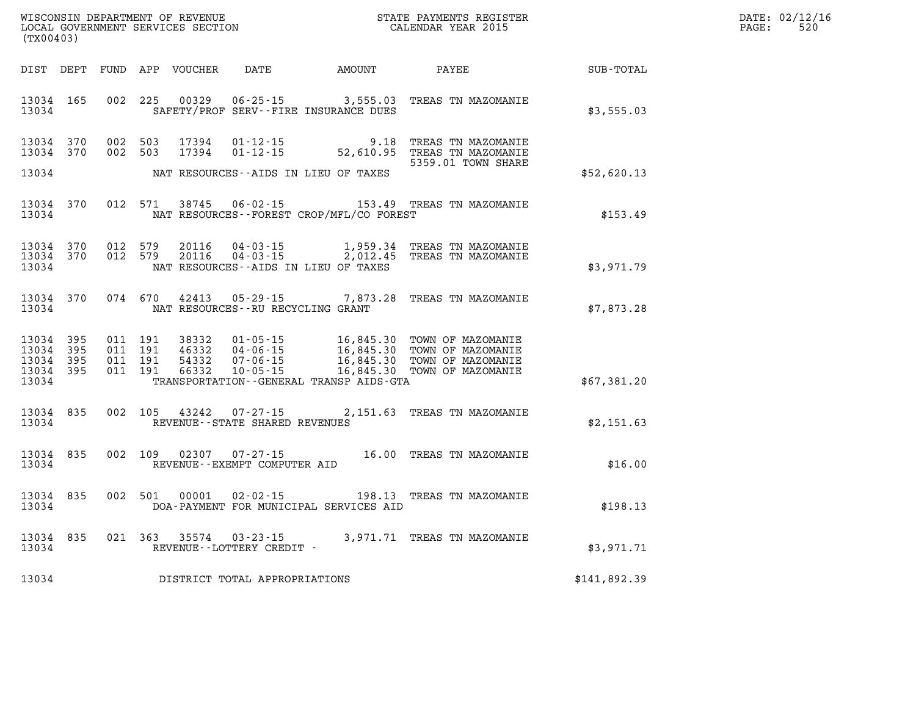| DATE:             | 02/12/16 |
|-------------------|----------|
| $\mathtt{PAGE}$ : | 520      |

| (TX00403)                                 |                          |                          | WISCONSIN DEPARTMENT OF REVENUE<br>LOCAL GOVERNMENT SERVICES SECTION |                                                                      | STATE PAYMENTS REGISTER<br>CALENDAR YEAR 2015                                                    |                                                                                  |              |  |
|-------------------------------------------|--------------------------|--------------------------|----------------------------------------------------------------------|----------------------------------------------------------------------|--------------------------------------------------------------------------------------------------|----------------------------------------------------------------------------------|--------------|--|
| DIST                                      | DEPT                     | FUND                     | APP<br>VOUCHER                                                       | DATE                                                                 | AMOUNT                                                                                           | PAYEE                                                                            | SUB-TOTAL    |  |
| 13034<br>13034                            | 165                      | 002                      | 225<br>00329                                                         | $06 - 25 - 15$<br>SAFETY/PROF SERV--FIRE INSURANCE DUES              | 3,555.03                                                                                         | TREAS TN MAZOMANIE                                                               | \$3,555.03   |  |
| 13034<br>13034                            | 370<br>370               | 002<br>002               | 503<br>17394<br>17394<br>503                                         | $01 - 12 - 15$<br>$01 - 12 - 15$                                     | 9.18<br>52,610.95                                                                                | TREAS TN MAZOMANIE<br>TREAS TN MAZOMANIE<br>5359.01 TOWN SHARE                   |              |  |
| 13034                                     |                          |                          |                                                                      | NAT RESOURCES - AIDS IN LIEU OF TAXES                                |                                                                                                  |                                                                                  | \$52,620.13  |  |
| 13034<br>13034                            | 370                      | 012                      | 571<br>38745                                                         | $06 - 02 - 15$                                                       | NAT RESOURCES--FOREST CROP/MFL/CO FOREST                                                         | 153.49 TREAS TN MAZOMANIE                                                        | \$153.49     |  |
| 13034<br>13034<br>13034                   | 370<br>370               | 012<br>012               | 579<br>20116<br>579<br>20116                                         | $04 - 03 - 15$<br>04-03-15<br>NAT RESOURCES - AIDS IN LIEU OF TAXES  | 1,959.34<br>2,012.45                                                                             | TREAS TN MAZOMANIE<br>TREAS TN MAZOMANIE                                         | \$3,971.79   |  |
| 13034<br>13034                            | 370                      | 074                      | 670<br>42413                                                         | $05 - 29 - 15$<br>NAT RESOURCES - - RU RECYCLING GRANT               | 7,873.28                                                                                         | TREAS TN MAZOMANIE                                                               | \$7,873.28   |  |
| 13034<br>13034<br>13034<br>13034<br>13034 | 395<br>395<br>395<br>395 | 011<br>011<br>011<br>011 | 191<br>38332<br>191<br>46332<br>191<br>54332<br>191<br>66332         | $01 - 05 - 15$<br>$04 - 06 - 15$<br>$07 - 06 - 15$<br>$10 - 05 - 15$ | 16,845.30<br>16,845.30<br>16,845.30<br>16,845.30<br>TRANSPORTATION - - GENERAL TRANSP AIDS - GTA | TOWN OF MAZOMANIE<br>TOWN OF MAZOMANIE<br>TOWN OF MAZOMANIE<br>TOWN OF MAZOMANIE | \$67,381.20  |  |
| 13034<br>13034                            | 835                      | 002                      | 105<br>43242                                                         | $07 - 27 - 15$<br>REVENUE - - STATE SHARED REVENUES                  | 2,151.63                                                                                         | TREAS TN MAZOMANIE                                                               | \$2,151.63   |  |
| 13034<br>13034                            | 835                      | 002                      | 109<br>02307                                                         | $07 - 27 - 15$<br>REVENUE--EXEMPT COMPUTER AID                       | 16.00                                                                                            | TREAS TN MAZOMANIE                                                               | \$16.00      |  |
| 13034<br>13034                            | 835                      | 002                      | 501<br>00001                                                         | $02 - 02 - 15$<br>DOA-PAYMENT FOR MUNICIPAL SERVICES AID             | 198.13                                                                                           | TREAS TN MAZOMANIE                                                               | \$198.13     |  |
| 13034<br>13034                            | 835                      | 021                      | 363<br>35574                                                         | $03 - 23 - 15$<br>REVENUE - - LOTTERY CREDIT -                       | 3,971.71                                                                                         | TREAS TN MAZOMANIE                                                               | \$3,971.71   |  |
| 13034                                     |                          |                          |                                                                      | DISTRICT TOTAL APPROPRIATIONS                                        |                                                                                                  |                                                                                  | \$141,892.39 |  |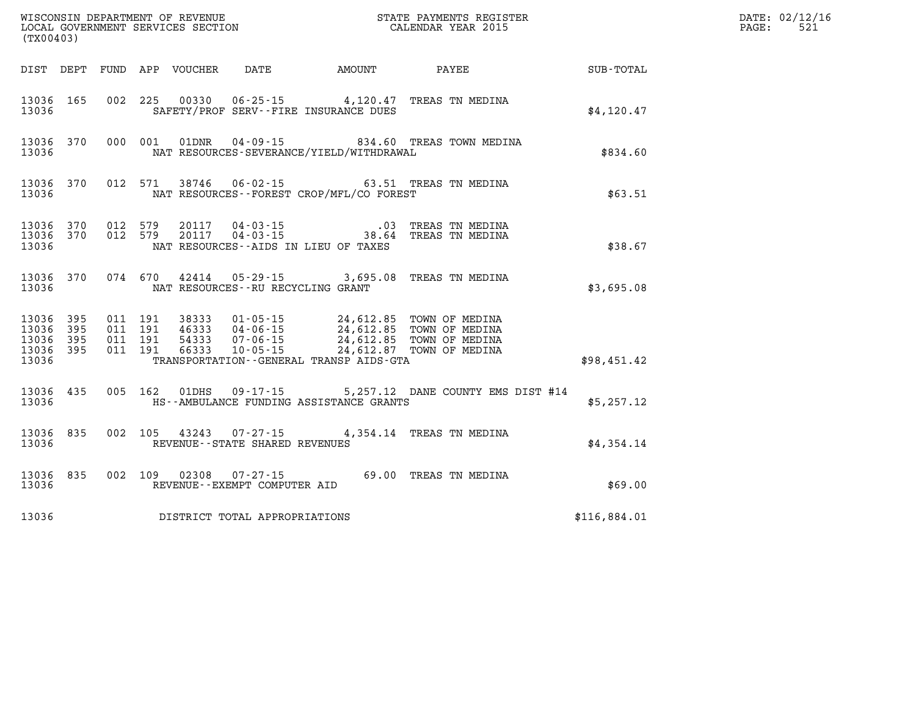|                                                       | (TX00403)                      |                                          |         |                            |                                          |                                                                                   |                                                                                                                |              | DATE: 02/12/16<br>521<br>PAGE: |
|-------------------------------------------------------|--------------------------------|------------------------------------------|---------|----------------------------|------------------------------------------|-----------------------------------------------------------------------------------|----------------------------------------------------------------------------------------------------------------|--------------|--------------------------------|
|                                                       |                                |                                          |         | DIST DEPT FUND APP VOUCHER | DATE                                     | AMOUNT                                                                            | PAYEE                                                                                                          | SUB-TOTAL    |                                |
| 13036 165<br>13036                                    |                                |                                          |         |                            |                                          | SAFETY/PROF SERV--FIRE INSURANCE DUES                                             | 002 225 00330 06-25-15 4,120.47 TREAS TN MEDINA                                                                | \$4,120.47   |                                |
| 13036                                                 | 13036 370                      |                                          |         | 000 001 01DNR              |                                          | NAT RESOURCES-SEVERANCE/YIELD/WITHDRAWAL                                          | 04-09-15 834.60 TREAS TOWN MEDINA                                                                              | \$834.60     |                                |
| 13036                                                 | 13036 370                      |                                          | 012 571 |                            |                                          | NAT RESOURCES - - FOREST CROP/MFL/CO FOREST                                       | 38746  06-02-15  63.51 TREAS TN MEDINA                                                                         | \$63.51      |                                |
| 13036                                                 | 13036 370 012 579<br>13036 370 | 012 579                                  |         |                            |                                          | NAT RESOURCES--AIDS IN LIEU OF TAXES                                              | 20117  04-03-15  03  TREAS TN MEDINA<br>20117  04-03-15  38.64  TREAS TN MEDINA                                | \$38.67      |                                |
| 13036                                                 | 13036 370                      |                                          | 074 670 |                            |                                          | NAT RESOURCES--RU RECYCLING GRANT                                                 | 42414  05-29-15  3,695.08  TREAS TN MEDINA                                                                     | \$3,695.08   |                                |
| 13036 395<br>13036<br>13036 395<br>13036 395<br>13036 | 395                            | 011 191<br>011 191<br>011 191<br>011 191 |         | 38333<br>66333             | 10-05-15                                 | 01-05-15 24,612.85 TOWN OF MEDINA<br>TRANSPORTATION - - GENERAL TRANSP AIDS - GTA | 46333 04-06-15 24,612.85 TOWN OF MEDINA<br>54333 07-06-15 24,612.85 TOWN OF MEDINA<br>24,612.87 TOWN OF MEDINA | \$98,451.42  |                                |
| 13036 435<br>13036                                    |                                |                                          | 005 162 | 01DHS                      | $09 - 17 - 15$                           | HS--AMBULANCE FUNDING ASSISTANCE GRANTS                                           | 5,257.12 DANE COUNTY EMS DIST #14                                                                              | \$5,257.12   |                                |
| 13036 835<br>13036                                    |                                | 002 105                                  |         | 43243                      | REVENUE - - STATE SHARED REVENUES        |                                                                                   | 07-27-15 4,354.14 TREAS TN MEDINA                                                                              | \$4,354.14   |                                |
| 13036                                                 | 13036 835                      |                                          |         | 002 109 02308              | 07-27-15<br>REVENUE--EXEMPT COMPUTER AID |                                                                                   | 69.00 TREAS TN MEDINA                                                                                          | \$69.00      |                                |
| 13036                                                 |                                |                                          |         |                            | DISTRICT TOTAL APPROPRIATIONS            |                                                                                   |                                                                                                                | \$116,884.01 |                                |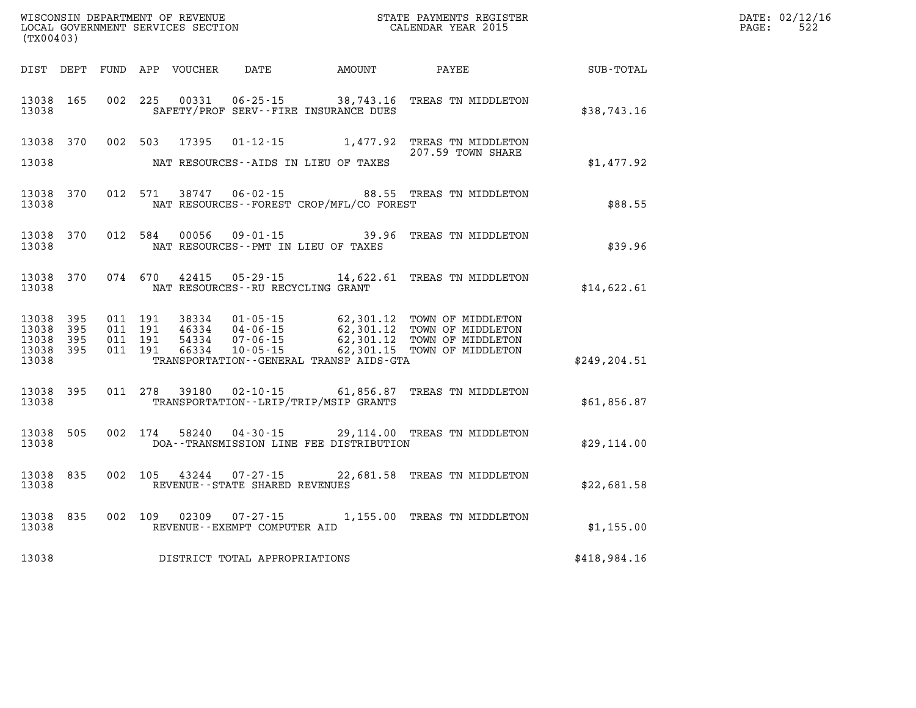|       | DATE: 02/12/16 |
|-------|----------------|
| PAGE: | 522            |

| (TX00403)               |            |            |            | WISCONSIN DEPARTMENT OF REVENUE<br>LOCAL GOVERNMENT SERVICES SECTION |                                                        | STATE PAYMENTS REGISTER<br>CALENDAR YEAR 2015                          |                                         |               |  |
|-------------------------|------------|------------|------------|----------------------------------------------------------------------|--------------------------------------------------------|------------------------------------------------------------------------|-----------------------------------------|---------------|--|
| DIST                    | DEPT       | FUND       | APP        | VOUCHER                                                              | DATE                                                   | AMOUNT                                                                 | PAYEE                                   | SUB-TOTAL     |  |
| 13038<br>13038          | 165        | 002        | 225        | 00331                                                                | $06 - 25 - 15$                                         | 38,743.16<br>SAFETY/PROF SERV--FIRE INSURANCE DUES                     | TREAS TN MIDDLETON                      | \$38,743.16   |  |
| 13038                   | 370        | 002        | 503        | 17395                                                                | $01 - 12 - 15$                                         | 1,477.92                                                               | TREAS TN MIDDLETON<br>207.59 TOWN SHARE |               |  |
| 13038                   |            |            |            |                                                                      |                                                        | NAT RESOURCES - AIDS IN LIEU OF TAXES                                  |                                         | \$1,477.92    |  |
| 13038<br>13038          | 370        | 012        | 571        | 38747                                                                | $06 - 02 - 15$                                         | 88.55<br>NAT RESOURCES - - FOREST CROP/MFL/CO FOREST                   | TREAS TN MIDDLETON                      | \$88.55       |  |
| 13038<br>13038          | 370        | 012        | 584        | 00056                                                                | $09 - 01 - 15$                                         | 39.96<br>NAT RESOURCES - PMT IN LIEU OF TAXES                          | TREAS TN MIDDLETON                      | \$39.96       |  |
| 13038<br>13038          | 370        | 074        | 670        | 42415                                                                | $05 - 29 - 15$<br>NAT RESOURCES - - RU RECYCLING GRANT | 14,622.61                                                              | TREAS TN MIDDLETON                      | \$14,622.61   |  |
| 13038<br>13038          | 395<br>395 | 011<br>011 | 191<br>191 | 38334<br>46334                                                       | $01 - 05 - 15$<br>$04 - 06 - 15$                       | 62,301.12<br>62,301.12                                                 | TOWN OF MIDDLETON<br>TOWN OF MIDDLETON  |               |  |
| 13038<br>13038<br>13038 | 395<br>395 | 011<br>011 | 191<br>191 | 54334<br>66334                                                       | $07 - 06 - 15$<br>$10 - 05 - 15$                       | 62,301.12<br>62,301.15<br>TRANSPORTATION - - GENERAL TRANSP AIDS - GTA | TOWN OF MIDDLETON<br>TOWN OF MIDDLETON  | \$249, 204.51 |  |
| 13038<br>13038          | 395        | 011        | 278        | 39180                                                                | $02 - 10 - 15$                                         | 61,856.87<br>TRANSPORTATION - - LRIP/TRIP/MSIP GRANTS                  | TREAS TN MIDDLETON                      | \$61,856.87   |  |
| 13038<br>13038          | 505        | 002        | 174        | 58240                                                                | $04 - 30 - 15$                                         | 29,114.00<br>DOA--TRANSMISSION LINE FEE DISTRIBUTION                   | TREAS TN MIDDLETON                      | \$29,114.00   |  |
| 13038<br>13038          | 835        | 002        | 105        | 43244                                                                | $07 - 27 - 15$<br>REVENUE - - STATE SHARED REVENUES    | 22,681.58                                                              | TREAS TN MIDDLETON                      | \$22,681.58   |  |
| 13038<br>13038          | 835        | 002        | 109        | 02309                                                                | $07 - 27 - 15$<br>REVENUE - - EXEMPT COMPUTER AID      | 1,155.00                                                               | TREAS TN MIDDLETON                      | \$1,155.00    |  |
| 13038                   |            |            |            |                                                                      | DISTRICT TOTAL APPROPRIATIONS                          |                                                                        |                                         | \$418,984.16  |  |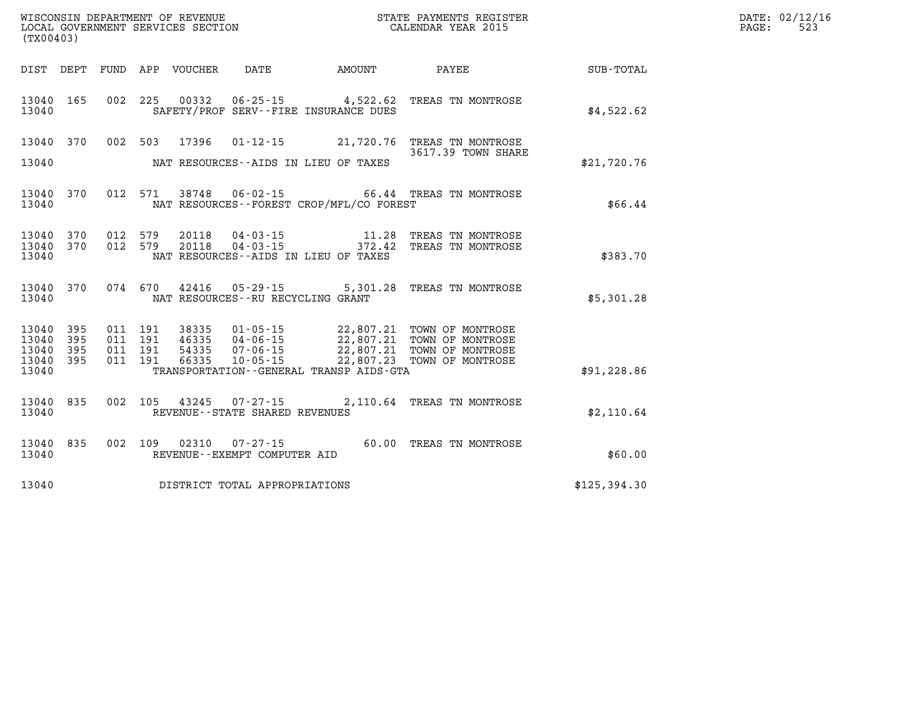| (TX00403)                       |  |  |                                     |                                             | WISCONSIN DEPARTMENT OF REVENUE<br>LOCAL GOVERNMENT SERVICES SECTION<br>(TYO0403)                                                                                                                                |               | DATE: 02/12/16<br>$\mathtt{PAGE:}$<br>523 |
|---------------------------------|--|--|-------------------------------------|---------------------------------------------|------------------------------------------------------------------------------------------------------------------------------------------------------------------------------------------------------------------|---------------|-------------------------------------------|
|                                 |  |  |                                     |                                             | DIST DEPT FUND APP VOUCHER DATE AMOUNT PAYEE PATE SUB-TOTAL                                                                                                                                                      |               |                                           |
| 13040                           |  |  |                                     | SAFETY/PROF SERV--FIRE INSURANCE DUES       | 13040 165 002 225 00332 06-25-15 4,522.62 TREAS TN MONTROSE                                                                                                                                                      | \$4,522.62    |                                           |
|                                 |  |  |                                     |                                             | 13040 370 002 503 17396 01-12-15 21,720.76 TREAS TN MONTROSE<br>3617.39 TOWN SHARE                                                                                                                               |               |                                           |
| 13040                           |  |  |                                     | NAT RESOURCES--AIDS IN LIEU OF TAXES        |                                                                                                                                                                                                                  | \$21,720.76   |                                           |
| 13040                           |  |  |                                     | NAT RESOURCES - - FOREST CROP/MFL/CO FOREST | 13040 370 012 571 38748 06-02-15 66.44 TREAS TN MONTROSE                                                                                                                                                         | \$66.44       |                                           |
|                                 |  |  |                                     |                                             | $\begin{array}{cccccc} 13040 & 370 & 012 & 579 & 20118 & 04-03-15 & & & 11.28 & \text{TREAS TN MONTROSE} \\ 13040 & 370 & 012 & 579 & 20118 & 04-03-15 & & & 372.42 & \text{TREAS TN MONTROSE} \end{array}$      |               |                                           |
| 13040                           |  |  |                                     | NAT RESOURCES -- AIDS IN LIEU OF TAXES      |                                                                                                                                                                                                                  | \$383.70      |                                           |
| 13040                           |  |  | NAT RESOURCES -- RU RECYCLING GRANT |                                             | 13040 370 074 670 42416 05-29-15 5,301.28 TREAS TN MONTROSE                                                                                                                                                      | \$5,301.28    |                                           |
| 13040 395<br>13040 395          |  |  |                                     |                                             | 011 191 38335 01-05-15 22,807.21 TOWN OF MONTROSE<br>011 191 46335 04-06-15 22,807.21 TOWN OF MONTROSE<br>011 191 54335 07-06-15 22,807.21 TOWN OF MONTROSE<br>011 191 66335 10-05-15 22,807.23 TOWN OF MONTROSE |               |                                           |
| 13040 395<br>13040 395<br>13040 |  |  |                                     | TRANSPORTATION--GENERAL TRANSP AIDS-GTA     |                                                                                                                                                                                                                  | \$91,228.86   |                                           |
| 13040                           |  |  | REVENUE--STATE SHARED REVENUES      |                                             | 13040 835 002 105 43245 07-27-15 2,110.64 TREAS TN MONTROSE                                                                                                                                                      | \$2,110.64    |                                           |
| 13040                           |  |  | REVENUE--EXEMPT COMPUTER AID        |                                             | 13040 835 002 109 02310 07-27-15 60.00 TREAS TN MONTROSE                                                                                                                                                         | \$60.00       |                                           |
| 13040                           |  |  | DISTRICT TOTAL APPROPRIATIONS       |                                             |                                                                                                                                                                                                                  | \$125, 394.30 |                                           |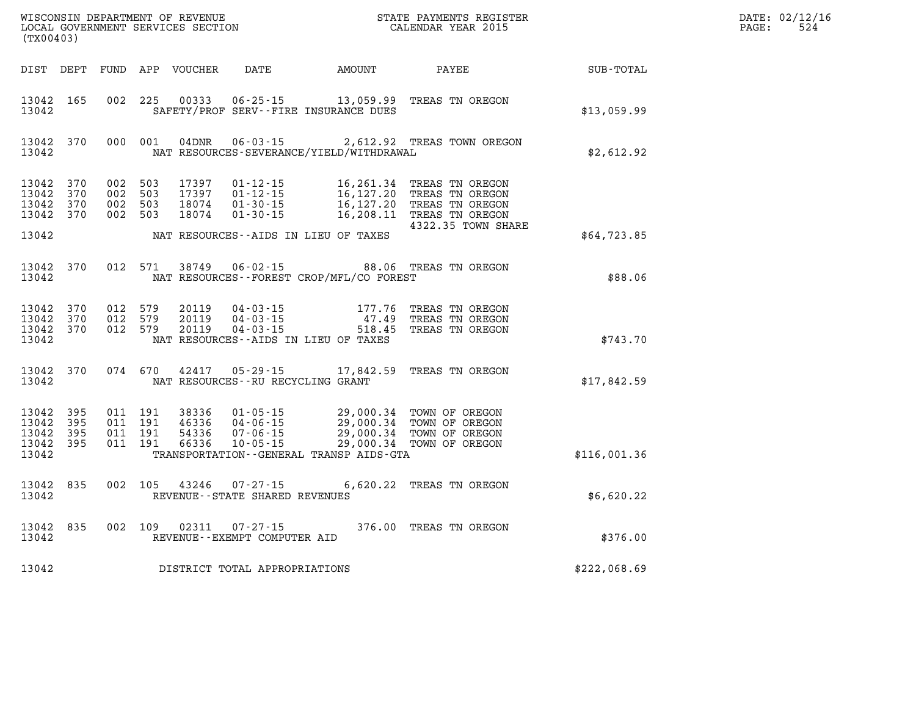| DATE: | 02/12/16 |
|-------|----------|
| PAGE: | 524      |

| (TX00403)                        |                                |                                          | WISCONSIN DEPARTMENT OF REVENUE<br>LOCAL GOVERNMENT SERVICES SECTION |                                                                      |                                                 | STATE PAYMENTS REGISTER<br>CALENDAR YEAR 2015                                                                                                                                                        |              | DATE: 02/12/1<br>524<br>PAGE: |
|----------------------------------|--------------------------------|------------------------------------------|----------------------------------------------------------------------|----------------------------------------------------------------------|-------------------------------------------------|------------------------------------------------------------------------------------------------------------------------------------------------------------------------------------------------------|--------------|-------------------------------|
|                                  | DIST DEPT                      |                                          | FUND APP VOUCHER                                                     | <b>DATE</b>                                                          | AMOUNT                                          | PAYEE                                                                                                                                                                                                | SUB-TOTAL    |                               |
| 13042 165<br>13042               |                                | 002 225                                  | 00333                                                                | $06 - 25 - 15$                                                       | SAFETY/PROF SERV--FIRE INSURANCE DUES           | 13,059.99 TREAS TN OREGON                                                                                                                                                                            | \$13,059.99  |                               |
| 13042                            | 13042 370                      | 000 001                                  | 04DNR                                                                |                                                                      | NAT RESOURCES-SEVERANCE/YIELD/WITHDRAWAL        | 06-03-15 2,612.92 TREAS TOWN OREGON                                                                                                                                                                  | \$2,612.92   |                               |
| 13042<br>13042<br>13042<br>13042 | 370<br>370<br>370<br>370       | 002 503<br>002 503<br>002 503<br>002 503 | 17397<br>17397<br>18074<br>18074                                     | $01 - 12 - 15$<br>$01 - 12 - 15$<br>$01 - 30 - 15$<br>$01 - 30 - 15$ | 16, 127.20                                      | 16,261.34 TREAS TN OREGON<br>TREAS TN OREGON<br>16,127.20 TREAS TN OREGON<br>16,208.11 TREAS TN OREGON<br>4322.35 TOWN SHARE                                                                         |              |                               |
| 13042                            |                                |                                          |                                                                      |                                                                      | NAT RESOURCES--AIDS IN LIEU OF TAXES            |                                                                                                                                                                                                      | \$64,723.85  |                               |
| 13042                            | 13042 370                      | 012 571                                  | 38749                                                                | $06 - 02 - 15$                                                       | NAT RESOURCES - - FOREST CROP/MFL/CO FOREST     | 88.06 TREAS TN OREGON                                                                                                                                                                                | \$88.06      |                               |
| 13042<br>13042                   | 13042 370<br>370<br>13042 370  | 012 579<br>012 579<br>012 579            | 20119<br>20119<br>20119                                              | 04 - 03 - 15<br>04 - 03 - 15<br>04 - 03 - 15<br>$04 - 03 - 15$       | 47.49<br>NAT RESOURCES -- AIDS IN LIEU OF TAXES | 177.76 TREAS TN OREGON<br>TREAS TN OREGON<br>518.45 TREAS TN OREGON                                                                                                                                  | \$743.70     |                               |
| 13042                            | 13042 370                      | 074 670                                  | 42417                                                                | $05 - 29 - 15$<br>NAT RESOURCES - - RU RECYCLING GRANT               | 17,842.59                                       | TREAS TN OREGON                                                                                                                                                                                      | \$17,842.59  |                               |
| 13042<br>13042<br>13042<br>13042 | 395<br>395<br>395<br>13042 395 | 011 191<br>011 191<br>011 191<br>011 191 |                                                                      |                                                                      | TRANSPORTATION--GENERAL TRANSP AIDS-GTA         | 38336 01-05-15 29,000.34 TOWN OF OREGON<br>46336 04-06-15 29,000.34 TOWN OF OREGON<br>54336 07-06-15 29,000.34 TOWN OF OREGON<br>66336 10-05-15 29,000.34 TOWN OF OREGON<br>29,000.34 TOWN OF OREGON | \$116,001.36 |                               |
| 13042                            | 13042 835                      | 002 105                                  | 43246                                                                | $07 - 27 - 15$<br>REVENUE - - STATE SHARED REVENUES                  |                                                 | 6,620.22 TREAS TN OREGON                                                                                                                                                                             | \$6,620.22   |                               |
| 13042                            | 13042 835                      | 002 109                                  | 02311                                                                | $07 - 27 - 15$<br>REVENUE--EXEMPT COMPUTER AID                       |                                                 | 376.00 TREAS TN OREGON                                                                                                                                                                               | \$376.00     |                               |
| 13042                            |                                |                                          |                                                                      | DISTRICT TOTAL APPROPRIATIONS                                        |                                                 |                                                                                                                                                                                                      | \$222,068.69 |                               |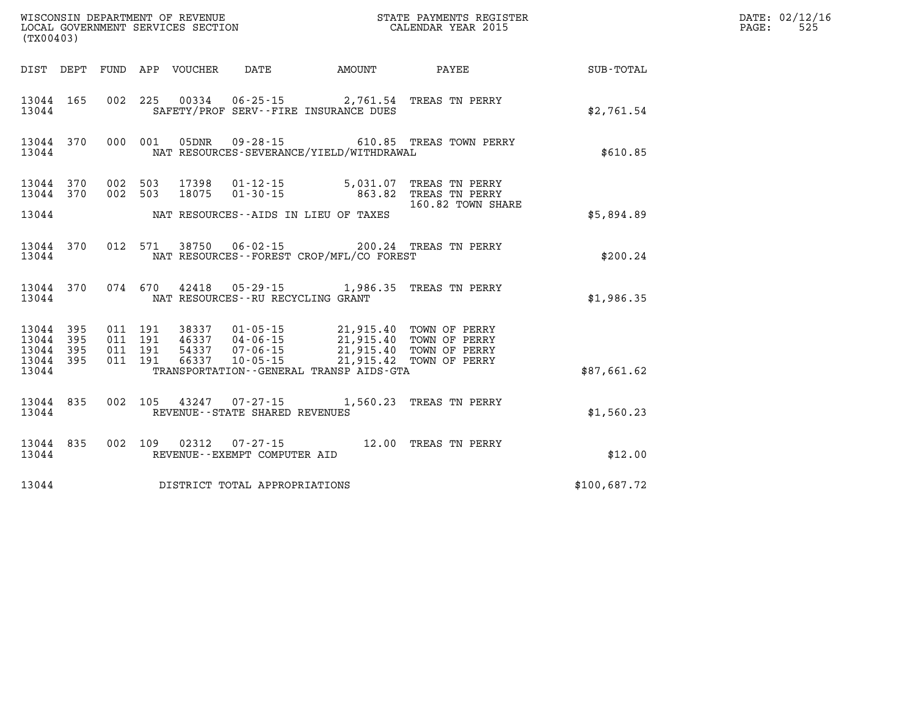| (TX00403)                       |           |                               |                                 |                                   |                                                                                                                                  |                                                                       |              | DATE: 02/12/16<br>PAGE:<br>525 |
|---------------------------------|-----------|-------------------------------|---------------------------------|-----------------------------------|----------------------------------------------------------------------------------------------------------------------------------|-----------------------------------------------------------------------|--------------|--------------------------------|
|                                 |           |                               | DIST DEPT FUND APP VOUCHER DATE |                                   |                                                                                                                                  | AMOUNT PAYEE                                                          | SUB-TOTAL    |                                |
| 13044 165<br>13044              |           |                               |                                 |                                   | SAFETY/PROF SERV--FIRE INSURANCE DUES                                                                                            | 002 225 00334 06-25-15 2,761.54 TREAS TN PERRY                        | \$2,761.54   |                                |
| 13044                           |           |                               |                                 |                                   | NAT RESOURCES-SEVERANCE/YIELD/WITHDRAWAL                                                                                         | 13044 370 000 001 05DNR 09-28-15 610.85 TREAS TOWN PERRY              | \$610.85     |                                |
| 13044 370                       | 13044 370 | 002 503<br>002 503            | 18075                           | 01-30-15                          |                                                                                                                                  | 5,031.07 TREAS TN PERRY<br>863.82 TREAS TN PERRY<br>160.82 TOWN SHARE |              |                                |
| 13044                           |           |                               |                                 |                                   | NAT RESOURCES--AIDS IN LIEU OF TAXES                                                                                             |                                                                       | \$5,894.89   |                                |
| 13044                           | 13044 370 |                               |                                 |                                   | NAT RESOURCES - - FOREST CROP/MFL/CO FOREST                                                                                      | 012 571 38750 06-02-15 200.24 TREAS TN PERRY                          | \$200.24     |                                |
| 13044                           |           |                               |                                 | NAT RESOURCES--RU RECYCLING GRANT |                                                                                                                                  | 13044 370 074 670 42418 05-29-15 1,986.35 TREAS TN PERRY              | \$1,986.35   |                                |
| 13044 395<br>13044 395<br>13044 | 395       | 011 191<br>011 191<br>011 191 |                                 | 46337 04-06-15                    | 38337  01-05-15  21,915.40  TOWN OF PERRY<br>46337  04-06-15  21,915.40  TOWN OF PERRY<br>54337 07-06-15 21,915.40 TOWN OF PERRY |                                                                       |              |                                |
| 13044<br>13044                  | 395       | 011 191                       | 66337                           |                                   | 10-05-15 21,915.42 TOWN OF PERRY<br>TRANSPORTATION--GENERAL TRANSP AIDS-GTA                                                      |                                                                       | \$87,661.62  |                                |
| 13044                           | 13044 835 |                               |                                 | REVENUE--STATE SHARED REVENUES    |                                                                                                                                  | 002 105 43247 07-27-15 1,560.23 TREAS TN PERRY                        | \$1,560.23   |                                |
| 13044                           | 13044 835 |                               |                                 | REVENUE--EXEMPT COMPUTER AID      |                                                                                                                                  | 002 109 02312 07-27-15 12.00 TREAS TN PERRY                           | \$12.00      |                                |
| 13044                           |           |                               |                                 | DISTRICT TOTAL APPROPRIATIONS     |                                                                                                                                  |                                                                       | \$100,687.72 |                                |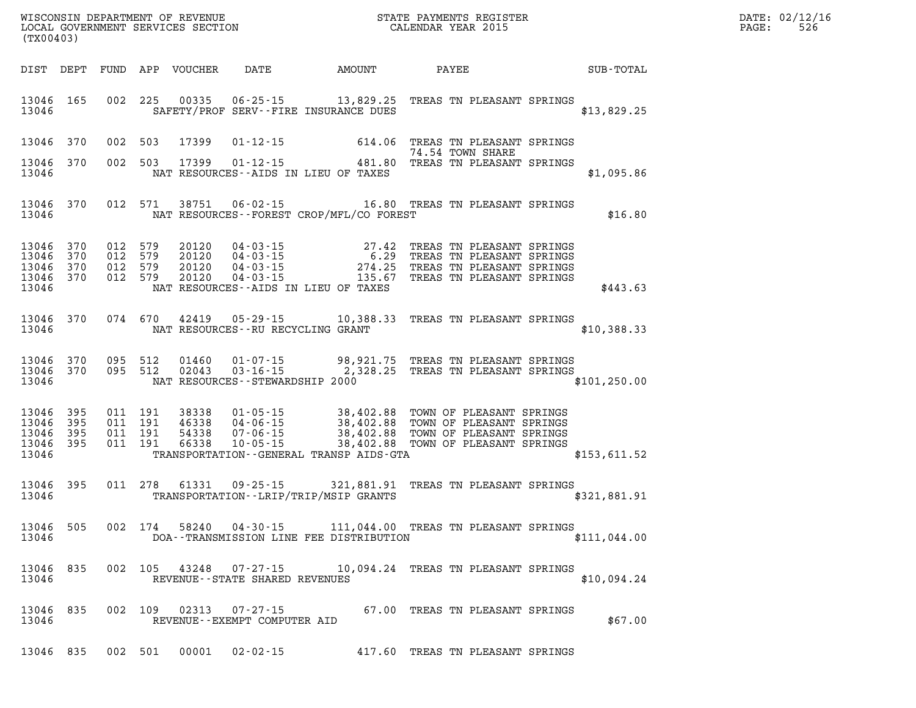| WISCONSIN DEPARTMENT OF REVENUE   | STATE PAYMENTS REGISTER | DATE: | .: 02/12/16 |
|-----------------------------------|-------------------------|-------|-------------|
| LOCAL GOVERNMENT SERVICES SECTION | CALENDAR YEAR 2015      | PAGE. | 526         |

| (TX00403)                                     |                   |                    |         | LOCAL GOVERNMENT SERVICES SECTION        |                                                  |                                          | CALENDAR YEAR 2015                                                                                                                                                            |               | PAGE: | 526 |
|-----------------------------------------------|-------------------|--------------------|---------|------------------------------------------|--------------------------------------------------|------------------------------------------|-------------------------------------------------------------------------------------------------------------------------------------------------------------------------------|---------------|-------|-----|
| DIST DEPT                                     |                   |                    |         |                                          |                                                  |                                          |                                                                                                                                                                               |               |       |     |
| 13046 165<br>13046                            |                   |                    |         |                                          |                                                  | SAFETY/PROF SERV--FIRE INSURANCE DUES    | 002 225 00335 06-25-15 13,829.25 TREAS TN PLEASANT SPRINGS                                                                                                                    | \$13,829.25   |       |     |
| 13046                                         | 370               |                    |         | 002 503 17399                            |                                                  |                                          | 01-12-15 614.06 TREAS TN PLEASANT SPRINGS<br>74.54 TOWN SHARE                                                                                                                 |               |       |     |
| 13046<br>13046                                | 370               |                    |         |                                          |                                                  | NAT RESOURCES--AIDS IN LIEU OF TAXES     | 74.54 TOWN SHARE<br>002 503 17399 01-12-15 481.80 TREAS TN PLEASANT SPRINGS                                                                                                   | \$1,095.86    |       |     |
| 13046 370<br>13046                            |                   |                    |         | 012 571 38751                            |                                                  | NAT RESOURCES--FOREST CROP/MFL/CO FOREST | 06-02-15 16.80 TREAS TN PLEASANT SPRINGS                                                                                                                                      | \$16.80       |       |     |
| 13046<br>13046<br>13046<br>13046 370<br>13046 | 370<br>370<br>370 | 012 579<br>012 579 | 012 579 | 20120<br>20120<br>20120<br>012 579 20120 |                                                  | NAT RESOURCES--AIDS IN LIEU OF TAXES     | 04-03-15 27.42 TREAS TN PLEASANT SPRINGS<br>04-03-15 6.29 TREAS TN PLEASANT SPRINGS<br>04-03-15 274.25 TREAS TN PLEASANT SPRINGS<br>04-03-15 135.67 TREAS TN PLEASANT SPRINGS | \$443.63      |       |     |
| 13046<br>13046                                | 370               |                    |         |                                          | NAT RESOURCES -- RU RECYCLING GRANT              |                                          | 074 670 42419 05-29-15 10,388.33 TREAS TN PLEASANT SPRINGS                                                                                                                    | \$10,388.33   |       |     |
| 13046<br>13046 370<br>13046                   | 370               |                    | 095 512 | 01460<br>095 512 02043                   | $03 - 16 - 15$                                   | NAT RESOURCES - STEWARDSHIP 2000         | 01-07-15 98,921.75 TREAS TN PLEASANT SPRINGS<br>2,328.25 TREAS TN PLEASANT SPRINGS                                                                                            | \$101, 250.00 |       |     |
| 13046<br>13046<br>13046<br>13046 395<br>13046 | 395<br>395<br>395 |                    |         |                                          |                                                  | TRANSPORTATION--GENERAL TRANSP AIDS-GTA  |                                                                                                                                                                               | \$153,611.52  |       |     |
| 13046<br>13046                                | 395               |                    |         |                                          |                                                  | TRANSPORTATION - - LRIP/TRIP/MSIP GRANTS | 011 278 61331 09-25-15 321,881.91 TREAS TN PLEASANT SPRINGS                                                                                                                   | \$321,881.91  |       |     |
| 13046<br>13046                                | 505               |                    |         |                                          |                                                  |                                          | 002 174 58240 04-30-15 111,044.00 TREAS TN PLEASANT SPRINGS<br>DOA--TRANSMISSION LINE FEE DISTRIBUTION                                                                        | \$111,044.00  |       |     |
| 13046<br>13046                                | 835               |                    |         | 002 105 43248                            | $07 - 27 - 15$<br>REVENUE--STATE SHARED REVENUES |                                          | 10,094.24 TREAS TN PLEASANT SPRINGS                                                                                                                                           | \$10,094.24   |       |     |
| 13046<br>13046                                | 835               |                    | 002 109 | 02313                                    | 07-27-15<br>REVENUE--EXEMPT COMPUTER AID         |                                          | 67.00 TREAS TN PLEASANT SPRINGS                                                                                                                                               | \$67.00       |       |     |
| 13046 835                                     |                   |                    |         |                                          | 002 501 00001 02-02-15                           |                                          | 417.60 TREAS TN PLEASANT SPRINGS                                                                                                                                              |               |       |     |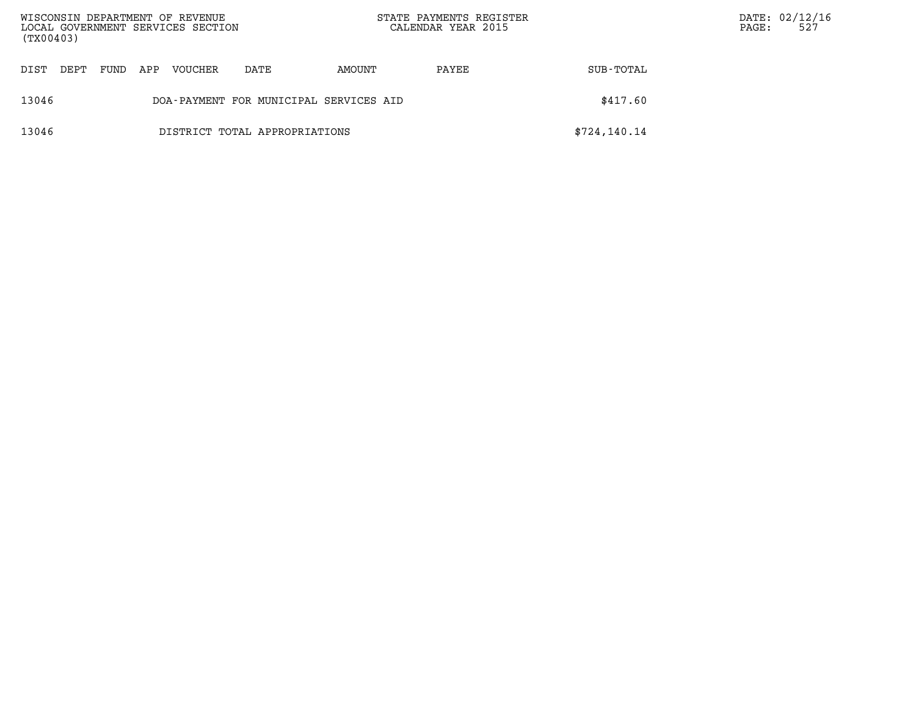| WISCONSIN DEPARTMENT OF REVENUE<br>LOCAL GOVERNMENT SERVICES SECTION<br>(TX00403) |                               |      |     |         |                                        | STATE PAYMENTS REGISTER<br>CALENDAR YEAR 2015 |       |              | DATE: 02/12/16<br>PAGE: | 527 |
|-----------------------------------------------------------------------------------|-------------------------------|------|-----|---------|----------------------------------------|-----------------------------------------------|-------|--------------|-------------------------|-----|
| DT ST                                                                             | DEPT                          | FUND | APP | VOUCHER | DATE                                   | AMOUNT                                        | PAYEE | SUB-TOTAL    |                         |     |
| 13046                                                                             |                               |      |     |         | DOA-PAYMENT FOR MUNICIPAL SERVICES AID |                                               |       | \$417.60     |                         |     |
| 13046                                                                             | DISTRICT TOTAL APPROPRIATIONS |      |     |         |                                        |                                               |       | \$724,140.14 |                         |     |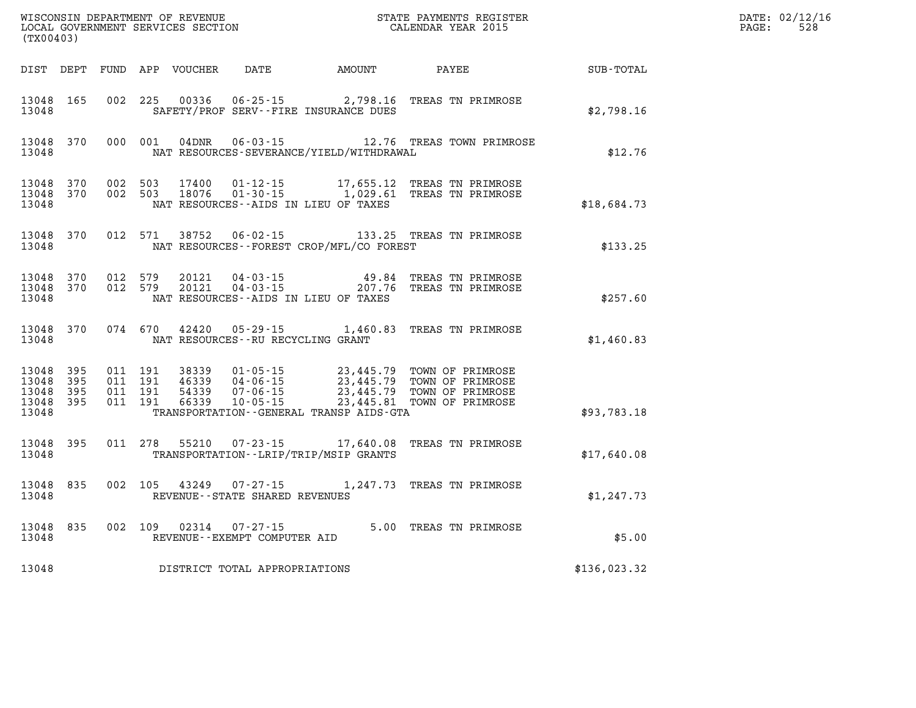| (TX00403)                                |                                |                                          |         |                |                                                  |                                                                                                                                                                                                                            |              | DATE: 02/12/16<br>528<br>$\mathtt{PAGE:}$ |
|------------------------------------------|--------------------------------|------------------------------------------|---------|----------------|--------------------------------------------------|----------------------------------------------------------------------------------------------------------------------------------------------------------------------------------------------------------------------------|--------------|-------------------------------------------|
|                                          |                                |                                          |         |                | DIST DEPT FUND APP VOUCHER DATE AMOUNT           | PAYEE                                                                                                                                                                                                                      | SUB-TOTAL    |                                           |
| 13048 165<br>13048                       |                                | 002 225                                  |         | 00336          | SAFETY/PROF SERV--FIRE INSURANCE DUES            | 06-25-15 2,798.16 TREAS TN PRIMROSE                                                                                                                                                                                        | \$2,798.16   |                                           |
| 13048                                    | 13048 370                      |                                          |         |                | NAT RESOURCES-SEVERANCE/YIELD/WITHDRAWAL         | 000 001 04DNR 06-03-15 12.76 TREAS TOWN PRIMROSE                                                                                                                                                                           | \$12.76      |                                           |
| 13048 370<br>13048 370<br>13048          |                                | 002 503<br>002 503                       |         | 17400<br>18076 | NAT RESOURCES--AIDS IN LIEU OF TAXES             | 01-12-15 17,655.12 TREAS TN PRIMROSE<br>01-30-15 1,029.61 TREAS TN PRIMROSE                                                                                                                                                | \$18,684.73  |                                           |
| 13048                                    | 13048 370                      | 012 571                                  |         | 38752          | NAT RESOURCES--FOREST CROP/MFL/CO FOREST         | 06-02-15 133.25 TREAS TN PRIMROSE                                                                                                                                                                                          | \$133.25     |                                           |
| 13048                                    | 13048 370 012 579<br>13048 370 | 012 579                                  |         | 20121<br>20121 | NAT RESOURCES--AIDS IN LIEU OF TAXES             | 04-03-15 49.84 TREAS TN PRIMROSE<br>04-03-15 207.76 TREAS TN PRIMROSE                                                                                                                                                      | \$257.60     |                                           |
| 13048                                    | 13048 370                      |                                          |         | 074 670 42420  | NAT RESOURCES - - RU RECYCLING GRANT             | 05-29-15 1,460.83 TREAS TN PRIMROSE                                                                                                                                                                                        | \$1,460.83   |                                           |
| 13048 395<br>13048<br>13048<br>13048 395 | - 395<br>- 395                 | 011 191<br>011 191<br>011 191<br>011 191 |         |                |                                                  | 38339  01-05-15  23,445.79  TOWN OF PRIMROSE<br>46339  04-06-15  23,445.79  TOWN OF PRIMROSE<br>54339  07-06-15  23,445.79  TOWN OF PRIMROSE<br>66339  10-05-15  23,445.81  TOWN OF PRIMROSE<br>23,445.81 TOWN OF PRIMROSE |              |                                           |
| 13048                                    |                                |                                          |         |                | TRANSPORTATION--GENERAL TRANSP AIDS-GTA          |                                                                                                                                                                                                                            | \$93,783.18  |                                           |
| 13048 395<br>13048                       |                                |                                          |         |                | TRANSPORTATION - - LRIP/TRIP/MSIP GRANTS         | 011 278 55210 07-23-15 17,640.08 TREAS TN PRIMROSE                                                                                                                                                                         | \$17,640.08  |                                           |
| 13048                                    | 13048 835                      |                                          | 002 105 |                | 43249 07-27-15<br>REVENUE--STATE SHARED REVENUES | 1,247.73 TREAS TN PRIMROSE                                                                                                                                                                                                 | \$1,247.73   |                                           |
| 13048                                    | 13048 835                      |                                          |         | 002 109 02314  | $07 - 27 - 15$<br>REVENUE--EXEMPT COMPUTER AID   | 5.00 TREAS TN PRIMROSE                                                                                                                                                                                                     | \$5.00       |                                           |
| 13048                                    |                                |                                          |         |                | DISTRICT TOTAL APPROPRIATIONS                    |                                                                                                                                                                                                                            | \$136,023.32 |                                           |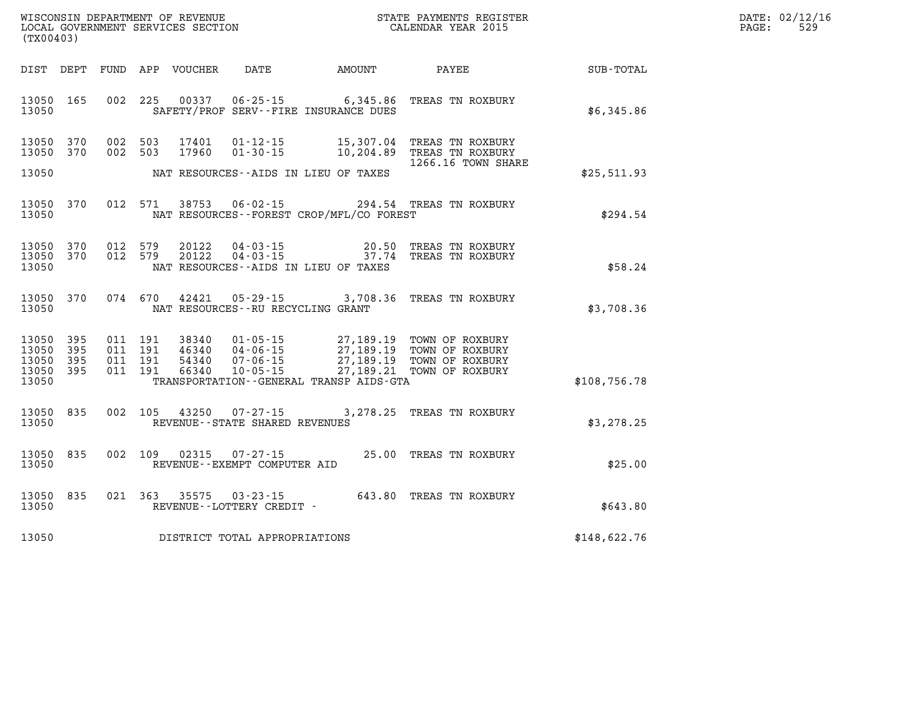| DATE: | 02/12/16 |
|-------|----------|
| PAGE: | 529      |

| (TX00403)                                 |                          |                          |                          | WISCONSIN DEPARTMENT OF REVENUE<br>LOCAL GOVERNMENT SERVICES SECTION |                                                                      |                                                                                                      | STATE PAYMENTS REGISTER<br>CALENDAR YEAR 2015                            |                  |  |  |
|-------------------------------------------|--------------------------|--------------------------|--------------------------|----------------------------------------------------------------------|----------------------------------------------------------------------|------------------------------------------------------------------------------------------------------|--------------------------------------------------------------------------|------------------|--|--|
| DIST                                      | DEPT                     | FUND                     | APP                      | <b>VOUCHER</b>                                                       | DATE                                                                 | <b>AMOUNT</b>                                                                                        | PAYEE                                                                    | <b>SUB-TOTAL</b> |  |  |
| 13050<br>13050                            | 165                      | 002                      | 225                      | 00337                                                                | $06 - 25 - 15$                                                       | 6,345.86<br>SAFETY/PROF SERV--FIRE INSURANCE DUES                                                    | TREAS TN ROXBURY                                                         | \$6,345.86       |  |  |
| 13050<br>13050                            | 370<br>370               | 002<br>002               | 503<br>503               | 17401<br>17960                                                       | $01 - 12 - 15$<br>$01 - 30 - 15$                                     | 15,307.04<br>10,204.89                                                                               | TREAS TN ROXBURY<br>TREAS TN ROXBURY<br>1266.16 TOWN SHARE               |                  |  |  |
| 13050                                     |                          |                          |                          |                                                                      |                                                                      | NAT RESOURCES--AIDS IN LIEU OF TAXES                                                                 |                                                                          | \$25,511.93      |  |  |
| 13050<br>13050                            | 370                      | 012                      | 571                      | 38753                                                                | $06 - 02 - 15$                                                       | NAT RESOURCES - - FOREST CROP/MFL/CO FOREST                                                          | 294.54 TREAS TN ROXBURY                                                  | \$294.54         |  |  |
| 13050<br>13050<br>13050                   | 370<br>370               | 012<br>012               | 579<br>579               | 20122<br>20122                                                       | $04 - 03 - 15$<br>$04 - 03 - 15$                                     | 20.50<br>37.74<br>NAT RESOURCES - AIDS IN LIEU OF TAXES                                              | TREAS TN ROXBURY<br>TREAS TN ROXBURY                                     | \$58.24          |  |  |
| 13050<br>13050                            | 370                      | 074                      | 670                      | 42421                                                                | $05 - 29 - 15$<br>NAT RESOURCES - - RU RECYCLING GRANT               | 3,708.36                                                                                             | TREAS TN ROXBURY                                                         | \$3,708.36       |  |  |
| 13050<br>13050<br>13050<br>13050<br>13050 | 395<br>395<br>395<br>395 | 011<br>011<br>011<br>011 | 191<br>191<br>191<br>191 | 38340<br>46340<br>54340<br>66340                                     | $01 - 05 - 15$<br>$04 - 06 - 15$<br>$07 - 06 - 15$<br>$10 - 05 - 15$ | 27,189.19<br>27, 189. 19<br>27,189.19<br>27, 189. 21<br>TRANSPORTATION - - GENERAL TRANSP AIDS - GTA | TOWN OF ROXBURY<br>TOWN OF ROXBURY<br>TOWN OF ROXBURY<br>TOWN OF ROXBURY | \$108,756.78     |  |  |
| 13050<br>13050                            | 835                      | 002                      | 105                      | 43250                                                                | $07 - 27 - 15$<br>REVENUE - - STATE SHARED REVENUES                  | 3,278.25                                                                                             | TREAS TN ROXBURY                                                         | \$3,278.25       |  |  |
| 13050<br>13050                            | 835                      | 002                      | 109                      | 02315                                                                | $07 - 27 - 15$<br>REVENUE--EXEMPT COMPUTER AID                       | 25.00                                                                                                | TREAS TN ROXBURY                                                         | \$25.00          |  |  |
| 13050<br>13050                            | 835                      | 021                      | 363                      | 35575                                                                | $03 - 23 - 15$<br>REVENUE--LOTTERY CREDIT -                          | 643.80                                                                                               | TREAS TN ROXBURY                                                         | \$643.80         |  |  |
| 13050                                     |                          |                          |                          |                                                                      | DISTRICT TOTAL APPROPRIATIONS                                        |                                                                                                      |                                                                          | \$148,622.76     |  |  |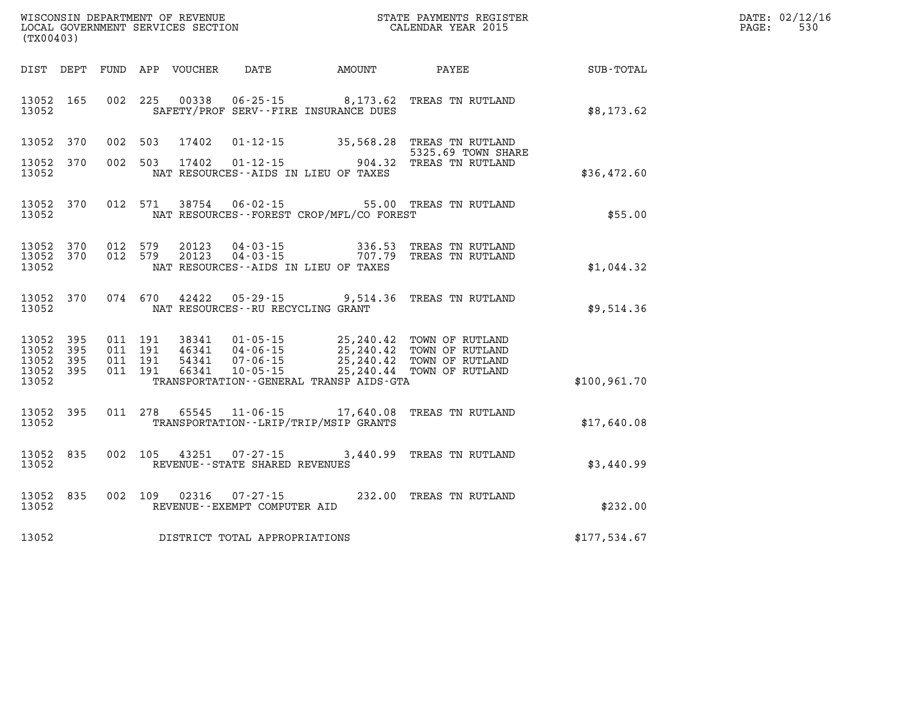| DATE: | 02/12/16 |
|-------|----------|
| PAGE: | 530      |

| (TX00403)                                 |                          |                          | WISCONSIN DEPARTMENT OF REVENUE<br>LOCAL GOVERNMENT SERVICES SECTION |                                                                                                                      |                                      | STATE PAYMENTS REGISTER<br>CALENDAR YEAR 2015                                       |              |
|-------------------------------------------|--------------------------|--------------------------|----------------------------------------------------------------------|----------------------------------------------------------------------------------------------------------------------|--------------------------------------|-------------------------------------------------------------------------------------|--------------|
| DIST                                      | DEPT                     | FUND                     | APP<br>VOUCHER                                                       | DATE                                                                                                                 | AMOUNT                               | PAYEE                                                                               | SUB-TOTAL    |
| 13052<br>13052                            | 165                      | 002                      | 225<br>00338                                                         | SAFETY/PROF SERV--FIRE INSURANCE DUES                                                                                | $06 - 25 - 15$ 8, 173.62             | TREAS TN RUTLAND                                                                    | \$8,173.62   |
| 13052                                     | 370                      | 002                      | 503<br>17402                                                         | $01 - 12 - 15$                                                                                                       | 35,568.28                            | TREAS TN RUTLAND<br>5325.69 TOWN SHARE                                              |              |
| 13052<br>13052                            | 370                      | 002                      | 503<br>17402                                                         | $01 - 12 - 15$<br>NAT RESOURCES - AIDS IN LIEU OF TAXES                                                              | 904.32                               | TREAS TN RUTLAND                                                                    | \$36,472.60  |
| 13052<br>13052                            | 370                      | 012                      | 571<br>38754                                                         | $06 - 02 - 15$<br>NAT RESOURCES - - FOREST CROP/MFL/CO FOREST                                                        |                                      | 55.00 TREAS TN RUTLAND                                                              | \$55.00      |
| 13052<br>13052<br>13052                   | 370<br>370               | 012<br>012               | 579<br>20123<br>579<br>20123                                         | $04 - 03 - 15$<br>$04 - 03 - 15$<br>NAT RESOURCES - AIDS IN LIEU OF TAXES                                            | 336.53<br>707.79                     | TREAS TN RUTLAND<br>TREAS TN RUTLAND                                                | \$1,044.32   |
| 13052<br>13052                            | 370                      | 074                      | 670<br>42422                                                         | $05 - 29 - 15$ 9,514.36<br>NAT RESOURCES - - RU RECYCLING GRANT                                                      |                                      | TREAS TN RUTLAND                                                                    | \$9,514.36   |
| 13052<br>13052<br>13052<br>13052<br>13052 | 395<br>395<br>395<br>395 | 011<br>011<br>011<br>011 | 191<br>38341<br>191<br>46341<br>191<br>54341<br>191<br>66341         | $01 - 05 - 15$<br>$04 - 06 - 15$<br>$07 - 06 - 15$<br>$10 - 05 - 15$<br>TRANSPORTATION - - GENERAL TRANSP AIDS - GTA | 25,240.42<br>25,240.42<br>25, 240.44 | 25, 240.42 TOWN OF RUTLAND<br>TOWN OF RUTLAND<br>TOWN OF RUTLAND<br>TOWN OF RUTLAND | \$100,961.70 |
| 13052<br>13052                            | 395                      | 011                      | 278                                                                  | 65545 11-06-15<br>TRANSPORTATION - - LRIP/TRIP/MSIP GRANTS                                                           | 17,640.08                            | TREAS TN RUTLAND                                                                    | \$17,640.08  |
| 13052<br>13052                            | 835                      | 002                      | 105<br>43251                                                         | $07 - 27 - 15$<br>REVENUE--STATE SHARED REVENUES                                                                     | 3,440.99                             | TREAS TN RUTLAND                                                                    | \$3,440.99   |
| 13052<br>13052                            | 835                      | 002                      | 109<br>02316                                                         | $07 - 27 - 15$<br>REVENUE--EXEMPT COMPUTER AID                                                                       | 232.00                               | TREAS TN RUTLAND                                                                    | \$232.00     |
| 13052                                     |                          |                          |                                                                      | DISTRICT TOTAL APPROPRIATIONS                                                                                        |                                      |                                                                                     | \$177,534.67 |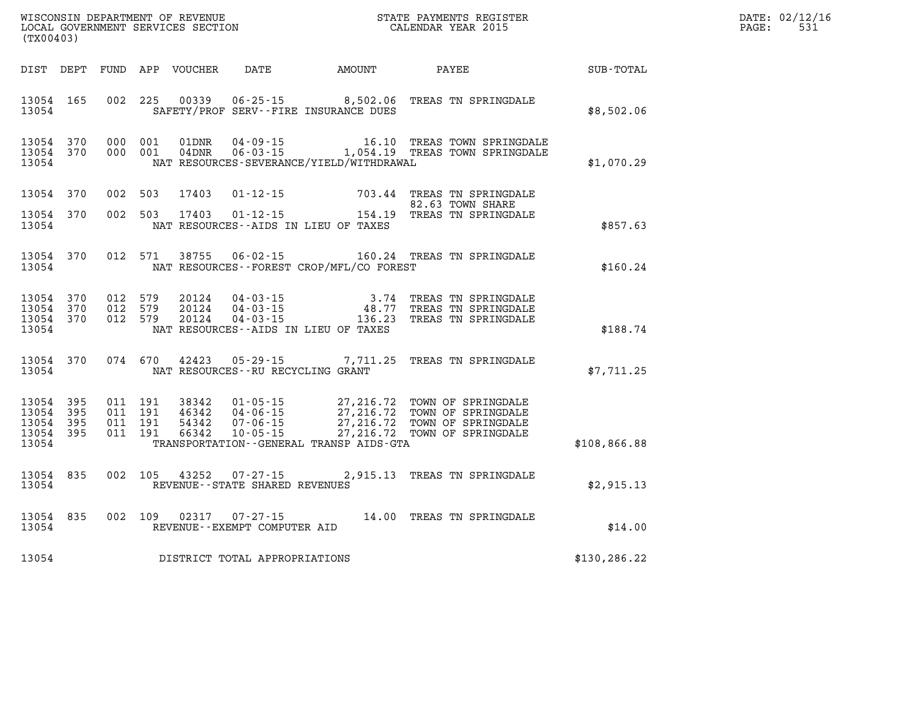| WISCONSIN DEPARTMENT OF REVENUE      | PAYMENTS REGISTER<br>3TATE | DATE. | 02/12/16       |
|--------------------------------------|----------------------------|-------|----------------|
| LOCAL<br>GOVERNMENT SERVICES SECTION | CALENDAR YEAR 2015         | PAGE  | $ \sim$<br>--- |

| (TX00403)          |                                            |                                         | LOCAL GOVERNMENT SERVICES SECTION |                                         |                                                | CALENDAR YEAR 2015                                                                                                                                                                                                       |               | PAGE: | 531 |
|--------------------|--------------------------------------------|-----------------------------------------|-----------------------------------|-----------------------------------------|------------------------------------------------|--------------------------------------------------------------------------------------------------------------------------------------------------------------------------------------------------------------------------|---------------|-------|-----|
|                    |                                            |                                         |                                   |                                         |                                                | DIST DEPT FUND APP VOUCHER DATE AMOUNT PAYEE SUB-TOTAL                                                                                                                                                                   |               |       |     |
| 13054              |                                            |                                         |                                   |                                         | SAFETY/PROF SERV--FIRE INSURANCE DUES          | 13054 165 002 225 00339 06-25-15 8,502.06 TREAS TN SPRINGDALE                                                                                                                                                            | \$8,502.06    |       |     |
| 13054              | 13054 370 000 001<br>13054 370             | 000 001                                 |                                   |                                         | NAT RESOURCES-SEVERANCE/YIELD/WITHDRAWAL       |                                                                                                                                                                                                                          | \$1,070.29    |       |     |
| 13054 370          |                                            |                                         |                                   |                                         |                                                | 002 503 17403 01-12-15 703.44 TREAS TN SPRINGDALE<br>82.63 TOWN SHARE 82.63 AM SHARE<br>154.19 TREAS TN SPRINGDALE                                                                                                       |               |       |     |
| 13054 370<br>13054 |                                            |                                         |                                   |                                         | NAT RESOURCES--AIDS IN LIEU OF TAXES           |                                                                                                                                                                                                                          | \$857.63      |       |     |
|                    |                                            |                                         |                                   |                                         | 13054 NAT RESOURCES--FOREST CROP/MFL/CO FOREST | 13054 370 012 571 38755 06-02-15 160.24 TREAS TN SPRINGDALE                                                                                                                                                              | \$160.24      |       |     |
| 13054              | 13054 370<br>13054 370                     | 13054 370 012 579<br>012 579<br>012 579 |                                   |                                         | NAT RESOURCES--AIDS IN LIEU OF TAXES           | 20124  04-03-15  3.74 TREAS TN SPRINGDALE<br>20124  04-03-15  48.77 TREAS TN SPRINGDALE<br>20124  04-03-15  136.23 TREAS TN SPRINGDALE                                                                                   | \$188.74      |       |     |
|                    |                                            |                                         |                                   | 13054 NAT RESOURCES--RU RECYCLING GRANT |                                                | 13054 370 074 670 42423 05-29-15 7,711.25 TREAS TN SPRINGDALE                                                                                                                                                            | \$7,711.25    |       |     |
| 13054<br>13054     | 13054 395<br>395<br>13054 395<br>13054 395 |                                         |                                   |                                         | TRANSPORTATION - - GENERAL TRANSP AIDS - GTA   | 011 191 38342 01-05-15 27,216.72 TOWN OF SPRINGDALE<br>011 191 46342 04-06-15 27,216.72 TOWN OF SPRINGDALE<br>011 191 54342 07-06-15 27,216.72 TOWN OF SPRINGDALE<br>011 191 66342 10-05-15 27,216.72 TOWN OF SPRINGDALE | \$108,866.88  |       |     |
| 13054              |                                            |                                         |                                   | REVENUE--STATE SHARED REVENUES          |                                                | 13054 835 002 105 43252 07-27-15 2,915.13 TREAS TN SPRINGDALE                                                                                                                                                            | \$2,915.13    |       |     |
| 13054              |                                            |                                         |                                   | REVENUE--EXEMPT COMPUTER AID            |                                                | 13054 835 002 109 02317 07-27-15 14.00 TREAS TN SPRINGDALE                                                                                                                                                               | \$14.00       |       |     |
| 13054              |                                            |                                         |                                   | DISTRICT TOTAL APPROPRIATIONS           |                                                |                                                                                                                                                                                                                          | \$130, 286.22 |       |     |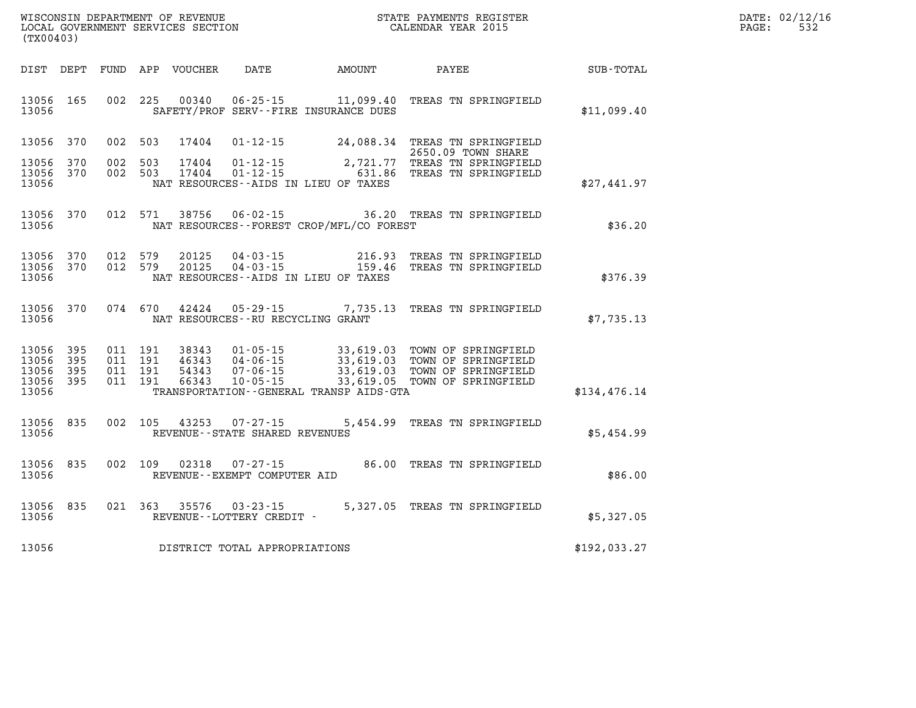| DATE:             | 02/12/16 |
|-------------------|----------|
| $\mathtt{PAGE}$ : | 532      |

| DIST<br>DEPT<br>FUND                                                                              | APP<br>VOUCHER<br>DATE                                                                                                                                                          | AMOUNT                                           | PAYEE                                                                                      | SUB-TOTAL    |
|---------------------------------------------------------------------------------------------------|---------------------------------------------------------------------------------------------------------------------------------------------------------------------------------|--------------------------------------------------|--------------------------------------------------------------------------------------------|--------------|
| 002<br>13056<br>165<br>13056                                                                      | 225<br>00340<br>$06 - 25 - 15$<br>SAFETY/PROF SERV--FIRE INSURANCE DUES                                                                                                         | 11,099.40                                        | TREAS TN SPRINGFIELD                                                                       | \$11,099.40  |
| 002<br>13056<br>370<br>13056<br>370<br>002<br>13056<br>370<br>002<br>13056                        | 503<br>17404<br>$01 - 12 - 15$<br>503<br>17404<br>$01 - 12 - 15$<br>$01 - 12 - 15$<br>503<br>17404<br>NAT RESOURCES -- AIDS IN LIEU OF TAXES                                    | 24,088.34<br>2,721.77<br>631.86                  | TREAS TN SPRINGFIELD<br>2650.09 TOWN SHARE<br>TREAS TN SPRINGFIELD<br>TREAS TN SPRINGFIELD | \$27,441.97  |
| 370<br>012<br>13056<br>13056                                                                      | 571<br>38756<br>$06 - 02 - 15$<br>NAT RESOURCES - - FOREST CROP/MFL/CO FOREST                                                                                                   | 36.20                                            | TREAS TN SPRINGFIELD                                                                       | \$36.20      |
| 13056<br>370<br>012<br>012<br>13056<br>370<br>13056                                               | 579<br>20125<br>$04 - 03 - 15$<br>579<br>$04 - 03 - 15$<br>20125<br>NAT RESOURCES -- AIDS IN LIEU OF TAXES                                                                      | 216.93<br>159.46                                 | TREAS TN SPRINGFIELD<br>TREAS TN SPRINGFIELD                                               | \$376.39     |
| 370<br>074<br>13056<br>13056                                                                      | 670<br>42424<br>$05 - 29 - 15$<br>NAT RESOURCES - - RU RECYCLING GRANT                                                                                                          | 7,735.13                                         | TREAS TN SPRINGFIELD                                                                       | \$7,735.13   |
| 395<br>011<br>13056<br>13056<br>395<br>011<br>13056<br>395<br>011<br>13056<br>395<br>011<br>13056 | 191<br>38343<br>$01 - 05 - 15$<br>191<br>46343<br>$04 - 06 - 15$<br>191<br>54343<br>$07 - 06 - 15$<br>191<br>66343<br>$10 - 05 - 15$<br>TRANSPORTATION--GENERAL TRANSP AIDS-GTA | 33,619.03<br>33,619.03<br>33,619.03<br>33,619.05 | TOWN OF SPRINGFIELD<br>TOWN OF SPRINGFIELD<br>TOWN OF SPRINGFIELD<br>TOWN OF SPRINGFIELD   | \$134,476.14 |
| 835<br>002<br>13056<br>13056                                                                      | 105<br>43253<br>$07 - 27 - 15$<br>REVENUE - - STATE SHARED REVENUES                                                                                                             | 5,454.99                                         | TREAS TN SPRINGFIELD                                                                       | \$5,454.99   |
| 13056<br>835<br>002<br>13056                                                                      | 109<br>02318<br>$07 - 27 - 15$<br>REVENUE - - EXEMPT COMPUTER AID                                                                                                               | 86.00                                            | TREAS TN SPRINGFIELD                                                                       | \$86.00      |
| 835<br>021<br>13056<br>13056                                                                      | 363<br>35576<br>$03 - 23 - 15$<br>REVENUE--LOTTERY CREDIT -                                                                                                                     | 5,327.05                                         | TREAS TN SPRINGFIELD                                                                       | \$5,327.05   |
| 13056                                                                                             | DISTRICT TOTAL APPROPRIATIONS                                                                                                                                                   |                                                  |                                                                                            | \$192,033.27 |

WISCONSIN DEPARTMENT OF REVENUE **STATE PAYMENTS REGISTER**<br>LOCAL GOVERNMENT SERVICES SECTION

LOCAL GOVERNMENT SERVICES SECTION

**(TX00403)**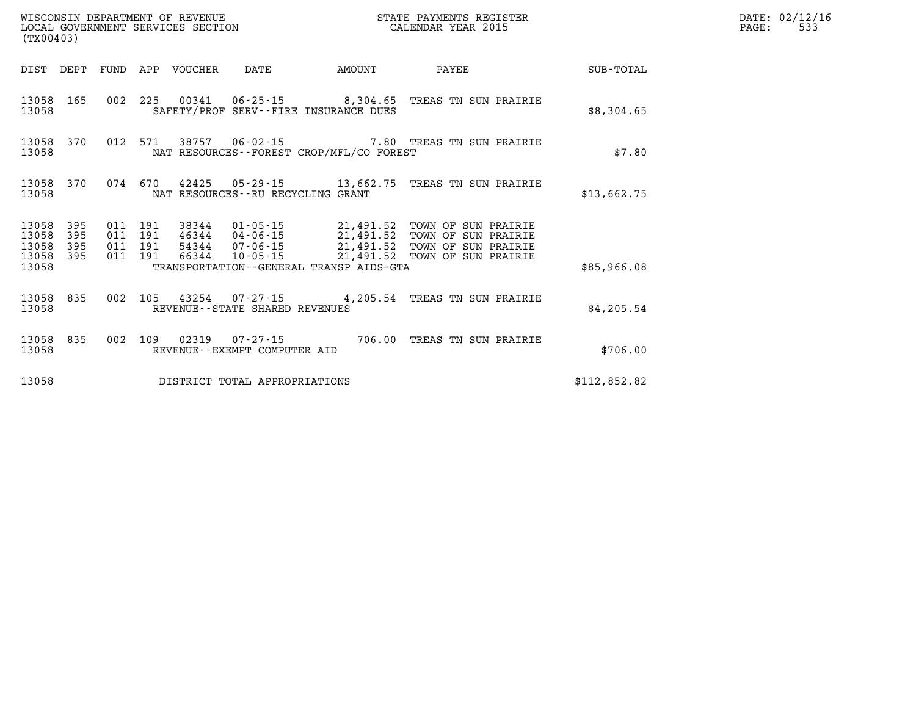| (TX00403)               |                   |                               |         | WISCONSIN DEPARTMENT OF REVENUE | LOCAL GOVERNMENT SERVICES SECTION |                                             | STATE PAYMENTS REGISTER<br>CALENDAR YEAR 2015                                                                                                                                                            |              | DATE: 02/12/16<br>PAGE:<br>533 |
|-------------------------|-------------------|-------------------------------|---------|---------------------------------|-----------------------------------|---------------------------------------------|----------------------------------------------------------------------------------------------------------------------------------------------------------------------------------------------------------|--------------|--------------------------------|
|                         |                   |                               |         | DIST DEPT FUND APP VOUCHER      | DATE                              | AMOUNT                                      | PAYEE                                                                                                                                                                                                    | SUB-TOTAL    |                                |
| 13058                   | 13058 165         |                               |         |                                 |                                   | SAFETY/PROF SERV--FIRE INSURANCE DUES       | 002 225 00341 06-25-15 8,304.65 TREAS TN SUN PRAIRIE                                                                                                                                                     | \$8,304.65   |                                |
| 13058                   | 13058 370         |                               | 012 571 |                                 |                                   | NAT RESOURCES - - FOREST CROP/MFL/CO FOREST | 38757   06-02-15   7.80   TREAS TN SUN PRAIRIE                                                                                                                                                           | \$7.80       |                                |
| 13058                   | 13058 370         |                               | 074 670 |                                 | NAT RESOURCES--RU RECYCLING GRANT |                                             | 42425  05-29-15  13,662.75  TREAS TN SUN PRAIRIE                                                                                                                                                         | \$13,662.75  |                                |
| 13058<br>13058<br>13058 | 395<br>395<br>395 | 011 191<br>011 191<br>011 191 |         |                                 |                                   |                                             | 38344  01-05-15  21,491.52  TOWN OF SUN PRAIRIE<br>46344  04-06-15  21,491.52  TOWN OF SUN PRAIRIE<br>54344  07-06-15  21,491.52  TOWN OF SUN PRAIRIE<br>66344  10-05-15  21,491.52  TOWN OF SUN PRAIRIE |              |                                |
| 13058 395<br>13058      |                   |                               | 011 191 |                                 |                                   | TRANSPORTATION--GENERAL TRANSP AIDS-GTA     |                                                                                                                                                                                                          | \$85,966.08  |                                |
| 13058                   | 13058 835         |                               |         |                                 | REVENUE--STATE SHARED REVENUES    |                                             | 002 105 43254 07-27-15 4, 205.54 TREAS TN SUN PRAIRIE                                                                                                                                                    | \$4,205.54   |                                |
| 13058                   | 13058 835         |                               |         |                                 | REVENUE--EXEMPT COMPUTER AID      |                                             | 002 109 02319 07-27-15 706.00 TREAS TN SUN PRAIRIE                                                                                                                                                       | \$706.00     |                                |
| 13058                   |                   |                               |         |                                 | DISTRICT TOTAL APPROPRIATIONS     |                                             |                                                                                                                                                                                                          | \$112,852.82 |                                |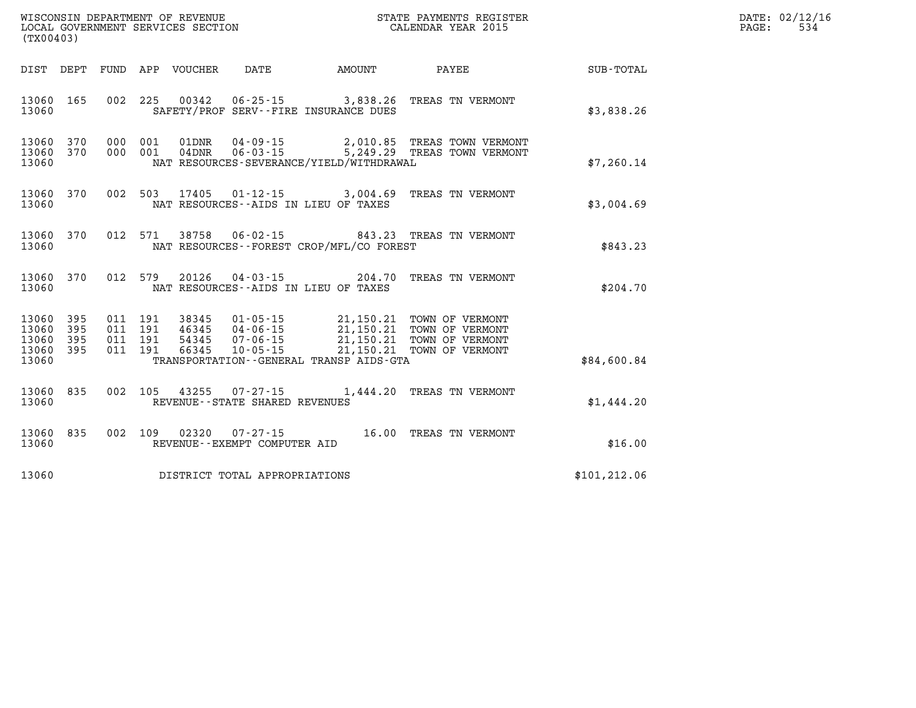| WISCONSIN DEPARTMENT OF REVENUE<br>LOCAL GOVERNMENT SERVICES SECTION<br>CALENDAR YEAR 2015<br>(TX00403) |     |  |                                     |                              |                                          |                                                                                                                                                                                                              |               | DATE: 02/12/16<br>$\mathtt{PAGE:}$<br>534 |
|---------------------------------------------------------------------------------------------------------|-----|--|-------------------------------------|------------------------------|------------------------------------------|--------------------------------------------------------------------------------------------------------------------------------------------------------------------------------------------------------------|---------------|-------------------------------------------|
|                                                                                                         |     |  |                                     |                              |                                          | DIST DEPT FUND APP VOUCHER DATE AMOUNT PAYEE                                                                                                                                                                 | SUB-TOTAL     |                                           |
| 13060 165<br>13060                                                                                      |     |  |                                     |                              | SAFETY/PROF SERV--FIRE INSURANCE DUES    | 002 225 00342 06-25-15 3,838.26 TREAS TN VERMONT                                                                                                                                                             | \$3,838.26    |                                           |
| 13060 370<br>13060 370<br>13060                                                                         |     |  |                                     |                              | NAT RESOURCES-SEVERANCE/YIELD/WITHDRAWAL | 000 001 01DNR 04-09-15 2,010.85 TREAS TOWN VERMONT<br>000 001 04DNR 06-03-15 5,249.29 TREAS TOWN VERMONT                                                                                                     | \$7,260.14    |                                           |
| 13060 370<br>13060                                                                                      |     |  |                                     |                              | NAT RESOURCES--AIDS IN LIEU OF TAXES     | 002 503 17405 01-12-15 3,004.69 TREAS TN VERMONT                                                                                                                                                             | \$3,004.69    |                                           |
| 13060 370<br>13060                                                                                      |     |  |                                     |                              | NAT RESOURCES--FOREST CROP/MFL/CO FOREST | 012 571 38758 06-02-15 843.23 TREAS TN VERMONT                                                                                                                                                               | \$843.23      |                                           |
| 13060 370<br>13060                                                                                      |     |  |                                     |                              | NAT RESOURCES--AIDS IN LIEU OF TAXES     | 012 579 20126 04-03-15 204.70 TREAS TN VERMONT                                                                                                                                                               | \$204.70      |                                           |
| 13060 395<br>13060 395                                                                                  |     |  |                                     |                              |                                          | 011 191 38345 01-05-15 21,150.21 TOWN OF VERMONT<br>011 191 46345 04-06-15 21,150.21 TOWN OF VERMONT<br>011 191 54345 07-06-15 21,150.21 TOWN OF VERMONT<br>011 191 66345 10-05-15 21,150.21 TOWN OF VERMONT |               |                                           |
| 13060<br>13060 395<br>13060                                                                             | 395 |  |                                     |                              | TRANSPORTATION--GENERAL TRANSP AIDS-GTA  |                                                                                                                                                                                                              | \$84,600.84   |                                           |
| 13060 835<br>13060                                                                                      |     |  | REVENUE--STATE SHARED REVENUES      |                              |                                          | 002 105 43255 07-27-15 1,444.20 TREAS TN VERMONT                                                                                                                                                             | \$1,444.20    |                                           |
| 13060 835<br>13060                                                                                      |     |  |                                     | REVENUE--EXEMPT COMPUTER AID |                                          | 002 109 02320 07-27-15 16.00 TREAS TN VERMONT                                                                                                                                                                | \$16.00       |                                           |
|                                                                                                         |     |  | 13060 DISTRICT TOTAL APPROPRIATIONS |                              |                                          |                                                                                                                                                                                                              | \$101, 212.06 |                                           |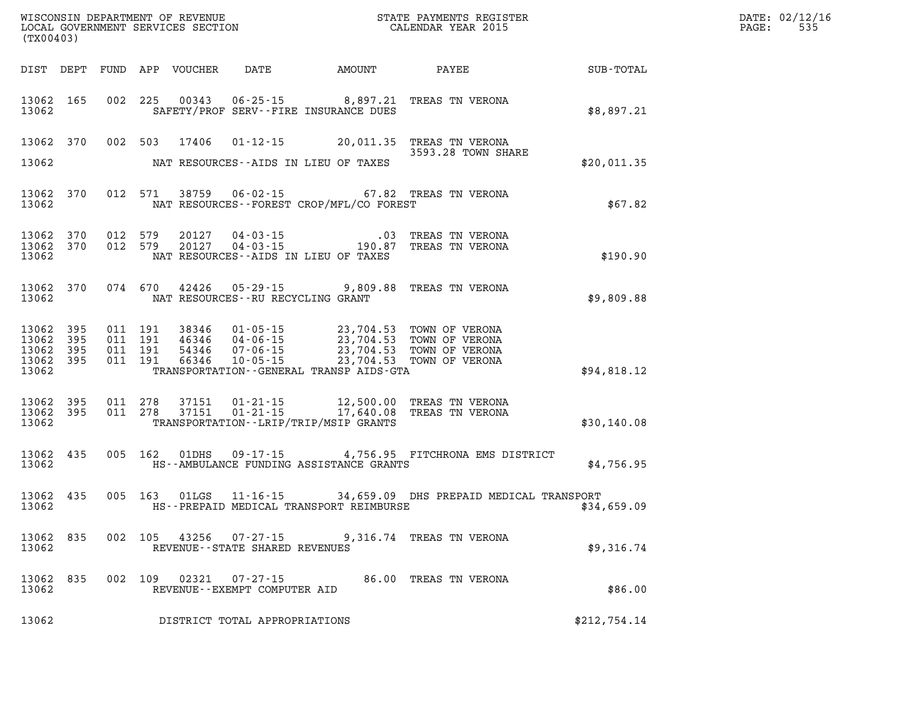| (TX00403)                                         |            |                               |         | WISCONSIN DEPARTMENT OF REVENUE<br>LOCAL GOVERNMENT SERVICES SECTION |                                             |                                             | STATE PAYMENTS REGISTER<br>CALENDAR YEAR 2015                                                                                                                                                                                                                                                                                                                  |              | DATE: 02/12/16<br>535<br>PAGE: |
|---------------------------------------------------|------------|-------------------------------|---------|----------------------------------------------------------------------|---------------------------------------------|---------------------------------------------|----------------------------------------------------------------------------------------------------------------------------------------------------------------------------------------------------------------------------------------------------------------------------------------------------------------------------------------------------------------|--------------|--------------------------------|
|                                                   |            |                               |         |                                                                      |                                             | DIST DEPT FUND APP VOUCHER DATE AMOUNT      | <b>PAYEE</b>                                                                                                                                                                                                                                                                                                                                                   | SUB-TOTAL    |                                |
| 13062 165<br>13062                                |            |                               |         |                                                                      |                                             | SAFETY/PROF SERV--FIRE INSURANCE DUES       | 002 225 00343 06-25-15 8,897.21 TREAS TN VERONA                                                                                                                                                                                                                                                                                                                | \$8,897.21   |                                |
| 13062                                             |            |                               |         | 13062 370 002 503 17406                                              |                                             | NAT RESOURCES--AIDS IN LIEU OF TAXES        | 01-12-15 20,011.35 TREAS TN VERONA<br>3593.28 TOWN SHARE                                                                                                                                                                                                                                                                                                       | \$20,011.35  |                                |
| 13062                                             | 13062 370  |                               |         |                                                                      |                                             | NAT RESOURCES - - FOREST CROP/MFL/CO FOREST | 012 571 38759 06-02-15 67.82 TREAS TN VERONA                                                                                                                                                                                                                                                                                                                   | \$67.82      |                                |
| 13062 370<br>13062                                | 13062 370  | 012 579                       | 012 579 | 20127<br>20127                                                       |                                             | NAT RESOURCES -- AIDS IN LIEU OF TAXES      |                                                                                                                                                                                                                                                                                                                                                                | \$190.90     |                                |
| 13062                                             | 13062 370  |                               |         | 074 670 42426                                                        | NAT RESOURCES - - RU RECYCLING GRANT        |                                             | 05-29-15 9,809.88 TREAS TN VERONA                                                                                                                                                                                                                                                                                                                              | \$9,809.88   |                                |
| 13062 395<br>13062<br>13062<br>13062 395<br>13062 | 395<br>395 | 011 191<br>011 191<br>011 191 | 011 191 | 38346                                                                |                                             | TRANSPORTATION--GENERAL TRANSP AIDS-GTA     | $\begin{array}{cccc} 3\,8\,3\,4\,6 & 01\cdot05\cdot15 & 23\,,704\cdot53 & \textrm{TOWN OF VERONA} \\ 4\,6\,3\,4\,6 & 04\cdot06\cdot15 & 23\,,704\cdot53 & \textrm{TOWN OF VERONA} \\ 5\,4\,3\,4\,6 & 07\cdot06\cdot15 & 23\,,704\cdot53 & \textrm{TOWN OF VERONA} \\ 6\,6\,3\,4\,6 & 10\cdot05\cdot15 & 23\,,704\cdot53 & \textrm{TOWN OF VERONA} \end{array}$ | \$94,818.12  |                                |
| 13062 395<br>13062                                | 13062 395  | 011 278<br>011 278            |         |                                                                      |                                             | TRANSPORTATION--LRIP/TRIP/MSIP GRANTS       | 37151  01-21-15  12,500.00 TREAS TN VERONA<br>37151  01-21-15  17,640.08 TREAS TN VERONA                                                                                                                                                                                                                                                                       | \$30,140.08  |                                |
| 13062                                             | 13062 435  |                               |         |                                                                      |                                             | HS--AMBULANCE FUNDING ASSISTANCE GRANTS     | 005 162 01DHS 09-17-15 4,756.95 FITCHRONA EMS DISTRICT                                                                                                                                                                                                                                                                                                         | \$4,756.95   |                                |
| 13062                                             | 13062 435  |                               |         | 005 163 01LGS                                                        |                                             | HS--PREPAID MEDICAL TRANSPORT REIMBURSE     | 11-16-15 34,659.09 DHS PREPAID MEDICAL TRANSPORT                                                                                                                                                                                                                                                                                                               | \$34,659.09  |                                |
| 13062 835<br>13062                                |            |                               |         |                                                                      | REVENUE--STATE SHARED REVENUES              |                                             | 002 105 43256 07-27-15 9,316.74 TREAS TN VERONA                                                                                                                                                                                                                                                                                                                | \$9,316.74   |                                |
| 13062<br>13062                                    | 835        |                               |         | 002 109 02321                                                        | 07-27-15<br>REVENUE - - EXEMPT COMPUTER AID |                                             | 86.00 TREAS TN VERONA                                                                                                                                                                                                                                                                                                                                          | \$86.00      |                                |
| 13062                                             |            |                               |         |                                                                      | DISTRICT TOTAL APPROPRIATIONS               |                                             |                                                                                                                                                                                                                                                                                                                                                                | \$212,754.14 |                                |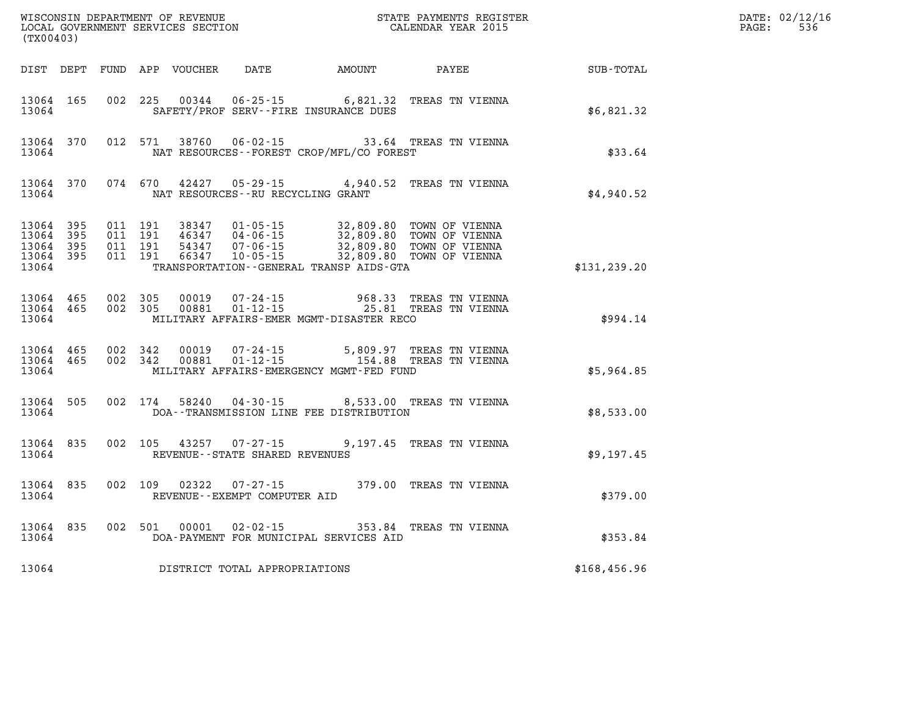| (TX00403) |                                                  |                                          |         |                         |                                     |                                              | ${\tt WISCONSIM\ DEPARTMENT\ OF\ REVENUE}\qquad \qquad {\tt STATE\ PAYMENTS\ REGISTER}\nonumber\\ {\tt LOCAL\ GOVERNMENT\ SERVICES\ SECTION}\qquad \qquad {\tt CALENDAR\ YEAR\ 2015}$ |              | DATE: 02/12/16<br>536<br>$\mathtt{PAGE}$ : |
|-----------|--------------------------------------------------|------------------------------------------|---------|-------------------------|-------------------------------------|----------------------------------------------|---------------------------------------------------------------------------------------------------------------------------------------------------------------------------------------|--------------|--------------------------------------------|
|           |                                                  |                                          |         |                         |                                     | DIST DEPT FUND APP VOUCHER DATE AMOUNT PAYEE |                                                                                                                                                                                       | SUB-TOTAL    |                                            |
| 13064     | 13064 165                                        |                                          |         |                         |                                     | SAFETY/PROF SERV--FIRE INSURANCE DUES        | 002 225 00344 06-25-15 6,821.32 TREAS TN VIENNA                                                                                                                                       | \$6,821.32   |                                            |
| 13064     | 13064 370                                        |                                          |         |                         |                                     | NAT RESOURCES - - FOREST CROP/MFL/CO FOREST  | 012 571 38760 06-02-15 33.64 TREAS TN VIENNA                                                                                                                                          | \$33.64      |                                            |
|           | 13064                                            |                                          |         |                         | NAT RESOURCES -- RU RECYCLING GRANT |                                              | 13064 370 074 670 42427 05-29-15 4,940.52 TREAS TN VIENNA                                                                                                                             | \$4,940.52   |                                            |
| 13064     | 13064 395<br>13064 395<br>13064 395<br>13064 395 | 011 191<br>011 191<br>011 191<br>011 191 |         |                         |                                     | TRANSPORTATION--GENERAL TRANSP AIDS-GTA      | 38347 01-05-15 32,809.80 TOWN OF VIENNA<br>46347 04-06-15 32,809.80 TOWN OF VIENNA<br>54347 07-06-15 32,809.80 TOWN OF VIENNA<br>66347 10-05-15 32,809.80 TOWN OF VIENNA              | \$131,239.20 |                                            |
| 13064     | 13064 465 002 305<br>13064 465                   | 002 305                                  |         |                         |                                     | MILITARY AFFAIRS-EMER MGMT-DISASTER RECO     | 00019  07-24-15  968.33  TREAS TN VIENNA<br>00881  01-12-15  25.81  TREAS TN VIENNA                                                                                                   | \$994.14     |                                            |
| 13064     | 13064 465 002 342<br>13064 465                   |                                          | 002 342 |                         |                                     | MILITARY AFFAIRS-EMERGENCY MGMT-FED FUND     |                                                                                                                                                                                       | \$5,964.85   |                                            |
| 13064     | 13064 505                                        |                                          |         | 002 174 58240           |                                     | DOA--TRANSMISSION LINE FEE DISTRIBUTION      | 04-30-15 8,533.00 TREAS TN VIENNA                                                                                                                                                     | \$8,533.00   |                                            |
| 13064     | 13064 835                                        |                                          |         |                         | REVENUE--STATE SHARED REVENUES      |                                              | 002 105 43257 07-27-15 9,197.45 TREAS TN VIENNA                                                                                                                                       | \$9,197.45   |                                            |
|           | 13064 835<br>13064                               |                                          |         |                         | REVENUE--EXEMPT COMPUTER AID        |                                              | 002 109 02322 07-27-15 379.00 TREAS TN VIENNA                                                                                                                                         | \$379.00     |                                            |
| 13064     |                                                  |                                          |         | 13064 835 002 501 00001 |                                     | DOA-PAYMENT FOR MUNICIPAL SERVICES AID       | 02-02-15 353.84 TREAS TN VIENNA                                                                                                                                                       | \$353.84     |                                            |
|           |                                                  |                                          |         |                         | 13064 DISTRICT TOTAL APPROPRIATIONS |                                              |                                                                                                                                                                                       | \$168,456.96 |                                            |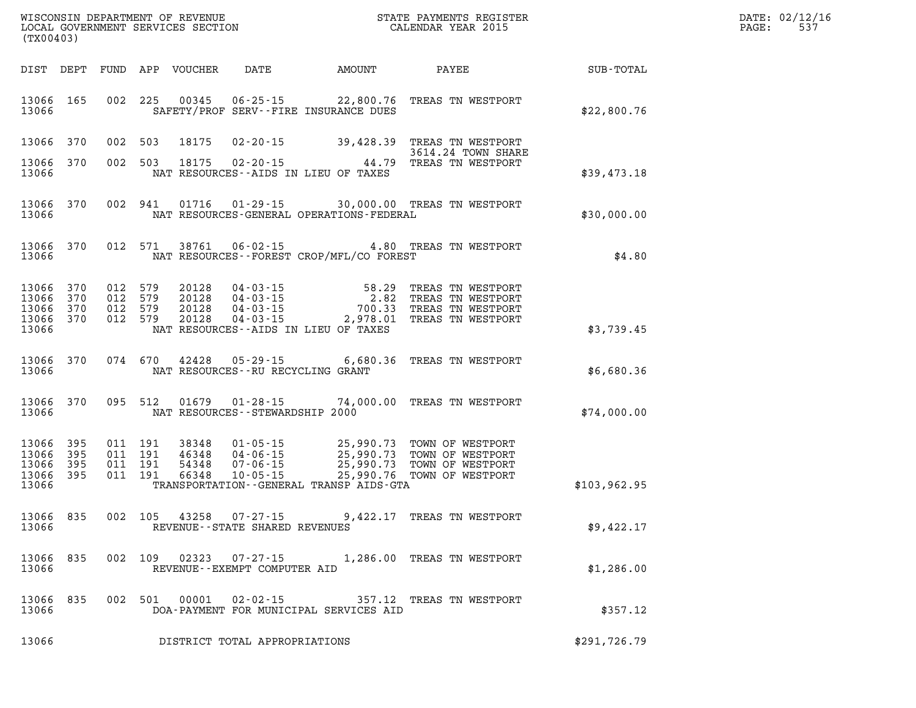| DATE: | 02/12/16 |
|-------|----------|
| PAGE: | 537      |

| (TX00403)                       |                   |                               | LOCAL GOVERNMENT SERVICES SECTION |                                      |                                          | CALENDAR YEAR 2015                                                                                                                                                                                                                                                                                                                                    |                                                        | PAGE: | 537 |
|---------------------------------|-------------------|-------------------------------|-----------------------------------|--------------------------------------|------------------------------------------|-------------------------------------------------------------------------------------------------------------------------------------------------------------------------------------------------------------------------------------------------------------------------------------------------------------------------------------------------------|--------------------------------------------------------|-------|-----|
|                                 |                   |                               |                                   |                                      |                                          |                                                                                                                                                                                                                                                                                                                                                       | DIST DEPT FUND APP VOUCHER DATE AMOUNT PAYEE SUB-TOTAL |       |     |
| 13066 165<br>13066              |                   |                               |                                   |                                      | SAFETY/PROF SERV--FIRE INSURANCE DUES    | 002 225 00345 06-25-15 22,800.76 TREAS TN WESTPORT                                                                                                                                                                                                                                                                                                    | \$22,800.76                                            |       |     |
| 13066 370                       |                   | 002 503                       |                                   |                                      |                                          | 18175  02-20-15  39,428.39  TREAS TN WESTPORT<br>3614.24 TOWN SHARE                                                                                                                                                                                                                                                                                   |                                                        |       |     |
| 13066 370<br>13066              |                   |                               |                                   |                                      | NAT RESOURCES--AIDS IN LIEU OF TAXES     | 3614.24 TOWN SHARE<br>002 503 18175 02-20-15 44.79 TREAS TN WESTPORT                                                                                                                                                                                                                                                                                  | \$39,473.18                                            |       |     |
| 13066                           | 13066 370         |                               |                                   |                                      | NAT RESOURCES-GENERAL OPERATIONS-FEDERAL | 002 941 01716 01-29-15 30,000.00 TREAS TN WESTPORT                                                                                                                                                                                                                                                                                                    | \$30,000.00                                            |       |     |
| 13066                           | 13066 370         |                               |                                   |                                      | NAT RESOURCES--FOREST CROP/MFL/CO FOREST | 012 571 38761 06-02-15 4.80 TREAS TN WESTPORT                                                                                                                                                                                                                                                                                                         | \$4.80                                                 |       |     |
| 13066 370<br>13066              | 370               |                               |                                   |                                      |                                          | $\begin{array}{cccc} 012 & 579 & 20128 & 04\cdot 03\cdot 15 & 58.29 & \text{TREAS TN WESTPORT} \\ 012 & 579 & 20128 & 04\cdot 03\cdot 15 & 2.82 & \text{TREAS TN WESTPORT} \\ 012 & 579 & 20128 & 04\cdot 03\cdot 15 & 700.33 & \text{TREAS TN WESTPORT} \\ 012 & 579 & 20128 & 04\cdot 03\cdot 15 & 2.978.01 & \text{TREAS TN WESTPORT} \end{array}$ |                                                        |       |     |
| 13066 370<br>13066 370<br>13066 |                   |                               |                                   |                                      | NAT RESOURCES--AIDS IN LIEU OF TAXES     |                                                                                                                                                                                                                                                                                                                                                       | \$3,739.45                                             |       |     |
| 13066                           | 13066 370         |                               |                                   | NAT RESOURCES - - RU RECYCLING GRANT |                                          | 074 670 42428 05-29-15 6,680.36 TREAS TN WESTPORT                                                                                                                                                                                                                                                                                                     | \$6,680.36                                             |       |     |
| 13066                           | 13066 370         | 095 512                       |                                   | NAT RESOURCES - - STEWARDSHIP 2000   |                                          | 01679  01-28-15  74,000.00  TREAS TN WESTPORT                                                                                                                                                                                                                                                                                                         | \$74,000.00                                            |       |     |
| 13066<br>13066<br>13066         | 395<br>395<br>395 | 011 191<br>011 191<br>011 191 |                                   |                                      |                                          | 38348  01-05-15  25,990.73  TOWN OF WESTPORT<br>46348  04-06-15  25,990.73  TOWN OF WESTPORT<br>54348  07-06-15  25,990.73  TOWN OF WESTPORT<br>66348  10-05-15  25,990.76  TOWN OF WESTPORT                                                                                                                                                          |                                                        |       |     |
| 13066 395<br>13066              |                   | 011 191                       |                                   |                                      | TRANSPORTATION--GENERAL TRANSP AIDS-GTA  |                                                                                                                                                                                                                                                                                                                                                       | \$103,962.95                                           |       |     |
| 13066 835<br>13066              |                   |                               |                                   | REVENUE - - STATE SHARED REVENUES    |                                          | 002 105 43258 07-27-15 9,422.17 TREAS TN WESTPORT                                                                                                                                                                                                                                                                                                     | \$9,422.17                                             |       |     |
| 13066 835<br>13066              |                   |                               |                                   | REVENUE--EXEMPT COMPUTER AID         |                                          | 002 109 02323 07-27-15 1,286.00 TREAS TN WESTPORT                                                                                                                                                                                                                                                                                                     | \$1,286.00                                             |       |     |
| 13066 835<br>13066              |                   |                               |                                   |                                      | DOA-PAYMENT FOR MUNICIPAL SERVICES AID   | 002 501 00001 02-02-15 357.12 TREAS TN WESTPORT                                                                                                                                                                                                                                                                                                       | \$357.12                                               |       |     |
| 13066                           |                   |                               |                                   | DISTRICT TOTAL APPROPRIATIONS        |                                          |                                                                                                                                                                                                                                                                                                                                                       | \$291,726.79                                           |       |     |

WISCONSIN DEPARTMENT OF REVENUE **STATE PAYMENTS REGISTER**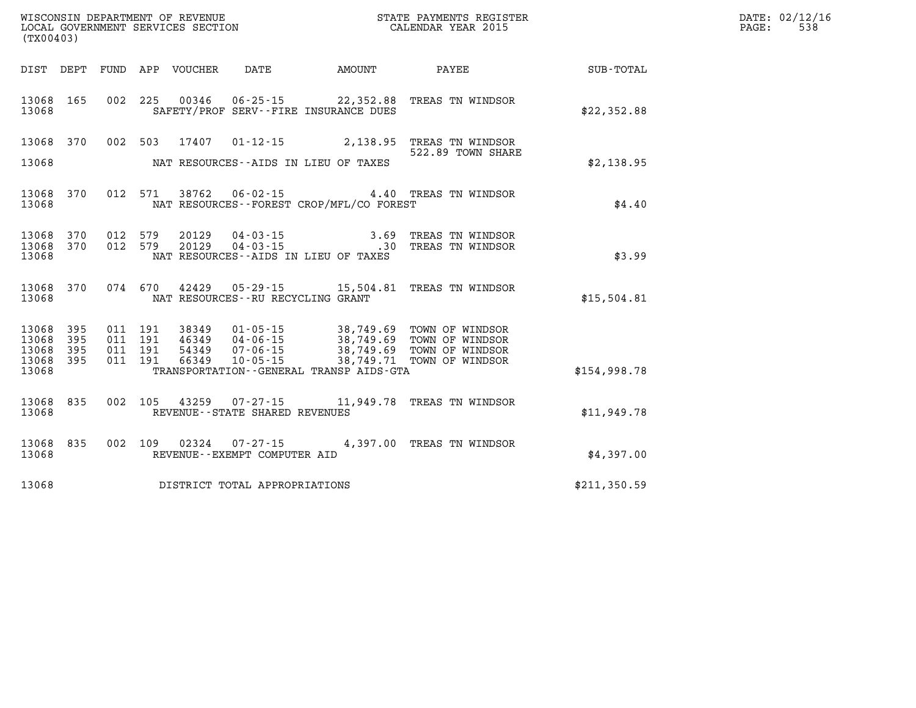| (TX00403)                                         |            |                   |                                          |                                 |                                   |                                              |                                                                                                                                                                                                      |              | DATE: 02/12/16<br>PAGE:<br>538 |
|---------------------------------------------------|------------|-------------------|------------------------------------------|---------------------------------|-----------------------------------|----------------------------------------------|------------------------------------------------------------------------------------------------------------------------------------------------------------------------------------------------------|--------------|--------------------------------|
|                                                   |            |                   |                                          | DIST DEPT FUND APP VOUCHER DATE |                                   |                                              | AMOUNT PAYEE SUB-TOTAL                                                                                                                                                                               |              |                                |
| 13068 165<br>13068                                |            |                   |                                          | 002 225 00346                   |                                   | SAFETY/PROF SERV--FIRE INSURANCE DUES        | 06-25-15 22,352.88 TREAS TN WINDSOR                                                                                                                                                                  | \$22,352.88  |                                |
| 13068                                             | 13068 370  |                   | 002 503                                  | 17407                           |                                   | NAT RESOURCES--AIDS IN LIEU OF TAXES         | 01-12-15 2,138.95 TREAS TN WINDSOR<br>522.89 TOWN SHARE                                                                                                                                              | \$2,138.95   |                                |
| 13068                                             | 13068 370  |                   |                                          |                                 |                                   | NAT RESOURCES - - FOREST CROP/MFL/CO FOREST  | 012 571 38762 06-02-15 4.40 TREAS TN WINDSOR                                                                                                                                                         | \$4.40       |                                |
| 13068                                             | 13068 370  | 13068 370 012 579 | 012 579                                  |                                 |                                   | NAT RESOURCES--AIDS IN LIEU OF TAXES         |                                                                                                                                                                                                      | \$3.99       |                                |
| 13068                                             | 13068 370  |                   |                                          |                                 | NAT RESOURCES--RU RECYCLING GRANT |                                              | 074 670 42429 05-29-15 15,504.81 TREAS TN WINDSOR                                                                                                                                                    | \$15,504.81  |                                |
| 13068 395<br>13068<br>13068<br>13068 395<br>13068 | 395<br>395 |                   | 011 191<br>011 191<br>011 191<br>011 191 |                                 |                                   | TRANSPORTATION - - GENERAL TRANSP AIDS - GTA | 38349   01-05-15   38,749.69   TOWN OF WINDSOR<br>46349   04-06-15   38,749.69   TOWN OF WINDSOR<br>54349   07-06-15   38,749.69   TOWN OF WINDSOR<br>66349   10-05-15   38,749.71   TOWN OF WINDSOR | \$154,998.78 |                                |
| 13068                                             | 13068 835  |                   |                                          |                                 | REVENUE - - STATE SHARED REVENUES |                                              | 002 105 43259 07-27-15 11,949.78 TREAS TN WINDSOR                                                                                                                                                    | \$11,949.78  |                                |
| 13068                                             | 13068 835  | 002 109           |                                          | 02324                           | REVENUE--EXEMPT COMPUTER AID      |                                              | 07-27-15 4,397.00 TREAS TN WINDSOR                                                                                                                                                                   | \$4,397.00   |                                |
| 13068                                             |            |                   |                                          |                                 | DISTRICT TOTAL APPROPRIATIONS     |                                              |                                                                                                                                                                                                      | \$211,350.59 |                                |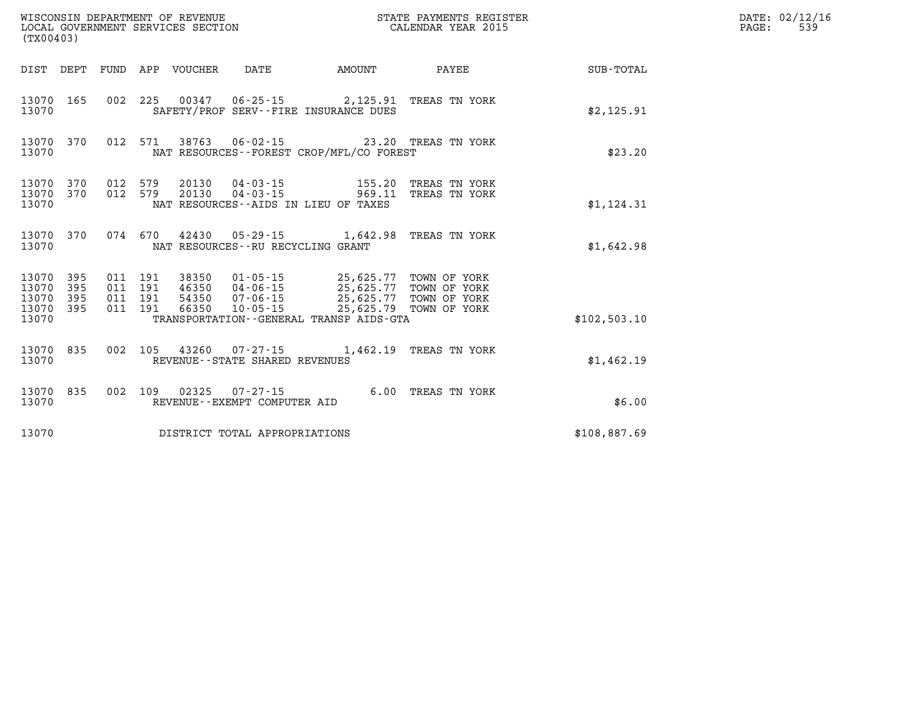| (TX00403)                            |                   |                                          |                            | WISCONSIN DEPARTMENT OF REVENUE<br>LOCAL GOVERNMENT SERVICES SECTION |        | STATE PAYMENTS REGISTER<br>CALENDAR YEAR 2015                 |              | DATE: 02/12/16<br>PAGE:<br>539 |
|--------------------------------------|-------------------|------------------------------------------|----------------------------|----------------------------------------------------------------------|--------|---------------------------------------------------------------|--------------|--------------------------------|
|                                      |                   |                                          | DIST DEPT FUND APP VOUCHER | DATE                                                                 | AMOUNT | PAYEE                                                         | SUB-TOTAL    |                                |
| 13070                                | 13070 165         |                                          |                            | SAFETY/PROF SERV--FIRE INSURANCE DUES                                |        | 002 225 00347 06-25-15 2,125.91 TREAS TN YORK                 | \$2,125.91   |                                |
| 13070                                | 13070 370         |                                          |                            | NAT RESOURCES - - FOREST CROP/MFL/CO FOREST                          |        | 012 571 38763 06-02-15 23.20 TREAS TN YORK                    | \$23.20      |                                |
| 13070 370<br>13070 370<br>13070      |                   | 012 579<br>012 579                       | 20130                      | 04-03-15<br>NAT RESOURCES--AIDS IN LIEU OF TAXES                     |        | 155.20 TREAS TN YORK<br>20130  04-03-15  969.11 TREAS TN YORK | \$1,124.31   |                                |
| 13070                                | 13070 370         |                                          |                            | NAT RESOURCES - - RU RECYCLING GRANT                                 |        | 074 670 42430 05-29-15 1,642.98 TREAS TN YORK                 | \$1,642.98   |                                |
| 13070<br>13070<br>13070<br>13070 395 | 395<br>395<br>395 | 011 191<br>011 191<br>011 191<br>011 191 | 38350<br>66350             | 01-05-15<br>10-05-15 25,625.79 TOWN OF YORK                          |        | 25,625.77 TOWN OF YORK                                        |              |                                |
| 13070                                |                   |                                          |                            | TRANSPORTATION--GENERAL TRANSP AIDS-GTA                              |        |                                                               | \$102,503.10 |                                |
| 13070 835<br>13070                   |                   |                                          |                            | REVENUE - - STATE SHARED REVENUES                                    |        | 002 105 43260 07-27-15 1,462.19 TREAS TN YORK                 | \$1,462.19   |                                |
| 13070 835<br>13070                   |                   | 002 109                                  |                            | REVENUE--EXEMPT COMPUTER AID                                         |        | 6.00 TREAS TN YORK                                            | \$6.00       |                                |
| 13070                                |                   |                                          |                            | DISTRICT TOTAL APPROPRIATIONS                                        |        |                                                               | \$108,887.69 |                                |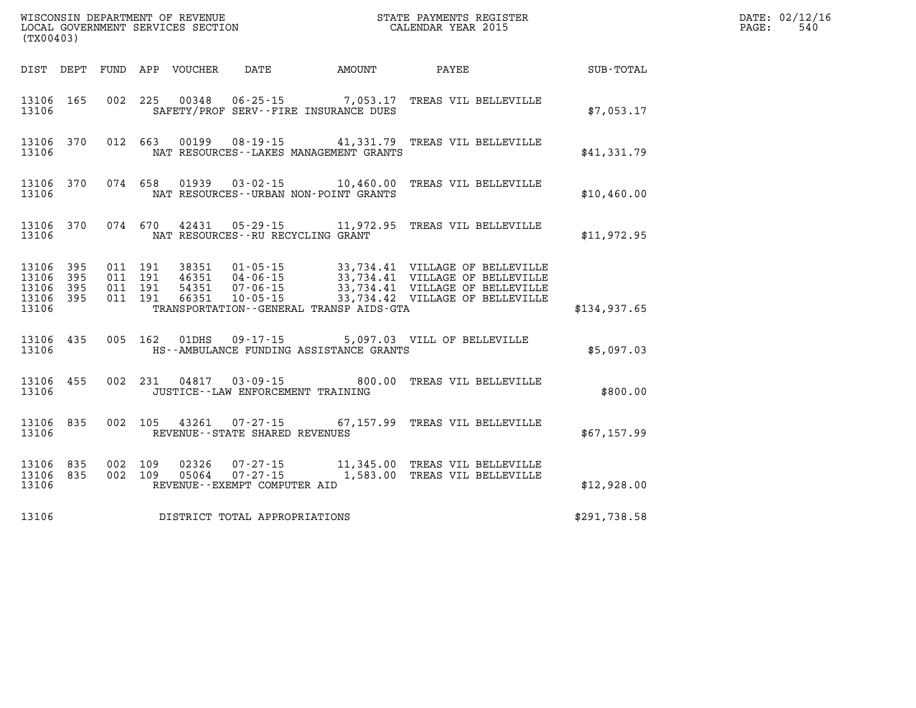| (TX00403)                                                 |     |  |                                                          | ${\tt WISCONSIM\ DEPARTMENT\ OF\ REVENUE}\qquad \qquad {\tt STATE\ PAYMENTS\ REGIS:}\nonumber\\ {\tt LOCAL\ GOVERNMENT\ SERVICES\ SECTION}\qquad \qquad {\tt CALEINDAR\ YEAR\ 2015}$<br>STATE PAYMENTS REGISTER |              | DATE: 02/12/16<br>PAGE:<br>540 |
|-----------------------------------------------------------|-----|--|----------------------------------------------------------|-----------------------------------------------------------------------------------------------------------------------------------------------------------------------------------------------------------------|--------------|--------------------------------|
|                                                           |     |  |                                                          | DIST DEPT FUND APP VOUCHER DATE AMOUNT PAYEE                                                                                                                                                                    | SUB-TOTAL    |                                |
| 13106 165<br>13106                                        |     |  | SAFETY/PROF SERV--FIRE INSURANCE DUES                    | 002 225 00348 06-25-15 7,053.17 TREAS VIL BELLEVILLE                                                                                                                                                            | \$7,053.17   |                                |
| 13106 370<br>13106                                        |     |  | NAT RESOURCES--LAKES MANAGEMENT GRANTS                   | 012 663 00199 08-19-15 41,331.79 TREAS VIL BELLEVILLE                                                                                                                                                           | \$41,331.79  |                                |
| 13106 370<br>13106                                        |     |  | NAT RESOURCES - - URBAN NON-POINT GRANTS                 | 074 658 01939 03-02-15 10,460.00 TREAS VIL BELLEVILLE                                                                                                                                                           | \$10,460.00  |                                |
| 13106<br>13106                                            | 370 |  | NAT RESOURCES - - RU RECYCLING GRANT                     | 074 670 42431 05-29-15 11,972.95 TREAS VIL BELLEVILLE                                                                                                                                                           | \$11,972.95  |                                |
| 13106 395<br>13106 395<br>13106 395<br>13106 395<br>13106 |     |  | TRANSPORTATION--GENERAL TRANSP AIDS-GTA                  |                                                                                                                                                                                                                 | \$134,937.65 |                                |
| 13106 435<br>13106                                        |     |  | HS--AMBULANCE FUNDING ASSISTANCE GRANTS                  | 005 162 01DHS 09-17-15 5,097.03 VILL OF BELLEVILLE                                                                                                                                                              | \$5,097.03   |                                |
| 13106 455<br>13106                                        |     |  | JUSTICE--LAW ENFORCEMENT TRAINING                        | 002 231 04817 03-09-15 800.00 TREAS VIL BELLEVILLE                                                                                                                                                              | \$800.00     |                                |
| 13106 835<br>13106                                        |     |  | 002 105 43261 07-27-15<br>REVENUE--STATE SHARED REVENUES | 67,157.99 TREAS VIL BELLEVILLE                                                                                                                                                                                  | \$67,157.99  |                                |
| 13106 835<br>13106 835<br>13106                           |     |  | REVENUE--EXEMPT COMPUTER AID                             | $\begin{array}{cccc} 002 & 109 & 02326 & 07\text{-}27\text{-}15 & 11,345.00 & \text{TREAS VIL BELLEVLILLE} \\ 002 & 109 & 05064 & 07\text{-}27\text{-}15 & 1,583.00 & \text{TREAS VIL BELLEVLILLE} \end{array}$ | \$12,928.00  |                                |
| 13106                                                     |     |  | DISTRICT TOTAL APPROPRIATIONS                            |                                                                                                                                                                                                                 | \$291,738.58 |                                |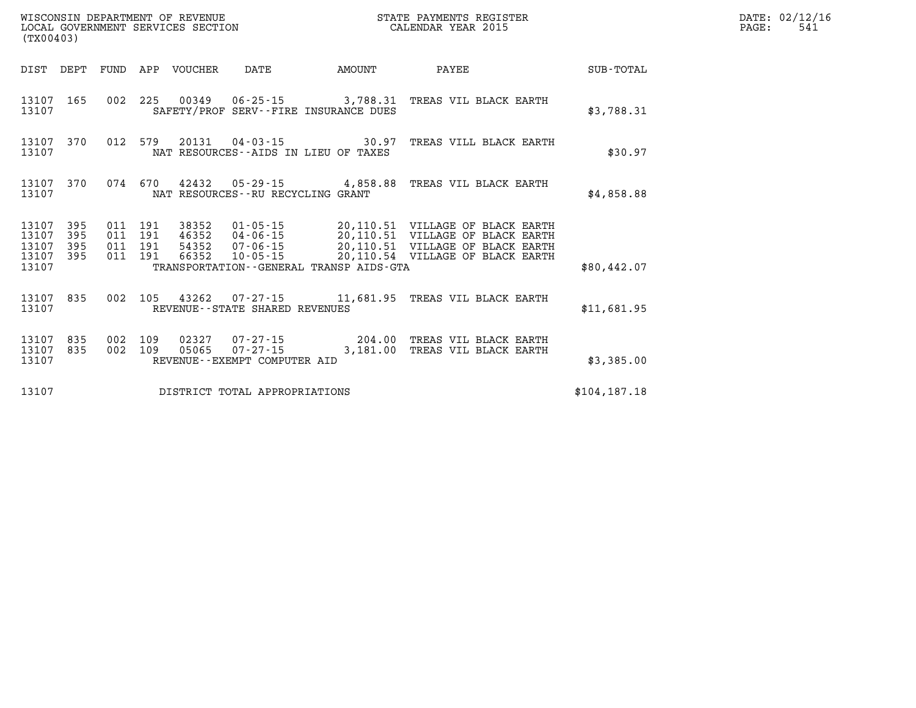| (TX00403)                        |                          |                          |                          | WISCONSIN DEPARTMENT OF REVENUE<br>LOCAL GOVERNMENT SERVICES SECTION |                                                | STATE PAYMENTS REGISTER<br>CALENDAR YEAR 2015                |                                                                                                                                                                |               |  |  |
|----------------------------------|--------------------------|--------------------------|--------------------------|----------------------------------------------------------------------|------------------------------------------------|--------------------------------------------------------------|----------------------------------------------------------------------------------------------------------------------------------------------------------------|---------------|--|--|
| DIST                             | DEPT                     | FUND                     | APP                      | VOUCHER                                                              | DATE                                           | AMOUNT                                                       | PAYEE                                                                                                                                                          | SUB-TOTAL     |  |  |
| 13107<br>13107                   | 165                      | 002                      | 225                      |                                                                      |                                                | SAFETY/PROF SERV--FIRE INSURANCE DUES                        | 00349  06-25-15  3,788.31  TREAS VIL BLACK EARTH                                                                                                               | \$3,788.31    |  |  |
| 13107<br>13107                   | 370                      | 012                      | 579                      | 20131                                                                |                                                | $04 - 03 - 15$ 30.97<br>NAT RESOURCES--AIDS IN LIEU OF TAXES | TREAS VILL BLACK EARTH                                                                                                                                         | \$30.97       |  |  |
| 13107<br>13107                   | 370                      | 074                      | 670                      | 42432                                                                | NAT RESOURCES - - RU RECYCLING GRANT           | $05 - 29 - 15$ 4,858.88                                      | TREAS VIL BLACK EARTH                                                                                                                                          | \$4,858.88    |  |  |
| 13107<br>13107<br>13107<br>13107 | 395<br>395<br>395<br>395 | 011<br>011<br>011<br>011 | 191<br>191<br>191<br>191 | 38352<br>46352<br>54352<br>66352                                     | 07-06-15<br>10-05-15                           |                                                              | 01-05-15 20,110.51 VILLAGE OF BLACK EARTH<br>04-06-15 20,110.51 VILLAGE OF BLACK EARTH<br>20,110.51 VILLAGE OF BLACK EARTH<br>20,110.54 VILLAGE OF BLACK EARTH |               |  |  |
| 13107                            |                          |                          |                          |                                                                      |                                                | TRANSPORTATION--GENERAL TRANSP AIDS-GTA                      |                                                                                                                                                                | \$80,442.07   |  |  |
| 13107<br>13107                   | 835                      | 002                      | 105                      | 43262                                                                | REVENUE - - STATE SHARED REVENUES              | 07-27-15 11,681.95                                           | TREAS VIL BLACK EARTH                                                                                                                                          | \$11,681.95   |  |  |
| 13107<br>13107<br>13107          | 835<br>835               | 002<br>002               | 109<br>109               | 02327<br>05065                                                       | $07 - 27 - 15$<br>REVENUE--EXEMPT COMPUTER AID | $07 - 27 - 15$ 204.00<br>3,181.00                            | TREAS VIL BLACK EARTH<br>TREAS VIL BLACK EARTH                                                                                                                 | \$3,385.00    |  |  |
| 13107                            |                          |                          |                          |                                                                      | DISTRICT TOTAL APPROPRIATIONS                  |                                                              |                                                                                                                                                                | \$104, 187.18 |  |  |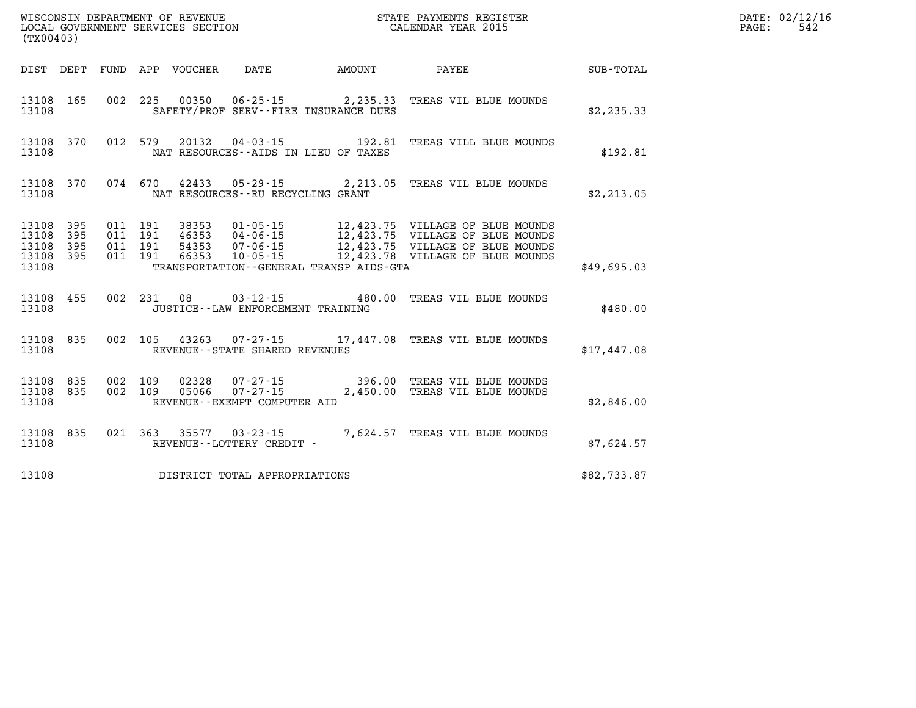| (TX00403)                                         |            |                               |         | WISCONSIN DEPARTMENT OF REVENUE<br>LOCAL GOVERNMENT SERVICES SECTION |                                                | STATE PAYMENTS REGISTER<br>CALENDAR YEAR 2015 | DATE: 02/12/16<br>542<br>PAGE:                                                  |             |  |
|---------------------------------------------------|------------|-------------------------------|---------|----------------------------------------------------------------------|------------------------------------------------|-----------------------------------------------|---------------------------------------------------------------------------------|-------------|--|
|                                                   |            |                               |         | DIST DEPT FUND APP VOUCHER DATE                                      |                                                | AMOUNT                                        | <b>PAYEE</b>                                                                    | SUB-TOTAL   |  |
| 13108 165<br>13108                                |            |                               |         |                                                                      |                                                | SAFETY/PROF SERV--FIRE INSURANCE DUES         | 002 225 00350 06-25-15 2,235.33 TREAS VIL BLUE MOUNDS                           | \$2,235.33  |  |
| 13108                                             | 13108 370  |                               |         |                                                                      |                                                | NAT RESOURCES--AIDS IN LIEU OF TAXES          | 012 579 20132 04-03-15 192.81 TREAS VILL BLUE MOUNDS                            | \$192.81    |  |
| 13108                                             | 13108 370  |                               |         |                                                                      | NAT RESOURCES--RU RECYCLING GRANT              |                                               | 074 670 42433 05-29-15 2,213.05 TREAS VIL BLUE MOUNDS                           | \$2, 213.05 |  |
| 13108 395<br>13108<br>13108<br>13108 395<br>13108 | 395<br>395 | 011 191<br>011 191<br>011 191 | 011 191 | 38353<br>46353<br>54353<br>66353                                     |                                                | TRANSPORTATION--GENERAL TRANSP AIDS-GTA       | $04 - 06 - 15$ 12,423.75 VILLAGE OF BLUE MOUNDS                                 | \$49,695.03 |  |
| 13108                                             | 13108 455  |                               |         |                                                                      | JUSTICE - - LAW ENFORCEMENT TRAINING           |                                               | 002 231 08 03-12-15 480.00 TREAS VIL BLUE MOUNDS                                | \$480.00    |  |
| 13108                                             | 13108 835  |                               |         |                                                                      | REVENUE--STATE SHARED REVENUES                 |                                               | 002 105 43263 07-27-15 17,447.08 TREAS VIL BLUE MOUNDS                          | \$17,447.08 |  |
| 13108 835<br>13108                                | 13108 835  | 002 109<br>002 109            |         |                                                                      | 05066 07-27-15<br>REVENUE--EXEMPT COMPUTER AID |                                               | 02328  07-27-15  396.00 TREAS VIL BLUE MOUNDS<br>2,450.00 TREAS VIL BLUE MOUNDS | \$2,846.00  |  |
| 13108                                             | 13108 835  |                               |         |                                                                      | REVENUE--LOTTERY CREDIT -                      |                                               | 021 363 35577 03-23-15 7,624.57 TREAS VIL BLUE MOUNDS                           | \$7,624.57  |  |
| 13108                                             |            |                               |         |                                                                      | DISTRICT TOTAL APPROPRIATIONS                  |                                               |                                                                                 | \$82,733.87 |  |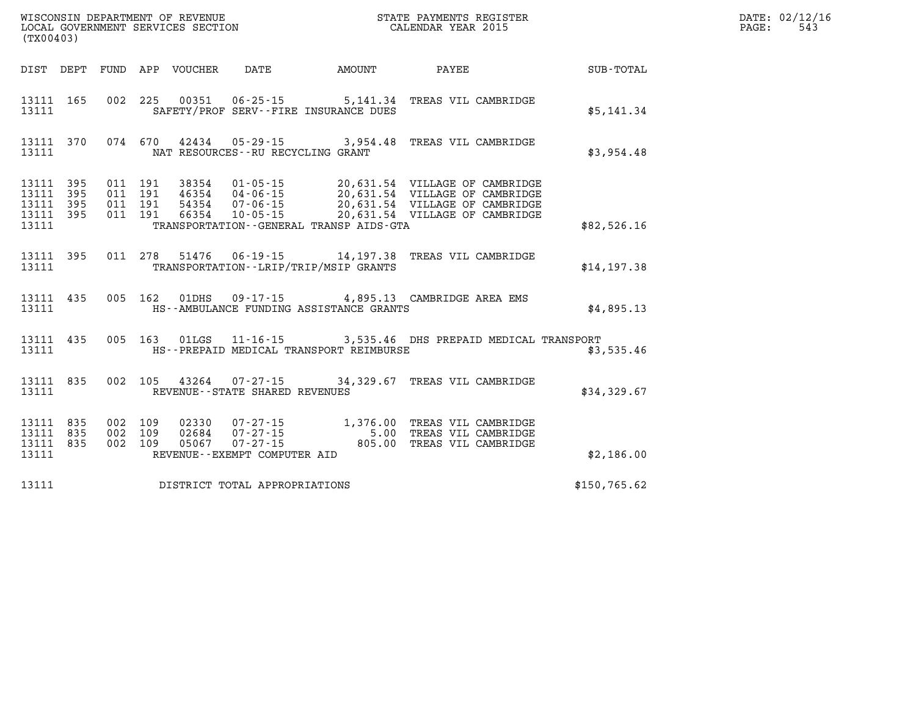| WISCONSIN DEPARTMENT OF REVENUE<br>LOCAL GOVERNMENT SERVICES SECTION<br>CALENDAR YEAR 2015<br>(TX00403) |                    |  |  |  |                                     |                                            |                                                                                                                                                                                                                                  |              | DATE: 02/12/16<br>$\mathtt{PAGE:}$<br>543 |
|---------------------------------------------------------------------------------------------------------|--------------------|--|--|--|-------------------------------------|--------------------------------------------|----------------------------------------------------------------------------------------------------------------------------------------------------------------------------------------------------------------------------------|--------------|-------------------------------------------|
|                                                                                                         |                    |  |  |  |                                     |                                            | DIST DEPT FUND APP VOUCHER DATE AMOUNT PAYEE TOTAL                                                                                                                                                                               |              |                                           |
| 13111                                                                                                   | 13111 165          |  |  |  |                                     | SAFETY/PROF SERV--FIRE INSURANCE DUES      | 002 225 00351 06-25-15 5,141.34 TREAS VIL CAMBRIDGE                                                                                                                                                                              | \$5,141.34   |                                           |
| 13111                                                                                                   | 13111 370          |  |  |  | NAT RESOURCES -- RU RECYCLING GRANT |                                            | 074 670 42434 05-29-15 3,954.48 TREAS VIL CAMBRIDGE                                                                                                                                                                              | \$3,954.48   |                                           |
| 13111 395<br>13111 395<br>13111 395<br>13111                                                            | 13111 395          |  |  |  |                                     | TRANSPORTATION - GENERAL TRANSP AIDS - GTA | 011 191 38354 01-05-15 20,631.54 VILLAGE OF CAMBRIDGE<br>011 191 46354 04-06-15 20,631.54 VILLAGE OF CAMBRIDGE<br>011 191 66354 10-05-15 20,631.54 VILLAGE OF CAMBRIDGE<br>011 191 66354 10-05-15 20,631.54 VILLAGE OF CAMBRIDGE | \$82,526.16  |                                           |
|                                                                                                         | 13111 395<br>13111 |  |  |  |                                     | TRANSPORTATION - - LRIP/TRIP/MSIP GRANTS   | 011 278 51476 06-19-15 14,197.38 TREAS VIL CAMBRIDGE                                                                                                                                                                             | \$14, 197.38 |                                           |
| 13111                                                                                                   |                    |  |  |  |                                     |                                            | 13111 435 005 162 01DHS 09-17-15 4,895.13 CAMBRIDGE AREA EMS<br>HS--AMBULANCE FUNDING ASSISTANCE GRANTS                                                                                                                          | \$4,895.13   |                                           |
| 13111                                                                                                   | 13111 435          |  |  |  |                                     | HS--PREPAID MEDICAL TRANSPORT REIMBURSE    | 005 163 01LGS 11-16-15 3,535.46 DHS PREPAID MEDICAL TRANSPORT                                                                                                                                                                    | \$3,535.46   |                                           |
| 13111                                                                                                   |                    |  |  |  | REVENUE--STATE SHARED REVENUES      |                                            | 13111 835 002 105 43264 07-27-15 34,329.67 TREAS VIL CAMBRIDGE                                                                                                                                                                   | \$34,329.67  |                                           |
| 13111 835<br>13111 835<br>13111                                                                         | 13111 835          |  |  |  | REVENUE--EXEMPT COMPUTER AID        |                                            | 002 109 02330 07-27-15 1,376.00 TREAS VIL CAMBRIDGE<br>002 109 02684 07-27-15 5.00 TREAS VIL CAMBRIDGE<br>002 109 05067 07-27-15 805.00 TREAS VIL CAMBRIDGE                                                                      | \$2,186.00   |                                           |
| 13111                                                                                                   |                    |  |  |  | DISTRICT TOTAL APPROPRIATIONS       |                                            |                                                                                                                                                                                                                                  | \$150,765.62 |                                           |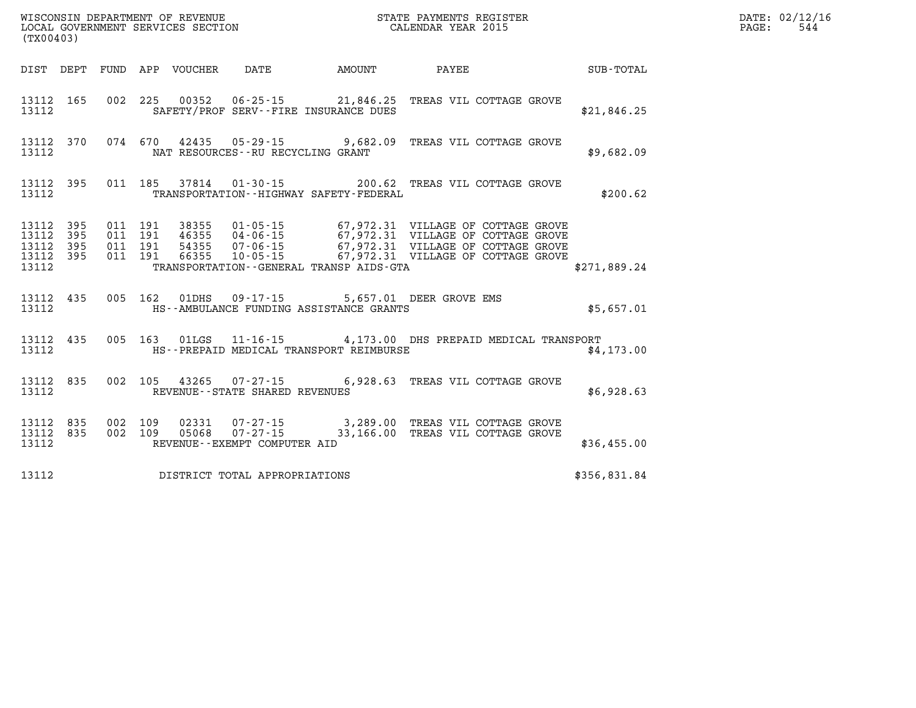| (TX00403)                   |                               |                                          |  |  |                                   |                                             |                                                                                                                                                                                                                              |              | DATE: 02/12/16<br>544<br>PAGE: |
|-----------------------------|-------------------------------|------------------------------------------|--|--|-----------------------------------|---------------------------------------------|------------------------------------------------------------------------------------------------------------------------------------------------------------------------------------------------------------------------------|--------------|--------------------------------|
|                             |                               |                                          |  |  |                                   |                                             | DIST DEPT FUND APP VOUCHER DATE AMOUNT PAYEE SUB-TOTAL                                                                                                                                                                       |              |                                |
| 13112                       |                               |                                          |  |  |                                   | SAFETY/PROF SERV--FIRE INSURANCE DUES       | 13112 165 002 225 00352 06-25-15 21,846.25 TREAS VIL COTTAGE GROVE                                                                                                                                                           | \$21,846.25  |                                |
| 13112                       |                               |                                          |  |  | NAT RESOURCES--RU RECYCLING GRANT |                                             | 13112 370 074 670 42435 05-29-15 9,682.09 TREAS VIL COTTAGE GROVE                                                                                                                                                            | \$9,682.09   |                                |
| 13112                       |                               |                                          |  |  |                                   | TRANSPORTATION - - HIGHWAY SAFETY - FEDERAL | 13112 395 011 185 37814 01-30-15 200.62 TREAS VIL COTTAGE GROVE                                                                                                                                                              | \$200.62     |                                |
| 13112 395<br>13112<br>13112 | 13112 395<br>395<br>13112 395 | 011 191<br>011 191<br>011 191<br>011 191 |  |  |                                   | TRANSPORTATION--GENERAL TRANSP AIDS-GTA     | 38355  01-05-15  67,972.31  VILLAGE OF COTTAGE GROVE<br>46355  04-06-15  67,972.31  VILLAGE OF COTTAGE GROVE<br>54355  07-06-15  67,972.31  VILLAGE OF COTTAGE GROVE<br>66355  10-05-15  67,972.31  VILLAGE OF COTTAGE GROVE | \$271,889.24 |                                |
| 13112                       |                               |                                          |  |  |                                   | HS--AMBULANCE FUNDING ASSISTANCE GRANTS     | 13112 435 005 162 01DHS 09-17-15 5,657.01 DEER GROVE EMS                                                                                                                                                                     | \$5,657.01   |                                |
| 13112                       |                               |                                          |  |  |                                   | HS--PREPAID MEDICAL TRANSPORT REIMBURSE     | 13112 435 005 163 01LGS 11-16-15 4,173.00 DHS PREPAID MEDICAL TRANSPORT                                                                                                                                                      | \$4,173.00   |                                |
| 13112                       |                               |                                          |  |  | REVENUE--STATE SHARED REVENUES    |                                             | 13112 835 002 105 43265 07-27-15 6,928.63 TREAS VIL COTTAGE GROVE                                                                                                                                                            | \$6,928.63   |                                |
| 13112                       | 13112 835<br>13112 835        |                                          |  |  | REVENUE--EXEMPT COMPUTER AID      |                                             | $0.02$ 109 $0.2331$ $0.7 - 27 - 15$ 3,289.00 TREAS VIL COTTAGE GROVE $0.02$ 109 $0.5068$ 07-27-15 33,166.00 TREAS VIL COTTAGE GROVE                                                                                          | \$36,455.00  |                                |
| 13112                       |                               |                                          |  |  | DISTRICT TOTAL APPROPRIATIONS     |                                             |                                                                                                                                                                                                                              | \$356,831.84 |                                |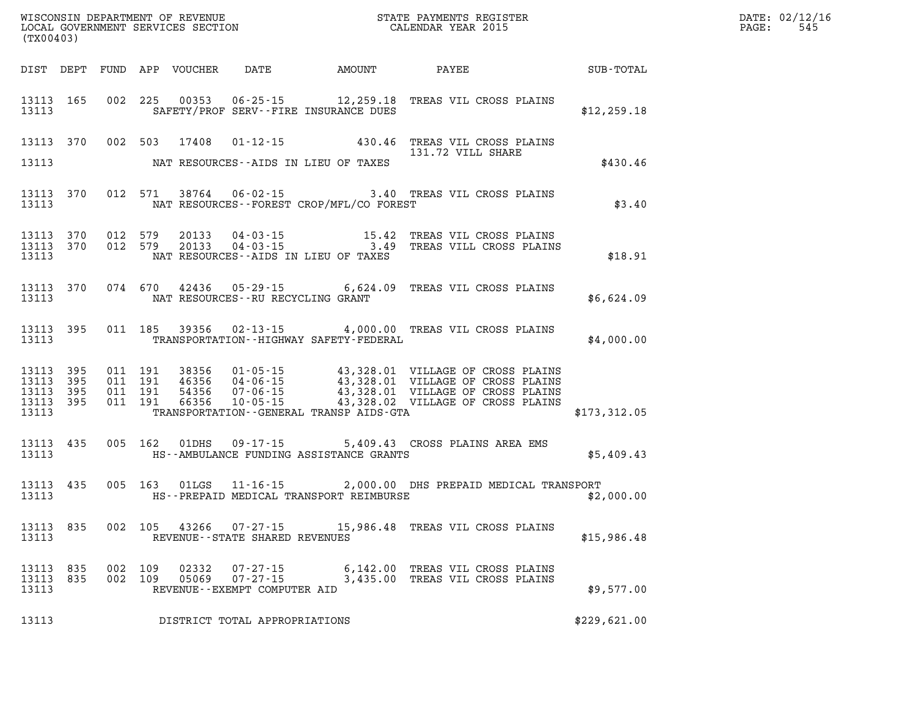| (TX00403)                                |                        |            |            |                |                                                                     | $\mathbb{E} \mathbb{R}$                     |                                                                                                                                                                                                                                                                                    |              | DATE: 02/12/16<br>545<br>$\mathtt{PAGE:}$ |
|------------------------------------------|------------------------|------------|------------|----------------|---------------------------------------------------------------------|---------------------------------------------|------------------------------------------------------------------------------------------------------------------------------------------------------------------------------------------------------------------------------------------------------------------------------------|--------------|-------------------------------------------|
|                                          |                        |            |            |                |                                                                     |                                             | DIST DEPT FUND APP VOUCHER DATE AMOUNT PAYEE SUB-TOTAL                                                                                                                                                                                                                             |              |                                           |
| 13113                                    |                        |            |            |                |                                                                     | SAFETY/PROF SERV--FIRE INSURANCE DUES       | 13113 165 002 225 00353 06-25-15 12,259.18 TREAS VIL CROSS PLAINS                                                                                                                                                                                                                  | \$12, 259.18 |                                           |
|                                          |                        |            |            |                |                                                                     |                                             | 13113 370 002 503 17408 01-12-15 430.46 TREAS VIL CROSS PLAINS<br>131.72 VILL SHARE                                                                                                                                                                                                |              |                                           |
| 13113                                    |                        |            |            |                |                                                                     | NAT RESOURCES--AIDS IN LIEU OF TAXES        |                                                                                                                                                                                                                                                                                    | \$430.46     |                                           |
| 13113                                    |                        |            |            |                |                                                                     | NAT RESOURCES - FOREST CROP/MFL/CO FOREST   | 13113 370 012 571 38764 06-02-15 3.40 TREAS VIL CROSS PLAINS                                                                                                                                                                                                                       | \$3.40       |                                           |
| 13113                                    | 13113 370<br>13113 370 | 012 579    |            |                |                                                                     | NAT RESOURCES--AIDS IN LIEU OF TAXES        |                                                                                                                                                                                                                                                                                    | \$18.91      |                                           |
| 13113                                    |                        |            |            |                |                                                                     | NAT RESOURCES--RU RECYCLING GRANT           | 13113 370 074 670 42436 05-29-15 6,624.09 TREAS VIL CROSS PLAINS                                                                                                                                                                                                                   | \$6,624.09   |                                           |
| 13113                                    |                        |            |            |                |                                                                     | TRANSPORTATION - - HIGHWAY SAFETY - FEDERAL | 13113 395 011 185 39356 02-13-15 4,000.00 TREAS VIL CROSS PLAINS                                                                                                                                                                                                                   | \$4,000.00   |                                           |
| 13113 395<br>13113<br>13113 395<br>13113 | 395<br>13113 395       |            |            |                |                                                                     |                                             | 011 191 38356 01-05-15 43,328.01 VILLAGE OF CROSS PLAINS<br>011 191 46356 04-06-15 43,328.01 VILLAGE OF CROSS PLAINS<br>011 191 66356 10-05-15 43,328.01 VILLAGE OF CROSS PLAINS<br>011 191 66356 10-05-15 43,328.02 VILLAGE OF CROSS P<br>TRANSPORTATION--GENERAL TRANSP AIDS-GTA | \$173,312.05 |                                           |
|                                          |                        |            |            |                |                                                                     |                                             | $\begin{array}{cccccc} 13113 & 435 & 005 & 162 & 01 \text{DHS} & 09\text{-}17\text{-}15 & 5,409.43 & \text{CROSS PLAINS AREA EMS} & \\ & & & \text{HS--AMBULANCE FUNDING ASSISTANCE GRANTS} & & & \text{$$5,409.43$} \end{array}$                                                  |              |                                           |
|                                          |                        |            |            |                |                                                                     |                                             | 13113 435 005 163 01LGS 11-16-15 2,000.00 DHS PREPAID MEDICAL TRANSPORT<br>13113 THS--PREPAID MEDICAL TRANSPORT REIMBURSE THE SAMPLE RELATION ASSAULT AND SERVICE SERVICE SERVICE SERVICE                                                                                          |              |                                           |
| 13113                                    |                        |            |            |                | REVENUE - - STATE SHARED REVENUES                                   |                                             | 13113 835 002 105 43266 07-27-15 15,986.48 TREAS VIL CROSS PLAINS                                                                                                                                                                                                                  | \$15,986.48  |                                           |
| 13113<br>13113<br>13113                  | 835<br>835             | 002<br>002 | 109<br>109 | 02332<br>05069 | $07 - 27 - 15$<br>$07 - 27 - 15$<br>REVENUE - - EXEMPT COMPUTER AID | 6,142.00<br>3,435.00                        | TREAS VIL CROSS PLAINS<br>TREAS VIL CROSS PLAINS                                                                                                                                                                                                                                   | \$9,577.00   |                                           |
| 13113                                    |                        |            |            |                | DISTRICT TOTAL APPROPRIATIONS                                       |                                             |                                                                                                                                                                                                                                                                                    | \$229,621.00 |                                           |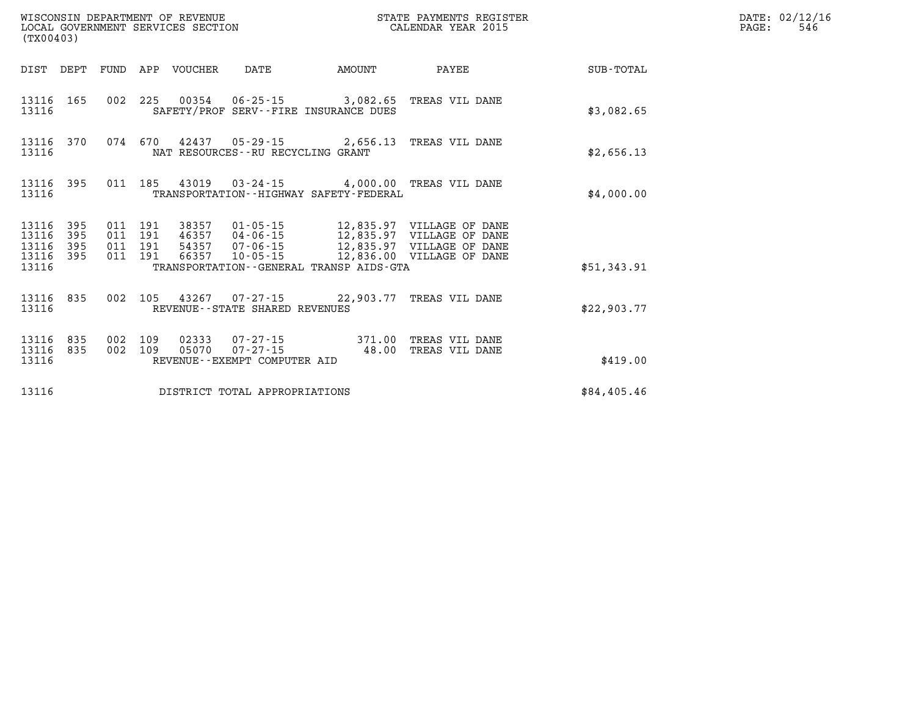| (TX00403)                            |                     |  |  |                                 |                                   | STATE PAYMENTS REGISTER                                                                       |                                                                                                                                                                                                                                                                                                                                          |             | $\mathtt{PAGE:}$ | DATE: 02/12/16<br>546 |
|--------------------------------------|---------------------|--|--|---------------------------------|-----------------------------------|-----------------------------------------------------------------------------------------------|------------------------------------------------------------------------------------------------------------------------------------------------------------------------------------------------------------------------------------------------------------------------------------------------------------------------------------------|-------------|------------------|-----------------------|
|                                      |                     |  |  | DIST DEPT FUND APP VOUCHER DATE |                                   | <b>AMOUNT</b>                                                                                 | <b>PAYEE</b>                                                                                                                                                                                                                                                                                                                             | SUB-TOTAL   |                  |                       |
| 13116 165<br>13116                   |                     |  |  |                                 |                                   | 002 225 00354 06-25-15 3,082.65 TREAS VIL DANE<br>SAFETY/PROF SERV--FIRE INSURANCE DUES       |                                                                                                                                                                                                                                                                                                                                          | \$3,082.65  |                  |                       |
| 13116 370<br>13116                   |                     |  |  |                                 | NAT RESOURCES--RU RECYCLING GRANT | 074 670 42437 05-29-15 2,656.13 TREAS VIL DANE                                                |                                                                                                                                                                                                                                                                                                                                          | \$2,656.13  |                  |                       |
| 13116 395<br>13116                   |                     |  |  |                                 |                                   | 011 185 43019 03-24-15 4,000.00 TREAS VIL DANE<br>TRANSPORTATION - - HIGHWAY SAFETY - FEDERAL |                                                                                                                                                                                                                                                                                                                                          | \$4,000.00  |                  |                       |
| 13116<br>13116<br>13116<br>13116 395 | - 395<br>395<br>395 |  |  |                                 |                                   |                                                                                               | $\begin{array}{cccc} 011 & 191 & 38357 & 01\cdot 05\cdot 15 & 12\, , 835\, . 97 & \text{VILLAGE OF DANE} \\ 011 & 191 & 46357 & 04\cdot 06\cdot 15 & 12\, , 835\, . 97 & \text{VILLAGE OF DANE} \\ 011 & 191 & 54357 & 07\cdot 06\cdot 15 & 12\, , 835\, . 97 & \text{VILLAGE OF DANE} \\ 011 & 191 & 66357 & 10\cdot 05\cdot 15 & 12\,$ |             |                  |                       |
| 13116                                |                     |  |  |                                 |                                   | TRANSPORTATION--GENERAL TRANSP AIDS-GTA                                                       |                                                                                                                                                                                                                                                                                                                                          | \$51,343.91 |                  |                       |
| 13116 835<br>13116                   |                     |  |  |                                 | REVENUE--STATE SHARED REVENUES    | 002 105 43267 07-27-15 22,903.77 TREAS VIL DANE                                               |                                                                                                                                                                                                                                                                                                                                          | \$22,903.77 |                  |                       |
| 13116 835<br>13116 835<br>13116      |                     |  |  | 002 109 02333                   | REVENUE--EXEMPT COMPUTER AID      | 07-27-15 371.00 TREAS VIL DANE<br>002 109 05070 07-27-15 48.00                                | TREAS VIL DANE                                                                                                                                                                                                                                                                                                                           | \$419.00    |                  |                       |
| 13116                                |                     |  |  |                                 | DISTRICT TOTAL APPROPRIATIONS     |                                                                                               |                                                                                                                                                                                                                                                                                                                                          | \$84,405.46 |                  |                       |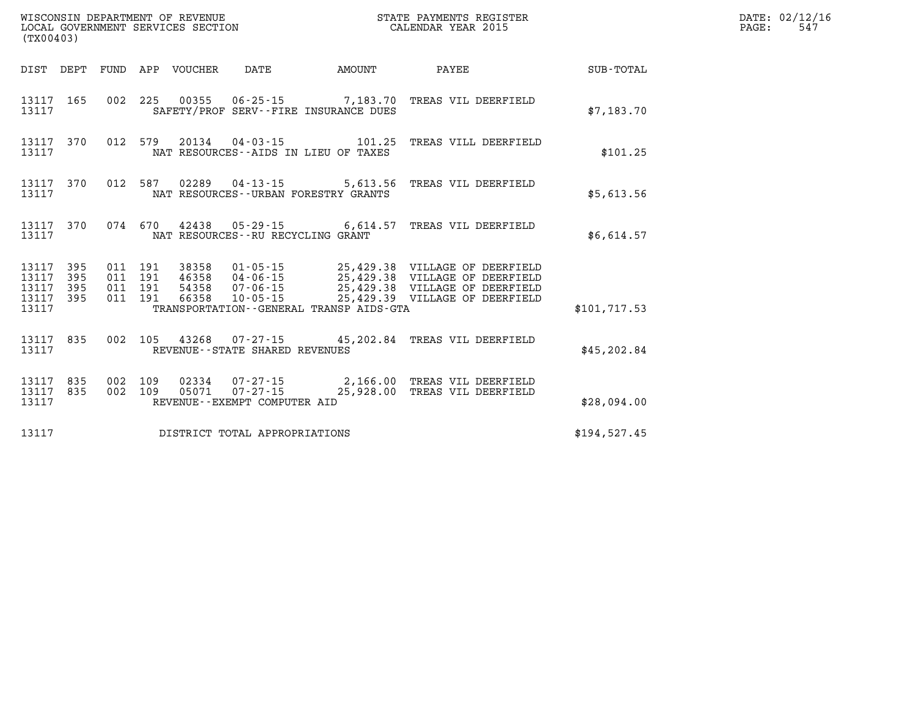| %WISCONSIN DEPARTMENT OF REVENUE $$\tt STATE~PAYMENTS~REGISTER~LOCALSONSTR~QOVERNMENT~SERVICES~SECTION~CALENDAR~YEAR~2015$<br>(TX00403) |  |  |  |                                 |                                      |                                              |                                                                                                                                                                                                                                         |               | DATE: 02/12/16<br>$\mathtt{PAGE:}$<br>547 |
|-----------------------------------------------------------------------------------------------------------------------------------------|--|--|--|---------------------------------|--------------------------------------|----------------------------------------------|-----------------------------------------------------------------------------------------------------------------------------------------------------------------------------------------------------------------------------------------|---------------|-------------------------------------------|
|                                                                                                                                         |  |  |  | DIST DEPT FUND APP VOUCHER DATE |                                      | <b>EXAMPLE THE AMOUNT</b>                    | <b>PAYEE</b>                                                                                                                                                                                                                            | SUB-TOTAL     |                                           |
| 13117                                                                                                                                   |  |  |  |                                 |                                      | SAFETY/PROF SERV--FIRE INSURANCE DUES        | 13117 165 002 225 00355 06-25-15 7,183.70 TREAS VIL DEERFIELD                                                                                                                                                                           | \$7,183.70    |                                           |
| 13117                                                                                                                                   |  |  |  |                                 | NAT RESOURCES--AIDS IN LIEU OF TAXES |                                              | 13117 370 012 579 20134 04-03-15 101.25 TREAS VILL DEERFIELD                                                                                                                                                                            | \$101.25      |                                           |
| 13117                                                                                                                                   |  |  |  |                                 | NAT RESOURCES--URBAN FORESTRY GRANTS |                                              | 13117 370 012 587 02289 04-13-15 5,613.56 TREAS VIL DEERFIELD                                                                                                                                                                           | \$5,613.56    |                                           |
| 13117                                                                                                                                   |  |  |  |                                 | NAT RESOURCES--RU RECYCLING GRANT    |                                              | 13117 370 074 670 42438 05-29-15 6,614.57 TREAS VIL DEERFIELD                                                                                                                                                                           | \$6,614.57    |                                           |
| 13117                                                                                                                                   |  |  |  |                                 |                                      | TRANSPORTATION - - GENERAL TRANSP AIDS - GTA | 13117 395 011 191 38358 01-05-15 25,429.38 VILLAGE OF DEERFIELD<br>13117 395 011 191 46358 04-06-15 25,429.38 VILLAGE OF DEERFIELD<br>13117 395 011 191 54358 07-06-15 25,429.38 VILLAGE OF DEERFIELD<br>13117 395 011 191 66358 10-05- | \$101, 717.53 |                                           |
| 13117                                                                                                                                   |  |  |  |                                 | REVENUE--STATE SHARED REVENUES       |                                              | 13117 835 002 105 43268 07-27-15 45, 202.84 TREAS VIL DEERFIELD                                                                                                                                                                         | \$45, 202.84  |                                           |
| 13117                                                                                                                                   |  |  |  |                                 | REVENUE--EXEMPT COMPUTER AID         |                                              | 13117 835 002 109 02334 07-27-15 2,166.00 TREAS VIL DEERFIELD<br>13117 835 002 109 05071 07-27-15 25,928.00 TREAS VIL DEERFIELD                                                                                                         | \$28,094.00   |                                           |
| 13117                                                                                                                                   |  |  |  |                                 | DISTRICT TOTAL APPROPRIATIONS        |                                              |                                                                                                                                                                                                                                         | \$194,527.45  |                                           |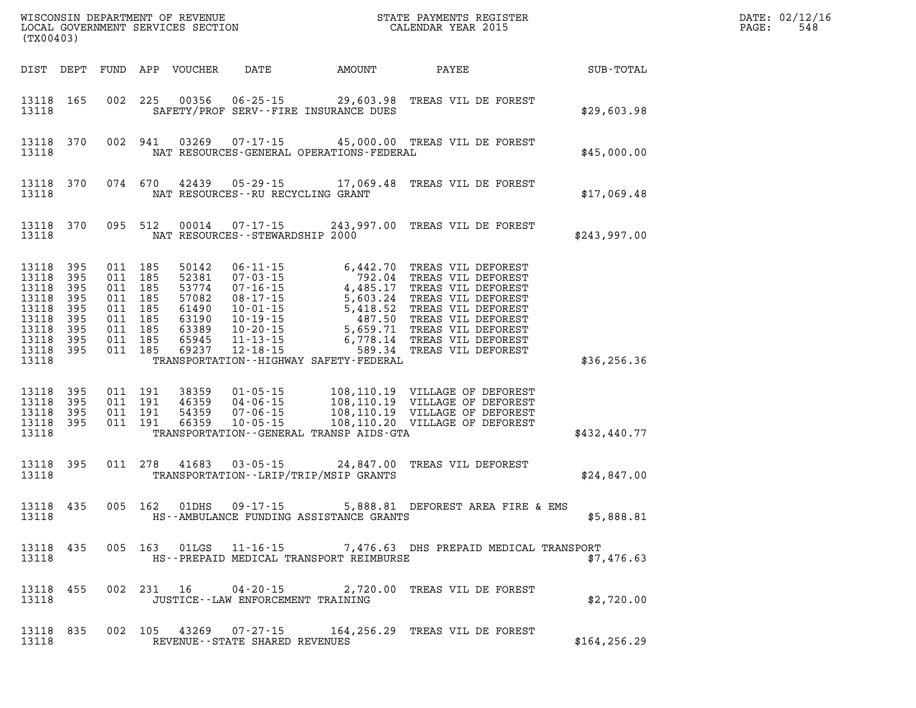| (TX00403)                                                                                  |                                                      |  |                                                                                                 |                                                                               |                                      |                                              |                                                                                                                                                                                                                                          |               | DATE: 02/12/16<br>PAGE:<br>548 |
|--------------------------------------------------------------------------------------------|------------------------------------------------------|--|-------------------------------------------------------------------------------------------------|-------------------------------------------------------------------------------|--------------------------------------|----------------------------------------------|------------------------------------------------------------------------------------------------------------------------------------------------------------------------------------------------------------------------------------------|---------------|--------------------------------|
| DIST DEPT                                                                                  |                                                      |  |                                                                                                 | FUND APP VOUCHER                                                              |                                      | DATE AMOUNT                                  | <b>PAYEE</b>                                                                                                                                                                                                                             | SUB-TOTAL     |                                |
| 13118 165<br>13118                                                                         |                                                      |  |                                                                                                 |                                                                               |                                      | SAFETY/PROF SERV--FIRE INSURANCE DUES        | 002 225 00356 06-25-15 29,603.98 TREAS VIL DE FOREST                                                                                                                                                                                     | \$29,603.98   |                                |
| 13118                                                                                      | 13118 370                                            |  |                                                                                                 | 002 941 03269                                                                 |                                      | NAT RESOURCES-GENERAL OPERATIONS-FEDERAL     | 07-17-15 45,000.00 TREAS VIL DE FOREST                                                                                                                                                                                                   | \$45,000.00   |                                |
| 13118                                                                                      | 13118 370                                            |  | 074 670                                                                                         |                                                                               | NAT RESOURCES -- RU RECYCLING GRANT  |                                              | 42439 05-29-15 17,069.48 TREAS VIL DE FOREST                                                                                                                                                                                             | \$17,069.48   |                                |
| 13118                                                                                      | 13118 370                                            |  | 095 512                                                                                         |                                                                               | NAT RESOURCES - - STEWARDSHIP 2000   |                                              | 00014  07-17-15  243,997.00 TREAS VIL DE FOREST                                                                                                                                                                                          | \$243,997.00  |                                |
| 13118<br>13118<br>13118<br>13118<br>13118<br>13118<br>13118<br>13118<br>13118 395<br>13118 | 395<br>395<br>395<br>395<br>395<br>395<br>395<br>395 |  | 011 185<br>011 185<br>011 185<br>011 185<br>011 185<br>011 185<br>011 185<br>011 185<br>011 185 | 50142<br>52381<br>53774<br>57082<br>61490<br>63190<br>63389<br>65945<br>69237 |                                      | TRANSPORTATION - - HIGHWAY SAFETY - FEDERAL  | 06-11-15 6,442.70 TREAS VIL DEFOREST<br>07-03-15 792.04 TREAS VIL DEFOREST<br>07-16-15 4,485.17 TREAS VIL DEFOREST<br>08-17-15 5,603.24 TREAS VIL DEFOREST<br>10-01-15 5,418.52 TREAS VIL DEFOREST<br>10-19-15 487.50 TREAS VIL DEFOREST | \$36, 256.36  |                                |
| 13118<br>13118<br>13118<br>13118 395<br>13118                                              | 395<br>395<br>395                                    |  | 011 191<br>011 191<br>011 191<br>011 191                                                        | 38359<br>46359<br>54359<br>66359                                              |                                      | TRANSPORTATION - - GENERAL TRANSP AIDS - GTA | $\begin{tabular}{cccc} 01-05-15 & 108,110.19 & VILLAGE OF DEFOREST \\ 04-06-15 & 108,110.19 & VILLAGE OF DEFOREST \\ 07-06-15 & 108,110.19 & VILLAGE OF DEFOREST \\ 10-05-15 & 108,110.20 & VILLAGE OF DEFOREST \end{tabular}$           | \$432, 440.77 |                                |
| 13118 395<br>13118                                                                         |                                                      |  |                                                                                                 | 011 278 41683                                                                 |                                      | TRANSPORTATION--LRIP/TRIP/MSIP GRANTS        | 03-05-15 24,847.00 TREAS VIL DEFOREST                                                                                                                                                                                                    | \$24,847.00   |                                |
| 13118 435<br>13118                                                                         |                                                      |  | 005 162                                                                                         | 01DHS                                                                         | $09 - 17 - 15$                       | HS--AMBULANCE FUNDING ASSISTANCE GRANTS      | 5,888.81 DEFOREST AREA FIRE & EMS                                                                                                                                                                                                        | \$5,888.81    |                                |
| 13118 435<br>13118                                                                         |                                                      |  |                                                                                                 |                                                                               |                                      | HS--PREPAID MEDICAL TRANSPORT REIMBURSE      | 005 163 01LGS 11-16-15 7,476.63 DHS PREPAID MEDICAL TRANSPORT                                                                                                                                                                            | \$7,476.63    |                                |
| 13118 455<br>13118                                                                         |                                                      |  |                                                                                                 | 002 231 16                                                                    | JUSTICE - - LAW ENFORCEMENT TRAINING |                                              | 04-20-15 2,720.00 TREAS VIL DE FOREST                                                                                                                                                                                                    | \$2,720.00    |                                |
| 13118 835<br>13118                                                                         |                                                      |  |                                                                                                 |                                                                               | REVENUE - - STATE SHARED REVENUES    |                                              | 002 105 43269 07-27-15 164,256.29 TREAS VIL DE FOREST                                                                                                                                                                                    | \$164, 256.29 |                                |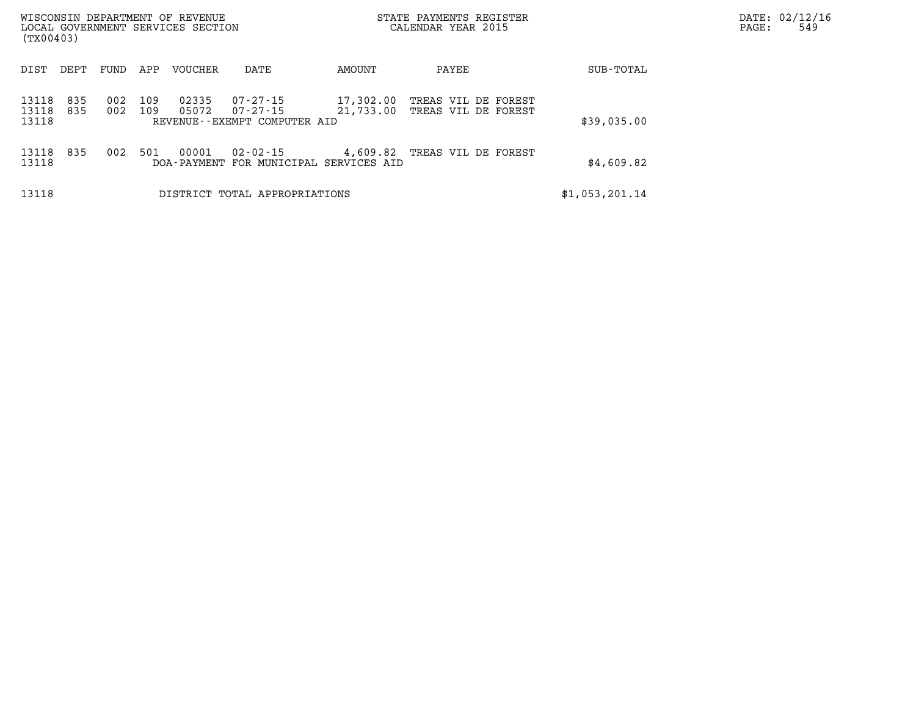| WISCONSIN DEPARTMENT OF REVENUE<br>LOCAL GOVERNMENT SERVICES SECTION<br>(TX00403) |            |            |            |                        |                                                      | STATE PAYMENTS REGISTER<br>CALENDAR YEAR 2015 | DATE: 02/12/16<br>PAGE:                    | 549            |  |  |
|-----------------------------------------------------------------------------------|------------|------------|------------|------------------------|------------------------------------------------------|-----------------------------------------------|--------------------------------------------|----------------|--|--|
| DIST                                                                              | DEPT       | FUND       | APP        | VOUCHER                | DATE                                                 | AMOUNT                                        | PAYEE                                      | SUB-TOTAL      |  |  |
| 13118<br>13118<br>13118                                                           | 835<br>835 | 002<br>002 | 109<br>109 | 02335<br>05072         | 07-27-15<br>07-27-15<br>REVENUE--EXEMPT COMPUTER AID | 17,302.00<br>21,733.00                        | TREAS VIL DE FOREST<br>TREAS VIL DE FOREST | \$39,035.00    |  |  |
| 13118<br>13118                                                                    | 835        | 002        | 501        | 00001<br>DOA - PAYMENT | 02-02-15<br>FOR MUNICIPAL SERVICES AID               | 4,609.82                                      | TREAS VIL DE FOREST                        | \$4,609.82     |  |  |
| 13118                                                                             |            |            |            |                        | DISTRICT TOTAL APPROPRIATIONS                        |                                               |                                            | \$1,053,201.14 |  |  |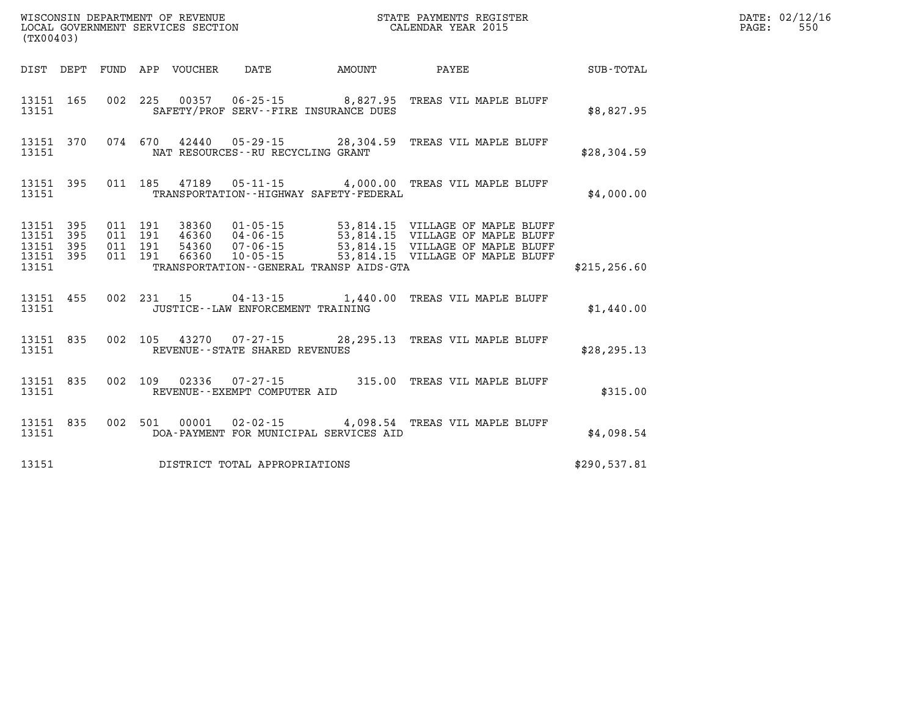| (TX00403)                                     |                   |                          |                          | WISCONSIN DEPARTMENT OF REVENUE<br>LOCAL GOVERNMENT SERVICES SECTION |                                                          | STATE PAYMENTS REGISTER<br>CALENDAR YEAR 2015 |                                                                                                                                              |               |  |  |
|-----------------------------------------------|-------------------|--------------------------|--------------------------|----------------------------------------------------------------------|----------------------------------------------------------|-----------------------------------------------|----------------------------------------------------------------------------------------------------------------------------------------------|---------------|--|--|
| DIST                                          | DEPT              | FUND                     |                          | APP VOUCHER DATE                                                     |                                                          | AMOUNT                                        | <b>PAYEE</b>                                                                                                                                 | SUB-TOTAL     |  |  |
| 13151<br>13151                                | 165               | 002                      | 225                      |                                                                      | SAFETY/PROF SERV--FIRE INSURANCE DUES                    |                                               | 00357  06-25-15  8,827.95  TREAS VIL MAPLE BLUFF                                                                                             | \$8,827.95    |  |  |
| 13151<br>13151                                | 370               | 074                      | 670                      |                                                                      | NAT RESOURCES - - RU RECYCLING GRANT                     |                                               | 42440  05-29-15  28,304.59  TREAS VIL MAPLE BLUFF                                                                                            | \$28,304.59   |  |  |
| 13151<br>13151                                | 395               | 011                      |                          |                                                                      |                                                          | TRANSPORTATION - - HIGHWAY SAFETY - FEDERAL   | 185  47189  05-11-15  4,000.00 TREAS VIL MAPLE BLUFF                                                                                         | \$4,000.00    |  |  |
| 13151<br>13151<br>13151<br>13151 395<br>13151 | 395<br>395<br>395 | 011<br>011<br>011<br>011 | 191<br>191<br>191<br>191 | 38360<br>46360<br>54360<br>66360                                     | $01 - 05 - 15$<br>04-06-15<br>$07 - 06 - 15$<br>10-05-15 | TRANSPORTATION - - GENERAL TRANSP AIDS - GTA  | 53,814.15 VILLAGE OF MAPLE BLUFF<br>53,814.15 VILLAGE OF MAPLE BLUFF<br>53,814.15 VILLAGE OF MAPLE BLUFF<br>53,814.15 VILLAGE OF MAPLE BLUFF | \$215, 256.60 |  |  |
| 13151<br>13151                                | 455               | 002                      | 231                      | 15                                                                   | JUSTICE - - LAW ENFORCEMENT TRAINING                     |                                               | 04-13-15 1,440.00 TREAS VIL MAPLE BLUFF                                                                                                      | \$1,440.00    |  |  |
| 13151<br>13151                                | 835               | 002                      | 105                      | 43270                                                                | REVENUE - - STATE SHARED REVENUES                        |                                               | 07-27-15 28,295.13 TREAS VIL MAPLE BLUFF                                                                                                     | \$28,295.13   |  |  |
| 13151<br>13151                                | 835               | 002                      | 109                      | 02336                                                                | $07 - 27 - 15$ 315.00<br>REVENUE--EXEMPT COMPUTER AID    |                                               | TREAS VIL MAPLE BLUFF                                                                                                                        | \$315.00      |  |  |
| 13151<br>13151                                | 835               | 002                      | 501                      | 00001                                                                | DOA-PAYMENT FOR MUNICIPAL SERVICES AID                   |                                               | 02-02-15 4,098.54 TREAS VIL MAPLE BLUFF                                                                                                      | \$4,098.54    |  |  |
| 13151                                         |                   |                          |                          |                                                                      | DISTRICT TOTAL APPROPRIATIONS                            |                                               |                                                                                                                                              | \$290,537.81  |  |  |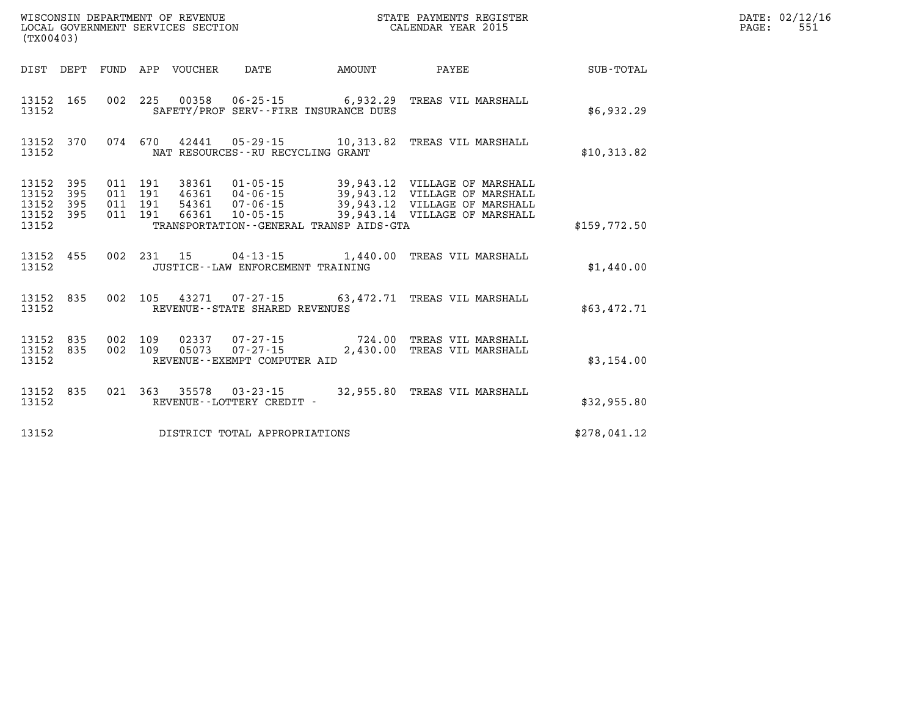| (TX00403)                                 | WISCONSIN DEPARTMENT OF REVENUE<br>LOCAL GOVERNMENT SERVICES SECTION | STATE PAYMENTS REGISTER<br>CALENDAR YEAR 2015 |                          |                                  |                                                                                                                  |                    |                                                                                                                                  |                  |
|-------------------------------------------|----------------------------------------------------------------------|-----------------------------------------------|--------------------------|----------------------------------|------------------------------------------------------------------------------------------------------------------|--------------------|----------------------------------------------------------------------------------------------------------------------------------|------------------|
| DIST                                      | DEPT                                                                 | FUND                                          | APP                      | VOUCHER                          | DATE                                                                                                             | <b>AMOUNT</b>      | PAYEE                                                                                                                            | <b>SUB-TOTAL</b> |
| 13152<br>13152                            | 165                                                                  | 002                                           | 225                      | 00358                            | $06 - 25 - 15$ 6,932.29<br>SAFETY/PROF SERV--FIRE INSURANCE DUES                                                 |                    | TREAS VIL MARSHALL                                                                                                               | \$6,932.29       |
| 13152<br>13152                            | 370                                                                  | 074                                           | 670                      |                                  | NAT RESOURCES - - RU RECYCLING GRANT                                                                             |                    | 42441  05-29-15  10,313.82  TREAS VIL MARSHALL                                                                                   | \$10,313.82      |
| 13152<br>13152<br>13152<br>13152<br>13152 | 395<br>395<br>395<br>395                                             | 011<br>011<br>011<br>011                      | 191<br>191<br>191<br>191 | 38361<br>46361<br>54361<br>66361 | $01 - 05 - 15$<br>04 - 06 - 15<br>07 - 06 - 15<br>$10 - 05 - 15$<br>TRANSPORTATION - - GENERAL TRANSP AIDS - GTA |                    | 39,943.12 VILLAGE OF MARSHALL<br>39,943.12 VILLAGE OF MARSHALL<br>39,943.12 VILLAGE OF MARSHALL<br>39,943.14 VILLAGE OF MARSHALL | \$159,772.50     |
| 13152<br>13152                            | 455                                                                  | 002                                           | 231                      | 15                               | JUSTICE - - LAW ENFORCEMENT TRAINING                                                                             |                    | 04-13-15 1,440.00 TREAS VIL MARSHALL                                                                                             | \$1,440.00       |
| 13152<br>13152                            | 835                                                                  | 002                                           | 105                      |                                  | 43271 07-27-15 63,472.71<br>REVENUE - - STATE SHARED REVENUES                                                    |                    | TREAS VIL MARSHALL                                                                                                               | \$63,472.71      |
| 13152<br>13152<br>13152                   | 835<br>835                                                           | 002<br>002                                    | 109<br>109               | 02337<br>05073                   | 07-27-15<br>$07 - 27 - 15$<br>REVENUE--EXEMPT COMPUTER AID                                                       | 724.00<br>2,430.00 | TREAS VIL MARSHALL<br>TREAS VIL MARSHALL                                                                                         | \$3,154.00       |
| 13152<br>13152                            | 835                                                                  | 021                                           | 363                      | 35578                            | $03 - 23 - 15$<br>REVENUE--LOTTERY CREDIT -                                                                      | 32,955.80          | TREAS VIL MARSHALL                                                                                                               | \$32,955.80      |
| 13152                                     |                                                                      |                                               |                          |                                  | DISTRICT TOTAL APPROPRIATIONS                                                                                    |                    |                                                                                                                                  | \$278,041.12     |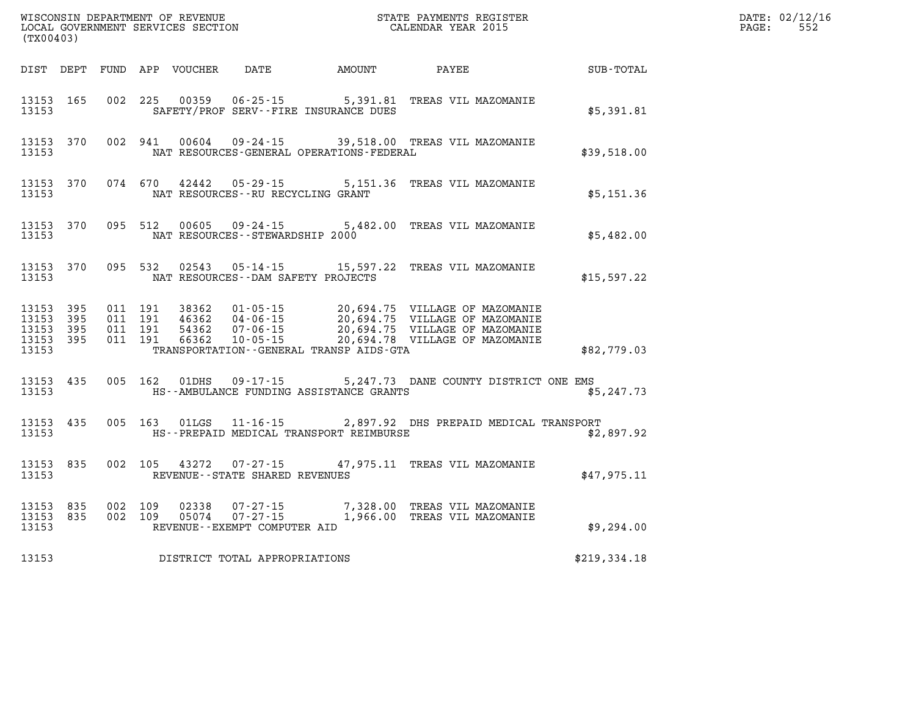| (TX00403)                                             |                                |                                          |         |               |                                   |                                                                                                |  |              | DATE: 02/12/16<br>$\mathtt{PAGE:}$ | 552 |
|-------------------------------------------------------|--------------------------------|------------------------------------------|---------|---------------|-----------------------------------|------------------------------------------------------------------------------------------------|--|--------------|------------------------------------|-----|
|                                                       |                                |                                          |         |               |                                   | DIST DEPT FUND APP VOUCHER DATE AMOUNT PAYEE                                                   |  | SUB-TOTAL    |                                    |     |
| 13153 165<br>13153                                    |                                |                                          |         |               |                                   | 002 225 00359 06-25-15 5,391.81 TREAS VIL MAZOMANIE<br>SAFETY/PROF SERV--FIRE INSURANCE DUES   |  | \$5,391.81   |                                    |     |
| 13153                                                 | 13153 370                      |                                          |         | 002 941 00604 | $09 - 24 - 15$                    | 39,518.00 TREAS VIL MAZOMANIE<br>NAT RESOURCES-GENERAL OPERATIONS-FEDERAL                      |  | \$39,518.00  |                                    |     |
| 13153                                                 | 13153 370                      |                                          |         |               | NAT RESOURCES--RU RECYCLING GRANT | 074 670 42442 05-29-15 5,151.36 TREAS VIL MAZOMANIE                                            |  | \$5,151.36   |                                    |     |
| 13153                                                 | 13153 370                      |                                          |         |               | NAT RESOURCES--STEWARDSHIP 2000   | 095 512 00605 09-24-15 5,482.00 TREAS VIL MAZOMANIE                                            |  | \$5,482.00   |                                    |     |
| 13153                                                 | 13153 370                      |                                          |         |               |                                   | 095 532 02543 05-14-15 15,597.22 TREAS VIL MAZOMANIE<br>NAT RESOURCES--DAM SAFETY PROJECTS     |  | \$15,597.22  |                                    |     |
| 13153 395<br>13153<br>13153 395<br>13153 395<br>13153 | 395                            | 011 191<br>011 191<br>011 191<br>011 191 |         |               |                                   | TRANSPORTATION--GENERAL TRANSP AIDS-GTA                                                        |  | \$82,779.03  |                                    |     |
|                                                       |                                |                                          |         |               |                                   |                                                                                                |  |              |                                    |     |
| 13153                                                 | 13153 435                      |                                          |         | 005 162 01DHS |                                   | 09-17-15 5,247.73 DANE COUNTY DISTRICT ONE EMS<br>HS--AMBULANCE FUNDING ASSISTANCE GRANTS      |  | \$5,247.73   |                                    |     |
| 13153 435<br>13153                                    |                                |                                          | 005 163 | $01$ LGS      |                                   | 11-16-15 2,897.92 DHS PREPAID MEDICAL TRANSPORT<br>HS--PREPAID MEDICAL TRANSPORT REIMBURSE     |  | \$2,897.92   |                                    |     |
| 13153 835<br>13153                                    |                                |                                          |         |               | REVENUE--STATE SHARED REVENUES    | 002  105  43272  07-27-15  47,975.11 TREAS VIL MAZOMANIE                                       |  | \$47,975.11  |                                    |     |
| 13153                                                 | 13153 835 002 109<br>13153 835 | 002 109                                  |         |               | REVENUE--EXEMPT COMPUTER AID      | 02338  07-27-15  7,328.00 TREAS VIL MAZOMANIE<br>05074  07-27-15  1,966.00 TREAS VIL MAZOMANIE |  | \$9,294.00   |                                    |     |
| 13153                                                 |                                |                                          |         |               | DISTRICT TOTAL APPROPRIATIONS     |                                                                                                |  | \$219,334.18 |                                    |     |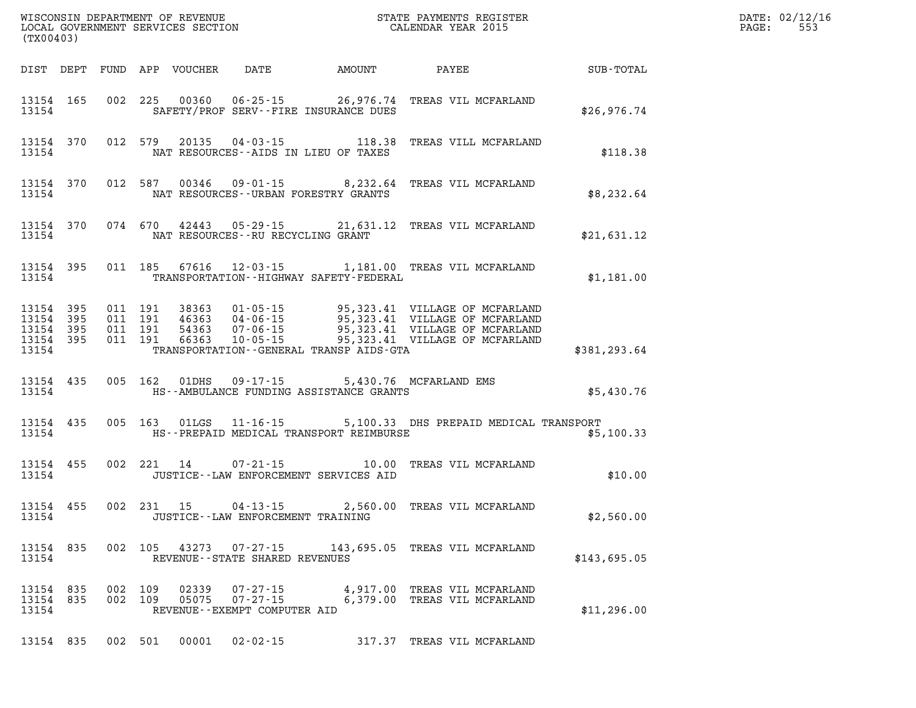| (TX00403)                                                 |  |                    |                |                                                                     |                                             |                                                                                                                                                                                                   |                  | DATE: 02/12/16<br>PAGE:<br>553 |
|-----------------------------------------------------------|--|--------------------|----------------|---------------------------------------------------------------------|---------------------------------------------|---------------------------------------------------------------------------------------------------------------------------------------------------------------------------------------------------|------------------|--------------------------------|
| DIST DEPT FUND APP VOUCHER                                |  |                    |                |                                                                     | DATE AMOUNT                                 | PAYEE                                                                                                                                                                                             | <b>SUB-TOTAL</b> |                                |
| 13154 165<br>13154                                        |  |                    |                |                                                                     | SAFETY/PROF SERV--FIRE INSURANCE DUES       | 002 225 00360 06-25-15 26,976.74 TREAS VIL MCFARLAND                                                                                                                                              | \$26,976.74      |                                |
| 13154 370<br>13154                                        |  |                    |                |                                                                     | NAT RESOURCES--AIDS IN LIEU OF TAXES        | 012 579 20135 04-03-15 118.38 TREAS VILL MCFARLAND                                                                                                                                                | \$118.38         |                                |
| 13154 370<br>13154                                        |  |                    |                |                                                                     | NAT RESOURCES - - URBAN FORESTRY GRANTS     | 012 587 00346 09-01-15 8,232.64 TREAS VIL MCFARLAND                                                                                                                                               | \$8,232.64       |                                |
| 13154 370<br>13154                                        |  |                    |                | NAT RESOURCES -- RU RECYCLING GRANT                                 |                                             | 074 670 42443 05-29-15 21,631.12 TREAS VIL MCFARLAND                                                                                                                                              | \$21,631.12      |                                |
| 13154 395<br>13154                                        |  |                    |                |                                                                     | TRANSPORTATION - - HIGHWAY SAFETY - FEDERAL | 011 185 67616 12-03-15 1,181.00 TREAS VIL MCFARLAND                                                                                                                                               | \$1,181.00       |                                |
| 13154 395<br>13154 395<br>13154 395<br>13154 395<br>13154 |  |                    |                |                                                                     | TRANSPORTATION--GENERAL TRANSP AIDS-GTA     | 011 191 38363 01-05-15 95,323.41 VILLAGE OF MCFARLAND<br>011 191 46363 04-06-15 95,323.41 VILLAGE OF MCFARLAND<br>011 191 66363 10-05-15 95,323.41 VILLAGE OF MCFARLAND<br>011 191 66363 10-05-15 | \$381,293.64     |                                |
| 13154 435<br>13154                                        |  |                    |                | 005 162 01DHS 09-17-15                                              | HS--AMBULANCE FUNDING ASSISTANCE GRANTS     | 5,430.76 MCFARLAND EMS                                                                                                                                                                            | \$5,430.76       |                                |
| 13154 435<br>13154                                        |  |                    |                |                                                                     | HS--PREPAID MEDICAL TRANSPORT REIMBURSE     | 005 163 01LGS 11-16-15 5,100.33 DHS PREPAID MEDICAL TRANSPORT                                                                                                                                     | \$5,100.33       |                                |
| 13154 455<br>13154                                        |  |                    |                |                                                                     | JUSTICE -- LAW ENFORCEMENT SERVICES AID     | 002 221 14 07-21-15 10.00 TREAS VIL MCFARLAND                                                                                                                                                     | \$10.00          |                                |
| 13154 455<br>13154                                        |  |                    |                | JUSTICE -- LAW ENFORCEMENT TRAINING                                 |                                             | 002 231 15 04-13-15 2,560.00 TREAS VIL MCFARLAND                                                                                                                                                  | \$2,560.00       |                                |
| 13154 835<br>13154                                        |  |                    |                | 002 105 43273 07-27-15<br>REVENUE - - STATE SHARED REVENUES         |                                             | 143,695.05 TREAS VIL MCFARLAND                                                                                                                                                                    | \$143,695.05     |                                |
| 13154 835<br>13154 835<br>13154                           |  | 002 109<br>002 109 | 02339<br>05075 | $07 - 27 - 15$<br>$07 - 27 - 15$<br>REVENUE - - EXEMPT COMPUTER AID |                                             | 4,917.00 TREAS VIL MCFARLAND<br>6,379.00 TREAS VIL MCFARLAND                                                                                                                                      | \$11,296.00      |                                |
| 13154 835                                                 |  | 002 501            | 00001          | $02 - 02 - 15$                                                      |                                             | 317.37 TREAS VIL MCFARLAND                                                                                                                                                                        |                  |                                |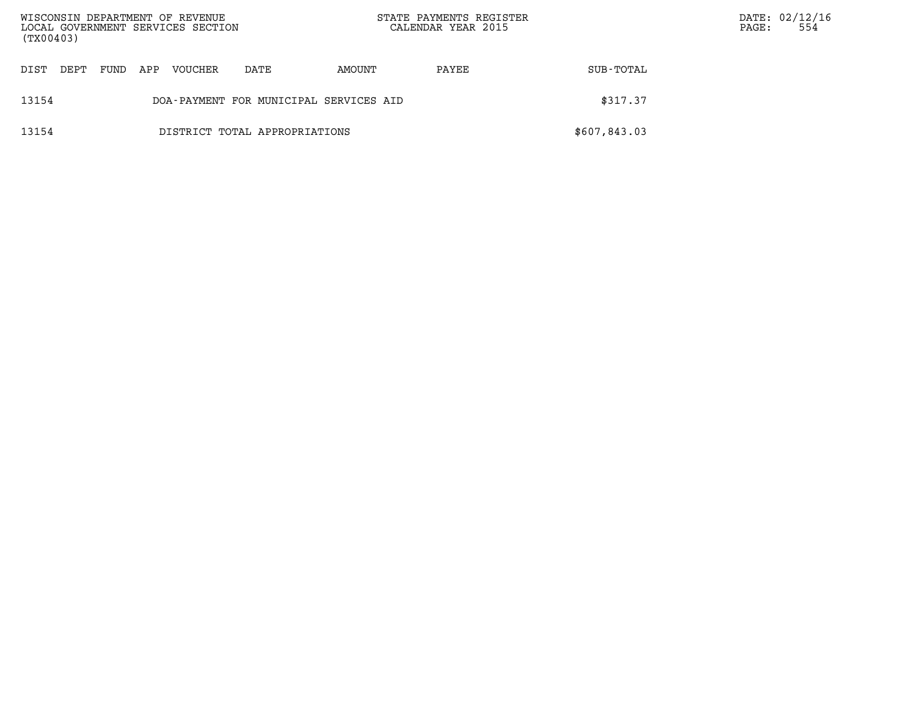| WISCONSIN DEPARTMENT OF REVENUE<br>LOCAL GOVERNMENT SERVICES SECTION<br>(TX00403) |                               |      |     |         |                                        | STATE PAYMENTS REGISTER<br>CALENDAR YEAR 2015 |       | PAGE:        | DATE: 02/12/16<br>554 |  |
|-----------------------------------------------------------------------------------|-------------------------------|------|-----|---------|----------------------------------------|-----------------------------------------------|-------|--------------|-----------------------|--|
| DIST                                                                              | DEPT                          | FUND | APP | VOUCHER | DATE                                   | AMOUNT                                        | PAYEE | SUB-TOTAL    |                       |  |
| 13154                                                                             |                               |      |     |         | DOA-PAYMENT FOR MUNICIPAL SERVICES AID |                                               |       | \$317.37     |                       |  |
| 13154                                                                             | DISTRICT TOTAL APPROPRIATIONS |      |     |         |                                        |                                               |       | \$607,843.03 |                       |  |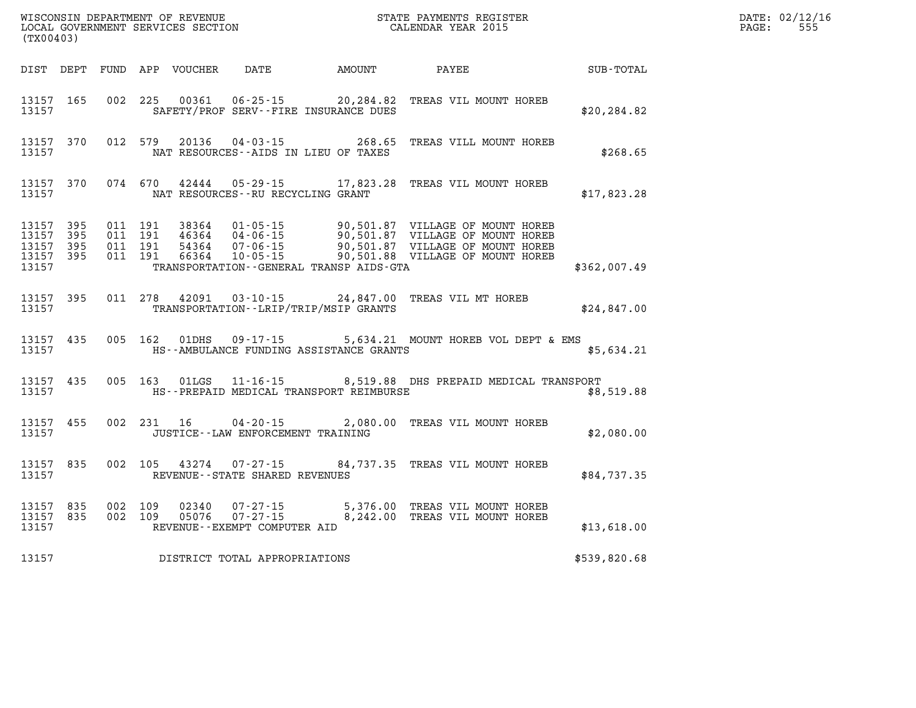| (TX00403)                                                 |                                |                                          | WISCONSIN DEPARTMENT OF REVENUE<br>LOCAL GOVERNMENT SERVICES SECTION |                                                                   |                                              | STATE PAYMENTS REGISTER<br>CALENDAR YEAR 2015                                                                                                                                                              |              | DATE: 02/12/16<br>555<br>$\mathtt{PAGE}$ : |
|-----------------------------------------------------------|--------------------------------|------------------------------------------|----------------------------------------------------------------------|-------------------------------------------------------------------|----------------------------------------------|------------------------------------------------------------------------------------------------------------------------------------------------------------------------------------------------------------|--------------|--------------------------------------------|
|                                                           |                                |                                          |                                                                      |                                                                   | DIST DEPT FUND APP VOUCHER DATE AMOUNT PAYEE |                                                                                                                                                                                                            | SUB-TOTAL    |                                            |
| 13157 165<br>13157                                        |                                |                                          | 002 225 00361                                                        |                                                                   | SAFETY/PROF SERV--FIRE INSURANCE DUES        | 06-25-15 20,284.82 TREAS VIL MOUNT HOREB                                                                                                                                                                   | \$20, 284.82 |                                            |
| 13157                                                     | 13157 370                      |                                          | 012 579 20136                                                        |                                                                   | NAT RESOURCES--AIDS IN LIEU OF TAXES         | 04-03-15 268.65 TREAS VILL MOUNT HOREB                                                                                                                                                                     | \$268.65     |                                            |
| 13157                                                     | 13157 370                      |                                          |                                                                      | NAT RESOURCES - - RU RECYCLING GRANT                              |                                              | 074 670 42444 05-29-15 17,823.28 TREAS VIL MOUNT HOREB                                                                                                                                                     | \$17,823.28  |                                            |
| 13157 395<br>13157 395<br>13157 395<br>13157 395<br>13157 |                                | 011 191<br>011 191<br>011 191<br>011 191 |                                                                      |                                                                   | TRANSPORTATION--GENERAL TRANSP AIDS-GTA      | 38364 01-05-15 90,501.87 VILLAGE OF MOUNT HOREB<br>46364 04-06-15 90,501.87 VILLAGE OF MOUNT HOREB<br>54364 07-06-15 90,501.87 VILLAGE OF MOUNT HOREB<br>66364 10-05-15 - 90,501.88 VILLAGE OF MOUNT HOREB | \$362,007.49 |                                            |
| 13157                                                     | 13157 395                      |                                          |                                                                      |                                                                   | TRANSPORTATION--LRIP/TRIP/MSIP GRANTS        | 011 278 42091 03-10-15 24,847.00 TREAS VIL MT HOREB                                                                                                                                                        | \$24,847.00  |                                            |
| 13157                                                     | 13157 435                      |                                          |                                                                      |                                                                   | HS--AMBULANCE FUNDING ASSISTANCE GRANTS      | 005 162 01DHS 09-17-15 5,634.21 MOUNT HOREB VOL DEPT & EMS                                                                                                                                                 | \$5,634.21   |                                            |
| 13157                                                     | 13157 435                      |                                          |                                                                      |                                                                   | HS--PREPAID MEDICAL TRANSPORT REIMBURSE      | 005 163 01LGS 11-16-15 8,519.88 DHS PREPAID MEDICAL TRANSPORT                                                                                                                                              | \$8,519.88   |                                            |
| 13157 455<br>13157                                        |                                |                                          | 002 231 16                                                           | $04 - 20 - 15$<br>JUSTICE - - LAW ENFORCEMENT TRAINING            |                                              | 2,080.00 TREAS VIL MOUNT HOREB                                                                                                                                                                             | \$2,080.00   |                                            |
| 13157 835<br>13157                                        |                                |                                          | 002 105 43274                                                        | REVENUE--STATE SHARED REVENUES                                    |                                              | 07-27-15 84, 737.35 TREAS VIL MOUNT HOREB                                                                                                                                                                  | \$84,737.35  |                                            |
| 13157                                                     | 13157 835 002 109<br>13157 835 | 002 109                                  | 05076                                                                | 02340  07-27-15<br>$07 - 27 - 15$<br>REVENUE--EXEMPT COMPUTER AID |                                              | 5,376.00 TREAS VIL MOUNT HOREB<br>8,242.00 TREAS VIL MOUNT HOREB                                                                                                                                           | \$13,618.00  |                                            |
| 13157                                                     |                                |                                          |                                                                      | DISTRICT TOTAL APPROPRIATIONS                                     |                                              |                                                                                                                                                                                                            | \$539,820.68 |                                            |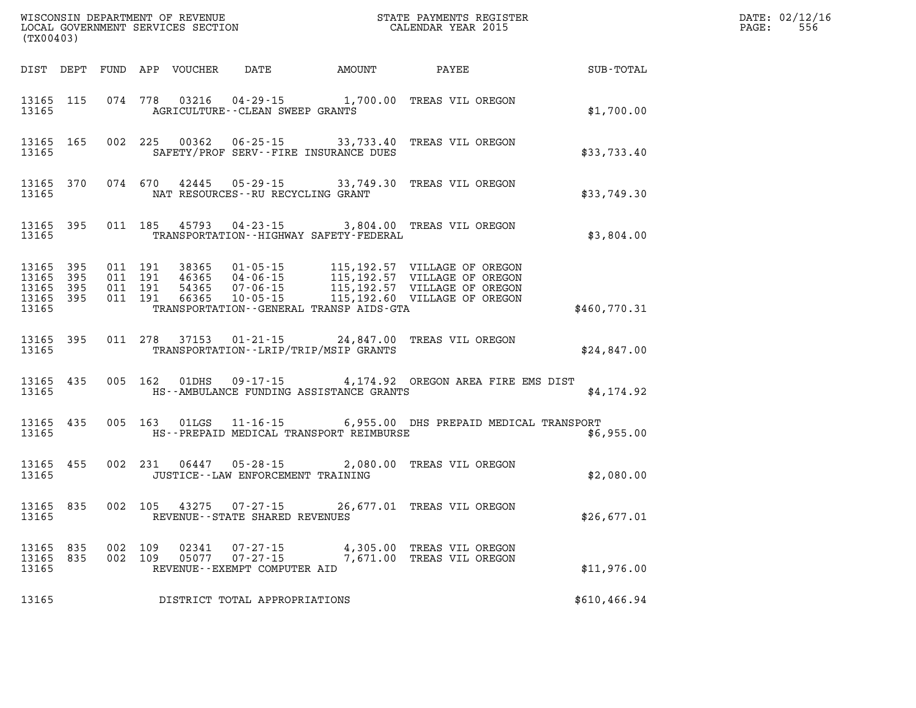| (TX00403)                                             |           |                                          |               |                                                          |                                                                                                                                                                                                                                                 | STATE PAYMENTS REGISTER    |               | DATE: 02/12/16<br>$\mathtt{PAGE}$ :<br>556 |
|-------------------------------------------------------|-----------|------------------------------------------|---------------|----------------------------------------------------------|-------------------------------------------------------------------------------------------------------------------------------------------------------------------------------------------------------------------------------------------------|----------------------------|---------------|--------------------------------------------|
|                                                       |           |                                          |               |                                                          | DIST DEPT FUND APP VOUCHER DATE AMOUNT PAYEE                                                                                                                                                                                                    |                            | SUB-TOTAL     |                                            |
| 13165 115<br>13165                                    |           | 074 778                                  |               | AGRICULTURE--CLEAN SWEEP GRANTS                          | 03216  04-29-15  1,700.00 TREAS VIL OREGON                                                                                                                                                                                                      |                            | \$1,700.00    |                                            |
| 13165                                                 | 13165 165 |                                          |               |                                                          | 002 225 00362 06-25-15 33,733.40 TREAS VIL OREGON<br>SAFETY/PROF SERV--FIRE INSURANCE DUES                                                                                                                                                      |                            | \$33,733.40   |                                            |
| 13165                                                 | 13165 370 |                                          |               | NAT RESOURCES--RU RECYCLING GRANT                        | 074 670 42445 05-29-15 33,749.30 TREAS VIL OREGON                                                                                                                                                                                               |                            | \$33,749.30   |                                            |
| 13165                                                 | 13165 395 |                                          |               |                                                          | 011 185 45793 04-23-15 3,804.00 TREAS VIL OREGON<br>TRANSPORTATION - - HIGHWAY SAFETY - FEDERAL                                                                                                                                                 |                            | \$3,804.00    |                                            |
| 13165<br>13165 395<br>13165 395<br>13165 395<br>13165 | 395       | 011 191<br>011 191<br>011 191<br>011 191 |               |                                                          | 38365  01-05-15  115,192.57  VILLAGE OF OREGON<br>46365  04-06-15  115,192.57  VILLAGE OF OREGON<br>54365  07-06-15  115,192.57  VILLAGE OF OREGON<br>66365  10-05-15  115,192.60  VILLAGE OF OREGON<br>TRANSPORTATION--GENERAL TRANSP AIDS-GTA |                            | \$460,770.31  |                                            |
| 13165 395<br>13165                                    |           |                                          | 011 278 37153 |                                                          | 01-21-15 24,847.00 TREAS VIL OREGON<br>TRANSPORTATION - - LRIP/TRIP/MSIP GRANTS                                                                                                                                                                 |                            | \$24,847.00   |                                            |
| 13165<br>13165                                        | 435       |                                          |               |                                                          | 005 162 01DHS 09-17-15 4,174.92 OREGON AREA FIRE EMS DIST<br>HS--AMBULANCE FUNDING ASSISTANCE GRANTS                                                                                                                                            |                            | \$4,174.92    |                                            |
| 13165                                                 | 13165 435 |                                          |               |                                                          | 005 163 01LGS 11-16-15 6,955.00 DHS PREPAID MEDICAL TRANSPORT<br>HS--PREPAID MEDICAL TRANSPORT REIMBURSE                                                                                                                                        |                            | \$6,955.00    |                                            |
| 13165 455<br>13165                                    |           |                                          |               | JUSTICE - - LAW ENFORCEMENT TRAINING                     | 002 231 06447 05-28-15 2,080.00 TREAS VIL OREGON                                                                                                                                                                                                |                            | \$2,080.00    |                                            |
| 13165 835<br>13165                                    |           |                                          |               | 002 105 43275 07-27-15<br>REVENUE--STATE SHARED REVENUES |                                                                                                                                                                                                                                                 | 26,677.01 TREAS VIL OREGON | \$26,677.01   |                                            |
| 13165 835<br>13165 835<br>13165                       |           | 002 109<br>002 109                       | 02341         | REVENUE--EXEMPT COMPUTER AID                             | 07-27-15 4,305.00 TREAS VIL OREGON<br>05077  07-27-15  7,671.00 TREAS VIL OREGON                                                                                                                                                                |                            | \$11,976.00   |                                            |
| 13165                                                 |           |                                          |               | DISTRICT TOTAL APPROPRIATIONS                            |                                                                                                                                                                                                                                                 |                            | \$610, 466.94 |                                            |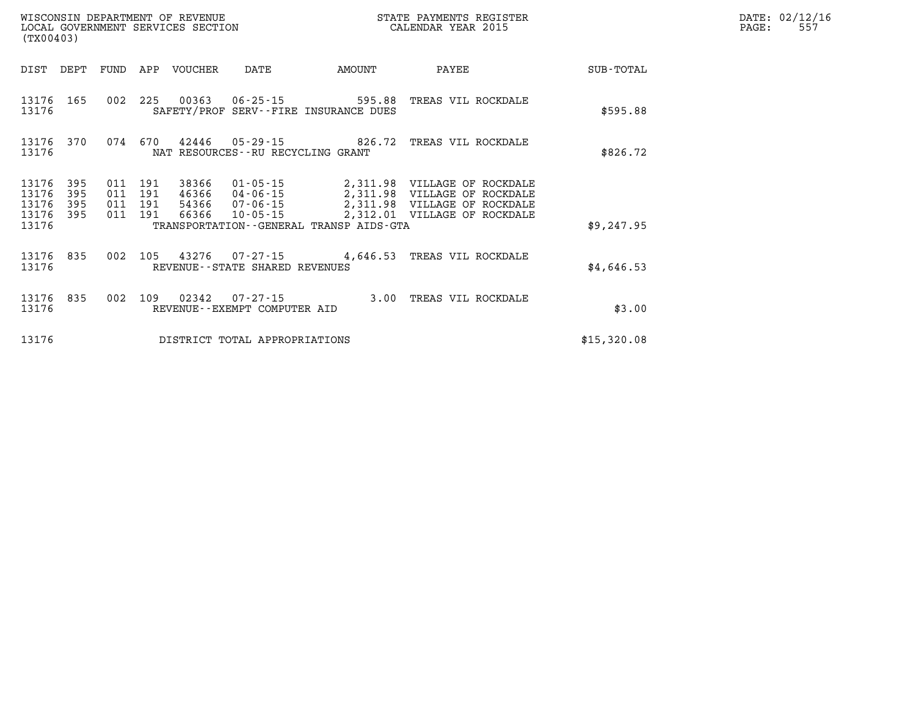| WISCONSIN DEPARTMENT OF REVENUE   | STATE PAYMENTS REGISTER |      | DATE: 02/12/16 |
|-----------------------------------|-------------------------|------|----------------|
| LOCAL GOVERNMENT SERVICES SECTION | CALENDAR YEAR 2015      | PAGE | <u>JJ</u>      |

| (TX00403)                        |                          |     |                                      | LOCAL GOVERNMENT SERVICES SECTION |                                      |                                         | CALENDAR YEAR 2015                                                                                                                                            |             | PAGE: | 557 |
|----------------------------------|--------------------------|-----|--------------------------------------|-----------------------------------|--------------------------------------|-----------------------------------------|---------------------------------------------------------------------------------------------------------------------------------------------------------------|-------------|-------|-----|
| DIST                             | DEPT                     |     |                                      | FUND APP VOUCHER                  | DATE                                 | AMOUNT                                  | PAYEE                                                                                                                                                         | SUB-TOTAL   |       |     |
| 13176 165<br>13176               |                          |     |                                      |                                   |                                      | SAFETY/PROF SERV--FIRE INSURANCE DUES   | 002  225  00363  06-25-15  595.88  TREAS VIL ROCKDALE                                                                                                         | \$595.88    |       |     |
| 13176<br>13176                   | 370                      |     |                                      |                                   | NAT RESOURCES - - RU RECYCLING GRANT |                                         | 074 670 42446 05-29-15 826.72 TREAS VIL ROCKDALE                                                                                                              | \$826.72    |       |     |
| 13176<br>13176<br>13176<br>13176 | 395<br>395<br>395<br>395 | 011 | 191<br>011 191<br>011 191<br>011 191 | 38366<br>46366<br>66366           | $10 - 05 - 15$                       |                                         | 01-05-15 2,311.98 VILLAGE OF ROCKDALE<br>04-06-15 2,311.98 VILLAGE OF ROCKDALE<br>54366 07-06-15 2,311.98 VILLAGE OF ROCKDALE<br>2,312.01 VILLAGE OF ROCKDALE |             |       |     |
| 13176                            |                          |     |                                      |                                   |                                      | TRANSPORTATION--GENERAL TRANSP AIDS-GTA |                                                                                                                                                               | \$9,247.95  |       |     |
| 13176<br>13176                   | 835                      |     |                                      |                                   | REVENUE--STATE SHARED REVENUES       |                                         | 002 105 43276 07-27-15 4,646.53 TREAS VIL ROCKDALE                                                                                                            | \$4,646.53  |       |     |
| 13176 835<br>13176               |                          |     |                                      |                                   | REVENUE--EXEMPT COMPUTER AID         |                                         | 002 109 02342 07-27-15 3.00 TREAS VIL ROCKDALE                                                                                                                | \$3.00      |       |     |
| 13176                            |                          |     |                                      |                                   | DISTRICT TOTAL APPROPRIATIONS        |                                         |                                                                                                                                                               | \$15,320.08 |       |     |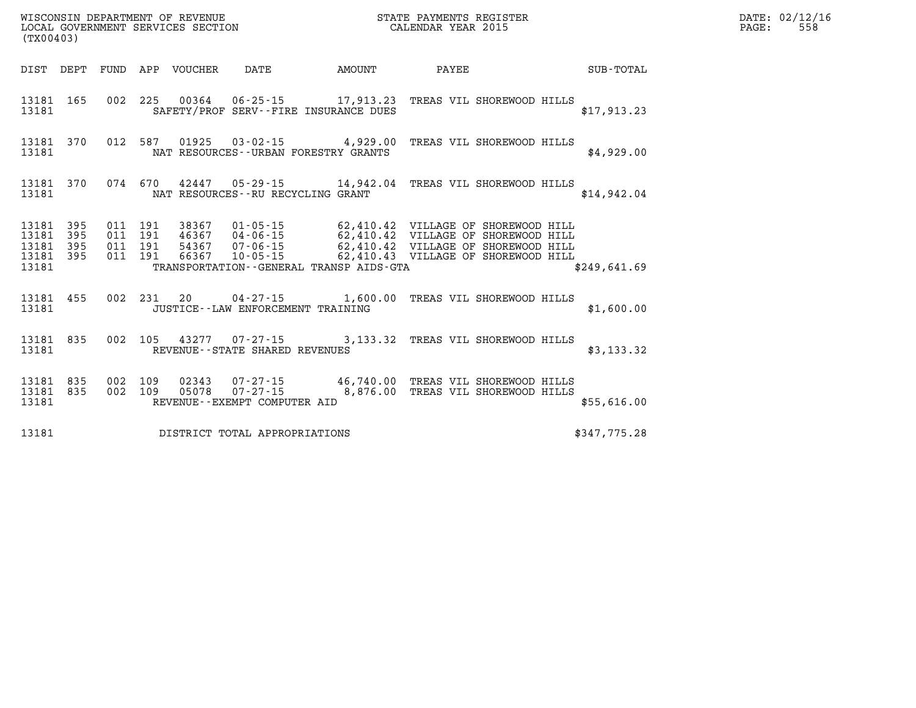| DATE: | 02/12/16 |
|-------|----------|
| PAGE: | 558      |

| (TX00403)                                             |                    |  | LOCAL GOVERNMENT SERVICES SECTION |                                                                                                                                                                                                                                                                                                      | CALENDAR YEAR 2015 |                 |              | PAGE: | 558 |
|-------------------------------------------------------|--------------------|--|-----------------------------------|------------------------------------------------------------------------------------------------------------------------------------------------------------------------------------------------------------------------------------------------------------------------------------------------------|--------------------|-----------------|--------------|-------|-----|
|                                                       |                    |  |                                   | DIST DEPT FUND APP VOUCHER DATE AMOUNT                                                                                                                                                                                                                                                               |                    | PAYEE SUB-TOTAL |              |       |     |
| 13181                                                 | 13181 165          |  |                                   | 002 225 00364 06-25-15 17,913.23 TREAS VIL SHOREWOOD HILLS<br>SAFETY/PROF SERV--FIRE INSURANCE DUES                                                                                                                                                                                                  |                    |                 | \$17,913.23  |       |     |
| 13181                                                 |                    |  |                                   | 13181 370 012 587 01925 03-02-15 4,929.00 TREAS VIL SHOREWOOD HILLS<br>NAT RESOURCES--URBAN FORESTRY GRANTS                                                                                                                                                                                          |                    |                 | \$4,929.00   |       |     |
|                                                       |                    |  |                                   | 13181 370 074 670 42447 05-29-15 14,942.04 TREAS VIL SHOREWOOD HILLS<br>13181 NAT RESOURCES--RU RECYCLING GRANT                                                                                                                                                                                      |                    |                 | \$14,942.04  |       |     |
| 13181 395<br>13181<br>13181 395<br>13181 395<br>13181 | 395                |  |                                   | 011 191 38367 01-05-15 62,410.42 VILLAGE OF SHOREWOOD HILL<br>011 191 46367 04-06-15 62,410.42 VILLAGE OF SHOREWOOD HILL<br>011 191 54367 07-06-15 62,410.42 VILLAGE OF SHOREWOOD HILL<br>011 191 66367 10-05-15 62,410.43 VILLAGE OF SHOREWOOD HILL<br>TRANSPORTATION - - GENERAL TRANSP AIDS - GTA |                    |                 | \$249,641.69 |       |     |
|                                                       | 13181 455<br>13181 |  |                                   | 002 231 20 04-27-15 1,600.00 TREAS VIL SHOREWOOD HILLS<br>JUSTICE--LAW ENFORCEMENT TRAINING                                                                                                                                                                                                          |                    |                 | \$1,600.00   |       |     |
| 13181                                                 |                    |  |                                   | 13181 835 002 105 43277 07-27-15 3,133.32 TREAS VIL SHOREWOOD HILLS<br>REVENUE--STATE SHARED REVENUES                                                                                                                                                                                                |                    |                 | \$3,133.32   |       |     |
| 13181 835<br>13181 835<br>13181                       |                    |  |                                   | 002 109 02343 07-27-15 46,740.00 TREAS VIL SHOREWOOD HILLS<br>002 109 05078 07-27-15 8,876.00 TREAS VIL SHOREWOOD HILLS<br>REVENUE--EXEMPT COMPUTER AID                                                                                                                                              |                    |                 | \$55,616.00  |       |     |
| 13181                                                 |                    |  |                                   | DISTRICT TOTAL APPROPRIATIONS                                                                                                                                                                                                                                                                        |                    |                 | \$347,775.28 |       |     |

WISCONSIN DEPARTMENT OF REVENUE **STATE PAYMENTS REGISTER**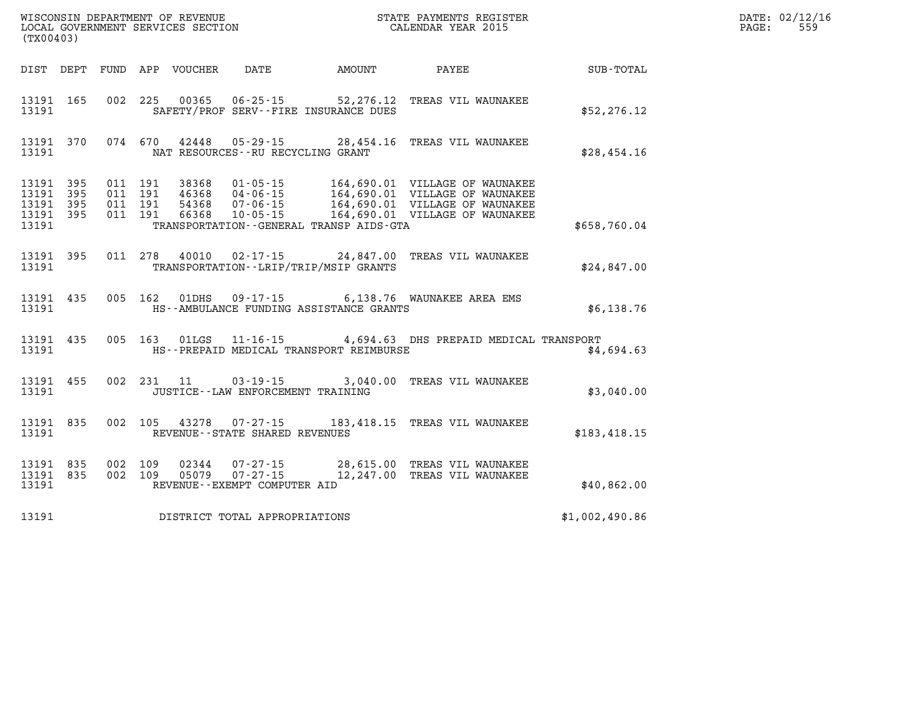| (TX00403)               |                                      |         |                                 |                                   |                                              |                                                                                                      |                | DATE: 02/12/16<br>559<br>$\mathtt{PAGE:}$ |
|-------------------------|--------------------------------------|---------|---------------------------------|-----------------------------------|----------------------------------------------|------------------------------------------------------------------------------------------------------|----------------|-------------------------------------------|
|                         |                                      |         | DIST DEPT FUND APP VOUCHER DATE |                                   | AMOUNT PAYEE                                 |                                                                                                      | SUB-TOTAL      |                                           |
| 13191                   | 13191 165                            |         |                                 |                                   | SAFETY/PROF SERV--FIRE INSURANCE DUES        | 002 225 00365 06-25-15 52,276.12 TREAS VIL WAUNAKEE                                                  | \$52, 276.12   |                                           |
| 13191                   |                                      |         |                                 | NAT RESOURCES--RU RECYCLING GRANT |                                              | 13191 370 074 670 42448 05-29-15 28,454.16 TREAS VIL WAUNAKEE                                        | \$28,454.16    |                                           |
| 13191<br>13191<br>13191 | 13191 395<br>13191 395<br>395<br>395 |         |                                 |                                   | TRANSPORTATION - - GENERAL TRANSP AIDS - GTA |                                                                                                      | \$658,760.04   |                                           |
| 13191                   |                                      |         |                                 |                                   | TRANSPORTATION - - LRIP/TRIP/MSIP GRANTS     | 13191 395 011 278 40010 02-17-15 24,847.00 TREAS VIL WAUNAKEE                                        | \$24,847.00    |                                           |
| 13191                   |                                      |         |                                 |                                   | HS--AMBULANCE FUNDING ASSISTANCE GRANTS      | 13191 435 005 162 01DHS 09-17-15 6,138.76 WAUNAKEE AREA EMS                                          | \$6,138.76     |                                           |
| 13191                   |                                      |         |                                 |                                   | HS--PREPAID MEDICAL TRANSPORT REIMBURSE      | 13191 435 005 163 01LGS 11-16-15 4,694.63 DHS PREPAID MEDICAL TRANSPORT                              | \$4,694.63     |                                           |
| 13191                   | 13191 455                            |         |                                 | JUSTICE--LAW ENFORCEMENT TRAINING |                                              | 002 231 11 03-19-15 3,040.00 TREAS VIL WAUNAKEE                                                      | \$3,040.00     |                                           |
| 13191                   | 13191 835                            |         |                                 | REVENUE--STATE SHARED REVENUES    |                                              | 002 105 43278 07-27-15 183,418.15 TREAS VIL WAUNAKEE                                                 | \$183,418.15   |                                           |
| 13191                   | 13191 835<br>13191 835               | 002 109 |                                 | REVENUE--EXEMPT COMPUTER AID      |                                              | 02344  07-27-15  28,615.00 TREAS VIL WAUNAKEE<br>002 109 05079 07-27-15 12,247.00 TREAS VIL WAUNAKEE | \$40,862.00    |                                           |
| 13191                   |                                      |         |                                 | DISTRICT TOTAL APPROPRIATIONS     |                                              |                                                                                                      | \$1,002,490.86 |                                           |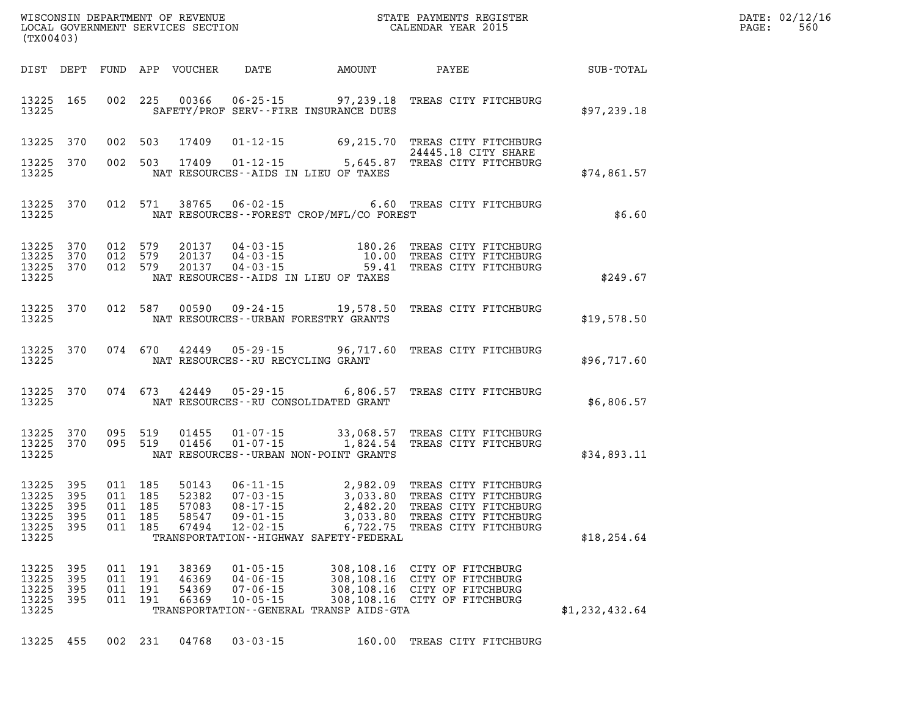| $\texttt{DATE}$ : | 02/12/16 |
|-------------------|----------|
| PAGE:             | 560      |

| (TX00403)                                 |                                 |                                          |                          | LOCAL GOVERNMENT SERVICES SECTION         |                                                                      | CALENDAR YEAR 2015                                                                                                                                                      |                                                                                  |                | PAGE: | 560 |
|-------------------------------------------|---------------------------------|------------------------------------------|--------------------------|-------------------------------------------|----------------------------------------------------------------------|-------------------------------------------------------------------------------------------------------------------------------------------------------------------------|----------------------------------------------------------------------------------|----------------|-------|-----|
|                                           |                                 |                                          |                          |                                           |                                                                      | DIST DEPT FUND APP VOUCHER DATE AMOUNT PAYEE SUB-TOTAL                                                                                                                  |                                                                                  |                |       |     |
| 13225 165<br>13225                        |                                 |                                          |                          |                                           |                                                                      | 002 225 00366 06-25-15 97,239.18 TREAS CITY FITCHBURG<br>SAFETY/PROF SERV--FIRE INSURANCE DUES                                                                          |                                                                                  | \$97,239.18    |       |     |
| 13225 370                                 |                                 |                                          |                          | 002 503 17409                             |                                                                      | 01-12-15 69,215.70 TREAS CITY FITCHBURG<br>24445.18 CITY SHARE<br>5,645.87 TREAS CITY FITCHBURG 503 17409 01-12-15                                                      |                                                                                  |                |       |     |
| 13225 370<br>13225                        |                                 |                                          |                          |                                           |                                                                      | NAT RESOURCES--AIDS IN LIEU OF TAXES                                                                                                                                    |                                                                                  | \$74,861.57    |       |     |
| 13225                                     | 13225 370                       |                                          |                          |                                           |                                                                      | 012 571 38765 06-02-15 6.60 TREAS CITY FITCHBURG<br>NAT RESOURCES--FOREST CROP/MFL/CO FOREST                                                                            |                                                                                  | \$6.60         |       |     |
| 13225<br>13225                            | 370<br>370                      | 012 579<br>012 579                       |                          | 20137<br>20137                            |                                                                      | 04-03-15 180.26 TREAS CITY FITCHBURG<br>04-03-15 10.00 TREAS CITY FITCHBURG<br>04-03-15 59.41 TREAS CITY FITCHBURG                                                      |                                                                                  |                |       |     |
| 13225 370<br>13225                        |                                 | 012 579                                  |                          | 20137                                     |                                                                      | NAT RESOURCES--AIDS IN LIEU OF TAXES                                                                                                                                    |                                                                                  | \$249.67       |       |     |
| 13225                                     | 13225 370                       |                                          |                          |                                           |                                                                      | 012 587 00590 09-24-15 19,578.50 TREAS CITY FITCHBURG<br>NAT RESOURCES--URBAN FORESTRY GRANTS                                                                           |                                                                                  | \$19,578.50    |       |     |
| 13225                                     | 13225 370                       |                                          |                          |                                           | NAT RESOURCES - - RU RECYCLING GRANT                                 | 074 670 42449 05-29-15 96,717.60 TREAS CITY FITCHBURG                                                                                                                   |                                                                                  | \$96,717.60    |       |     |
| 13225                                     | 13225 370                       |                                          | 074 673                  | 42449                                     |                                                                      | 05-29-15 6,806.57 TREAS CITY FITCHBURG<br>NAT RESOURCES - - RU CONSOLIDATED GRANT                                                                                       |                                                                                  | \$6,806.57     |       |     |
| 13225                                     | 13225 370<br>13225 370          |                                          | 095 519                  | 01455<br>095 519 01456                    |                                                                      | 01-07-15 33,068.57 TREAS CITY FITCHBURG<br>01-07-15 1,824.54 TREAS CITY FITCHBURG<br>NAT RESOURCES - - URBAN NON-POINT GRANTS                                           |                                                                                  | \$34,893.11    |       |     |
| 13225<br>13225<br>13225<br>13225<br>13225 | 395<br>395<br>395<br>395<br>395 | 011 185<br>011 185<br>011 185<br>011 185 | 011 185                  | 50143<br>52382<br>57083<br>58547<br>67494 |                                                                      | 06-11-15<br>07-03-15<br>07-03-15<br>08-17-15<br>2,482.20 TREAS CITY FITCHBURG<br>09-01-15<br>3,033.80 TREAS CITY FITCHBURG<br>12-02-15<br>6,722.75 TREAS CITY FITCHBURG |                                                                                  |                |       |     |
| 13225                                     |                                 |                                          |                          |                                           |                                                                      | TRANSPORTATION - - HIGHWAY SAFETY - FEDERAL                                                                                                                             |                                                                                  | \$18, 254.64   |       |     |
| 13225<br>13225<br>13225<br>13225          | 395<br>395<br>395<br>395        | 011<br>011<br>011<br>011                 | 191<br>191<br>191<br>191 | 38369<br>46369<br>54369<br>66369          | $01 - 05 - 15$<br>$04 - 06 - 15$<br>$07 - 06 - 15$<br>$10 - 05 - 15$ | 308,108.16<br>308,108.16<br>308,108.16<br>308,108.16                                                                                                                    | CITY OF FITCHBURG<br>CITY OF FITCHBURG<br>CITY OF FITCHBURG<br>CITY OF FITCHBURG |                |       |     |
| 13225                                     |                                 |                                          |                          |                                           |                                                                      | TRANSPORTATION - - GENERAL TRANSP AIDS - GTA                                                                                                                            |                                                                                  | \$1,232,432.64 |       |     |

**13225 455 002 231 04768 03-03-15 160.00 TREAS CITY FITCHBURG** 

WISCONSIN DEPARTMENT OF REVENUE **STATE PAYMENTS REGISTER**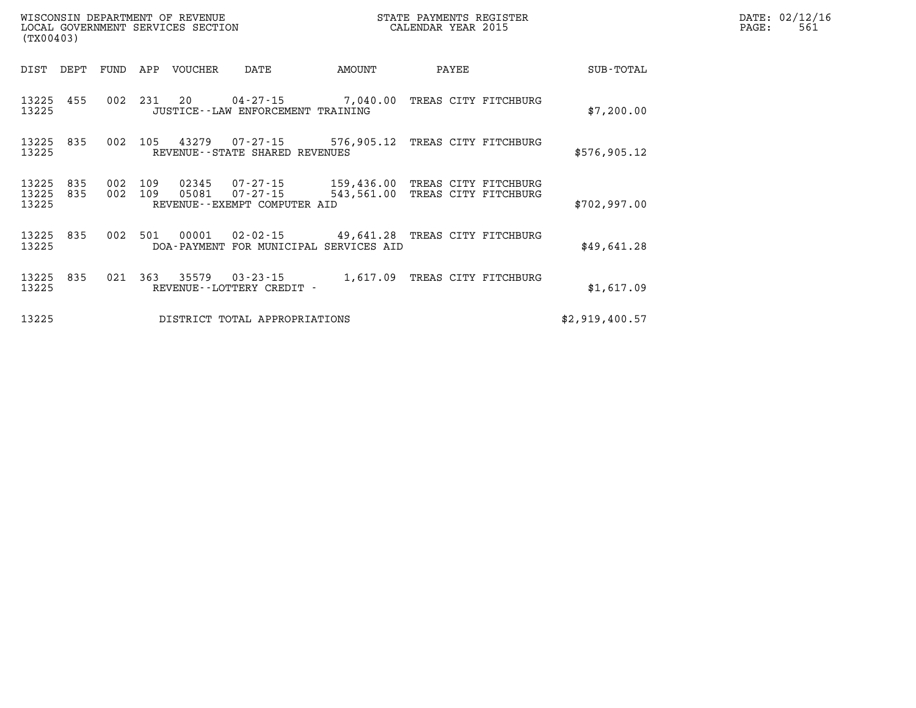| DATE: | 02/12/16 |
|-------|----------|
| PAGE: | 561      |

| (TX00403)               |            |            |            | WISCONSIN DEPARTMENT OF REVENUE<br>LOCAL GOVERNMENT SERVICES SECTION |                                                      |                                                                                   | STATE PAYMENTS REGISTER<br>CALENDAR YEAR 2015 |                | PAGE: | DATE: 02/12/1<br>561 |
|-------------------------|------------|------------|------------|----------------------------------------------------------------------|------------------------------------------------------|-----------------------------------------------------------------------------------|-----------------------------------------------|----------------|-------|----------------------|
| DIST                    | DEPT       | FUND       | APP        | VOUCHER                                                              | DATE                                                 | AMOUNT                                                                            | PAYEE                                         | SUB-TOTAL      |       |                      |
| 13225 455<br>13225      |            | 002        | 231 20     |                                                                      | 04-27-15<br>JUSTICE - - LAW ENFORCEMENT TRAINING     | 7,040.00 TREAS CITY FITCHBURG                                                     |                                               | \$7,200.00     |       |                      |
| 13225 835<br>13225      |            | 002        | 105        |                                                                      | REVENUE--STATE SHARED REVENUES                       | 43279  07-27-15  576,905.12  TREAS CITY FITCHBURG                                 |                                               | \$576,905.12   |       |                      |
| 13225<br>13225<br>13225 | 835<br>835 | 002<br>002 | 109<br>109 | 02345<br>05081                                                       | 07-27-15<br>07-27-15<br>REVENUE--EXEMPT COMPUTER AID | 159,436.00 TREAS CITY FITCHBURG<br>543,561.00 TREAS CITY FITCHBURG                |                                               | \$702,997.00   |       |                      |
| 13225<br>13225          | 835        | 002        | 501        | 00001                                                                |                                                      | 02-02-15 49,641.28 TREAS CITY FITCHBURG<br>DOA-PAYMENT FOR MUNICIPAL SERVICES AID |                                               | \$49,641.28    |       |                      |
| 13225 835<br>13225      |            | 021        | 363        |                                                                      | 35579 03-23-15<br>REVENUE--LOTTERY CREDIT -          | 1,617.09 TREAS CITY FITCHBURG                                                     |                                               | \$1,617.09     |       |                      |
| 13225                   |            |            |            |                                                                      | DISTRICT TOTAL APPROPRIATIONS                        |                                                                                   |                                               | \$2,919,400.57 |       |                      |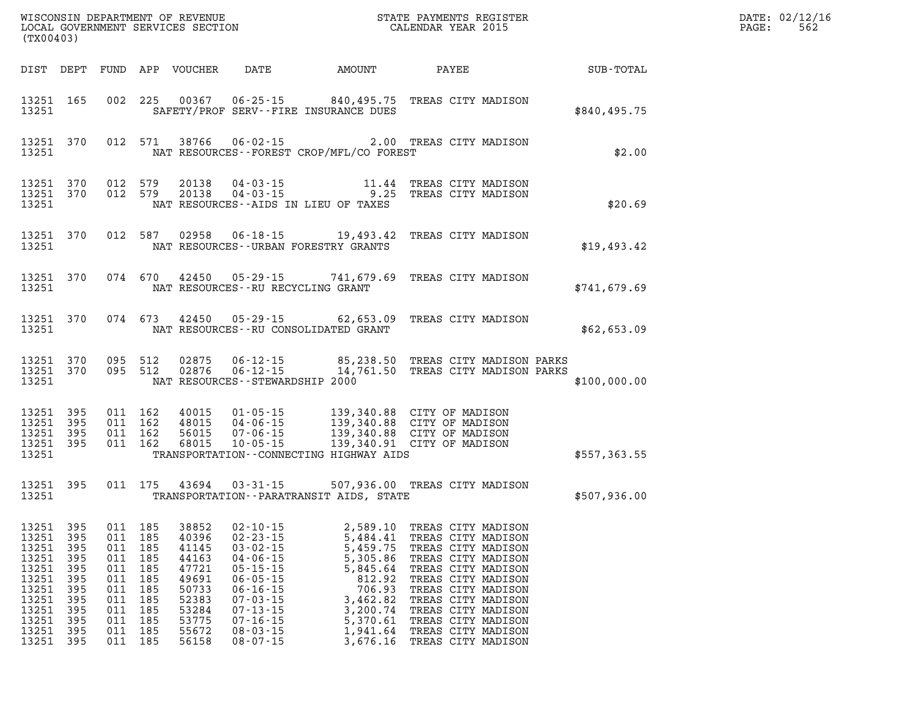| DATE: | 02/12/16 |
|-------|----------|
| PAGE: | 562      |

| WISCONSIN DEPARTMENT OF REVENUE<br>LOCAL GOVERNMENT SERVICES SECTION COLLENDAR YEAR 2015<br>(TX00403) |                                                                    |                                                                    |                                                                    |                                                                                                                   |                                                                                                                                                                                                    |                                                                                                                                                                                                                                                              |                                                                                                                                                                                                                                                         | R            | DATE: 02/12/1<br>$\mathtt{PAGE}$ :<br>562 |
|-------------------------------------------------------------------------------------------------------|--------------------------------------------------------------------|--------------------------------------------------------------------|--------------------------------------------------------------------|-------------------------------------------------------------------------------------------------------------------|----------------------------------------------------------------------------------------------------------------------------------------------------------------------------------------------------|--------------------------------------------------------------------------------------------------------------------------------------------------------------------------------------------------------------------------------------------------------------|---------------------------------------------------------------------------------------------------------------------------------------------------------------------------------------------------------------------------------------------------------|--------------|-------------------------------------------|
|                                                                                                       |                                                                    |                                                                    |                                                                    |                                                                                                                   |                                                                                                                                                                                                    |                                                                                                                                                                                                                                                              |                                                                                                                                                                                                                                                         |              |                                           |
| 13251                                                                                                 | 13251 165                                                          |                                                                    |                                                                    |                                                                                                                   |                                                                                                                                                                                                    | 002 225 00367 06-25-15 840,495.75 TREAS CITY MADISON<br>SAFETY/PROF SERV--FIRE INSURANCE DUES                                                                                                                                                                |                                                                                                                                                                                                                                                         | \$840,495.75 |                                           |
| 13251                                                                                                 | 13251 370                                                          |                                                                    |                                                                    |                                                                                                                   |                                                                                                                                                                                                    | 012 571 38766 06-02-15 2.00 TREAS CITY MADISON<br>NAT RESOURCES - - FOREST CROP/MFL/CO FOREST                                                                                                                                                                |                                                                                                                                                                                                                                                         | \$2.00       |                                           |
| 13251                                                                                                 |                                                                    |                                                                    |                                                                    |                                                                                                                   |                                                                                                                                                                                                    | 13251 370 012 579 20138 04-03-15 11.44 TREAS CITY MADISON<br>13251 370 012 579 20138 04-03-15 9.25 TREAS CITY MADISON<br>NAT RESOURCES -- AIDS IN LIEU OF TAXES                                                                                              |                                                                                                                                                                                                                                                         | \$20.69      |                                           |
| 13251                                                                                                 | 13251 370                                                          |                                                                    |                                                                    |                                                                                                                   |                                                                                                                                                                                                    | 012 587 02958 06-18-15 19,493.42 TREAS CITY MADISON<br>NAT RESOURCES--URBAN FORESTRY GRANTS                                                                                                                                                                  |                                                                                                                                                                                                                                                         | \$19,493.42  |                                           |
| 13251                                                                                                 | 13251 370                                                          |                                                                    |                                                                    |                                                                                                                   |                                                                                                                                                                                                    | 074 670 42450 05-29-15 741,679.69 TREAS CITY MADISON<br>NAT RESOURCES - - RU RECYCLING GRANT                                                                                                                                                                 |                                                                                                                                                                                                                                                         | \$741,679.69 |                                           |
| 13251                                                                                                 |                                                                    |                                                                    |                                                                    |                                                                                                                   |                                                                                                                                                                                                    | 13251 370 074 673 42450 05-29-15 62,653.09 TREAS CITY MADISON<br>NAT RESOURCES--RU CONSOLIDATED GRANT                                                                                                                                                        |                                                                                                                                                                                                                                                         | \$62,653.09  |                                           |
| 13251                                                                                                 | 13251 370<br>13251 370                                             |                                                                    |                                                                    |                                                                                                                   | NAT RESOURCES - - STEWARDSHIP 2000                                                                                                                                                                 | 095 512 02875 06-12-15 85,238.50 TREAS CITY MADISON PARKS<br>095 512 02876 06-12-15 14,761.50 TREAS CITY MADISON PARKS                                                                                                                                       |                                                                                                                                                                                                                                                         | \$100,000.00 |                                           |
| 13251<br>13251                                                                                        | 13251 395<br>395<br>13251 395<br>13251 395                         |                                                                    |                                                                    |                                                                                                                   |                                                                                                                                                                                                    | 011 162 40015 01-05-15 139,340.88 CITY OF MADISON<br>011 162 48015 04-06-15 139,340.88 CITY OF MADISON<br>011 162 56015 07-06-15 139,340.88 CITY OF MADISON<br>011 162 68015 10-05-15 139,340.91 CITY OF MADISON<br>TRANSPORTATION - CONNECTING HIGHWAY AIDS |                                                                                                                                                                                                                                                         | \$557,363.55 |                                           |
| 13251                                                                                                 | 13251 395                                                          |                                                                    |                                                                    |                                                                                                                   |                                                                                                                                                                                                    | 011 175 43694 03-31-15 507,936.00 TREAS CITY MADISON<br>TRANSPORTATION - - PARATRANSIT AIDS, STATE                                                                                                                                                           |                                                                                                                                                                                                                                                         | \$507,936.00 |                                           |
| 13251<br>13251<br>13251<br>13251<br>13251<br>13251<br>13251<br>13251<br>13251<br>13251                | 395<br>395<br>395<br>395<br>395<br>395<br>395<br>395<br>395<br>395 | 011<br>011<br>011<br>011<br>011<br>011<br>011<br>011<br>011<br>011 | 185<br>185<br>185<br>185<br>185<br>185<br>185<br>185<br>185<br>185 | 13251 395 011 185 38852<br>40396<br>41145<br>44163<br>47721<br>49691<br>50733<br>52383<br>53284<br>53775<br>55672 | $02 - 10 - 15$<br>$02 - 23 - 15$<br>$03 - 02 - 15$<br>$04 - 06 - 15$<br>$05 - 15 - 15$<br>$06 - 05 - 15$<br>$06 - 16 - 15$<br>$07 - 03 - 15$<br>$07 - 13 - 15$<br>$07 - 16 - 15$<br>$08 - 03 - 15$ | 5,484.41<br>5,459.75<br>5,305.86<br>5,845.64<br>812.92<br>706.93<br>3,462.82<br>3,200.74<br>5,370.61<br>1,941.64                                                                                                                                             | 2,589.10 TREAS CITY MADISON<br>TREAS CITY MADISON<br>TREAS CITY MADISON<br>TREAS CITY MADISON<br>TREAS CITY MADISON<br>TREAS CITY MADISON<br>TREAS CITY MADISON<br>TREAS CITY MADISON<br>TREAS CITY MADISON<br>TREAS CITY MADISON<br>TREAS CITY MADISON |              |                                           |

**13251 395 011 185 56158 08-07-15 3,676.16 TREAS CITY MADISON**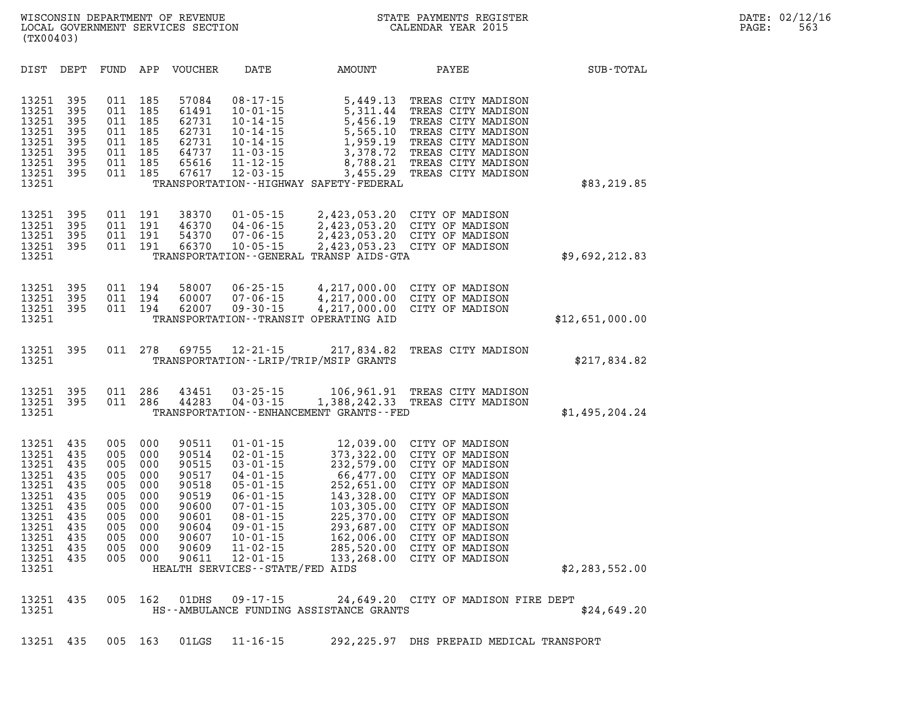| DIST                                                                                                              | DEPT                                                                             | FUND                                                                             | APP                                                                              | <b>VOUCHER</b>                                                                                           | DATE                                                                                                                                                                                                                                                    | <b>AMOUNT</b>                                                                                                                                                      | PAYEE                                                                                                                                                                                                                            | SUB-TOTAL       |
|-------------------------------------------------------------------------------------------------------------------|----------------------------------------------------------------------------------|----------------------------------------------------------------------------------|----------------------------------------------------------------------------------|----------------------------------------------------------------------------------------------------------|---------------------------------------------------------------------------------------------------------------------------------------------------------------------------------------------------------------------------------------------------------|--------------------------------------------------------------------------------------------------------------------------------------------------------------------|----------------------------------------------------------------------------------------------------------------------------------------------------------------------------------------------------------------------------------|-----------------|
| 13251<br>13251<br>13251<br>13251<br>13251<br>13251<br>13251<br>13251<br>13251                                     | 395<br>395<br>395<br>395<br>395<br>395<br>395<br>395                             | 011<br>011<br>011<br>011<br>011<br>011<br>011<br>011                             | 185<br>185<br>185<br>185<br>185<br>185<br>185<br>185                             | 57084<br>61491<br>62731<br>62731<br>62731<br>64737<br>65616<br>67617                                     | $08 - 17 - 15$<br>$10 - 01 - 15$<br>$10 - 14 - 15$<br>$10 - 14 - 15$<br>$10 - 14 - 15$<br>$11 - 03 - 15$<br>$11 - 12 - 15$<br>$12 - 03 - 15$                                                                                                            | 5,449.13<br>5,311.44<br>5,456.19<br>5,565.10<br>1,959.19<br>3,378.72<br>8,788.21<br>3,455.29<br>TRANSPORTATION - - HIGHWAY SAFETY - FEDERAL                        | TREAS CITY MADISON<br>TREAS CITY MADISON<br>TREAS CITY MADISON<br>TREAS CITY MADISON<br>TREAS CITY MADISON<br>TREAS CITY MADISON<br>TREAS CITY MADISON<br>TREAS CITY MADISON                                                     | \$83,219.85     |
| 13251<br>13251<br>13251<br>13251<br>13251                                                                         | 395<br>395<br>395<br>395                                                         | 011<br>011<br>011<br>011                                                         | 191<br>191<br>191<br>191                                                         | 38370<br>46370<br>54370<br>66370                                                                         | $01 - 05 - 15$<br>$04 - 06 - 15$<br>$07 - 06 - 15$<br>$10 - 05 - 15$                                                                                                                                                                                    | 2,423,053.20<br>2,423,053.20<br>2,423,053.20<br>2,423,053.23<br>TRANSPORTATION - - GENERAL TRANSP AIDS-GTA                                                         | CITY OF MADISON<br>CITY OF MADISON<br>CITY OF MADISON<br>CITY OF MADISON                                                                                                                                                         | \$9,692,212.83  |
| 13251<br>13251<br>13251<br>13251                                                                                  | 395<br>395<br>395                                                                | 011<br>011<br>011                                                                | 194<br>194<br>194                                                                | 58007<br>60007<br>62007                                                                                  | $06 - 25 - 15$<br>$07 - 06 - 15$<br>$09 - 30 - 15$                                                                                                                                                                                                      | 4,217,000.00<br>4,217,000.00<br>4,217,000.00<br>TRANSPORTATION--TRANSIT OPERATING AID                                                                              | CITY OF MADISON<br>CITY OF MADISON<br>CITY OF MADISON                                                                                                                                                                            | \$12,651,000.00 |
| 13251<br>13251                                                                                                    | 395                                                                              | 011                                                                              | 278                                                                              | 69755                                                                                                    | $12 - 21 - 15$                                                                                                                                                                                                                                          | 217,834.82<br>TRANSPORTATION - - LRIP/TRIP/MSIP GRANTS                                                                                                             | TREAS CITY MADISON                                                                                                                                                                                                               | \$217,834.82    |
| 13251<br>13251<br>13251                                                                                           | 395<br>395                                                                       | 011<br>011                                                                       | 286<br>286                                                                       | 43451<br>44283                                                                                           | $03 - 25 - 15$<br>$04 - 03 - 15$                                                                                                                                                                                                                        | 106,961.91<br>1,388,242.33<br>TRANSPORTATION - - ENHANCEMENT GRANTS - - FED                                                                                        | TREAS CITY MADISON<br>TREAS CITY MADISON                                                                                                                                                                                         | \$1,495,204.24  |
| 13251<br>13251<br>13251<br>13251<br>13251<br>13251<br>13251<br>13251<br>13251<br>13251<br>13251<br>13251<br>13251 | 435<br>435<br>435<br>435<br>435<br>435<br>435<br>435<br>435<br>435<br>435<br>435 | 005<br>005<br>005<br>005<br>005<br>005<br>005<br>005<br>005<br>005<br>005<br>005 | 000<br>000<br>000<br>000<br>000<br>000<br>000<br>000<br>000<br>000<br>000<br>000 | 90511<br>90514<br>90515<br>90517<br>90518<br>90519<br>90600<br>90601<br>90604<br>90607<br>90609<br>90611 | $01 - 01 - 15$<br>$02 - 01 - 15$<br>$03 - 01 - 15$<br>$04 - 01 - 15$<br>$05 - 01 - 15$<br>$06 - 01 - 15$<br>$07 - 01 - 15$<br>$08 - 01 - 15$<br>$09 - 01 - 15$<br>$10 - 01 - 15$<br>$11 - 02 - 15$<br>$12 - 01 - 15$<br>HEALTH SERVICES--STATE/FED AIDS | 12,039.00<br>373,322.00<br>232,579.00<br>66,477.00<br>252,651.00<br>143,328.00<br>103,305.00<br>225,370.00<br>293,687.00<br>162,006.00<br>285,520.00<br>133,268.00 | CITY OF MADISON<br>CITY OF MADISON<br>CITY OF MADISON<br>CITY OF MADISON<br>CITY OF MADISON<br>CITY OF MADISON<br>CITY OF MADISON<br>CITY OF MADISON<br>CITY OF MADISON<br>CITY OF MADISON<br>CITY OF MADISON<br>CITY OF MADISON | \$2,283,552.00  |
| 13251<br>13251                                                                                                    | 435                                                                              | 005                                                                              | 162                                                                              | 01DHS                                                                                                    | $09 - 17 - 15$                                                                                                                                                                                                                                          | HS--AMBULANCE FUNDING ASSISTANCE GRANTS                                                                                                                            | 24,649.20 CITY OF MADISON FIRE DEPT                                                                                                                                                                                              | \$24,649.20     |
| 13251                                                                                                             | 435                                                                              | 005                                                                              | 163                                                                              | 01LGS                                                                                                    | $11 - 16 - 15$                                                                                                                                                                                                                                          | 292,225.97                                                                                                                                                         | DHS PREPAID MEDICAL TRANSPORT                                                                                                                                                                                                    |                 |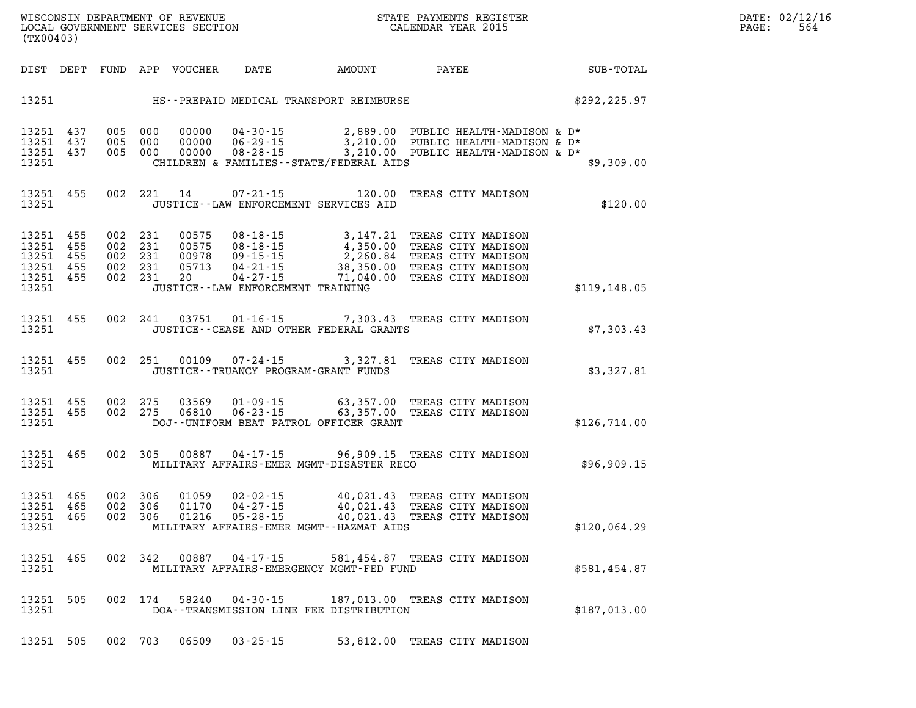| DATE:             | 02/12/16 |
|-------------------|----------|
| $\mathtt{PAGE}$ : | 564      |

| WISCONSIN DEPARTMENT OF REVENUE<br>LOCAL GOVERNMENT SERVICES SECTION CALENDAR YEAR 2015<br>(TX00403) |  |  |  |  |                |                                                                                                                                                                                                                                                                                                                                                                                              |                              |               | DATE: 02/12/1<br>$\mathtt{PAGE}$ :<br>564 |
|------------------------------------------------------------------------------------------------------|--|--|--|--|----------------|----------------------------------------------------------------------------------------------------------------------------------------------------------------------------------------------------------------------------------------------------------------------------------------------------------------------------------------------------------------------------------------------|------------------------------|---------------|-------------------------------------------|
|                                                                                                      |  |  |  |  |                | DIST DEPT FUND APP VOUCHER DATE AMOUNT PAYEE PAYEE SUB-TOTAL                                                                                                                                                                                                                                                                                                                                 |                              |               |                                           |
|                                                                                                      |  |  |  |  |                | 13251 HS--PREPAID MEDICAL TRANSPORT REIMBURSE \$292,225.97                                                                                                                                                                                                                                                                                                                                   |                              |               |                                           |
| 13251                                                                                                |  |  |  |  |                | $\begin{array}{cccccccc} 13251 & 437 & 005 & 000 & 00000 & 04\cdot 30\cdot 15 & & 2,889.00 & \text{PUBLIC HEALTH-MADISON & D*} \\ 13251 & 437 & 005 & 000 & 00000 & 06\cdot 29\cdot 15 & & 3,210.00 & \text{PUBLIC HEALTH-MADISON & D*} \\ 13251 & 437 & 005 & 000 & 00000 & 08\cdot 28\cdot 15 & & 3,210.00 & \text{PUBLIC HEALTH-MADISON & D*}$<br>CHILDREN & FAMILIES--STATE/FEDERAL AIDS |                              | \$9,309.00    |                                           |
| 13251 455<br>13251                                                                                   |  |  |  |  |                | 002 221 14 07-21-15 120.00 TREAS CITY MADISON<br>JUSTICE - LAW ENFORCEMENT SERVICES AID                                                                                                                                                                                                                                                                                                      |                              | \$120.00      |                                           |
| 13251 455<br>13251 455<br>13251 455<br>13251 455<br>13251 455<br>13251                               |  |  |  |  |                | 002 231 00575 08-18-15 3,147.21 TREAS CITY MADISON<br>002 231 00575 08-18-15 4,350.00 TREAS CITY MADISON<br>002 231 00978 09-15-15 2,260.84 TREAS CITY MADISON<br>002 231 05713 04-21-15 38,350.00 TREAS CITY MADISON<br>002 231 200 0<br>JUSTICE - LAW ENFORCEMENT TRAINING                                                                                                                 |                              | \$119, 148.05 |                                           |
| 13251 455                                                                                            |  |  |  |  |                | 002 241 03751 01-16-15 7,303.43 TREAS CITY MADISON<br>13251 JUSTICE - CEASE AND OTHER FEDERAL GRANTS                                                                                                                                                                                                                                                                                         |                              | \$7,303.43    |                                           |
|                                                                                                      |  |  |  |  |                | 13251 455 002 251 00109 07-24-15 3,327.81 TREAS CITY MADISON<br>13251 JUSTICE - TRUANCY PROGRAM-GRANT FUNDS                                                                                                                                                                                                                                                                                  |                              | \$3,327.81    |                                           |
| 13251 455<br>13251 455                                                                               |  |  |  |  |                | 002  275  03569  01-09-15   63,357.00 TREAS CITY MADISON<br>002  275  06810  06-23-15   63,357.00 TREAS CITY MADISON<br>13251 DOJ--UNIFORM BEAT PATROL OFFICER GRANT                                                                                                                                                                                                                         |                              | \$126,714.00  |                                           |
|                                                                                                      |  |  |  |  |                | 13251 465 002 305 00887 04-17-15 96,909.15 TREAS CITY MADISON<br>13251 MILITARY AFFAIRS-EMER MGMT-DISASTER RECO                                                                                                                                                                                                                                                                              |                              | \$96,909.15   |                                           |
| 13251 465<br>13251 465<br>13251 465                                                                  |  |  |  |  |                | 002 306 01059 02-02-15 40,021.43 TREAS CITY MADISON<br>002 306 01170 04-27-15 40,021.43 TREAS CITY MADISON<br>002 306 01216 05-28-15 40,021.43 TREAS CITY MADISON<br>13251 MILITARY AFFAIRS-EMER MGMT--HAZMAT AIDS                                                                                                                                                                           |                              | \$120,064.29  |                                           |
| 13251                                                                                                |  |  |  |  |                | 13251 465 002 342 00887 04-17-15 581,454.87 TREAS CITY MADISON<br>MILITARY AFFAIRS-EMERGENCY MGMT-FED FUND                                                                                                                                                                                                                                                                                   |                              | \$581,454.87  |                                           |
| 13251 505<br>13251                                                                                   |  |  |  |  |                | 002 174 58240 04-30-15 187,013.00 TREAS CITY MADISON<br>DOA--TRANSMISSION LINE FEE DISTRIBUTION                                                                                                                                                                                                                                                                                              |                              | \$187,013.00  |                                           |
| 13251 505 002 703                                                                                    |  |  |  |  | 06509 03-25-15 |                                                                                                                                                                                                                                                                                                                                                                                              | 53,812.00 TREAS CITY MADISON |               |                                           |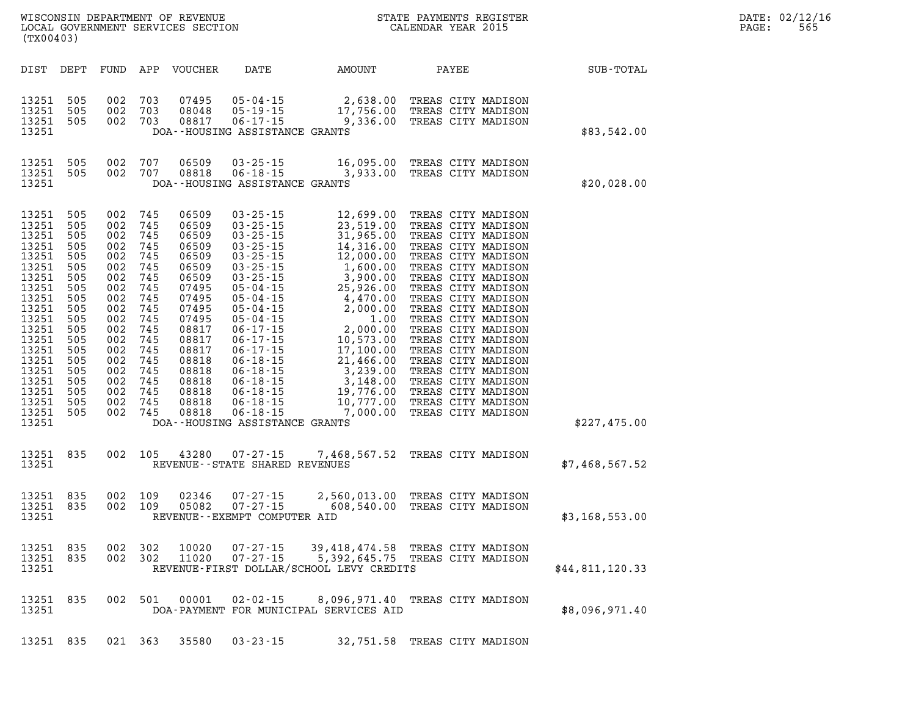| (TX00403)                                                                                                                                                                                 |                                                                                                                                          |                                                                                                                                          |                                                                                                                                          | WISCONSIN DEPARTMENT OF REVENUE<br>LOCAL GOVERNMENT SERVICES SECTION                                                                                                             |                                                                                                                                                                                                                                                                                                                                                                                                        |                                                                                                                                                                                                                                                     | STATE PAYMENTS REGISTER<br>CALENDAR YEAR 2015                                                                                                                                                                                                                                                                                                                                                                                                        |                 |  |  |  |
|-------------------------------------------------------------------------------------------------------------------------------------------------------------------------------------------|------------------------------------------------------------------------------------------------------------------------------------------|------------------------------------------------------------------------------------------------------------------------------------------|------------------------------------------------------------------------------------------------------------------------------------------|----------------------------------------------------------------------------------------------------------------------------------------------------------------------------------|--------------------------------------------------------------------------------------------------------------------------------------------------------------------------------------------------------------------------------------------------------------------------------------------------------------------------------------------------------------------------------------------------------|-----------------------------------------------------------------------------------------------------------------------------------------------------------------------------------------------------------------------------------------------------|------------------------------------------------------------------------------------------------------------------------------------------------------------------------------------------------------------------------------------------------------------------------------------------------------------------------------------------------------------------------------------------------------------------------------------------------------|-----------------|--|--|--|
| DIST                                                                                                                                                                                      | DEPT                                                                                                                                     | FUND                                                                                                                                     | APP                                                                                                                                      | VOUCHER                                                                                                                                                                          | DATE                                                                                                                                                                                                                                                                                                                                                                                                   | AMOUNT                                                                                                                                                                                                                                              | PAYEE                                                                                                                                                                                                                                                                                                                                                                                                                                                | SUB-TOTAL       |  |  |  |
| 13251<br>13251<br>13251<br>13251                                                                                                                                                          | 505<br>505<br>505                                                                                                                        | 002<br>002<br>002                                                                                                                        | 703<br>703<br>703                                                                                                                        | 07495<br>08048<br>08817                                                                                                                                                          | $05 - 04 - 15$<br>$05 - 19 - 15$<br>$06 - 17 - 15$<br>DOA--HOUSING ASSISTANCE GRANTS                                                                                                                                                                                                                                                                                                                   | 2,638.00<br>17,756.00<br>9,336.00                                                                                                                                                                                                                   | TREAS CITY MADISON<br>TREAS CITY MADISON<br>TREAS CITY MADISON                                                                                                                                                                                                                                                                                                                                                                                       | \$83,542.00     |  |  |  |
| 13251<br>13251<br>13251                                                                                                                                                                   | 505<br>505                                                                                                                               | 002<br>002                                                                                                                               | 707<br>707                                                                                                                               | 06509<br>08818                                                                                                                                                                   | $03 - 25 - 15$<br>$06 - 18 - 15$<br>DOA--HOUSING ASSISTANCE GRANTS                                                                                                                                                                                                                                                                                                                                     | 3,933.00                                                                                                                                                                                                                                            | 16,095.00 TREAS CITY MADISON<br>TREAS CITY MADISON                                                                                                                                                                                                                                                                                                                                                                                                   | \$20,028.00     |  |  |  |
| 13251<br>13251<br>13251<br>13251<br>13251<br>13251<br>13251<br>13251<br>13251<br>13251<br>13251<br>13251<br>13251<br>13251<br>13251<br>13251<br>13251<br>13251<br>13251<br>13251<br>13251 | 505<br>505<br>505<br>505<br>505<br>505<br>505<br>505<br>505<br>505<br>505<br>505<br>505<br>505<br>505<br>505<br>505<br>505<br>505<br>505 | 002<br>002<br>002<br>002<br>002<br>002<br>002<br>002<br>002<br>002<br>002<br>002<br>002<br>002<br>002<br>002<br>002<br>002<br>002<br>002 | 745<br>745<br>745<br>745<br>745<br>745<br>745<br>745<br>745<br>745<br>745<br>745<br>745<br>745<br>745<br>745<br>745<br>745<br>745<br>745 | 06509<br>06509<br>06509<br>06509<br>06509<br>06509<br>06509<br>07495<br>07495<br>07495<br>07495<br>08817<br>08817<br>08817<br>08818<br>08818<br>08818<br>08818<br>08818<br>08818 | $03 - 25 - 15$<br>$03 - 25 - 15$<br>$03 - 25 - 15$<br>$03 - 25 - 15$<br>$03 - 25 - 15$<br>$03 - 25 - 15$<br>$03 - 25 - 15$<br>$05 - 04 - 15$<br>$05 - 04 - 15$<br>$05 - 04 - 15$<br>$05 - 04 - 15$<br>$06 - 17 - 15$<br>$06 - 17 - 15$<br>$06 - 17 - 15$<br>$06 - 18 - 15$<br>$06 - 18 - 15$<br>$06 - 18 - 15$<br>$06 - 18 - 15$<br>$06 - 18 - 15$<br>$06 - 18 - 15$<br>DOA--HOUSING ASSISTANCE GRANTS | 12,699.00<br>23,519.00<br>31,965.00<br>14,316.00<br>12,000.00<br>1,600.00<br>3,900.00<br>25,926.00<br>4,470.00<br>2,000.00<br>1.00<br>2,000.00<br>10,573.00<br>17,100.00<br>21,466.00<br>3,239.00<br>3,148.00<br>19,776.00<br>10,777.00<br>7,000.00 | TREAS CITY MADISON<br>TREAS CITY MADISON<br>TREAS CITY MADISON<br>TREAS CITY MADISON<br>TREAS CITY MADISON<br>TREAS CITY MADISON<br>TREAS CITY MADISON<br>TREAS CITY MADISON<br>TREAS CITY MADISON<br>TREAS CITY MADISON<br>TREAS CITY MADISON<br>TREAS CITY MADISON<br>TREAS CITY MADISON<br>TREAS CITY MADISON<br>TREAS CITY MADISON<br>TREAS CITY MADISON<br>TREAS CITY MADISON<br>TREAS CITY MADISON<br>TREAS CITY MADISON<br>TREAS CITY MADISON | \$227,475.00    |  |  |  |
| 13251<br>13251                                                                                                                                                                            | 835                                                                                                                                      | 002                                                                                                                                      | 105                                                                                                                                      | 43280                                                                                                                                                                            | $07 - 27 - 15$<br>REVENUE - - STATE SHARED REVENUES                                                                                                                                                                                                                                                                                                                                                    | 7,468,567.52                                                                                                                                                                                                                                        | TREAS CITY MADISON                                                                                                                                                                                                                                                                                                                                                                                                                                   | \$7,468,567.52  |  |  |  |
| 13251<br>13251<br>13251                                                                                                                                                                   | 835<br>835                                                                                                                               | 002<br>002                                                                                                                               | 109<br>109                                                                                                                               | 02346<br>05082                                                                                                                                                                   | $07 - 27 - 15$<br>$07 - 27 - 15$<br>REVENUE--EXEMPT COMPUTER AID                                                                                                                                                                                                                                                                                                                                       | 2,560,013.00<br>608,540.00                                                                                                                                                                                                                          | TREAS CITY MADISON<br>TREAS CITY MADISON                                                                                                                                                                                                                                                                                                                                                                                                             | \$3,168,553.00  |  |  |  |
| 13251<br>13251<br>13251                                                                                                                                                                   | 835<br>835                                                                                                                               | 002<br>002                                                                                                                               | 302<br>302                                                                                                                               | 10020<br>11020                                                                                                                                                                   | $07 - 27 - 15$<br>$07 - 27 - 15$                                                                                                                                                                                                                                                                                                                                                                       | REVENUE-FIRST DOLLAR/SCHOOL LEVY CREDITS                                                                                                                                                                                                            | 39,418,474.58 TREAS CITY MADISON<br>5,392,645.75 TREAS CITY MADISON                                                                                                                                                                                                                                                                                                                                                                                  | \$44,811,120.33 |  |  |  |
| 13251<br>13251                                                                                                                                                                            | 835                                                                                                                                      | 002                                                                                                                                      | 501                                                                                                                                      | 00001                                                                                                                                                                            | $02 - 02 - 15$                                                                                                                                                                                                                                                                                                                                                                                         | 8,096,971.40<br>DOA-PAYMENT FOR MUNICIPAL SERVICES AID                                                                                                                                                                                              | TREAS CITY MADISON                                                                                                                                                                                                                                                                                                                                                                                                                                   | \$8,096,971.40  |  |  |  |
| 13251                                                                                                                                                                                     | 835                                                                                                                                      |                                                                                                                                          | 021 363                                                                                                                                  | 35580                                                                                                                                                                            | $03 - 23 - 15$                                                                                                                                                                                                                                                                                                                                                                                         |                                                                                                                                                                                                                                                     | 32,751.58 TREAS CITY MADISON                                                                                                                                                                                                                                                                                                                                                                                                                         |                 |  |  |  |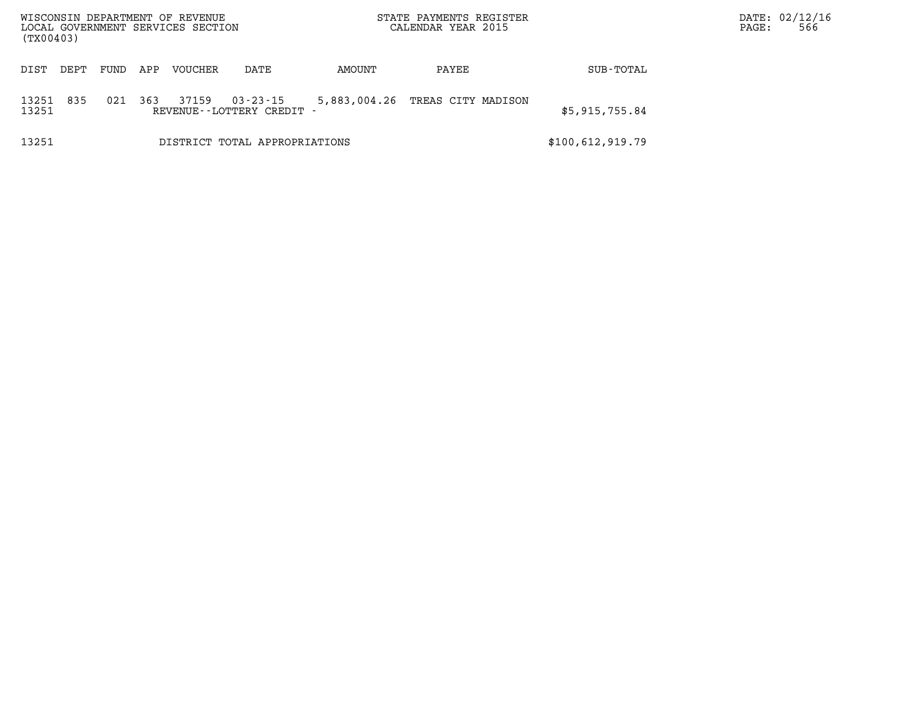| WISCONSIN DEPARTMENT OF REVENUE<br>LOCAL GOVERNMENT SERVICES SECTION<br>(TX00403) |      |      |     |                |                                             |        | STATE PAYMENTS REGISTER<br>CALENDAR YEAR 2015 | DATE: 02/12/16<br>566<br>PAGE: |  |
|-----------------------------------------------------------------------------------|------|------|-----|----------------|---------------------------------------------|--------|-----------------------------------------------|--------------------------------|--|
| DIST                                                                              | DEPT | FUND | APP | <b>VOUCHER</b> | DATE                                        | AMOUNT | PAYEE                                         | SUB-TOTAL                      |  |
| 13251<br>13251                                                                    | 835  | 021  | 363 | 37159          | $03 - 23 - 15$<br>REVENUE--LOTTERY CREDIT - |        | 5,883,004.26 TREAS CITY MADISON               | \$5,915,755.84                 |  |
| 13251                                                                             |      |      |     |                | DISTRICT TOTAL APPROPRIATIONS               |        |                                               | \$100,612,919.79               |  |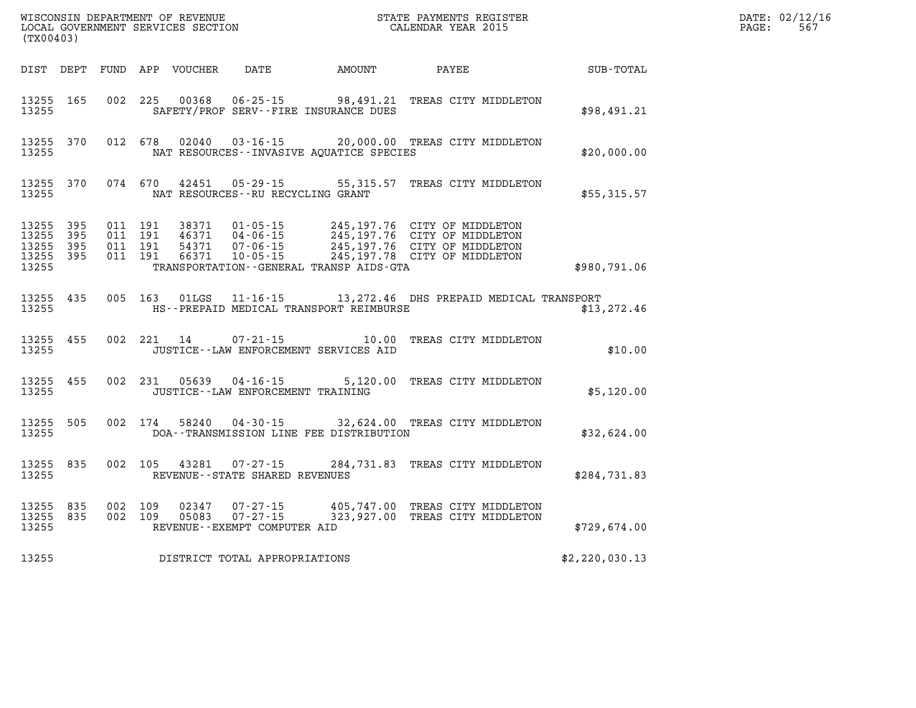| (TX00403)                                     |                       |                                          | WISCONSIN DEPARTMENT OF REVENUE<br>LOCAL GOVERNMENT SERVICES SECTION |                                                                | STATE PAYMENTS REGISTER<br>CALENDAR YEAR 2015                                                                                                                                                                                 |                                 |                | $\mathtt{PAGE}$ : | DATE: 02/12/16<br>567 |
|-----------------------------------------------|-----------------------|------------------------------------------|----------------------------------------------------------------------|----------------------------------------------------------------|-------------------------------------------------------------------------------------------------------------------------------------------------------------------------------------------------------------------------------|---------------------------------|----------------|-------------------|-----------------------|
|                                               |                       |                                          | DIST DEPT FUND APP VOUCHER                                           | DATE AMOUNT                                                    |                                                                                                                                                                                                                               | PAYEE                           | SUB-TOTAL      |                   |                       |
| 13255 165<br>13255                            |                       |                                          | 002 225 00368                                                        |                                                                | 06-25-15 98,491.21 TREAS CITY MIDDLETON<br>SAFETY/PROF SERV--FIRE INSURANCE DUES                                                                                                                                              |                                 | \$98,491.21    |                   |                       |
| 13255 370<br>13255                            |                       |                                          | 012 678 02040                                                        | $03 - 16 - 15$                                                 | NAT RESOURCES--INVASIVE AOUATICE SPECIES                                                                                                                                                                                      | 20,000.00 TREAS CITY MIDDLETON  | \$20,000.00    |                   |                       |
| 13255 370<br>13255                            |                       | 074 670                                  | 42451                                                                | NAT RESOURCES - - RU RECYCLING GRANT                           | 05-29-15 55,315.57 TREAS CITY MIDDLETON                                                                                                                                                                                       |                                 | \$55,315.57    |                   |                       |
| 13255 395<br>13255<br>13255<br>13255<br>13255 | 395<br>- 395<br>- 395 | 011 191<br>011 191<br>011 191<br>011 191 | 66371                                                                | $10 - 05 - 15$                                                 | 38371  01-05-15  245,197.76  CITY OF MIDDLETON<br>46371  04-06-15  245,197.76  CITY OF MIDDLETON<br>54371  07-06-15  245,197.76  CITY OF MIDDLETON<br>245,197.78 CITY OF MIDDLETON<br>TRANSPORTATION--GENERAL TRANSP AIDS-GTA |                                 | \$980,791.06   |                   |                       |
| 13255 435<br>13255                            |                       |                                          | 005 163 01LGS                                                        |                                                                | 11-16-15 13, 272.46 DHS PREPAID MEDICAL TRANSPORT<br>HS--PREPAID MEDICAL TRANSPORT REIMBURSE                                                                                                                                  |                                 | \$13, 272.46   |                   |                       |
| 13255 455<br>13255                            |                       |                                          | 002 221 14                                                           | $07 - 21 - 15$                                                 | 10.00<br>JUSTICE - - LAW ENFORCEMENT SERVICES AID                                                                                                                                                                             | TREAS CITY MIDDLETON            | \$10.00        |                   |                       |
| 13255 455<br>13255                            |                       |                                          |                                                                      | 002 231 05639 04-16-15<br>JUSTICE - - LAW ENFORCEMENT TRAINING |                                                                                                                                                                                                                               | 5,120.00 TREAS CITY MIDDLETON   | \$5,120.00     |                   |                       |
| 13255 505<br>13255                            |                       |                                          | 002 174 58240                                                        |                                                                | 04-30-15 32,624.00 TREAS CITY MIDDLETON<br>DOA--TRANSMISSION LINE FEE DISTRIBUTION                                                                                                                                            |                                 | \$32,624.00    |                   |                       |
| 13255 835<br>13255                            |                       | 002 105                                  | 43281                                                                | 07-27-15<br>REVENUE - - STATE SHARED REVENUES                  |                                                                                                                                                                                                                               | 284,731.83 TREAS CITY MIDDLETON | \$284,731.83   |                   |                       |
| 13255 835<br>13255 835<br>13255               |                       | 002 109<br>002 109                       | 02347<br>05083                                                       | REVENUE--EXEMPT COMPUTER AID                                   | 07-27-15 405,747.00 TREAS CITY MIDDLETON<br>07-27-15 323,927.00 TREAS CITY MIDDLETON                                                                                                                                          |                                 | \$729,674.00   |                   |                       |
| 13255                                         |                       |                                          |                                                                      | DISTRICT TOTAL APPROPRIATIONS                                  |                                                                                                                                                                                                                               |                                 | \$2,220,030.13 |                   |                       |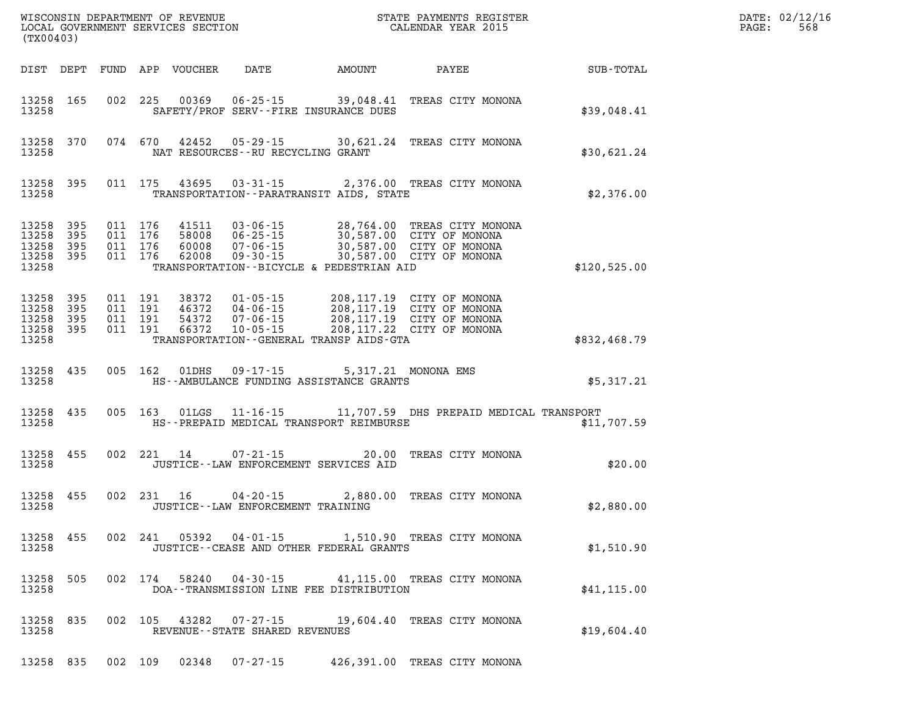| (TX00403) |                                                           |                    |                               |                                          |                                   |                                              |                                                                                                                                                      |              | DATE: 02/12/16<br>PAGE:<br>568 |
|-----------|-----------------------------------------------------------|--------------------|-------------------------------|------------------------------------------|-----------------------------------|----------------------------------------------|------------------------------------------------------------------------------------------------------------------------------------------------------|--------------|--------------------------------|
|           |                                                           |                    |                               | DIST DEPT FUND APP VOUCHER               |                                   |                                              | DATE AMOUNT PAYEE SUB-TOTAL                                                                                                                          |              |                                |
| 13258     | 13258 165                                                 |                    |                               |                                          |                                   | SAFETY/PROF SERV--FIRE INSURANCE DUES        | 002 225 00369 06-25-15 39,048.41 TREAS CITY MONONA                                                                                                   | \$39,048.41  |                                |
| 13258     | 13258 370                                                 |                    |                               |                                          | NAT RESOURCES--RU RECYCLING GRANT |                                              | 074 670 42452 05-29-15 30,621.24 TREAS CITY MONONA                                                                                                   | \$30,621.24  |                                |
| 13258     | 13258 395                                                 |                    |                               |                                          |                                   | TRANSPORTATION -- PARATRANSIT AIDS, STATE    | 011 175 43695 03-31-15 2,376.00 TREAS CITY MONONA                                                                                                    | \$2,376.00   |                                |
| 13258     | 13258 395<br>13258 395<br>13258 395<br>13258 395          | 011 176<br>011 176 | 011 176                       | 011 176 41511<br>58008<br>60008<br>62008 |                                   | TRANSPORTATION--BICYCLE & PEDESTRIAN AID     | 03-06-15 28,764.00 TREAS CITY MONONA<br>06-25-15 30,587.00 CITY OF MONONA<br>07-06-15 30,587.00 CITY OF MONONA<br>09-30-15 30,587.00 CITY OF MONONA  | \$120,525.00 |                                |
|           | 13258 395<br>13258 395<br>13258 395<br>13258 395<br>13258 | 011 191            | 011 191<br>011 191<br>011 191 | 38372<br>46372<br>54372<br>66372         |                                   | TRANSPORTATION - - GENERAL TRANSP AIDS - GTA | 01-05-15 208,117.19 CITY OF MONONA<br>04-06-15 208,117.19 CITY OF MONONA<br>07-06-15 208,117.19 CITY OF MONONA<br>10-05-15 208,117.22 CITY OF MONONA | \$832,468.79 |                                |
|           | 13258 435<br>13258                                        |                    |                               |                                          |                                   | HS--AMBULANCE FUNDING ASSISTANCE GRANTS      | 005 162 01DHS 09-17-15 5,317.21 MONONA EMS                                                                                                           | \$5,317.21   |                                |
|           | 13258 435<br>13258                                        |                    |                               |                                          |                                   | HS--PREPAID MEDICAL TRANSPORT REIMBURSE      | 005 163 01LGS 11-16-15 11,707.59 DHS PREPAID MEDICAL TRANSPORT                                                                                       | \$11,707.59  |                                |
|           | 13258 455<br>13258 and the state of $\sim$                |                    |                               |                                          |                                   | JUSTICE -- LAW ENFORCEMENT SERVICES AID      | 002 221 14 07-21-15 20.00 TREAS CITY MONONA                                                                                                          | \$20.00      |                                |
|           | 13258 455<br>13258                                        |                    |                               |                                          | JUSTICE--LAW ENFORCEMENT TRAINING |                                              | 002 231 16 04-20-15 2,880.00 TREAS CITY MONONA                                                                                                       | \$2,880.00   |                                |
| 13258     | 13258 455                                                 |                    | 002 241                       |                                          |                                   | JUSTICE - - CEASE AND OTHER FEDERAL GRANTS   | 05392  04-01-15  1,510.90  TREAS CITY MONONA                                                                                                         | \$1,510.90   |                                |
| 13258     | 13258 505                                                 |                    | 002 174                       | 58240                                    |                                   | DOA--TRANSMISSION LINE FEE DISTRIBUTION      | 04-30-15 41,115.00 TREAS CITY MONONA                                                                                                                 | \$41, 115.00 |                                |
| 13258     | 13258 835                                                 |                    |                               |                                          | REVENUE - - STATE SHARED REVENUES |                                              | 002 105 43282 07-27-15 19,604.40 TREAS CITY MONONA                                                                                                   | \$19,604.40  |                                |
|           | 13258 835                                                 | 002 109            |                               |                                          | 02348 07-27-15                    |                                              | 426,391.00 TREAS CITY MONONA                                                                                                                         |              |                                |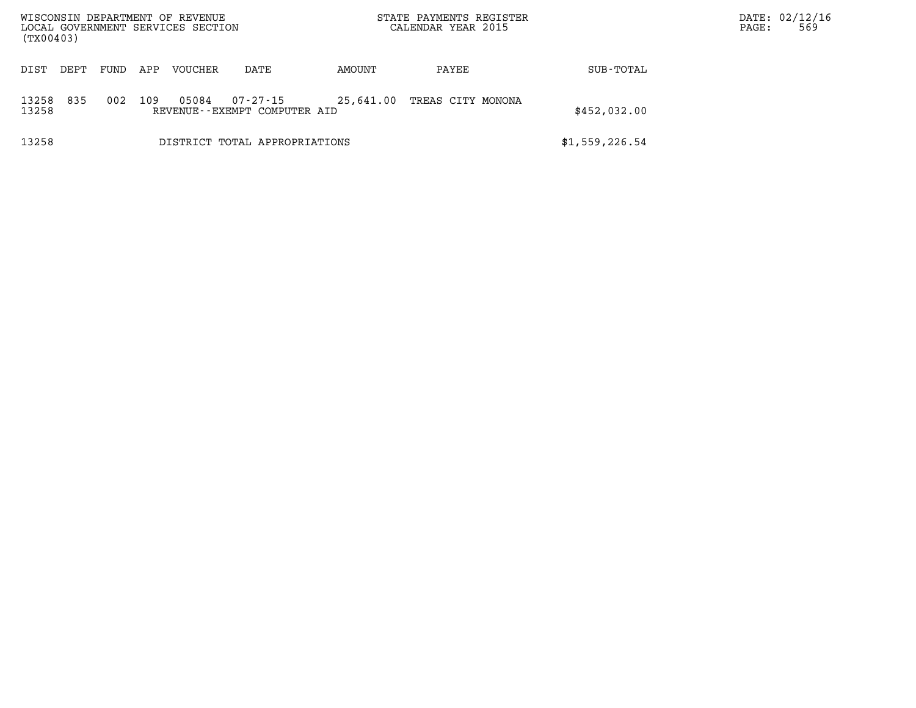| WISCONSIN DEPARTMENT OF REVENUE<br>LOCAL GOVERNMENT SERVICES SECTION<br>(TX00403) |      |      |     |                |                                          |           | STATE PAYMENTS REGISTER<br>CALENDAR YEAR 2015 |                | DATE: 02/12/16<br>569<br>PAGE: |
|-----------------------------------------------------------------------------------|------|------|-----|----------------|------------------------------------------|-----------|-----------------------------------------------|----------------|--------------------------------|
| DIST                                                                              | DEPT | FUND | APP | <b>VOUCHER</b> | DATE                                     | AMOUNT    | PAYEE                                         | SUB-TOTAL      |                                |
| 13258<br>13258                                                                    | 835  | 002  | 109 | 05084          | 07-27-15<br>REVENUE--EXEMPT COMPUTER AID | 25,641.00 | TREAS CITY MONONA                             | \$452,032.00   |                                |
| 13258                                                                             |      |      |     |                | DISTRICT TOTAL APPROPRIATIONS            |           |                                               | \$1,559,226.54 |                                |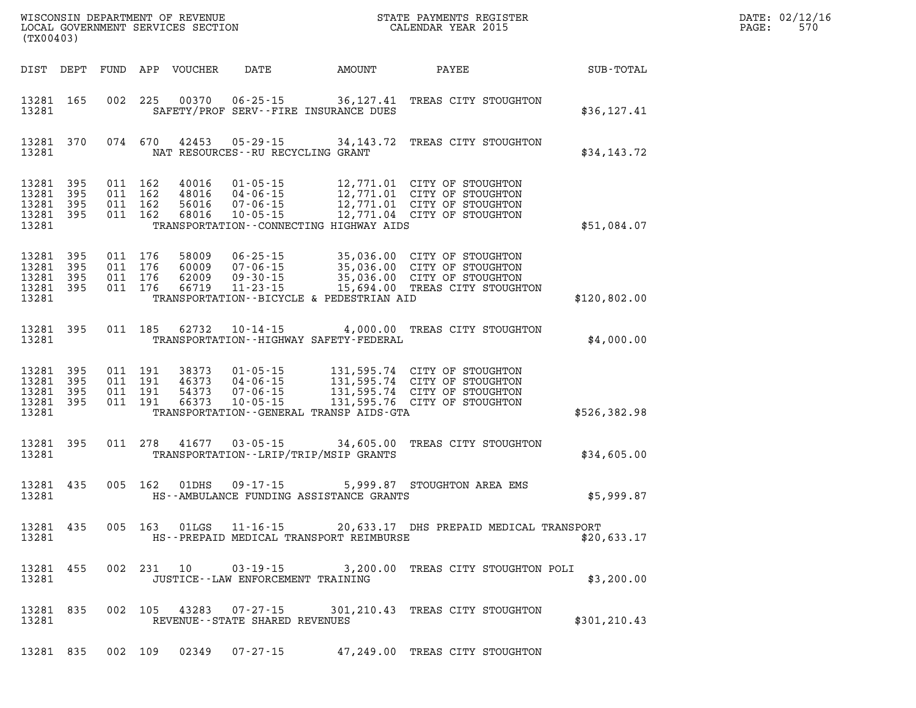| DATE: | 02/12/16 |
|-------|----------|
| PAGE: | 570      |

| (TX00403)      |                                                  |                                          | WISCONSIN DEPARTMENT OF REVENUE<br>LOCAL GOVERNMENT SERVICES SECTION |                                      |                                             | STATE PAYMENTS REGISTER<br>CALENDAR YEAR 2015                                                                                          | $R = \frac{1}{2}$ | DATE: 02/12/1<br>570<br>PAGE: |
|----------------|--------------------------------------------------|------------------------------------------|----------------------------------------------------------------------|--------------------------------------|---------------------------------------------|----------------------------------------------------------------------------------------------------------------------------------------|-------------------|-------------------------------|
|                |                                                  |                                          | DIST DEPT FUND APP VOUCHER                                           |                                      | DATE AMOUNT PAYEE                           |                                                                                                                                        | <b>SUB-TOTAL</b>  |                               |
| 13281          | 13281 165                                        |                                          |                                                                      |                                      | SAFETY/PROF SERV--FIRE INSURANCE DUES       | 002 225 00370 06-25-15 36,127.41 TREAS CITY STOUGHTON                                                                                  | \$36, 127.41      |                               |
| 13281          | 13281 370                                        |                                          |                                                                      | NAT RESOURCES--RU RECYCLING GRANT    |                                             | 074 670 42453 05-29-15 34,143.72 TREAS CITY STOUGHTON                                                                                  | \$34,143.72       |                               |
| 13281<br>13281 | 13281 395<br>395<br>13281 395<br>13281 395       | 011 162<br>011 162<br>011 162<br>011 162 | 40016<br>48016<br>56016<br>68016                                     |                                      | TRANSPORTATION--CONNECTING HIGHWAY AIDS     | 01-05-15 12,771.01 CITY OF STOUGHTON<br>04-06-15<br>07-06-15<br>12,771.01 CITY OF STOUGHTON<br>10-05-15<br>12,771.04 CITY OF STOUGHTON | \$51,084.07       |                               |
| 13281          | 13281 395<br>13281 395<br>13281 395<br>13281 395 |                                          |                                                                      |                                      | TRANSPORTATION--BICYCLE & PEDESTRIAN AID    |                                                                                                                                        | \$120,802.00      |                               |
| 13281          | 13281 395                                        |                                          | 011 185 62732                                                        |                                      | TRANSPORTATION - - HIGHWAY SAFETY - FEDERAL | 10-14-15 4,000.00 TREAS CITY STOUGHTON                                                                                                 | \$4,000.00        |                               |
| 13281<br>13281 | 13281 395<br>395<br>13281 395<br>13281 395       |                                          |                                                                      |                                      | TRANSPORTATION--GENERAL TRANSP AIDS-GTA     |                                                                                                                                        | \$526,382.98      |                               |
| 13281          | 13281 395                                        |                                          |                                                                      |                                      | TRANSPORTATION - - LRIP/TRIP/MSIP GRANTS    | 011 278 41677 03-05-15 34,605.00 TREAS CITY STOUGHTON                                                                                  | \$34,605.00       |                               |
| 13281          | 13281 435                                        | 005 162                                  |                                                                      |                                      | HS--AMBULANCE FUNDING ASSISTANCE GRANTS     | 01DHS  09-17-15  5,999.87  STOUGHTON AREA EMS                                                                                          | \$5,999.87        |                               |
| 13281          | 13281 435                                        | 005 163                                  | 01LGS                                                                | $11 - 16 - 15$                       | HS--PREPAID MEDICAL TRANSPORT REIMBURSE     | 20,633.17 DHS PREPAID MEDICAL TRANSPORT                                                                                                | \$20,633.17       |                               |
| 13281          | 13281 455                                        |                                          |                                                                      | JUSTICE - - LAW ENFORCEMENT TRAINING |                                             | 002 231 10 03-19-15 3,200.00 TREAS CITY STOUGHTON POLI                                                                                 | \$3,200.00        |                               |
| 13281          | 13281 835                                        |                                          |                                                                      | REVENUE--STATE SHARED REVENUES       |                                             | 002 105 43283 07-27-15 301, 210. 43 TREAS CITY STOUGHTON                                                                               | \$301, 210.43     |                               |
|                |                                                  |                                          |                                                                      |                                      |                                             | 13281 835 002 109 02349 07-27-15 47,249.00 TREAS CITY STOUGHTON                                                                        |                   |                               |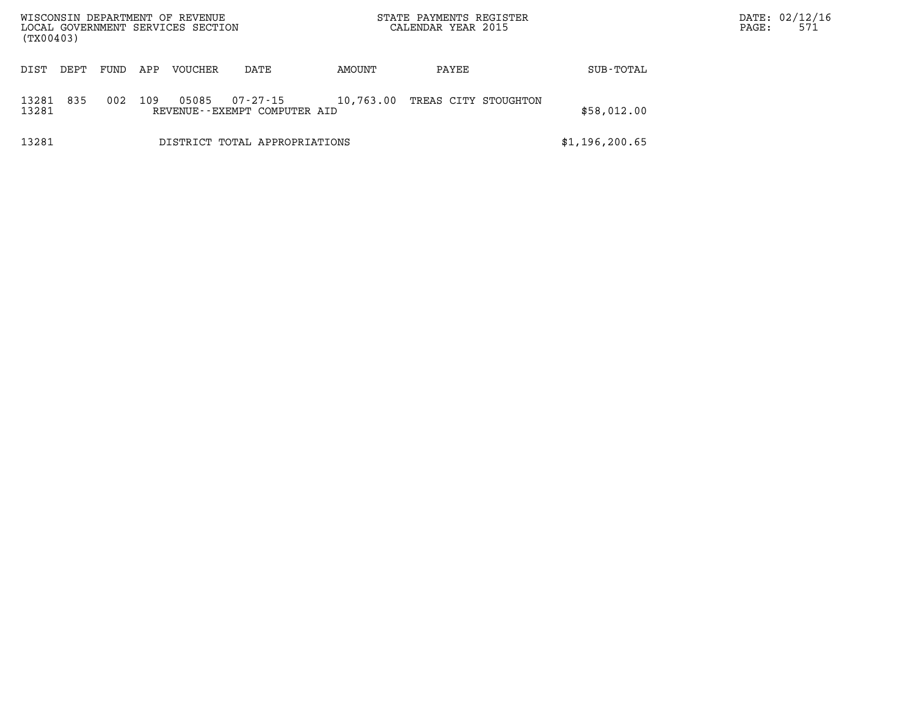| (TX00403)      |      |      |     | WISCONSIN DEPARTMENT OF REVENUE<br>LOCAL GOVERNMENT SERVICES SECTION |                                                |           | STATE PAYMENTS REGISTER<br>CALENDAR YEAR 2015 |                | DATE: 02/12/16<br>571<br>PAGE: |  |
|----------------|------|------|-----|----------------------------------------------------------------------|------------------------------------------------|-----------|-----------------------------------------------|----------------|--------------------------------|--|
| DIST           | DEPT | FUND | APP | <b>VOUCHER</b>                                                       | DATE                                           | AMOUNT    | PAYEE                                         | SUB-TOTAL      |                                |  |
| 13281<br>13281 | 835  | 002  | 109 | 05085                                                                | $07 - 27 - 15$<br>REVENUE--EXEMPT COMPUTER AID | 10,763.00 | TREAS CITY STOUGHTON                          | \$58,012.00    |                                |  |
| 13281          |      |      |     |                                                                      | DISTRICT TOTAL APPROPRIATIONS                  |           |                                               | \$1,196,200.65 |                                |  |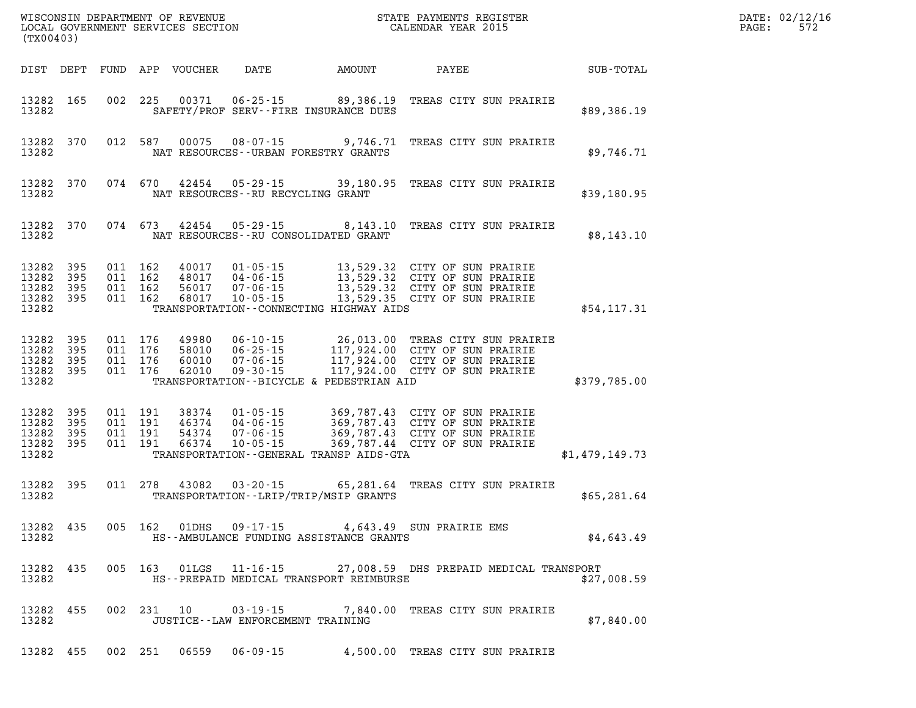| (TX00403)                                         |                          |                                          |                    | WISCONSIN DEPARTMENT OF REVENUE<br>LOCAL GOVERNMENT SERVICES SECTION |                                                                |                                                                      | STATE PAYMENTS REGISTER<br>DN CALENDAR YEAR 2015                                                                                                             |                | DATE: 02/12/16<br>572<br>PAGE: |
|---------------------------------------------------|--------------------------|------------------------------------------|--------------------|----------------------------------------------------------------------|----------------------------------------------------------------|----------------------------------------------------------------------|--------------------------------------------------------------------------------------------------------------------------------------------------------------|----------------|--------------------------------|
|                                                   | DIST DEPT                |                                          |                    | FUND APP VOUCHER                                                     | DATE                                                           | AMOUNT                                                               | PAYEE                                                                                                                                                        | SUB-TOTAL      |                                |
| 13282 165<br>13282                                |                          |                                          | 002 225            | 00371                                                                |                                                                | $06 - 25 - 15$ 89,386.19<br>SAFETY/PROF SERV--FIRE INSURANCE DUES    | TREAS CITY SUN PRAIRIE                                                                                                                                       | \$89,386.19    |                                |
| 13282 370<br>13282                                |                          |                                          | 012 587            | 00075                                                                | $08 - 07 - 15$                                                 | 9,746.71<br>NAT RESOURCES - - URBAN FORESTRY GRANTS                  | TREAS CITY SUN PRAIRIE                                                                                                                                       | \$9,746.71     |                                |
| 13282 370<br>13282                                |                          |                                          | 074 670            | 42454                                                                | 05-29-15<br>NAT RESOURCES -- RU RECYCLING GRANT                | 39,180.95                                                            | TREAS CITY SUN PRAIRIE                                                                                                                                       | \$39,180.95    |                                |
| 13282                                             | 13282 370                |                                          | 074 673            | 42454                                                                | 05-29-15                                                       | 8,143.10<br>NAT RESOURCES--RU CONSOLIDATED GRANT                     | TREAS CITY SUN PRAIRIE                                                                                                                                       | \$8,143.10     |                                |
| 13282<br>13282<br>13282<br>13282<br>13282         | 395<br>395<br>395<br>395 | 011 162<br>011 162<br>011 162<br>011 162 |                    | 40017<br>48017<br>56017<br>68017                                     | 01-05-15<br>04-06-15<br>$07 - 06 - 15$<br>$10 - 05 - 15$       | TRANSPORTATION--CONNECTING HIGHWAY AIDS                              | 13,529.32 CITY OF SUN PRAIRIE<br>13,529.32 CITY OF SUN PRAIRIE<br>13,529.32 CITY OF SUN PRAIRIE<br>13,529.35 CITY OF SUN PRAIRIE                             | \$54,117.31    |                                |
| 13282<br>13282<br>13282<br>13282 395<br>13282     | 395<br>395<br>395        | 011 176<br>011 176<br>011 176<br>011 176 |                    | 49980<br>58010<br>60010<br>62010                                     | $07 - 06 - 15$<br>$09 - 30 - 15$                               | TRANSPORTATION--BICYCLE & PEDESTRIAN AID                             | 06-10-15   26,013.00 TREAS CITY SUN PRAIRIE<br>06-25-15   117,924.00 CITY OF SUN PRAIRIE<br>117,924.00 CITY OF SUN PRAIRIE<br>117,924.00 CITY OF SUN PRAIRIE | \$379,785.00   |                                |
| 13282 395<br>13282<br>13282<br>13282 395<br>13282 | 395<br>395               | 011 191<br>011 191                       | 011 191<br>011 191 | 38374<br>46374<br>54374<br>66374                                     | $01 - 05 - 15$<br>04-06-15<br>$07 - 06 - 15$<br>$10 - 05 - 15$ | TRANSPORTATION--GENERAL TRANSP AIDS-GTA                              | 369,787.43 CITY OF SUN PRAIRIE<br>369,787.43 CITY OF SUN PRAIRIE<br>369,787.44 CITY OF SUN PRAIRIE                                                           | \$1,479,149.73 |                                |
| 13282 395<br>13282                                |                          |                                          | 011 278            | 43082                                                                |                                                                | $03 - 20 - 15$ 65,281.64<br>TRANSPORTATION - - LRIP/TRIP/MSIP GRANTS | TREAS CITY SUN PRAIRIE                                                                                                                                       | \$65, 281.64   |                                |
| 13282 435<br>13282                                |                          |                                          | 005 162            | 01DHS                                                                | $09 - 17 - 15$                                                 | 4,643.49<br>HS--AMBULANCE FUNDING ASSISTANCE GRANTS                  | SUN PRAIRIE EMS                                                                                                                                              | \$4,643.49     |                                |
| 13282                                             | 13282 435                |                                          |                    |                                                                      |                                                                | HS--PREPAID MEDICAL TRANSPORT REIMBURSE                              | 005 163 01LGS 11-16-15 27,008.59 DHS PREPAID MEDICAL TRANSPORT                                                                                               | \$27,008.59    |                                |
| 13282                                             | 13282 455                |                                          |                    |                                                                      | JUSTICE -- LAW ENFORCEMENT TRAINING                            |                                                                      | 002 231 10 03-19-15 7,840.00 TREAS CITY SUN PRAIRIE                                                                                                          | \$7,840.00     |                                |
|                                                   |                          |                                          |                    |                                                                      |                                                                |                                                                      | 13282 455 002 251 06559 06-09-15 4,500.00 TREAS CITY SUN PRAIRIE                                                                                             |                |                                |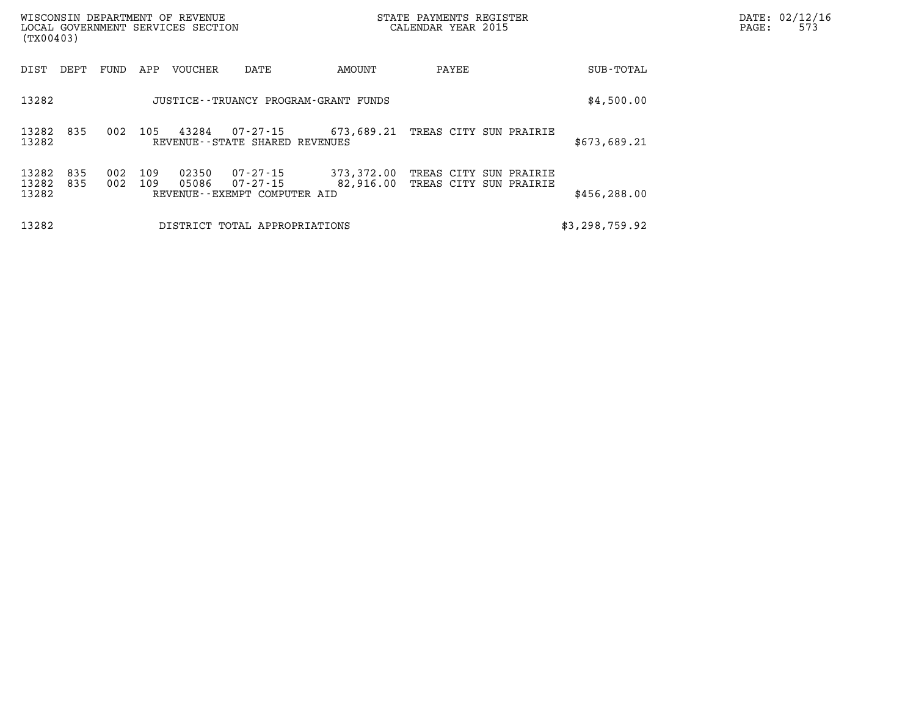| (TX00403)               |            |            |            | WISCONSIN DEPARTMENT OF REVENUE<br>LOCAL GOVERNMENT SERVICES SECTION |                                                         |                         | STATE PAYMENTS REGISTER<br>CALENDAR YEAR 2015 |                            | PAGE:          | DATE: 02/12/16<br>573 |  |
|-------------------------|------------|------------|------------|----------------------------------------------------------------------|---------------------------------------------------------|-------------------------|-----------------------------------------------|----------------------------|----------------|-----------------------|--|
| DIST                    | DEPT       | FUND       | APP        | VOUCHER                                                              | DATE                                                    | AMOUNT                  | PAYEE                                         |                            | SUB-TOTAL      |                       |  |
| 13282                   |            |            |            |                                                                      | JUSTICE - - TRUANCY PROGRAM - GRANT FUNDS               |                         |                                               |                            | \$4,500.00     |                       |  |
| 13282 835<br>13282      |            | 002        | 105        | 43284                                                                | 07-27-15<br>REVENUE - - STATE SHARED REVENUES           |                         | 673,689.21 TREAS CITY SUN PRAIRIE             |                            | \$673,689.21   |                       |  |
| 13282<br>13282<br>13282 | 835<br>835 | 002<br>002 | 109<br>109 | 02350<br>05086                                                       | 07-27-15<br>07-27-15<br>REVENUE - - EXEMPT COMPUTER AID | 373,372.00<br>82,916.00 | TREAS CITY<br>TREAS CITY                      | SUN PRAIRIE<br>SUN PRAIRIE | \$456,288.00   |                       |  |
| 13282                   |            |            |            |                                                                      | DISTRICT TOTAL APPROPRIATIONS                           |                         |                                               |                            | \$3,298,759.92 |                       |  |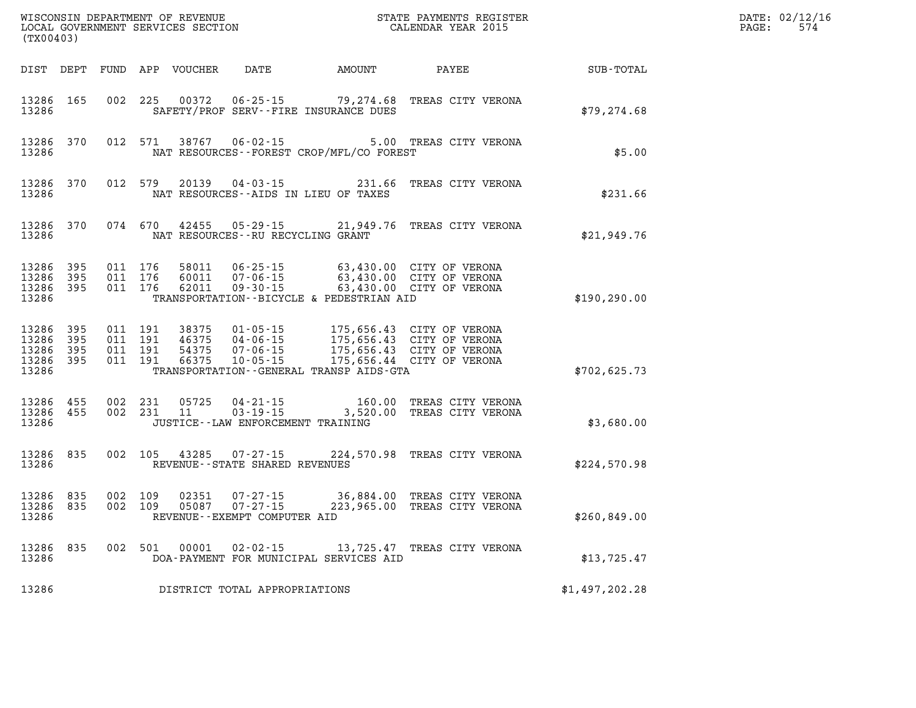| (TX00403)                                 |                              |                                          |         | WISCONSIN DEPARTMENT OF REVENUE<br>LOCAL GOVERNMENT SERVICES SECTION |                                                                    |                                             | STATE PAYMENTS REGISTER<br>CALENDAR YEAR 2015                                                                                                        |                | DATE: 02/12/16<br>$\mathtt{PAGE:}$<br>574 |
|-------------------------------------------|------------------------------|------------------------------------------|---------|----------------------------------------------------------------------|--------------------------------------------------------------------|---------------------------------------------|------------------------------------------------------------------------------------------------------------------------------------------------------|----------------|-------------------------------------------|
|                                           |                              |                                          |         | DIST DEPT FUND APP VOUCHER                                           | DATE AMOUNT                                                        |                                             | PAYEE                                                                                                                                                | SUB-TOTAL      |                                           |
| 13286 165<br>13286                        |                              | 002 225                                  |         | 00372                                                                | SAFETY/PROF SERV--FIRE INSURANCE DUES                              |                                             | 06-25-15 79,274.68 TREAS CITY VERONA                                                                                                                 | \$79, 274.68   |                                           |
| 13286 370<br>13286                        |                              | 012 571                                  |         | 38767                                                                | $06 - 02 - 15$                                                     | NAT RESOURCES - - FOREST CROP/MFL/CO FOREST | 5.00 TREAS CITY VERONA                                                                                                                               | \$5.00         |                                           |
| 13286 370<br>13286                        |                              |                                          | 012 579 | 20139                                                                | NAT RESOURCES--AIDS IN LIEU OF TAXES                               |                                             | 04-03-15 231.66 TREAS CITY VERONA                                                                                                                    | \$231.66       |                                           |
| 13286 370<br>13286                        |                              | 074 670                                  |         |                                                                      | NAT RESOURCES - - RU RECYCLING GRANT                               |                                             | 42455 05-29-15 21,949.76 TREAS CITY VERONA                                                                                                           | \$21,949.76    |                                           |
| 13286<br>13286<br>13286 395<br>13286      | 395<br>- 395                 | 011 176<br>011 176<br>011 176            |         | 58011<br>60011<br>62011                                              | $07 - 06 - 15$<br>09-30-15                                         | TRANSPORTATION--BICYCLE & PEDESTRIAN AID    | 06-25-15 63,430.00 CITY OF VERONA<br>63,430.00 CITY OF VERONA<br>63,430.00 CITY OF VERONA                                                            | \$190, 290.00  |                                           |
| 13286<br>13286<br>13286<br>13286<br>13286 | 395<br>- 395<br>- 395<br>395 | 011 191<br>011 191<br>011 191<br>011 191 |         | 38375<br>46375<br>54375<br>66375                                     |                                                                    | TRANSPORTATION--GENERAL TRANSP AIDS-GTA     | 01-05-15 175,656.43 CITY OF VERONA<br>04-06-15 175,656.43 CITY OF VERONA<br>07-06-15 175,656.43 CITY OF VERONA<br>10-05-15 175,656.44 CITY OF VERONA | \$702,625.73   |                                           |
| 13286 455<br>13286 455<br>13286           |                              | 002 231<br>002 231                       |         | 05725<br>11                                                          | 04-21-15<br>$03 - 19 - 15$<br>JUSTICE - - LAW ENFORCEMENT TRAINING |                                             | 160.00 TREAS CITY VERONA<br>3,520.00 TREAS CITY VERONA                                                                                               | \$3,680.00     |                                           |
| 13286<br>13286                            | 835                          | 002 105                                  |         | 43285                                                                | $07 - 27 - 15$<br>REVENUE - - STATE SHARED REVENUES                |                                             | 224,570.98 TREAS CITY VERONA                                                                                                                         | \$224,570.98   |                                           |
| 13286 835<br>13286 835<br>13286           |                              | 002 109<br>002 109                       |         | 02351<br>05087                                                       | $07 - 27 - 15$<br>$07 - 27 - 15$<br>REVENUE--EXEMPT COMPUTER AID   |                                             | 36,884.00 TREAS CITY VERONA<br>223,965.00 TREAS CITY VERONA                                                                                          | \$260,849.00   |                                           |
| 13286<br>13286                            | 835                          | 002 501                                  |         | 00001                                                                |                                                                    | DOA-PAYMENT FOR MUNICIPAL SERVICES AID      | 02-02-15 13,725.47 TREAS CITY VERONA                                                                                                                 | \$13,725.47    |                                           |
| 13286                                     |                              |                                          |         |                                                                      | DISTRICT TOTAL APPROPRIATIONS                                      |                                             |                                                                                                                                                      | \$1,497,202.28 |                                           |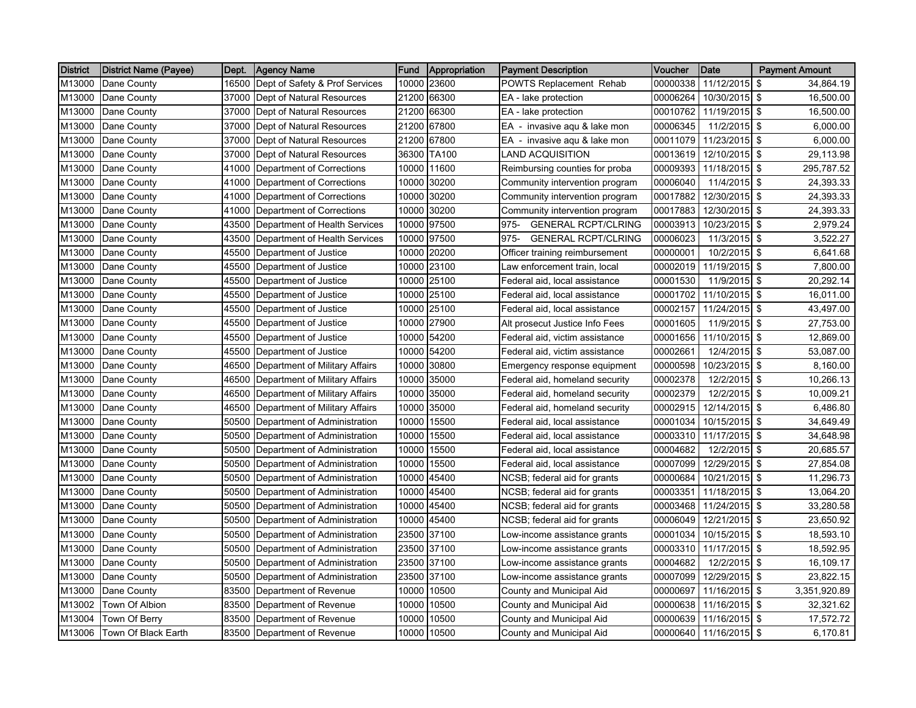| <b>District</b> | <b>District Name (Payee)</b> | Dept. | <b>Agency Name</b>             | Fund  | <b>Appropriation</b> | <b>Payment Description</b>            | Voucher  | Date                   | <b>Payment Amount</b>     |
|-----------------|------------------------------|-------|--------------------------------|-------|----------------------|---------------------------------------|----------|------------------------|---------------------------|
| M13000          | Dane County                  | 16500 | Dept of Safety & Prof Services | 10000 | 23600                | POWTS Replacement Rehab               | 00000338 | 11/12/2015             | \$<br>34,864.19           |
| M13000          | Dane County                  | 37000 | Dept of Natural Resources      | 21200 | 66300                | EA - lake protection                  | 00006264 | 10/30/2015 \$          | 16,500.00                 |
| M13000          | Dane County                  | 37000 | Dept of Natural Resources      | 21200 | 66300                | EA - lake protection                  | 00010762 | 11/19/2015             | \$<br>16,500.00           |
| M13000          | Dane County                  | 37000 | Dept of Natural Resources      | 21200 | 67800                | EA - invasive agu & lake mon          | 00006345 | 11/2/2015 \$           | 6,000.00                  |
| M13000          | Dane County                  | 37000 | Dept of Natural Resources      | 21200 | 67800                | EA - invasive aqu & lake mon          | 00011079 | 11/23/2015             | \$<br>6,000.00            |
| M13000          | Dane County                  | 37000 | Dept of Natural Resources      | 36300 | TA100                | LAND ACQUISITION                      | 00013619 | 12/10/2015             | -\$<br>29,113.98          |
| M13000          | Dane County                  | 41000 | Department of Corrections      | 10000 | 11600                | Reimbursing counties for proba        | 00009393 | 11/18/2015 \$          | 295,787.52                |
| M13000          | Dane County                  | 41000 | Department of Corrections      | 10000 | 30200                | Community intervention program        | 00006040 | 11/4/2015 \$           | 24,393.33                 |
| M13000          | Dane County                  | 41000 | Department of Corrections      | 10000 | 30200                | Community intervention program        | 00017882 | 12/30/2015 \$          | 24,393.33                 |
| M13000          | Dane County                  | 41000 | Department of Corrections      | 10000 | 30200                | Community intervention program        | 00017883 | 12/30/2015 \$          | 24,393.33                 |
| M13000          | Dane County                  | 43500 | Department of Health Services  | 10000 | 97500                | <b>GENERAL RCPT/CLRING</b><br>975-    | 00003913 | 10/23/2015             | \$<br>2,979.24            |
| M13000          | Dane County                  | 43500 | Department of Health Services  | 10000 | 97500                | $975 -$<br><b>GENERAL RCPT/CLRING</b> | 00006023 | 11/3/2015              | \$<br>3,522.27            |
| M13000          | Dane County                  | 45500 | Department of Justice          | 10000 | 20200                | Officer training reimbursement        | 00000001 | 10/2/2015              | -\$<br>6,641.68           |
| M13000          | Dane County                  | 45500 | Department of Justice          | 10000 | 23100                | Law enforcement train, local          | 00002019 | 11/19/2015 \$          | 7,800.00                  |
| M13000          | Dane County                  | 45500 | Department of Justice          | 10000 | 25100                | Federal aid, local assistance         | 00001530 | 11/9/2015              | l \$<br>20,292.14         |
| M13000          | Dane County                  | 45500 | Department of Justice          | 10000 | 25100                | Federal aid, local assistance         | 00001702 | 11/10/2015 \$          | 16,011.00                 |
| M13000          | Dane County                  | 45500 | Department of Justice          | 10000 | 25100                | Federal aid, local assistance         | 00002157 | 11/24/2015 \$          | 43,497.00                 |
| M13000          | Dane County                  | 45500 | Department of Justice          | 10000 | 27900                | Alt prosecut Justice Info Fees        | 00001605 | 11/9/2015 \$           | 27,753.00                 |
| M13000          | Dane County                  | 45500 | Department of Justice          |       | 10000 54200          | Federal aid, victim assistance        | 00001656 | 11/10/2015 \$          | 12,869.00                 |
| M13000          | Dane County                  | 45500 | Department of Justice          | 10000 | 54200                | Federal aid, victim assistance        | 00002661 | 12/4/2015 \$           | 53,087.00                 |
| M13000          | Dane County                  | 46500 | Department of Military Affairs | 10000 | 30800                | Emergency response equipment          | 00000598 | 10/23/2015 \$          | 8,160.00                  |
| M13000          | Dane County                  | 46500 | Department of Military Affairs | 10000 | 35000                | Federal aid, homeland security        | 00002378 | 12/2/2015 \$           | 10,266.13                 |
| M13000          | Dane County                  | 46500 | Department of Military Affairs | 10000 | 35000                | Federal aid, homeland security        | 00002379 | 12/2/2015 \$           | 10,009.21                 |
| M13000          | Dane County                  | 46500 | Department of Military Affairs | 10000 | 35000                | Federal aid, homeland security        | 00002915 | 12/14/2015 \$          | 6,486.80                  |
| M13000          | Dane County                  | 50500 | Department of Administration   | 10000 | 15500                | Federal aid, local assistance         | 00001034 | 10/15/2015 \$          | 34,649.49                 |
| M13000          | Dane County                  | 50500 | Department of Administration   | 10000 | 15500                | Federal aid, local assistance         | 00003310 | 11/17/2015             | \$<br>34,648.98           |
| M13000          | Dane County                  | 50500 | Department of Administration   | 10000 | 15500                | Federal aid, local assistance         | 00004682 | 12/2/2015 \$           | 20,685.57                 |
| M13000          | Dane County                  | 50500 | Department of Administration   | 10000 | 15500                | Federal aid, local assistance         | 00007099 | 12/29/2015             | <b>S</b><br>27,854.08     |
| M13000          | Dane County                  | 50500 | Department of Administration   | 10000 | 45400                | NCSB; federal aid for grants          | 00000684 | 10/21/2015             | <b>S</b><br>11,296.73     |
| M13000          | Dane County                  | 50500 | Department of Administration   | 10000 | 45400                | NCSB; federal aid for grants          | 00003351 | 11/18/2015 \$          | 13,064.20                 |
| M13000          | Dane County                  | 50500 | Department of Administration   | 10000 | 45400                | NCSB; federal aid for grants          | 00003468 | 11/24/2015 \$          | 33,280.58                 |
| M13000          | Dane County                  | 50500 | Department of Administration   | 10000 | 45400                | NCSB; federal aid for grants          | 00006049 | 12/21/2015             | \$<br>23,650.92           |
| M13000          | Dane County                  | 50500 | Department of Administration   | 23500 | 37100                | Low-income assistance grants          | 00001034 | 10/15/2015 \$          | 18,593.10                 |
| M13000          | Dane County                  | 50500 | Department of Administration   | 23500 | 37100                | ow-income assistance grants           | 00003310 | 11/17/2015             | \$<br>18,592.95           |
| M13000          | Dane County                  | 50500 | Department of Administration   | 23500 | 37100                | Low-income assistance grants          | 00004682 | 12/2/2015              | -\$<br>16,109.17          |
| M13000          | Dane County                  | 50500 | Department of Administration   | 23500 | 37100                | Low-income assistance grants          | 00007099 | 12/29/2015 \$          | 23,822.15                 |
| M13000          | Dane County                  | 83500 | Department of Revenue          | 10000 | 10500                | County and Municipal Aid              | 00000697 | 11/16/2015             | <b>\$</b><br>3,351,920.89 |
| M13002          | Town Of Albion               | 83500 | Department of Revenue          | 10000 | 10500                | County and Municipal Aid              | 00000638 | 11/16/2015             | \$<br>32,321.62           |
| M13004          | Town Of Berry                | 83500 | Department of Revenue          | 10000 | 10500                | County and Municipal Aid              | 00000639 | 11/16/2015             | -\$<br>17,572.72          |
| M13006          | Town Of Black Earth          |       | 83500 Department of Revenue    |       | 10000 10500          | County and Municipal Aid              |          | 00000640 11/16/2015 \$ | 6,170.81                  |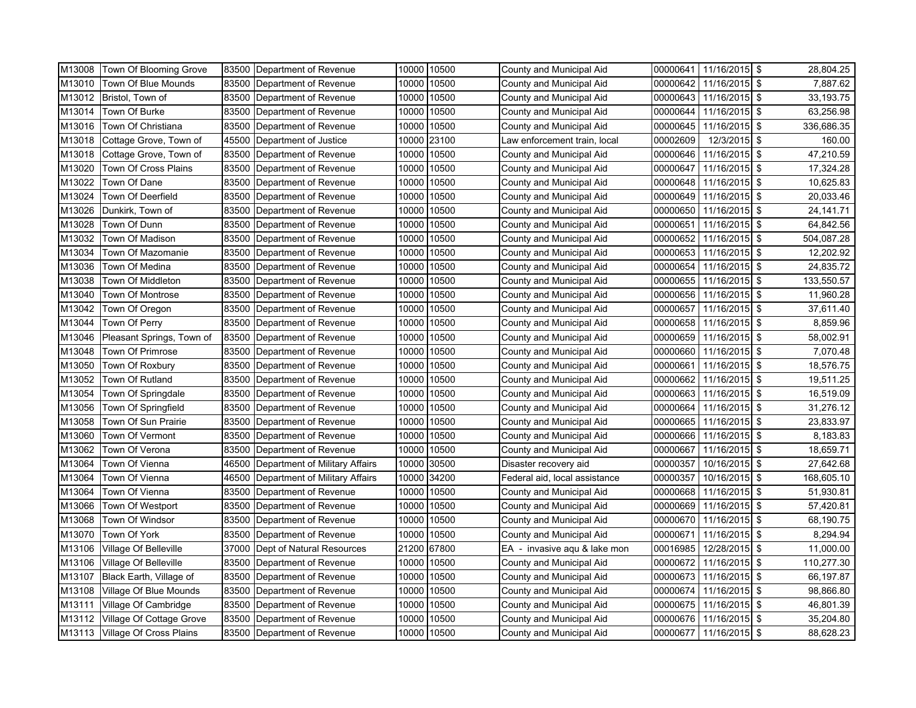| M13008 | Town Of Blooming Grove         |       | 83500 Department of Revenue    |       | 10000 10500 | County and Municipal Aid      | 00000641 | 11/16/2015 \$ |     | 28,804.25  |
|--------|--------------------------------|-------|--------------------------------|-------|-------------|-------------------------------|----------|---------------|-----|------------|
| M13010 | Town Of Blue Mounds            | 83500 | Department of Revenue          | 10000 | 10500       | County and Municipal Aid      | 00000642 | 11/16/2015 \$ |     | 7,887.62   |
| M13012 | Bristol, Town of               | 83500 | Department of Revenue          | 10000 | 10500       | County and Municipal Aid      | 00000643 | 11/16/2015 \$ |     | 33,193.75  |
| M13014 | Town Of Burke                  | 83500 | Department of Revenue          | 10000 | 10500       | County and Municipal Aid      | 00000644 | 11/16/2015 \$ |     | 63,256.98  |
| M13016 | Town Of Christiana             | 83500 | Department of Revenue          | 10000 | 10500       | County and Municipal Aid      | 00000645 | 11/16/2015 \$ |     | 336,686.35 |
| M13018 | Cottage Grove, Town of         | 45500 | Department of Justice          | 10000 | 23100       | aw enforcement train, local   | 00002609 | 12/3/2015 \$  |     | 160.00     |
| M13018 | Cottage Grove, Town of         | 83500 | Department of Revenue          | 10000 | 10500       | County and Municipal Aid      | 00000646 | 11/16/2015 \$ |     | 47,210.59  |
| M13020 | Town Of Cross Plains           | 83500 | Department of Revenue          | 10000 | 10500       | County and Municipal Aid      | 00000647 | 11/16/2015 \$ |     | 17,324.28  |
| M13022 | Town Of Dane                   | 83500 | Department of Revenue          | 10000 | 10500       | County and Municipal Aid      | 00000648 | 11/16/2015 \$ |     | 10,625.83  |
| M13024 | Town Of Deerfield              | 83500 | Department of Revenue          | 10000 | 10500       | County and Municipal Aid      | 00000649 | 11/16/2015 \$ |     | 20,033.46  |
| M13026 | Dunkirk, Town of               | 83500 | Department of Revenue          | 10000 | 10500       | County and Municipal Aid      | 00000650 | 11/16/2015 \$ |     | 24,141.71  |
| M13028 | Town Of Dunn                   | 83500 | Department of Revenue          | 10000 | 10500       | County and Municipal Aid      | 00000651 | 11/16/2015 \$ |     | 64,842.56  |
| M13032 | Town Of Madison                | 83500 | Department of Revenue          | 10000 | 10500       | County and Municipal Aid      | 00000652 | 11/16/2015    | \$  | 504,087.28 |
| M13034 | Town Of Mazomanie              | 83500 | Department of Revenue          | 10000 | 10500       | County and Municipal Aid      | 00000653 | 11/16/2015 \$ |     | 12,202.92  |
| M13036 | Town Of Medina                 | 83500 | Department of Revenue          | 10000 | 10500       | County and Municipal Aid      | 00000654 | 11/16/2015 \$ |     | 24,835.72  |
| M13038 | Town Of Middleton              | 83500 | Department of Revenue          | 10000 | 10500       | County and Municipal Aid      | 00000655 | 11/16/2015    | \$  | 133,550.57 |
| M13040 | Town Of Montrose               | 83500 | Department of Revenue          | 10000 | 10500       | County and Municipal Aid      | 00000656 | 11/16/2015 \$ |     | 11,960.28  |
| M13042 | Town Of Oregon                 | 83500 | Department of Revenue          | 10000 | 10500       | County and Municipal Aid      | 00000657 | 11/16/2015 \$ |     | 37,611.40  |
| M13044 | Town Of Perry                  | 83500 | Department of Revenue          | 10000 | 10500       | County and Municipal Aid      | 00000658 | 11/16/2015 \$ |     | 8,859.96   |
| M13046 | Pleasant Springs, Town of      | 83500 | Department of Revenue          | 10000 | 10500       | County and Municipal Aid      | 00000659 | 11/16/2015    | -\$ | 58,002.91  |
| M13048 | Town Of Primrose               | 83500 | Department of Revenue          | 10000 | 10500       | County and Municipal Aid      | 00000660 | 11/16/2015 \$ |     | 7,070.48   |
| M13050 | Town Of Roxbury                | 83500 | Department of Revenue          | 10000 | 10500       | County and Municipal Aid      | 00000661 | 11/16/2015 \$ |     | 18,576.75  |
| M13052 | Town Of Rutland                | 83500 | Department of Revenue          | 10000 | 10500       | County and Municipal Aid      | 00000662 | 11/16/2015 \$ |     | 19,511.25  |
| M13054 | Town Of Springdale             | 83500 | Department of Revenue          | 10000 | 10500       | County and Municipal Aid      | 00000663 | 11/16/2015 \$ |     | 16,519.09  |
| M13056 | Town Of Springfield            | 83500 | Department of Revenue          | 10000 | 10500       | County and Municipal Aid      | 00000664 | 11/16/2015 \$ |     | 31,276.12  |
| M13058 | Town Of Sun Prairie            | 83500 | Department of Revenue          | 10000 | 10500       | County and Municipal Aid      | 00000665 | 11/16/2015 \$ |     | 23,833.97  |
| M13060 | Town Of Vermont                | 83500 | Department of Revenue          | 10000 | 10500       | County and Municipal Aid      | 00000666 | 11/16/2015 \$ |     | 8,183.83   |
| M13062 | Town Of Verona                 | 83500 | Department of Revenue          | 10000 | 10500       | County and Municipal Aid      | 00000667 | 11/16/2015 \$ |     | 18,659.71  |
| M13064 | Town Of Vienna                 | 46500 | Department of Military Affairs | 10000 | 30500       | Disaster recovery aid         | 00000357 | 10/16/2015 \$ |     | 27,642.68  |
| M13064 | Town Of Vienna                 | 46500 | Department of Military Affairs | 10000 | 34200       | Federal aid, local assistance | 00000357 | 10/16/2015    | \$  | 168,605.10 |
| M13064 | Town Of Vienna                 | 83500 | Department of Revenue          | 10000 | 10500       | County and Municipal Aid      | 00000668 | 11/16/2015 \$ |     | 51,930.81  |
| M13066 | Town Of Westport               | 83500 | Department of Revenue          | 10000 | 10500       | County and Municipal Aid      | 00000669 | 11/16/2015 \$ |     | 57,420.81  |
| M13068 | Town Of Windsor                | 83500 | Department of Revenue          | 10000 | 10500       | County and Municipal Aid      | 00000670 | 11/16/2015 \$ |     | 68,190.75  |
| M13070 | Town Of York                   | 83500 | Department of Revenue          | 10000 | 10500       | County and Municipal Aid      | 00000671 | 11/16/2015 \$ |     | 8,294.94   |
| M13106 | Village Of Belleville          | 37000 | Dept of Natural Resources      | 21200 | 67800       | EA - invasive agu & lake mon  | 00016985 | 12/28/2015 \$ |     | 11,000.00  |
| M13106 | <b>Village Of Belleville</b>   | 83500 | Department of Revenue          | 10000 | 10500       | County and Municipal Aid      | 00000672 | 11/16/2015    | \$  | 110,277.30 |
| M13107 | Black Earth, Village of        | 83500 | Department of Revenue          | 10000 | 10500       | County and Municipal Aid      | 00000673 | 11/16/2015    | \$  | 66,197.87  |
| M13108 | Village Of Blue Mounds         | 83500 | Department of Revenue          | 10000 | 10500       | County and Municipal Aid      | 00000674 | 11/16/2015 \$ |     | 98,866.80  |
| M13111 | Village Of Cambridge           | 83500 | Department of Revenue          | 10000 | 10500       | County and Municipal Aid      | 00000675 | 11/16/2015 \$ |     | 46,801.39  |
| M13112 | Village Of Cottage Grove       | 83500 | Department of Revenue          | 10000 | 10500       | County and Municipal Aid      | 00000676 | 11/16/2015 \$ |     | 35,204.80  |
|        | M13113 Village Of Cross Plains | 83500 | Department of Revenue          |       | 10000 10500 | County and Municipal Aid      | 00000677 | 11/16/2015 \$ |     | 88,628.23  |